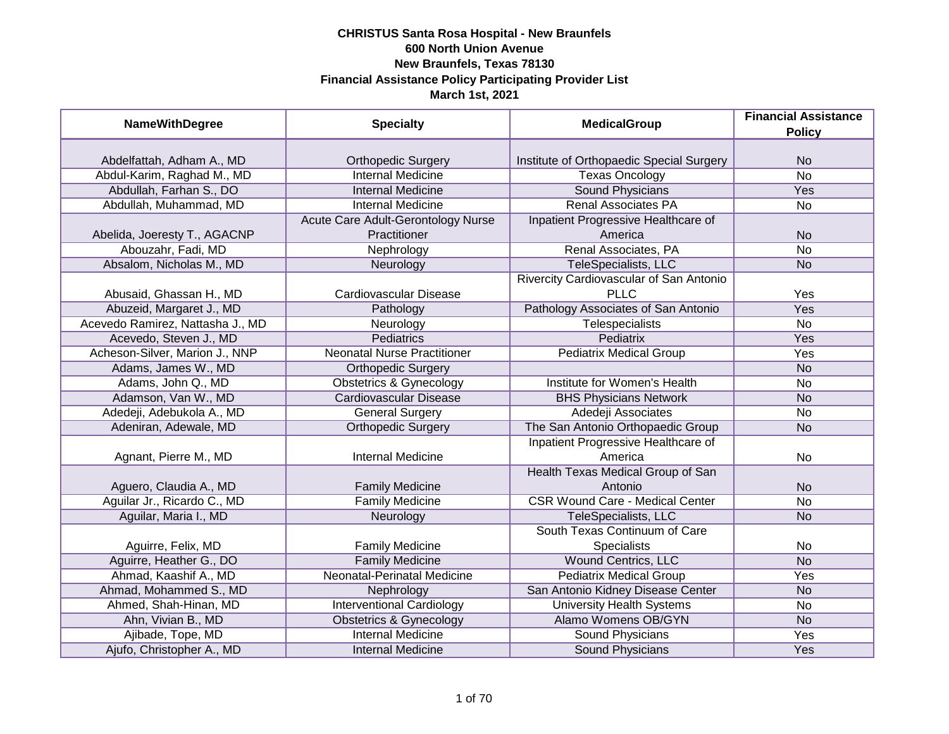| <b>NameWithDegree</b>            | <b>Specialty</b>                   | <b>MedicalGroup</b>                      | <b>Financial Assistance</b><br><b>Policy</b> |
|----------------------------------|------------------------------------|------------------------------------------|----------------------------------------------|
|                                  |                                    |                                          |                                              |
| Abdelfattah, Adham A., MD        | <b>Orthopedic Surgery</b>          | Institute of Orthopaedic Special Surgery | <b>No</b>                                    |
| Abdul-Karim, Raghad M., MD       | <b>Internal Medicine</b>           | <b>Texas Oncology</b>                    | $\overline{No}$                              |
| Abdullah, Farhan S., DO          | <b>Internal Medicine</b>           | <b>Sound Physicians</b>                  | <b>Yes</b>                                   |
| Abdullah, Muhammad, MD           | <b>Internal Medicine</b>           | <b>Renal Associates PA</b>               | No                                           |
|                                  | Acute Care Adult-Gerontology Nurse | Inpatient Progressive Healthcare of      |                                              |
| Abelida, Joeresty T., AGACNP     | Practitioner                       | America                                  | <b>No</b>                                    |
| Abouzahr, Fadi, MD               | Nephrology                         | Renal Associates, PA                     | <b>No</b>                                    |
| Absalom, Nicholas M., MD         | Neurology                          | TeleSpecialists, LLC                     | <b>No</b>                                    |
|                                  |                                    | Rivercity Cardiovascular of San Antonio  |                                              |
| Abusaid, Ghassan H., MD          | Cardiovascular Disease             | <b>PLLC</b>                              | Yes                                          |
| Abuzeid, Margaret J., MD         | Pathology                          | Pathology Associates of San Antonio      | Yes                                          |
| Acevedo Ramirez, Nattasha J., MD | Neurology                          | <b>Telespecialists</b>                   | <b>No</b>                                    |
| Acevedo, Steven J., MD           | Pediatrics                         | <b>Pediatrix</b>                         | Yes                                          |
| Acheson-Silver, Marion J., NNP   | <b>Neonatal Nurse Practitioner</b> | <b>Pediatrix Medical Group</b>           | Yes                                          |
| Adams, James W., MD              | <b>Orthopedic Surgery</b>          |                                          | <b>No</b>                                    |
| Adams, John Q., MD               | <b>Obstetrics &amp; Gynecology</b> | Institute for Women's Health             | No                                           |
| Adamson, Van W., MD              | <b>Cardiovascular Disease</b>      | <b>BHS Physicians Network</b>            | <b>No</b>                                    |
| Adedeji, Adebukola A., MD        | <b>General Surgery</b>             | Adedeji Associates                       | No                                           |
| Adeniran, Adewale, MD            | <b>Orthopedic Surgery</b>          | The San Antonio Orthopaedic Group        | <b>No</b>                                    |
|                                  |                                    | Inpatient Progressive Healthcare of      |                                              |
| Agnant, Pierre M., MD            | <b>Internal Medicine</b>           | America                                  | No                                           |
|                                  |                                    | Health Texas Medical Group of San        |                                              |
| Aguero, Claudia A., MD           | <b>Family Medicine</b>             | Antonio                                  | <b>No</b>                                    |
| Aguilar Jr., Ricardo C., MD      | <b>Family Medicine</b>             | <b>CSR Wound Care - Medical Center</b>   | No                                           |
| Aguilar, Maria I., MD            | Neurology                          | TeleSpecialists, LLC                     | <b>No</b>                                    |
|                                  |                                    | South Texas Continuum of Care            |                                              |
| Aguirre, Felix, MD               | <b>Family Medicine</b>             | <b>Specialists</b>                       | No                                           |
| Aguirre, Heather G., DO          | <b>Family Medicine</b>             | <b>Wound Centrics, LLC</b>               | <b>No</b>                                    |
| Ahmad, Kaashif A., MD            | Neonatal-Perinatal Medicine        | <b>Pediatrix Medical Group</b>           | Yes                                          |
| Ahmad, Mohammed S., MD           | Nephrology                         | San Antonio Kidney Disease Center        | <b>No</b>                                    |
| Ahmed, Shah-Hinan, MD            | <b>Interventional Cardiology</b>   | <b>University Health Systems</b>         | No                                           |
| Ahn, Vivian B., MD               | <b>Obstetrics &amp; Gynecology</b> | Alamo Womens OB/GYN                      | N <sub>o</sub>                               |
| Ajibade, Tope, MD                | <b>Internal Medicine</b>           | <b>Sound Physicians</b>                  | Yes                                          |
| Ajufo, Christopher A., MD        | <b>Internal Medicine</b>           | Sound Physicians                         | Yes                                          |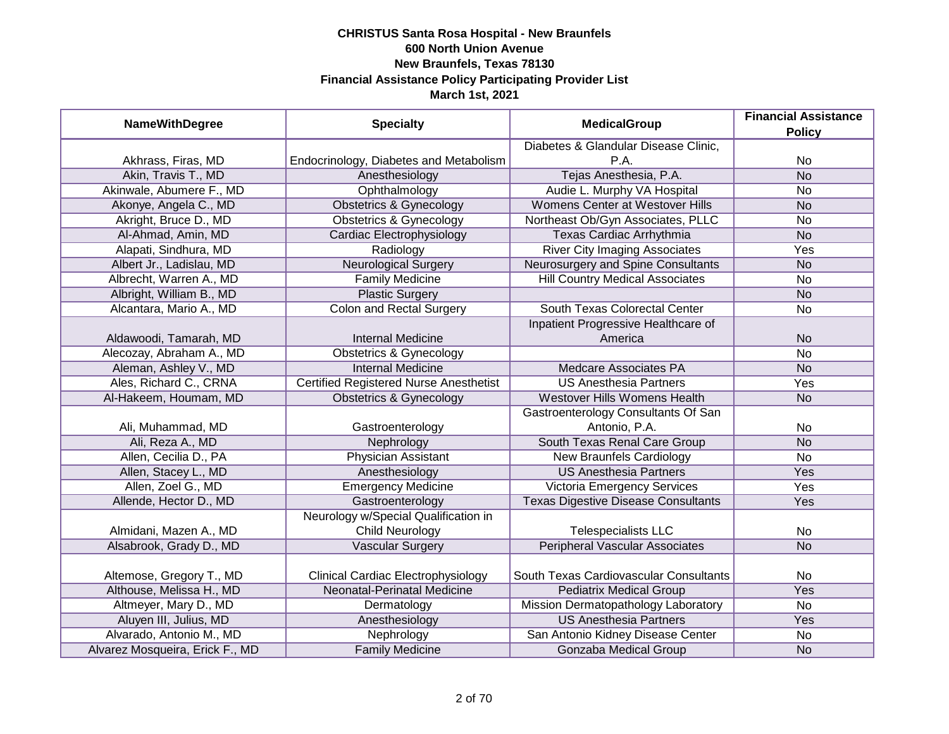| <b>NameWithDegree</b>           | <b>Specialty</b>                              | <b>MedicalGroup</b>                        | <b>Financial Assistance</b><br><b>Policy</b> |
|---------------------------------|-----------------------------------------------|--------------------------------------------|----------------------------------------------|
|                                 |                                               | Diabetes & Glandular Disease Clinic,       |                                              |
| Akhrass, Firas, MD              | Endocrinology, Diabetes and Metabolism        | P.A.                                       | <b>No</b>                                    |
| Akin, Travis T., MD             | Anesthesiology                                | Tejas Anesthesia, P.A.                     | <b>No</b>                                    |
| Akinwale, Abumere F., MD        | Ophthalmology                                 | Audie L. Murphy VA Hospital                | <b>No</b>                                    |
| Akonye, Angela C., MD           | <b>Obstetrics &amp; Gynecology</b>            | <b>Womens Center at Westover Hills</b>     | <b>No</b>                                    |
| Akright, Bruce D., MD           | <b>Obstetrics &amp; Gynecology</b>            | Northeast Ob/Gyn Associates, PLLC          | <b>No</b>                                    |
| Al-Ahmad, Amin, MD              | Cardiac Electrophysiology                     | <b>Texas Cardiac Arrhythmia</b>            | N <sub>o</sub>                               |
| Alapati, Sindhura, MD           | Radiology                                     | <b>River City Imaging Associates</b>       | Yes                                          |
| Albert Jr., Ladislau, MD        | <b>Neurological Surgery</b>                   | Neurosurgery and Spine Consultants         | <b>No</b>                                    |
| Albrecht, Warren A., MD         | <b>Family Medicine</b>                        | <b>Hill Country Medical Associates</b>     | <b>No</b>                                    |
| Albright, William B., MD        | <b>Plastic Surgery</b>                        |                                            | <b>No</b>                                    |
| Alcantara, Mario A., MD         | <b>Colon and Rectal Surgery</b>               | South Texas Colorectal Center              | <b>No</b>                                    |
|                                 |                                               | Inpatient Progressive Healthcare of        |                                              |
| Aldawoodi, Tamarah, MD          | <b>Internal Medicine</b>                      | America                                    | <b>No</b>                                    |
| Alecozay, Abraham A., MD        | <b>Obstetrics &amp; Gynecology</b>            |                                            | <b>No</b>                                    |
| Aleman, Ashley V., MD           | <b>Internal Medicine</b>                      | <b>Medcare Associates PA</b>               | <b>No</b>                                    |
| Ales, Richard C., CRNA          | <b>Certified Registered Nurse Anesthetist</b> | <b>US Anesthesia Partners</b>              | Yes                                          |
| Al-Hakeem, Houmam, MD           | <b>Obstetrics &amp; Gynecology</b>            | Westover Hills Womens Health               | <b>No</b>                                    |
|                                 |                                               | Gastroenterology Consultants Of San        |                                              |
| Ali, Muhammad, MD               | Gastroenterology                              | Antonio, P.A.                              | No                                           |
| Ali, Reza A., MD                | Nephrology                                    | South Texas Renal Care Group               | <b>No</b>                                    |
| Allen, Cecilia D., PA           | <b>Physician Assistant</b>                    | <b>New Braunfels Cardiology</b>            | <b>No</b>                                    |
| Allen, Stacey L., MD            | Anesthesiology                                | <b>US Anesthesia Partners</b>              | Yes                                          |
| Allen, Zoel G., MD              | <b>Emergency Medicine</b>                     | Victoria Emergency Services                | Yes                                          |
| Allende, Hector D., MD          | Gastroenterology                              | <b>Texas Digestive Disease Consultants</b> | Yes                                          |
|                                 | Neurology w/Special Qualification in          |                                            |                                              |
| Almidani, Mazen A., MD          | Child Neurology                               | <b>Telespecialists LLC</b>                 | No                                           |
| Alsabrook, Grady D., MD         | <b>Vascular Surgery</b>                       | <b>Peripheral Vascular Associates</b>      | <b>No</b>                                    |
|                                 |                                               |                                            |                                              |
| Altemose, Gregory T., MD        | <b>Clinical Cardiac Electrophysiology</b>     | South Texas Cardiovascular Consultants     | No                                           |
| Althouse, Melissa H., MD        | Neonatal-Perinatal Medicine                   | <b>Pediatrix Medical Group</b>             | Yes                                          |
| Altmeyer, Mary D., MD           | Dermatology                                   | Mission Dermatopathology Laboratory        | No                                           |
| Aluyen III, Julius, MD          | Anesthesiology                                | <b>US Anesthesia Partners</b>              | Yes                                          |
| Alvarado, Antonio M., MD        | Nephrology                                    | San Antonio Kidney Disease Center          | <b>No</b>                                    |
| Alvarez Mosqueira, Erick F., MD | <b>Family Medicine</b>                        | Gonzaba Medical Group                      | <b>No</b>                                    |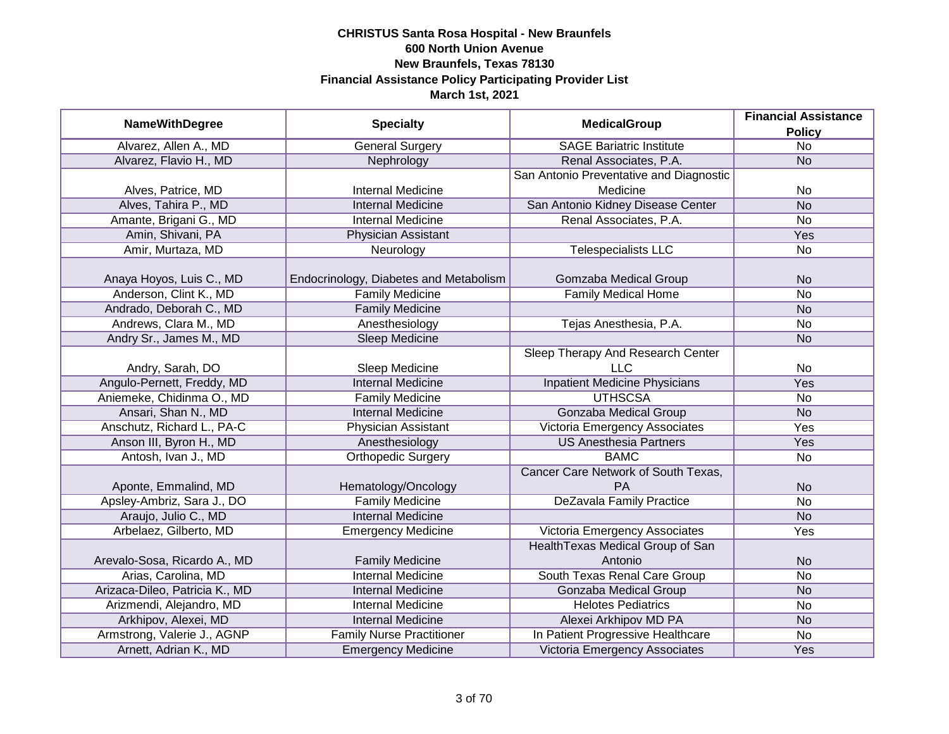| <b>NameWithDegree</b>          | <b>Specialty</b>                       | <b>MedicalGroup</b>                     | <b>Financial Assistance</b> |
|--------------------------------|----------------------------------------|-----------------------------------------|-----------------------------|
|                                |                                        |                                         | <b>Policy</b>               |
| Alvarez, Allen A., MD          | <b>General Surgery</b>                 | <b>SAGE Bariatric Institute</b>         | $\overline{No}$             |
| Alvarez, Flavio H., MD         | Nephrology                             | Renal Associates, P.A.                  | N <sub>o</sub>              |
|                                |                                        | San Antonio Preventative and Diagnostic |                             |
| Alves, Patrice, MD             | <b>Internal Medicine</b>               | Medicine                                | No                          |
| Alves, Tahira P., MD           | <b>Internal Medicine</b>               | San Antonio Kidney Disease Center       | N <sub>o</sub>              |
| Amante, Brigani G., MD         | <b>Internal Medicine</b>               | Renal Associates, P.A.                  | <b>No</b>                   |
| Amin, Shivani, PA              | Physician Assistant                    |                                         | Yes                         |
| Amir, Murtaza, MD              | Neurology                              | <b>Telespecialists LLC</b>              | No                          |
| Anaya Hoyos, Luis C., MD       | Endocrinology, Diabetes and Metabolism | Gomzaba Medical Group                   | <b>No</b>                   |
| Anderson, Clint K., MD         | <b>Family Medicine</b>                 | <b>Family Medical Home</b>              | <b>No</b>                   |
| Andrado, Deborah C., MD        | <b>Family Medicine</b>                 |                                         | <b>No</b>                   |
| Andrews, Clara M., MD          | Anesthesiology                         | Tejas Anesthesia, P.A.                  | No                          |
| Andry Sr., James M., MD        | Sleep Medicine                         |                                         | <b>No</b>                   |
|                                |                                        | Sleep Therapy And Research Center       |                             |
| Andry, Sarah, DO               | Sleep Medicine                         | <b>LLC</b>                              | No                          |
| Angulo-Pernett, Freddy, MD     | <b>Internal Medicine</b>               | <b>Inpatient Medicine Physicians</b>    | Yes                         |
| Aniemeke, Chidinma O., MD      | <b>Family Medicine</b>                 | <b>UTHSCSA</b>                          | No                          |
| Ansari, Shan N., MD            | <b>Internal Medicine</b>               | <b>Gonzaba Medical Group</b>            | <b>No</b>                   |
| Anschutz, Richard L., PA-C     | Physician Assistant                    | Victoria Emergency Associates           | Yes                         |
| Anson III, Byron H., MD        | Anesthesiology                         | <b>US Anesthesia Partners</b>           | Yes                         |
| Antosh, Ivan J., MD            | <b>Orthopedic Surgery</b>              | <b>BAMC</b>                             | <b>No</b>                   |
|                                |                                        | Cancer Care Network of South Texas,     |                             |
| Aponte, Emmalind, MD           | Hematology/Oncology                    | <b>PA</b>                               | <b>No</b>                   |
| Apsley-Ambriz, Sara J., DO     | <b>Family Medicine</b>                 | <b>DeZavala Family Practice</b>         | <b>No</b>                   |
| Araujo, Julio C., MD           | <b>Internal Medicine</b>               |                                         | <b>No</b>                   |
| Arbelaez, Gilberto, MD         | <b>Emergency Medicine</b>              | Victoria Emergency Associates           | Yes                         |
|                                |                                        | Health Texas Medical Group of San       |                             |
| Arevalo-Sosa, Ricardo A., MD   | <b>Family Medicine</b>                 | Antonio                                 | <b>No</b>                   |
| Arias, Carolina, MD            | <b>Internal Medicine</b>               | South Texas Renal Care Group            | No                          |
| Arizaca-Dileo, Patricia K., MD | <b>Internal Medicine</b>               | <b>Gonzaba Medical Group</b>            | <b>No</b>                   |
| Arizmendi, Alejandro, MD       | <b>Internal Medicine</b>               | <b>Helotes Pediatrics</b>               | No                          |
| Arkhipov, Alexei, MD           | <b>Internal Medicine</b>               | Alexei Arkhipov MD PA                   | <b>No</b>                   |
| Armstrong, Valerie J., AGNP    | <b>Family Nurse Practitioner</b>       | In Patient Progressive Healthcare       | No                          |
| Arnett, Adrian K., MD          | <b>Emergency Medicine</b>              | Victoria Emergency Associates           | Yes                         |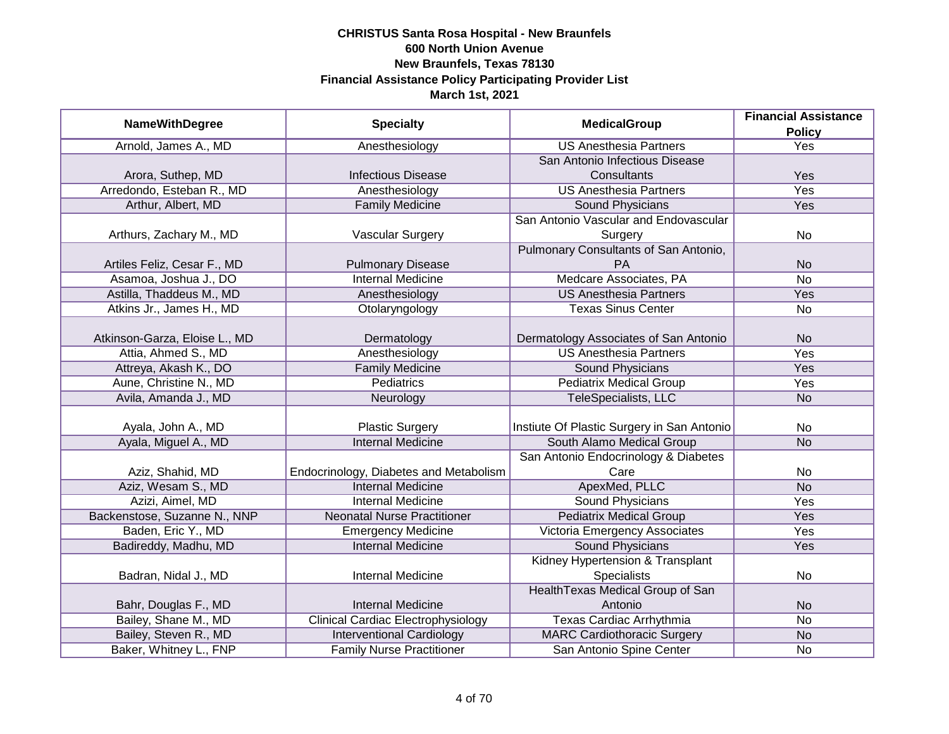|                               |                                           |                                            | <b>Financial Assistance</b> |
|-------------------------------|-------------------------------------------|--------------------------------------------|-----------------------------|
| <b>NameWithDegree</b>         | <b>Specialty</b>                          | <b>MedicalGroup</b>                        | <b>Policy</b>               |
| Arnold, James A., MD          | Anesthesiology                            | <b>US Anesthesia Partners</b>              | <b>Yes</b>                  |
|                               |                                           | San Antonio Infectious Disease             |                             |
| Arora, Suthep, MD             | <b>Infectious Disease</b>                 | Consultants                                | Yes                         |
| Arredondo, Esteban R., MD     | Anesthesiology                            | <b>US Anesthesia Partners</b>              | Yes                         |
| Arthur, Albert, MD            | <b>Family Medicine</b>                    | Sound Physicians                           | <b>Yes</b>                  |
|                               |                                           | San Antonio Vascular and Endovascular      |                             |
| Arthurs, Zachary M., MD       | <b>Vascular Surgery</b>                   | Surgery                                    | No                          |
|                               |                                           | Pulmonary Consultants of San Antonio,      |                             |
| Artiles Feliz, Cesar F., MD   | <b>Pulmonary Disease</b>                  | PA                                         | <b>No</b>                   |
| Asamoa, Joshua J., DO         | <b>Internal Medicine</b>                  | Medcare Associates, PA                     | <b>No</b>                   |
| Astilla, Thaddeus M., MD      | Anesthesiology                            | <b>US Anesthesia Partners</b>              | Yes                         |
| Atkins Jr., James H., MD      | Otolaryngology                            | <b>Texas Sinus Center</b>                  | <b>No</b>                   |
|                               |                                           |                                            |                             |
| Atkinson-Garza, Eloise L., MD | Dermatology                               | Dermatology Associates of San Antonio      | <b>No</b>                   |
| Attia, Ahmed S., MD           | Anesthesiology                            | <b>US Anesthesia Partners</b>              | Yes                         |
| Attreya, Akash K., DO         | <b>Family Medicine</b>                    | Sound Physicians                           | Yes                         |
| Aune, Christine N., MD        | <b>Pediatrics</b>                         | <b>Pediatrix Medical Group</b>             | Yes                         |
| Avila, Amanda J., MD          | Neurology                                 | TeleSpecialists, LLC                       | <b>No</b>                   |
|                               |                                           |                                            |                             |
| Ayala, John A., MD            | <b>Plastic Surgery</b>                    | Instiute Of Plastic Surgery in San Antonio | No                          |
| Ayala, Miguel A., MD          | <b>Internal Medicine</b>                  | South Alamo Medical Group                  | <b>No</b>                   |
|                               |                                           | San Antonio Endocrinology & Diabetes       |                             |
| Aziz, Shahid, MD              | Endocrinology, Diabetes and Metabolism    | Care                                       | No                          |
| Aziz, Wesam S., MD            | <b>Internal Medicine</b>                  | ApexMed, PLLC                              | <b>No</b>                   |
| Azizi, Aimel, MD              | <b>Internal Medicine</b>                  | <b>Sound Physicians</b>                    | Yes                         |
| Backenstose, Suzanne N., NNP  | <b>Neonatal Nurse Practitioner</b>        | <b>Pediatrix Medical Group</b>             | Yes                         |
| Baden, Eric Y., MD            | <b>Emergency Medicine</b>                 | Victoria Emergency Associates              | Yes                         |
| Badireddy, Madhu, MD          | <b>Internal Medicine</b>                  | <b>Sound Physicians</b>                    | Yes                         |
|                               |                                           | Kidney Hypertension & Transplant           |                             |
| Badran, Nidal J., MD          | <b>Internal Medicine</b>                  | <b>Specialists</b>                         | No                          |
|                               |                                           | Health Texas Medical Group of San          |                             |
| Bahr, Douglas F., MD          | <b>Internal Medicine</b>                  | Antonio                                    | <b>No</b>                   |
| Bailey, Shane M., MD          | <b>Clinical Cardiac Electrophysiology</b> | Texas Cardiac Arrhythmia                   | No                          |
| Bailey, Steven R., MD         | <b>Interventional Cardiology</b>          | <b>MARC Cardiothoracic Surgery</b>         | <b>No</b>                   |
| Baker, Whitney L., FNP        | <b>Family Nurse Practitioner</b>          | San Antonio Spine Center                   | No                          |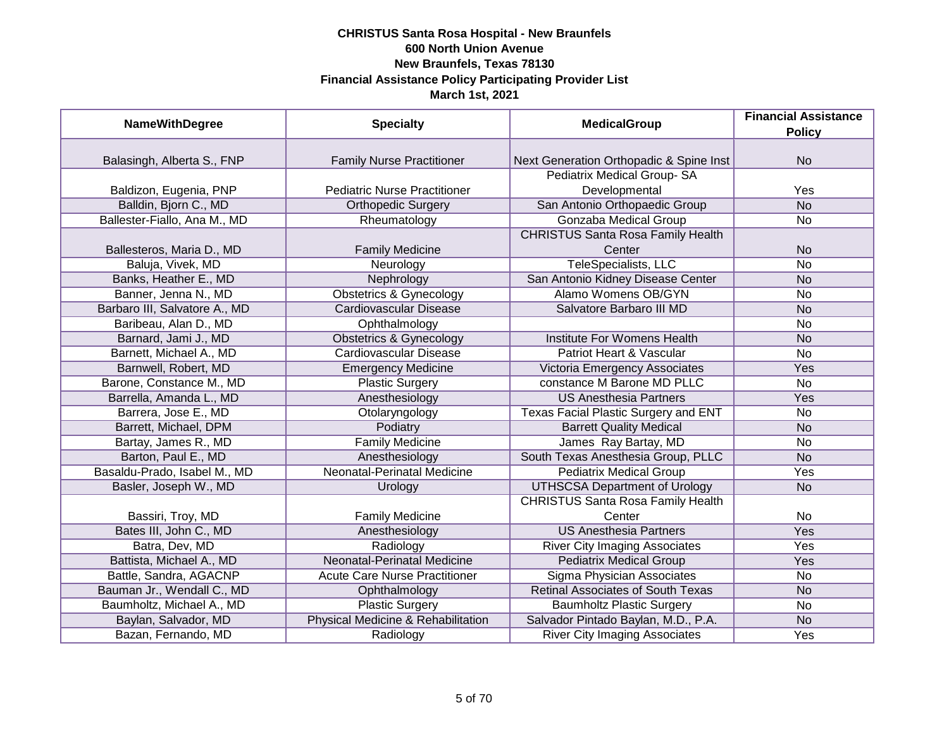| <b>NameWithDegree</b>         | <b>Specialty</b>                     | <b>MedicalGroup</b>                      | <b>Financial Assistance</b> |
|-------------------------------|--------------------------------------|------------------------------------------|-----------------------------|
|                               |                                      |                                          | <b>Policy</b>               |
|                               |                                      |                                          |                             |
| Balasingh, Alberta S., FNP    | <b>Family Nurse Practitioner</b>     | Next Generation Orthopadic & Spine Inst  | <b>No</b>                   |
|                               |                                      | Pediatrix Medical Group-SA               |                             |
| Baldizon, Eugenia, PNP        | <b>Pediatric Nurse Practitioner</b>  | Developmental                            | Yes                         |
| Balldin, Bjorn C., MD         | <b>Orthopedic Surgery</b>            | San Antonio Orthopaedic Group            | $\overline{No}$             |
| Ballester-Fiallo, Ana M., MD  | Rheumatology                         | Gonzaba Medical Group                    | <b>No</b>                   |
|                               |                                      | <b>CHRISTUS Santa Rosa Family Health</b> |                             |
| Ballesteros, Maria D., MD     | <b>Family Medicine</b>               | Center                                   | <b>No</b>                   |
| Baluja, Vivek, MD             | Neurology                            | <b>TeleSpecialists, LLC</b>              | <b>No</b>                   |
| Banks, Heather E., MD         | Nephrology                           | San Antonio Kidney Disease Center        | <b>No</b>                   |
| Banner, Jenna N., MD          | <b>Obstetrics &amp; Gynecology</b>   | <b>Alamo Womens OB/GYN</b>               | No                          |
| Barbaro III, Salvatore A., MD | <b>Cardiovascular Disease</b>        | Salvatore Barbaro III MD                 | <b>No</b>                   |
| Baribeau, Alan D., MD         | Ophthalmology                        |                                          | No                          |
| Barnard, Jami J., MD          | <b>Obstetrics &amp; Gynecology</b>   | Institute For Womens Health              | <b>No</b>                   |
| Barnett, Michael A., MD       | <b>Cardiovascular Disease</b>        | Patriot Heart & Vascular                 | <b>No</b>                   |
| Barnwell, Robert, MD          | <b>Emergency Medicine</b>            | Victoria Emergency Associates            | Yes                         |
| Barone, Constance M., MD      | <b>Plastic Surgery</b>               | constance M Barone MD PLLC               | No                          |
| Barrella, Amanda L., MD       | Anesthesiology                       | <b>US Anesthesia Partners</b>            | Yes                         |
| Barrera, Jose E., MD          | Otolaryngology                       | Texas Facial Plastic Surgery and ENT     | <b>No</b>                   |
| Barrett, Michael, DPM         | Podiatry                             | <b>Barrett Quality Medical</b>           | <b>No</b>                   |
| Bartay, James R., MD          | <b>Family Medicine</b>               | James Ray Bartay, MD                     | No                          |
| Barton, Paul E., MD           | Anesthesiology                       | South Texas Anesthesia Group, PLLC       | <b>No</b>                   |
| Basaldu-Prado, Isabel M., MD  | <b>Neonatal-Perinatal Medicine</b>   | <b>Pediatrix Medical Group</b>           | Yes                         |
| Basler, Joseph W., MD         | Urology                              | <b>UTHSCSA Department of Urology</b>     | <b>No</b>                   |
|                               |                                      | <b>CHRISTUS Santa Rosa Family Health</b> |                             |
| Bassiri, Troy, MD             | <b>Family Medicine</b>               | Center                                   | No                          |
| Bates III, John C., MD        | Anesthesiology                       | <b>US Anesthesia Partners</b>            | Yes                         |
| Batra, Dev, MD                | Radiology                            | <b>River City Imaging Associates</b>     | Yes                         |
| Battista, Michael A., MD      | <b>Neonatal-Perinatal Medicine</b>   | <b>Pediatrix Medical Group</b>           | Yes                         |
| Battle, Sandra, AGACNP        | <b>Acute Care Nurse Practitioner</b> | Sigma Physician Associates               | No                          |
| Bauman Jr., Wendall C., MD    | Ophthalmology                        | <b>Retinal Associates of South Texas</b> | <b>No</b>                   |
| Baumholtz, Michael A., MD     | <b>Plastic Surgery</b>               | <b>Baumholtz Plastic Surgery</b>         | No                          |
| Baylan, Salvador, MD          | Physical Medicine & Rehabilitation   | Salvador Pintado Baylan, M.D., P.A.      | <b>No</b>                   |
| Bazan, Fernando, MD           | Radiology                            | <b>River City Imaging Associates</b>     | Yes                         |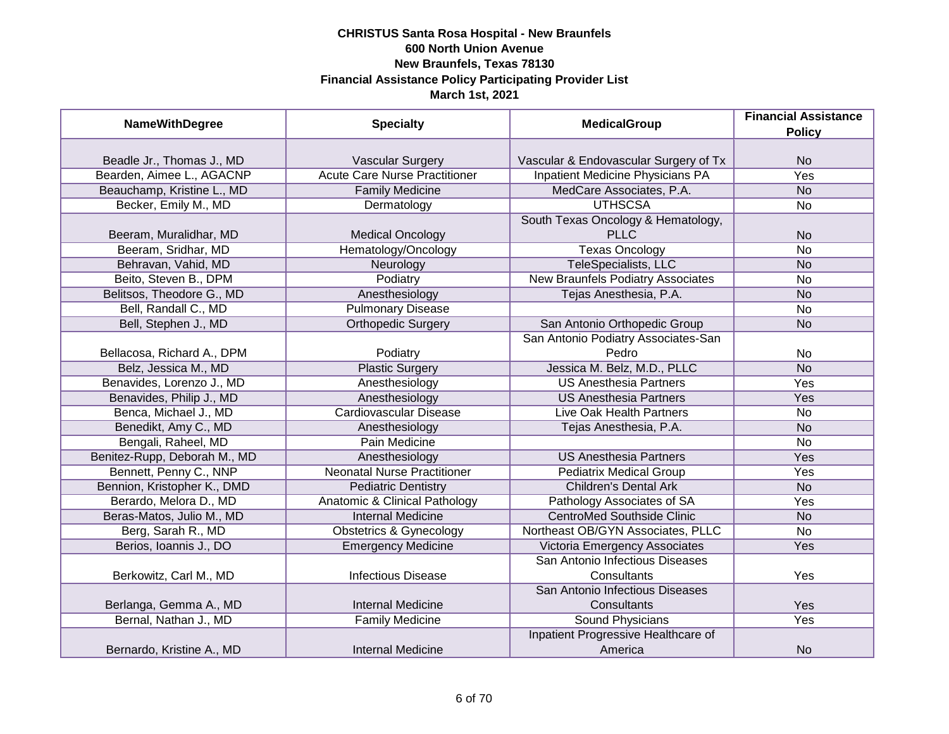| <b>NameWithDegree</b>        | <b>Specialty</b>                         | <b>MedicalGroup</b>                   | <b>Financial Assistance</b><br><b>Policy</b> |
|------------------------------|------------------------------------------|---------------------------------------|----------------------------------------------|
|                              |                                          |                                       |                                              |
| Beadle Jr., Thomas J., MD    | <b>Vascular Surgery</b>                  | Vascular & Endovascular Surgery of Tx | <b>No</b>                                    |
| Bearden, Aimee L., AGACNP    | <b>Acute Care Nurse Practitioner</b>     | Inpatient Medicine Physicians PA      | <b>Yes</b>                                   |
| Beauchamp, Kristine L., MD   | <b>Family Medicine</b>                   | MedCare Associates, P.A.              | <b>No</b>                                    |
| Becker, Emily M., MD         | Dermatology                              | <b>UTHSCSA</b>                        | <b>No</b>                                    |
|                              |                                          | South Texas Oncology & Hematology,    |                                              |
| Beeram, Muralidhar, MD       | <b>Medical Oncology</b>                  | <b>PLLC</b>                           | <b>No</b>                                    |
| Beeram, Sridhar, MD          | Hematology/Oncology                      | <b>Texas Oncology</b>                 | <b>No</b>                                    |
| Behravan, Vahid, MD          | Neurology                                | TeleSpecialists, LLC                  | <b>No</b>                                    |
| Beito, Steven B., DPM        | Podiatry                                 | New Braunfels Podiatry Associates     | <b>No</b>                                    |
| Belitsos, Theodore G., MD    | Anesthesiology                           | Tejas Anesthesia, P.A.                | <b>No</b>                                    |
| Bell, Randall C., MD         | <b>Pulmonary Disease</b>                 |                                       | <b>No</b>                                    |
| Bell, Stephen J., MD         | <b>Orthopedic Surgery</b>                | San Antonio Orthopedic Group          | <b>No</b>                                    |
|                              |                                          | San Antonio Podiatry Associates-San   |                                              |
| Bellacosa, Richard A., DPM   | Podiatry                                 | Pedro                                 | <b>No</b>                                    |
| Belz, Jessica M., MD         | <b>Plastic Surgery</b>                   | Jessica M. Belz, M.D., PLLC           | <b>No</b>                                    |
| Benavides, Lorenzo J., MD    | Anesthesiology                           | <b>US Anesthesia Partners</b>         | Yes                                          |
| Benavides, Philip J., MD     | Anesthesiology                           | <b>US Anesthesia Partners</b>         | Yes                                          |
| Benca, Michael J., MD        | <b>Cardiovascular Disease</b>            | Live Oak Health Partners              | <b>No</b>                                    |
| Benedikt, Amy C., MD         | Anesthesiology                           | Tejas Anesthesia, P.A.                | <b>No</b>                                    |
| Bengali, Raheel, MD          | Pain Medicine                            |                                       | <b>No</b>                                    |
| Benitez-Rupp, Deborah M., MD | Anesthesiology                           | <b>US Anesthesia Partners</b>         | Yes                                          |
| Bennett, Penny C., NNP       | <b>Neonatal Nurse Practitioner</b>       | <b>Pediatrix Medical Group</b>        | Yes                                          |
| Bennion, Kristopher K., DMD  | <b>Pediatric Dentistry</b>               | <b>Children's Dental Ark</b>          | <b>No</b>                                    |
| Berardo, Melora D., MD       | <b>Anatomic &amp; Clinical Pathology</b> | Pathology Associates of SA            | Yes                                          |
| Beras-Matos, Julio M., MD    | <b>Internal Medicine</b>                 | <b>CentroMed Southside Clinic</b>     | <b>No</b>                                    |
| Berg, Sarah R., MD           | <b>Obstetrics &amp; Gynecology</b>       | Northeast OB/GYN Associates, PLLC     | <b>No</b>                                    |
| Berios, Ioannis J., DO       | <b>Emergency Medicine</b>                | Victoria Emergency Associates         | Yes                                          |
|                              |                                          | San Antonio Infectious Diseases       |                                              |
| Berkowitz, Carl M., MD       | <b>Infectious Disease</b>                | Consultants                           | Yes                                          |
|                              |                                          | San Antonio Infectious Diseases       |                                              |
| Berlanga, Gemma A., MD       | <b>Internal Medicine</b>                 | Consultants                           | Yes                                          |
| Bernal, Nathan J., MD        | <b>Family Medicine</b>                   | Sound Physicians                      | Yes                                          |
|                              |                                          | Inpatient Progressive Healthcare of   |                                              |
| Bernardo, Kristine A., MD    | <b>Internal Medicine</b>                 | America                               | <b>No</b>                                    |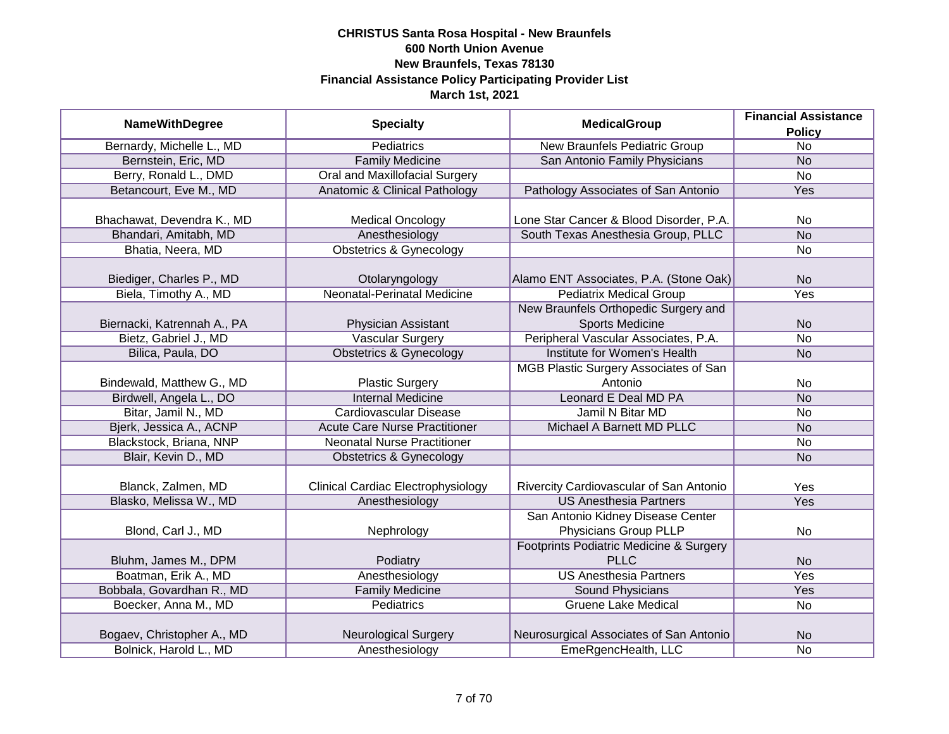| <b>Policy</b><br><b>Pediatrics</b><br>Bernardy, Michelle L., MD<br><b>New Braunfels Pediatric Group</b><br>No<br>Bernstein, Eric, MD<br><b>Family Medicine</b><br>San Antonio Family Physicians<br>N <sub>o</sub><br>Berry, Ronald L., DMD<br><b>Oral and Maxillofacial Surgery</b><br>$\overline{N}$<br>Betancourt, Eve M., MD<br><b>Anatomic &amp; Clinical Pathology</b><br>Pathology Associates of San Antonio<br>Yes<br>Bhachawat, Devendra K., MD<br><b>Medical Oncology</b><br>Lone Star Cancer & Blood Disorder, P.A.<br>No<br>Bhandari, Amitabh, MD<br>South Texas Anesthesia Group, PLLC<br>Anesthesiology<br><b>No</b><br>Bhatia, Neera, MD<br><b>Obstetrics &amp; Gynecology</b><br><b>No</b><br>Biediger, Charles P., MD<br>Otolaryngology<br><b>No</b><br>Alamo ENT Associates, P.A. (Stone Oak)<br><b>Neonatal-Perinatal Medicine</b><br>Biela, Timothy A., MD<br><b>Pediatrix Medical Group</b><br>Yes<br>New Braunfels Orthopedic Surgery and<br><b>Sports Medicine</b><br>Biernacki, Katrennah A., PA<br>Physician Assistant<br><b>No</b><br>Bietz, Gabriel J., MD<br>Peripheral Vascular Associates, P.A.<br><b>Vascular Surgery</b><br><b>No</b><br><b>Obstetrics &amp; Gynecology</b><br>Institute for Women's Health<br>Bilica, Paula, DO<br><b>No</b><br>MGB Plastic Surgery Associates of San<br>Bindewald, Matthew G., MD<br><b>Plastic Surgery</b><br>Antonio<br>No<br>Birdwell, Angela L., DO<br><b>Internal Medicine</b><br>Leonard E Deal MD PA<br><b>No</b><br>Bitar, Jamil N., MD<br><b>Cardiovascular Disease</b><br>Jamil N Bitar MD<br><b>No</b><br>Bjerk, Jessica A., ACNP<br><b>Acute Care Nurse Practitioner</b><br>Michael A Barnett MD PLLC<br><b>No</b><br>Blackstock, Briana, NNP<br><b>Neonatal Nurse Practitioner</b><br>No<br>Blair, Kevin D., MD<br><b>Obstetrics &amp; Gynecology</b><br><b>No</b><br>Blanck, Zalmen, MD<br><b>Clinical Cardiac Electrophysiology</b><br>Rivercity Cardiovascular of San Antonio<br>Yes<br>Blasko, Melissa W., MD<br><b>US Anesthesia Partners</b><br>Anesthesiology<br>Yes<br>San Antonio Kidney Disease Center<br>Physicians Group PLLP<br>Blond, Carl J., MD<br>Nephrology<br><b>No</b><br>Footprints Podiatric Medicine & Surgery<br>Bluhm, James M., DPM<br><b>PLLC</b><br>Podiatry<br><b>No</b><br>Boatman, Erik A., MD<br>Anesthesiology<br><b>US Anesthesia Partners</b><br>Yes<br>Bobbala, Govardhan R., MD<br><b>Family Medicine</b><br>Sound Physicians<br>Yes<br>Boecker, Anna M., MD<br>Pediatrics<br><b>Gruene Lake Medical</b><br><b>No</b><br>Bogaev, Christopher A., MD<br><b>Neurological Surgery</b><br>Neurosurgical Associates of San Antonio<br><b>No</b><br>Bolnick, Harold L., MD<br>Anesthesiology<br>EmeRgencHealth, LLC<br>$\overline{No}$ | <b>NameWithDegree</b> | <b>Specialty</b> | <b>MedicalGroup</b> | <b>Financial Assistance</b> |
|-----------------------------------------------------------------------------------------------------------------------------------------------------------------------------------------------------------------------------------------------------------------------------------------------------------------------------------------------------------------------------------------------------------------------------------------------------------------------------------------------------------------------------------------------------------------------------------------------------------------------------------------------------------------------------------------------------------------------------------------------------------------------------------------------------------------------------------------------------------------------------------------------------------------------------------------------------------------------------------------------------------------------------------------------------------------------------------------------------------------------------------------------------------------------------------------------------------------------------------------------------------------------------------------------------------------------------------------------------------------------------------------------------------------------------------------------------------------------------------------------------------------------------------------------------------------------------------------------------------------------------------------------------------------------------------------------------------------------------------------------------------------------------------------------------------------------------------------------------------------------------------------------------------------------------------------------------------------------------------------------------------------------------------------------------------------------------------------------------------------------------------------------------------------------------------------------------------------------------------------------------------------------------------------------------------------------------------------------------------------------------------------------------------------------------------------------------------------------------------------------------------------------------------------------------------------------------------------------------------------------------------------------------------------------------------------------------------------------------------------------------|-----------------------|------------------|---------------------|-----------------------------|
|                                                                                                                                                                                                                                                                                                                                                                                                                                                                                                                                                                                                                                                                                                                                                                                                                                                                                                                                                                                                                                                                                                                                                                                                                                                                                                                                                                                                                                                                                                                                                                                                                                                                                                                                                                                                                                                                                                                                                                                                                                                                                                                                                                                                                                                                                                                                                                                                                                                                                                                                                                                                                                                                                                                                                     |                       |                  |                     |                             |
|                                                                                                                                                                                                                                                                                                                                                                                                                                                                                                                                                                                                                                                                                                                                                                                                                                                                                                                                                                                                                                                                                                                                                                                                                                                                                                                                                                                                                                                                                                                                                                                                                                                                                                                                                                                                                                                                                                                                                                                                                                                                                                                                                                                                                                                                                                                                                                                                                                                                                                                                                                                                                                                                                                                                                     |                       |                  |                     |                             |
|                                                                                                                                                                                                                                                                                                                                                                                                                                                                                                                                                                                                                                                                                                                                                                                                                                                                                                                                                                                                                                                                                                                                                                                                                                                                                                                                                                                                                                                                                                                                                                                                                                                                                                                                                                                                                                                                                                                                                                                                                                                                                                                                                                                                                                                                                                                                                                                                                                                                                                                                                                                                                                                                                                                                                     |                       |                  |                     |                             |
|                                                                                                                                                                                                                                                                                                                                                                                                                                                                                                                                                                                                                                                                                                                                                                                                                                                                                                                                                                                                                                                                                                                                                                                                                                                                                                                                                                                                                                                                                                                                                                                                                                                                                                                                                                                                                                                                                                                                                                                                                                                                                                                                                                                                                                                                                                                                                                                                                                                                                                                                                                                                                                                                                                                                                     |                       |                  |                     |                             |
|                                                                                                                                                                                                                                                                                                                                                                                                                                                                                                                                                                                                                                                                                                                                                                                                                                                                                                                                                                                                                                                                                                                                                                                                                                                                                                                                                                                                                                                                                                                                                                                                                                                                                                                                                                                                                                                                                                                                                                                                                                                                                                                                                                                                                                                                                                                                                                                                                                                                                                                                                                                                                                                                                                                                                     |                       |                  |                     |                             |
|                                                                                                                                                                                                                                                                                                                                                                                                                                                                                                                                                                                                                                                                                                                                                                                                                                                                                                                                                                                                                                                                                                                                                                                                                                                                                                                                                                                                                                                                                                                                                                                                                                                                                                                                                                                                                                                                                                                                                                                                                                                                                                                                                                                                                                                                                                                                                                                                                                                                                                                                                                                                                                                                                                                                                     |                       |                  |                     |                             |
|                                                                                                                                                                                                                                                                                                                                                                                                                                                                                                                                                                                                                                                                                                                                                                                                                                                                                                                                                                                                                                                                                                                                                                                                                                                                                                                                                                                                                                                                                                                                                                                                                                                                                                                                                                                                                                                                                                                                                                                                                                                                                                                                                                                                                                                                                                                                                                                                                                                                                                                                                                                                                                                                                                                                                     |                       |                  |                     |                             |
|                                                                                                                                                                                                                                                                                                                                                                                                                                                                                                                                                                                                                                                                                                                                                                                                                                                                                                                                                                                                                                                                                                                                                                                                                                                                                                                                                                                                                                                                                                                                                                                                                                                                                                                                                                                                                                                                                                                                                                                                                                                                                                                                                                                                                                                                                                                                                                                                                                                                                                                                                                                                                                                                                                                                                     |                       |                  |                     |                             |
|                                                                                                                                                                                                                                                                                                                                                                                                                                                                                                                                                                                                                                                                                                                                                                                                                                                                                                                                                                                                                                                                                                                                                                                                                                                                                                                                                                                                                                                                                                                                                                                                                                                                                                                                                                                                                                                                                                                                                                                                                                                                                                                                                                                                                                                                                                                                                                                                                                                                                                                                                                                                                                                                                                                                                     |                       |                  |                     |                             |
|                                                                                                                                                                                                                                                                                                                                                                                                                                                                                                                                                                                                                                                                                                                                                                                                                                                                                                                                                                                                                                                                                                                                                                                                                                                                                                                                                                                                                                                                                                                                                                                                                                                                                                                                                                                                                                                                                                                                                                                                                                                                                                                                                                                                                                                                                                                                                                                                                                                                                                                                                                                                                                                                                                                                                     |                       |                  |                     |                             |
|                                                                                                                                                                                                                                                                                                                                                                                                                                                                                                                                                                                                                                                                                                                                                                                                                                                                                                                                                                                                                                                                                                                                                                                                                                                                                                                                                                                                                                                                                                                                                                                                                                                                                                                                                                                                                                                                                                                                                                                                                                                                                                                                                                                                                                                                                                                                                                                                                                                                                                                                                                                                                                                                                                                                                     |                       |                  |                     |                             |
|                                                                                                                                                                                                                                                                                                                                                                                                                                                                                                                                                                                                                                                                                                                                                                                                                                                                                                                                                                                                                                                                                                                                                                                                                                                                                                                                                                                                                                                                                                                                                                                                                                                                                                                                                                                                                                                                                                                                                                                                                                                                                                                                                                                                                                                                                                                                                                                                                                                                                                                                                                                                                                                                                                                                                     |                       |                  |                     |                             |
|                                                                                                                                                                                                                                                                                                                                                                                                                                                                                                                                                                                                                                                                                                                                                                                                                                                                                                                                                                                                                                                                                                                                                                                                                                                                                                                                                                                                                                                                                                                                                                                                                                                                                                                                                                                                                                                                                                                                                                                                                                                                                                                                                                                                                                                                                                                                                                                                                                                                                                                                                                                                                                                                                                                                                     |                       |                  |                     |                             |
|                                                                                                                                                                                                                                                                                                                                                                                                                                                                                                                                                                                                                                                                                                                                                                                                                                                                                                                                                                                                                                                                                                                                                                                                                                                                                                                                                                                                                                                                                                                                                                                                                                                                                                                                                                                                                                                                                                                                                                                                                                                                                                                                                                                                                                                                                                                                                                                                                                                                                                                                                                                                                                                                                                                                                     |                       |                  |                     |                             |
|                                                                                                                                                                                                                                                                                                                                                                                                                                                                                                                                                                                                                                                                                                                                                                                                                                                                                                                                                                                                                                                                                                                                                                                                                                                                                                                                                                                                                                                                                                                                                                                                                                                                                                                                                                                                                                                                                                                                                                                                                                                                                                                                                                                                                                                                                                                                                                                                                                                                                                                                                                                                                                                                                                                                                     |                       |                  |                     |                             |
|                                                                                                                                                                                                                                                                                                                                                                                                                                                                                                                                                                                                                                                                                                                                                                                                                                                                                                                                                                                                                                                                                                                                                                                                                                                                                                                                                                                                                                                                                                                                                                                                                                                                                                                                                                                                                                                                                                                                                                                                                                                                                                                                                                                                                                                                                                                                                                                                                                                                                                                                                                                                                                                                                                                                                     |                       |                  |                     |                             |
|                                                                                                                                                                                                                                                                                                                                                                                                                                                                                                                                                                                                                                                                                                                                                                                                                                                                                                                                                                                                                                                                                                                                                                                                                                                                                                                                                                                                                                                                                                                                                                                                                                                                                                                                                                                                                                                                                                                                                                                                                                                                                                                                                                                                                                                                                                                                                                                                                                                                                                                                                                                                                                                                                                                                                     |                       |                  |                     |                             |
|                                                                                                                                                                                                                                                                                                                                                                                                                                                                                                                                                                                                                                                                                                                                                                                                                                                                                                                                                                                                                                                                                                                                                                                                                                                                                                                                                                                                                                                                                                                                                                                                                                                                                                                                                                                                                                                                                                                                                                                                                                                                                                                                                                                                                                                                                                                                                                                                                                                                                                                                                                                                                                                                                                                                                     |                       |                  |                     |                             |
|                                                                                                                                                                                                                                                                                                                                                                                                                                                                                                                                                                                                                                                                                                                                                                                                                                                                                                                                                                                                                                                                                                                                                                                                                                                                                                                                                                                                                                                                                                                                                                                                                                                                                                                                                                                                                                                                                                                                                                                                                                                                                                                                                                                                                                                                                                                                                                                                                                                                                                                                                                                                                                                                                                                                                     |                       |                  |                     |                             |
|                                                                                                                                                                                                                                                                                                                                                                                                                                                                                                                                                                                                                                                                                                                                                                                                                                                                                                                                                                                                                                                                                                                                                                                                                                                                                                                                                                                                                                                                                                                                                                                                                                                                                                                                                                                                                                                                                                                                                                                                                                                                                                                                                                                                                                                                                                                                                                                                                                                                                                                                                                                                                                                                                                                                                     |                       |                  |                     |                             |
|                                                                                                                                                                                                                                                                                                                                                                                                                                                                                                                                                                                                                                                                                                                                                                                                                                                                                                                                                                                                                                                                                                                                                                                                                                                                                                                                                                                                                                                                                                                                                                                                                                                                                                                                                                                                                                                                                                                                                                                                                                                                                                                                                                                                                                                                                                                                                                                                                                                                                                                                                                                                                                                                                                                                                     |                       |                  |                     |                             |
|                                                                                                                                                                                                                                                                                                                                                                                                                                                                                                                                                                                                                                                                                                                                                                                                                                                                                                                                                                                                                                                                                                                                                                                                                                                                                                                                                                                                                                                                                                                                                                                                                                                                                                                                                                                                                                                                                                                                                                                                                                                                                                                                                                                                                                                                                                                                                                                                                                                                                                                                                                                                                                                                                                                                                     |                       |                  |                     |                             |
|                                                                                                                                                                                                                                                                                                                                                                                                                                                                                                                                                                                                                                                                                                                                                                                                                                                                                                                                                                                                                                                                                                                                                                                                                                                                                                                                                                                                                                                                                                                                                                                                                                                                                                                                                                                                                                                                                                                                                                                                                                                                                                                                                                                                                                                                                                                                                                                                                                                                                                                                                                                                                                                                                                                                                     |                       |                  |                     |                             |
|                                                                                                                                                                                                                                                                                                                                                                                                                                                                                                                                                                                                                                                                                                                                                                                                                                                                                                                                                                                                                                                                                                                                                                                                                                                                                                                                                                                                                                                                                                                                                                                                                                                                                                                                                                                                                                                                                                                                                                                                                                                                                                                                                                                                                                                                                                                                                                                                                                                                                                                                                                                                                                                                                                                                                     |                       |                  |                     |                             |
|                                                                                                                                                                                                                                                                                                                                                                                                                                                                                                                                                                                                                                                                                                                                                                                                                                                                                                                                                                                                                                                                                                                                                                                                                                                                                                                                                                                                                                                                                                                                                                                                                                                                                                                                                                                                                                                                                                                                                                                                                                                                                                                                                                                                                                                                                                                                                                                                                                                                                                                                                                                                                                                                                                                                                     |                       |                  |                     |                             |
|                                                                                                                                                                                                                                                                                                                                                                                                                                                                                                                                                                                                                                                                                                                                                                                                                                                                                                                                                                                                                                                                                                                                                                                                                                                                                                                                                                                                                                                                                                                                                                                                                                                                                                                                                                                                                                                                                                                                                                                                                                                                                                                                                                                                                                                                                                                                                                                                                                                                                                                                                                                                                                                                                                                                                     |                       |                  |                     |                             |
|                                                                                                                                                                                                                                                                                                                                                                                                                                                                                                                                                                                                                                                                                                                                                                                                                                                                                                                                                                                                                                                                                                                                                                                                                                                                                                                                                                                                                                                                                                                                                                                                                                                                                                                                                                                                                                                                                                                                                                                                                                                                                                                                                                                                                                                                                                                                                                                                                                                                                                                                                                                                                                                                                                                                                     |                       |                  |                     |                             |
|                                                                                                                                                                                                                                                                                                                                                                                                                                                                                                                                                                                                                                                                                                                                                                                                                                                                                                                                                                                                                                                                                                                                                                                                                                                                                                                                                                                                                                                                                                                                                                                                                                                                                                                                                                                                                                                                                                                                                                                                                                                                                                                                                                                                                                                                                                                                                                                                                                                                                                                                                                                                                                                                                                                                                     |                       |                  |                     |                             |
|                                                                                                                                                                                                                                                                                                                                                                                                                                                                                                                                                                                                                                                                                                                                                                                                                                                                                                                                                                                                                                                                                                                                                                                                                                                                                                                                                                                                                                                                                                                                                                                                                                                                                                                                                                                                                                                                                                                                                                                                                                                                                                                                                                                                                                                                                                                                                                                                                                                                                                                                                                                                                                                                                                                                                     |                       |                  |                     |                             |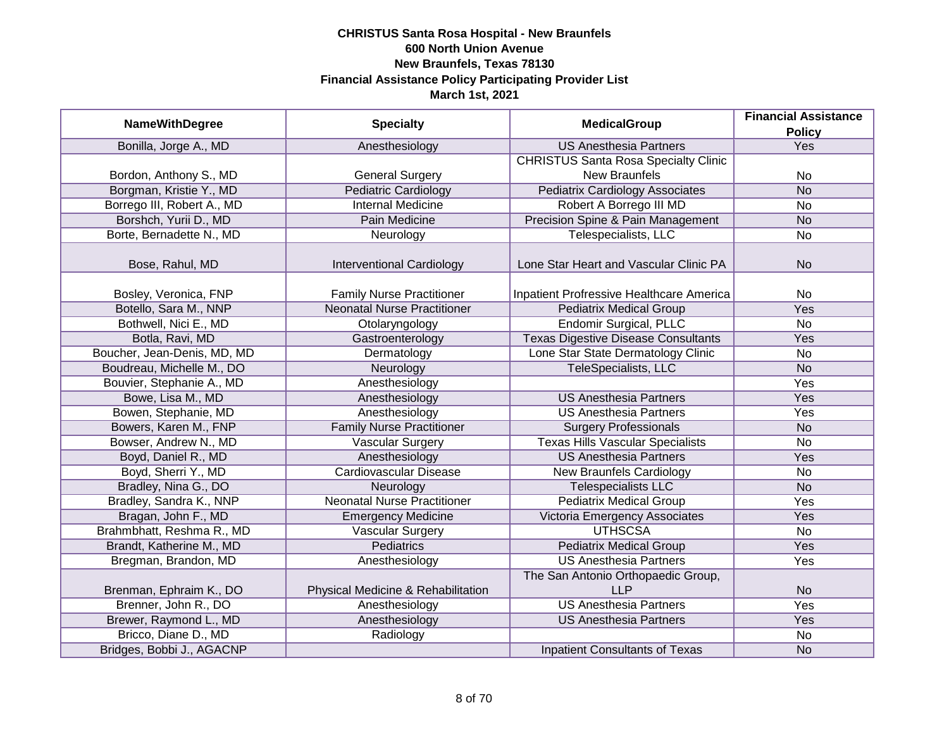|                             |                                    |                                             | <b>Financial Assistance</b> |
|-----------------------------|------------------------------------|---------------------------------------------|-----------------------------|
| <b>NameWithDegree</b>       | <b>Specialty</b>                   | <b>MedicalGroup</b>                         | <b>Policy</b>               |
| Bonilla, Jorge A., MD       | Anesthesiology                     | <b>US Anesthesia Partners</b>               | Yes                         |
|                             |                                    | <b>CHRISTUS Santa Rosa Specialty Clinic</b> |                             |
| Bordon, Anthony S., MD      | <b>General Surgery</b>             | <b>New Braunfels</b>                        | No                          |
| Borgman, Kristie Y., MD     | <b>Pediatric Cardiology</b>        | <b>Pediatrix Cardiology Associates</b>      | <b>No</b>                   |
| Borrego III, Robert A., MD  | <b>Internal Medicine</b>           | Robert A Borrego III MD                     | No                          |
| Borshch, Yurii D., MD       | Pain Medicine                      | Precision Spine & Pain Management           | <b>No</b>                   |
| Borte, Bernadette N., MD    | Neurology                          | Telespecialists, LLC                        | No                          |
| Bose, Rahul, MD             | Interventional Cardiology          | Lone Star Heart and Vascular Clinic PA      | <b>No</b>                   |
| Bosley, Veronica, FNP       | <b>Family Nurse Practitioner</b>   | Inpatient Profressive Healthcare America    | No                          |
| Botello, Sara M., NNP       | <b>Neonatal Nurse Practitioner</b> | <b>Pediatrix Medical Group</b>              | Yes                         |
| Bothwell, Nici E., MD       | Otolaryngology                     | <b>Endomir Surgical, PLLC</b>               | No                          |
| Botla, Ravi, MD             | Gastroenterology                   | <b>Texas Digestive Disease Consultants</b>  | Yes                         |
| Boucher, Jean-Denis, MD, MD | Dermatology                        | Lone Star State Dermatology Clinic          | No                          |
| Boudreau, Michelle M., DO   | Neurology                          | TeleSpecialists, LLC                        | <b>No</b>                   |
| Bouvier, Stephanie A., MD   | Anesthesiology                     |                                             | Yes                         |
| Bowe, Lisa M., MD           | Anesthesiology                     | <b>US Anesthesia Partners</b>               | Yes                         |
| Bowen, Stephanie, MD        | Anesthesiology                     | <b>US Anesthesia Partners</b>               | Yes                         |
| Bowers, Karen M., FNP       | <b>Family Nurse Practitioner</b>   | <b>Surgery Professionals</b>                | <b>No</b>                   |
| Bowser, Andrew N., MD       | <b>Vascular Surgery</b>            | <b>Texas Hills Vascular Specialists</b>     | <b>No</b>                   |
| Boyd, Daniel R., MD         | Anesthesiology                     | <b>US Anesthesia Partners</b>               | Yes                         |
| Boyd, Sherri Y., MD         | <b>Cardiovascular Disease</b>      | <b>New Braunfels Cardiology</b>             | <b>No</b>                   |
| Bradley, Nina G., DO        | Neurology                          | <b>Telespecialists LLC</b>                  | <b>No</b>                   |
| Bradley, Sandra K., NNP     | <b>Neonatal Nurse Practitioner</b> | <b>Pediatrix Medical Group</b>              | Yes                         |
| Bragan, John F., MD         | <b>Emergency Medicine</b>          | Victoria Emergency Associates               | Yes                         |
| Brahmbhatt, Reshma R., MD   | Vascular Surgery                   | <b>UTHSCSA</b>                              | No                          |
| Brandt, Katherine M., MD    | <b>Pediatrics</b>                  | <b>Pediatrix Medical Group</b>              | Yes                         |
| Bregman, Brandon, MD        | Anesthesiology                     | <b>US Anesthesia Partners</b>               | Yes                         |
|                             |                                    | The San Antonio Orthopaedic Group,          |                             |
| Brenman, Ephraim K., DO     | Physical Medicine & Rehabilitation | <b>LLP</b>                                  | <b>No</b>                   |
| Brenner, John R., DO        | Anesthesiology                     | <b>US Anesthesia Partners</b>               | <b>Yes</b>                  |
| Brewer, Raymond L., MD      | Anesthesiology                     | <b>US Anesthesia Partners</b>               | Yes                         |
| Bricco, Diane D., MD        | Radiology                          |                                             | No                          |
| Bridges, Bobbi J., AGACNP   |                                    | <b>Inpatient Consultants of Texas</b>       | <b>No</b>                   |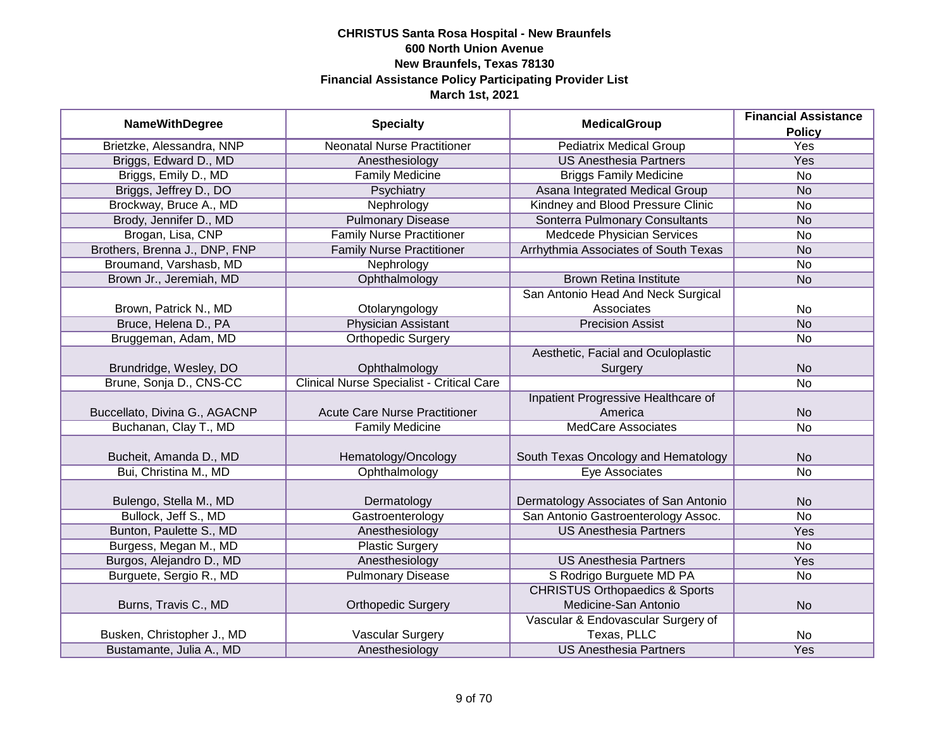|                               |                                                  |                                           | <b>Financial Assistance</b> |
|-------------------------------|--------------------------------------------------|-------------------------------------------|-----------------------------|
| <b>NameWithDegree</b>         | <b>Specialty</b>                                 | <b>MedicalGroup</b>                       | <b>Policy</b>               |
| Brietzke, Alessandra, NNP     | <b>Neonatal Nurse Practitioner</b>               | <b>Pediatrix Medical Group</b>            | <b>Yes</b>                  |
| Briggs, Edward D., MD         | Anesthesiology                                   | <b>US Anesthesia Partners</b>             | Yes                         |
| Briggs, Emily D., MD          | <b>Family Medicine</b>                           | <b>Briggs Family Medicine</b>             | $\overline{No}$             |
| Briggs, Jeffrey D., DO        | Psychiatry                                       | Asana Integrated Medical Group            | <b>No</b>                   |
| Brockway, Bruce A., MD        | Nephrology                                       | Kindney and Blood Pressure Clinic         | <b>No</b>                   |
| Brody, Jennifer D., MD        | <b>Pulmonary Disease</b>                         | Sonterra Pulmonary Consultants            | <b>No</b>                   |
| Brogan, Lisa, CNP             | <b>Family Nurse Practitioner</b>                 | <b>Medcede Physician Services</b>         | <b>No</b>                   |
| Brothers, Brenna J., DNP, FNP | <b>Family Nurse Practitioner</b>                 | Arrhythmia Associates of South Texas      | <b>No</b>                   |
| Broumand, Varshasb, MD        | Nephrology                                       |                                           | <b>No</b>                   |
| Brown Jr., Jeremiah, MD       | Ophthalmology                                    | <b>Brown Retina Institute</b>             | <b>No</b>                   |
|                               |                                                  | San Antonio Head And Neck Surgical        |                             |
| Brown, Patrick N., MD         | Otolaryngology                                   | Associates                                | <b>No</b>                   |
| Bruce, Helena D., PA          | <b>Physician Assistant</b>                       | <b>Precision Assist</b>                   | <b>No</b>                   |
| Bruggeman, Adam, MD           | <b>Orthopedic Surgery</b>                        |                                           | <b>No</b>                   |
|                               |                                                  | Aesthetic, Facial and Oculoplastic        |                             |
| Brundridge, Wesley, DO        | Ophthalmology                                    | Surgery                                   | <b>No</b>                   |
| Brune, Sonja D., CNS-CC       | <b>Clinical Nurse Specialist - Critical Care</b> |                                           | <b>No</b>                   |
|                               |                                                  | Inpatient Progressive Healthcare of       |                             |
| Buccellato, Divina G., AGACNP | <b>Acute Care Nurse Practitioner</b>             | America                                   | <b>No</b>                   |
| Buchanan, Clay T., MD         | <b>Family Medicine</b>                           | <b>MedCare Associates</b>                 | <b>No</b>                   |
|                               |                                                  |                                           |                             |
| Bucheit, Amanda D., MD        | Hematology/Oncology                              | South Texas Oncology and Hematology       | <b>No</b>                   |
| Bui, Christina M., MD         | Ophthalmology                                    | <b>Eye Associates</b>                     | <b>No</b>                   |
|                               |                                                  |                                           |                             |
| Bulengo, Stella M., MD        | Dermatology                                      | Dermatology Associates of San Antonio     | <b>No</b>                   |
| Bullock, Jeff S., MD          | Gastroenterology                                 | San Antonio Gastroenterology Assoc.       | <b>No</b>                   |
| Bunton, Paulette S., MD       | Anesthesiology                                   | <b>US Anesthesia Partners</b>             | Yes                         |
| Burgess, Megan M., MD         | <b>Plastic Surgery</b>                           |                                           | <b>No</b>                   |
| Burgos, Alejandro D., MD      | Anesthesiology                                   | <b>US Anesthesia Partners</b>             | Yes                         |
| Burguete, Sergio R., MD       | <b>Pulmonary Disease</b>                         | S Rodrigo Burguete MD PA                  | No                          |
|                               |                                                  | <b>CHRISTUS Orthopaedics &amp; Sports</b> |                             |
| Burns, Travis C., MD          | <b>Orthopedic Surgery</b>                        | Medicine-San Antonio                      | <b>No</b>                   |
|                               |                                                  | Vascular & Endovascular Surgery of        |                             |
| Busken, Christopher J., MD    | Vascular Surgery                                 | Texas, PLLC                               | No                          |
| Bustamante, Julia A., MD      | Anesthesiology                                   | <b>US Anesthesia Partners</b>             | Yes                         |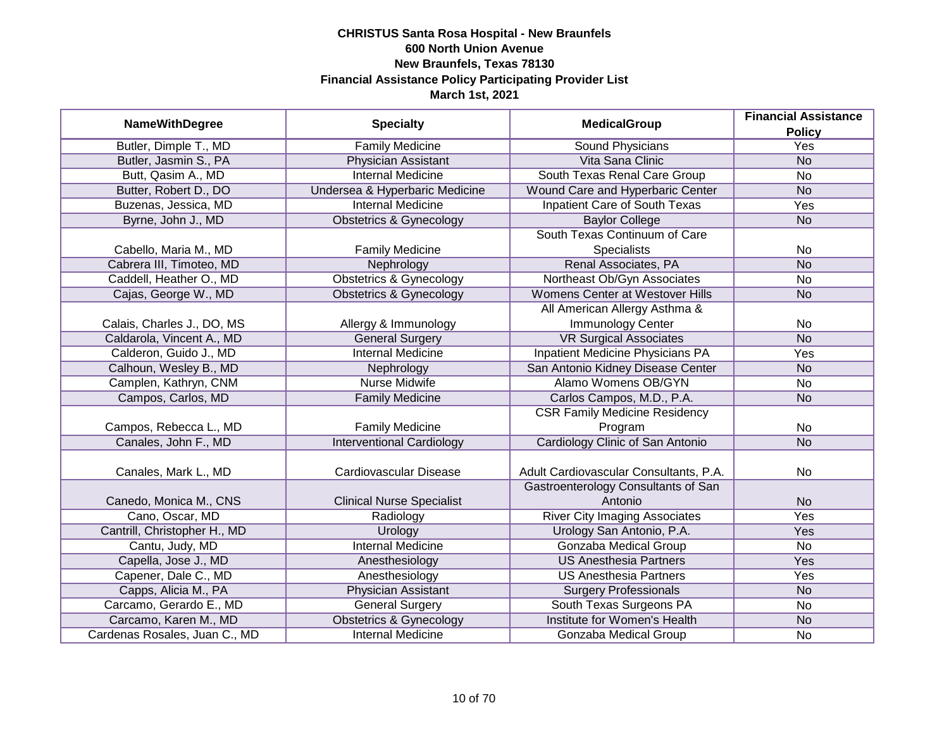| <b>NameWithDegree</b>         | <b>Specialty</b>                   |                                        | <b>Financial Assistance</b> |
|-------------------------------|------------------------------------|----------------------------------------|-----------------------------|
|                               |                                    | <b>MedicalGroup</b>                    | <b>Policy</b>               |
| Butler, Dimple T., MD         | <b>Family Medicine</b>             | <b>Sound Physicians</b>                | <b>Yes</b>                  |
| Butler, Jasmin S., PA         | Physician Assistant                | Vita Sana Clinic                       | <b>No</b>                   |
| Butt, Qasim A., MD            | <b>Internal Medicine</b>           | South Texas Renal Care Group           | <b>No</b>                   |
| Butter, Robert D., DO         | Undersea & Hyperbaric Medicine     | Wound Care and Hyperbaric Center       | <b>No</b>                   |
| Buzenas, Jessica, MD          | <b>Internal Medicine</b>           | <b>Inpatient Care of South Texas</b>   | Yes                         |
| Byrne, John J., MD            | <b>Obstetrics &amp; Gynecology</b> | <b>Baylor College</b>                  | <b>No</b>                   |
|                               |                                    | South Texas Continuum of Care          |                             |
| Cabello, Maria M., MD         | <b>Family Medicine</b>             | <b>Specialists</b>                     | No                          |
| Cabrera III, Timoteo, MD      | Nephrology                         | Renal Associates, PA                   | <b>No</b>                   |
| Caddell, Heather O., MD       | <b>Obstetrics &amp; Gynecology</b> | Northeast Ob/Gyn Associates            | No                          |
| Cajas, George W., MD          | <b>Obstetrics &amp; Gynecology</b> | Womens Center at Westover Hills        | <b>No</b>                   |
|                               |                                    | All American Allergy Asthma &          |                             |
| Calais, Charles J., DO, MS    | Allergy & Immunology               | Immunology Center                      | No                          |
| Caldarola, Vincent A., MD     | <b>General Surgery</b>             | <b>VR Surgical Associates</b>          | <b>No</b>                   |
| Calderon, Guido J., MD        | <b>Internal Medicine</b>           | Inpatient Medicine Physicians PA       | Yes                         |
| Calhoun, Wesley B., MD        | Nephrology                         | San Antonio Kidney Disease Center      | <b>No</b>                   |
| Camplen, Kathryn, CNM         | <b>Nurse Midwife</b>               | Alamo Womens OB/GYN                    | No                          |
| Campos, Carlos, MD            | <b>Family Medicine</b>             | Carlos Campos, M.D., P.A.              | <b>No</b>                   |
|                               |                                    | <b>CSR Family Medicine Residency</b>   |                             |
| Campos, Rebecca L., MD        | <b>Family Medicine</b>             | Program                                | No                          |
| Canales, John F., MD          | <b>Interventional Cardiology</b>   | Cardiology Clinic of San Antonio       | <b>No</b>                   |
|                               |                                    |                                        |                             |
| Canales, Mark L., MD          | Cardiovascular Disease             | Adult Cardiovascular Consultants, P.A. | <b>No</b>                   |
|                               |                                    | Gastroenterology Consultants of San    |                             |
| Canedo, Monica M., CNS        | <b>Clinical Nurse Specialist</b>   | Antonio                                | <b>No</b>                   |
| Cano, Oscar, MD               | Radiology                          | <b>River City Imaging Associates</b>   | Yes                         |
| Cantrill, Christopher H., MD  | <b>Urology</b>                     | Urology San Antonio, P.A.              | Yes                         |
| Cantu, Judy, MD               | <b>Internal Medicine</b>           | <b>Gonzaba Medical Group</b>           | <b>No</b>                   |
| Capella, Jose J., MD          | Anesthesiology                     | <b>US Anesthesia Partners</b>          | Yes                         |
| Capener, Dale C., MD          | Anesthesiology                     | <b>US Anesthesia Partners</b>          | Yes                         |
| Capps, Alicia M., PA          | Physician Assistant                | <b>Surgery Professionals</b>           | <b>No</b>                   |
| Carcamo, Gerardo E., MD       | <b>General Surgery</b>             | South Texas Surgeons PA                | No                          |
| Carcamo, Karen M., MD         | <b>Obstetrics &amp; Gynecology</b> | Institute for Women's Health           | <b>No</b>                   |
| Cardenas Rosales, Juan C., MD | <b>Internal Medicine</b>           | Gonzaba Medical Group                  | No                          |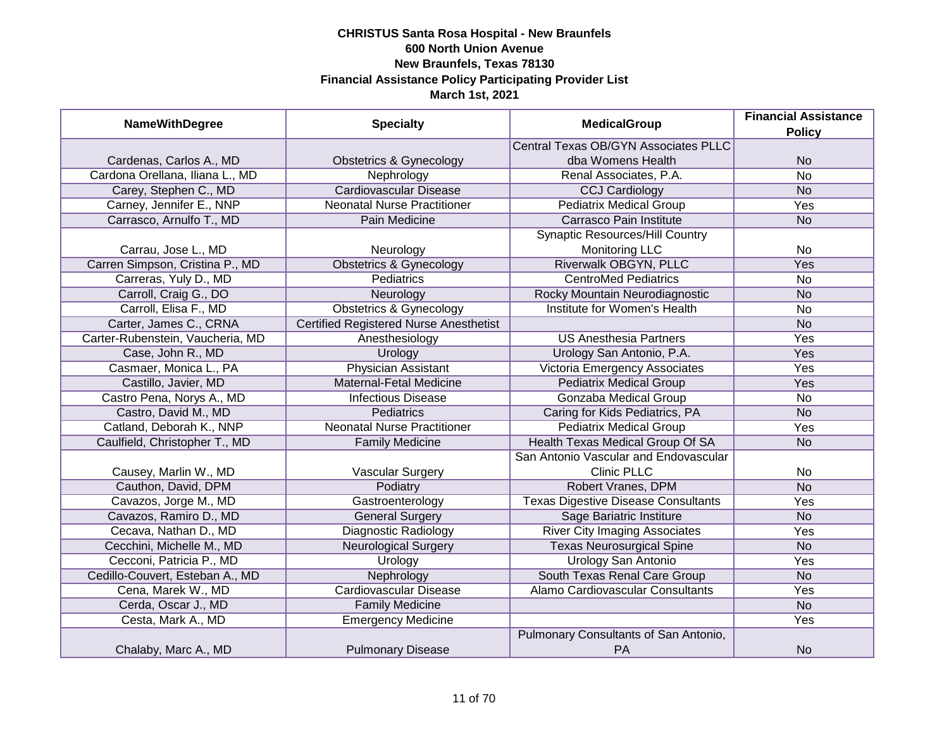| <b>NameWithDegree</b>            | <b>Specialty</b>                              | <b>MedicalGroup</b>                                | <b>Financial Assistance</b><br><b>Policy</b> |
|----------------------------------|-----------------------------------------------|----------------------------------------------------|----------------------------------------------|
|                                  |                                               | <b>Central Texas OB/GYN Associates PLLC</b>        |                                              |
| Cardenas, Carlos A., MD          | <b>Obstetrics &amp; Gynecology</b>            | dba Womens Health                                  | <b>No</b>                                    |
| Cardona Orellana, Iliana L., MD  | Nephrology                                    | Renal Associates, P.A.                             | $\overline{No}$                              |
| Carey, Stephen C., MD            | <b>Cardiovascular Disease</b>                 | <b>CCJ Cardiology</b>                              | <b>No</b>                                    |
| Carney, Jennifer E., NNP         | <b>Neonatal Nurse Practitioner</b>            | <b>Pediatrix Medical Group</b>                     | <b>Yes</b>                                   |
| Carrasco, Arnulfo T., MD         | Pain Medicine                                 | Carrasco Pain Institute                            | <b>No</b>                                    |
|                                  |                                               | <b>Synaptic Resources/Hill Country</b>             |                                              |
| Carrau, Jose L., MD              | Neurology                                     | <b>Monitoring LLC</b>                              | <b>No</b>                                    |
| Carren Simpson, Cristina P., MD  | <b>Obstetrics &amp; Gynecology</b>            | Riverwalk OBGYN, PLLC                              | Yes                                          |
| Carreras, Yuly D., MD            | Pediatrics                                    | <b>CentroMed Pediatrics</b>                        | <b>No</b>                                    |
| Carroll, Craig G., DO            | Neurology                                     | Rocky Mountain Neurodiagnostic                     | <b>No</b>                                    |
| Carroll, Elisa F., MD            | <b>Obstetrics &amp; Gynecology</b>            | Institute for Women's Health                       | <b>No</b>                                    |
| Carter, James C., CRNA           | <b>Certified Registered Nurse Anesthetist</b> |                                                    | <b>No</b>                                    |
| Carter-Rubenstein, Vaucheria, MD | Anesthesiology                                | <b>US Anesthesia Partners</b>                      | Yes                                          |
| Case, John R., MD                | Urology                                       | Urology San Antonio, P.A.                          | Yes                                          |
| Casmaer, Monica L., PA           | <b>Physician Assistant</b>                    | <b>Victoria Emergency Associates</b>               | Yes                                          |
| Castillo, Javier, MD             | Maternal-Fetal Medicine                       | <b>Pediatrix Medical Group</b>                     | Yes                                          |
| Castro Pena, Norys A., MD        | <b>Infectious Disease</b>                     | <b>Gonzaba Medical Group</b>                       | No                                           |
| Castro, David M., MD             | Pediatrics                                    | Caring for Kids Pediatrics, PA                     | <b>No</b>                                    |
| Catland, Deborah K., NNP         | <b>Neonatal Nurse Practitioner</b>            | <b>Pediatrix Medical Group</b>                     | Yes                                          |
| Caulfield, Christopher T., MD    | <b>Family Medicine</b>                        | Health Texas Medical Group Of SA                   | <b>No</b>                                    |
|                                  |                                               | San Antonio Vascular and Endovascular              |                                              |
| Causey, Marlin W., MD            | <b>Vascular Surgery</b>                       | <b>Clinic PLLC</b>                                 | <b>No</b>                                    |
| Cauthon, David, DPM              | Podiatry                                      | Robert Vranes, DPM                                 | <b>No</b>                                    |
| Cavazos, Jorge M., MD            | Gastroenterology                              | <b>Texas Digestive Disease Consultants</b>         | Yes                                          |
| Cavazos, Ramiro D., MD           | <b>General Surgery</b>                        | Sage Bariatric Institure                           | <b>No</b>                                    |
| Cecava, Nathan D., MD            | <b>Diagnostic Radiology</b>                   | <b>River City Imaging Associates</b>               | Yes                                          |
| Cecchini, Michelle M., MD        | <b>Neurological Surgery</b>                   | <b>Texas Neurosurgical Spine</b>                   | <b>No</b>                                    |
| Cecconi, Patricia P., MD         | Urology                                       | <b>Urology San Antonio</b>                         | Yes                                          |
| Cedillo-Couvert, Esteban A., MD  | Nephrology                                    | South Texas Renal Care Group                       | <b>No</b>                                    |
| Cena, Marek W., MD               | <b>Cardiovascular Disease</b>                 | Alamo Cardiovascular Consultants                   | Yes                                          |
| Cerda, Oscar J., MD              | <b>Family Medicine</b>                        |                                                    | <b>No</b>                                    |
| Cesta, Mark A., MD               | <b>Emergency Medicine</b>                     |                                                    | Yes                                          |
| Chalaby, Marc A., MD             | <b>Pulmonary Disease</b>                      | Pulmonary Consultants of San Antonio,<br><b>PA</b> | <b>No</b>                                    |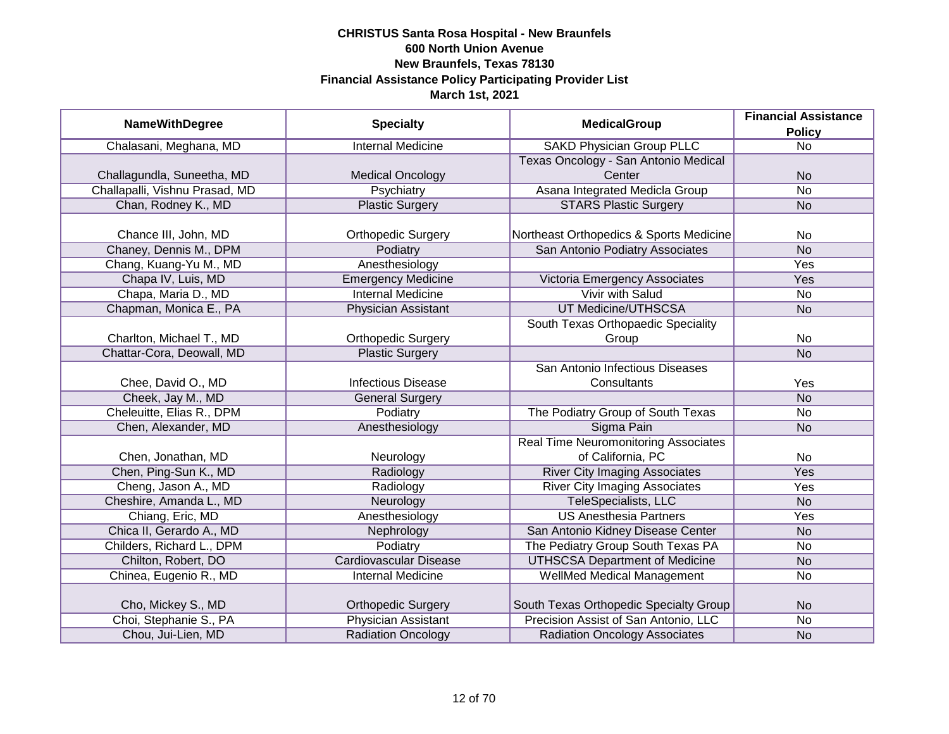| <b>NameWithDegree</b>          |                               | <b>MedicalGroup</b>                         | <b>Financial Assistance</b> |
|--------------------------------|-------------------------------|---------------------------------------------|-----------------------------|
|                                | <b>Specialty</b>              |                                             | <b>Policy</b>               |
| Chalasani, Meghana, MD         | <b>Internal Medicine</b>      | <b>SAKD Physician Group PLLC</b>            | <b>No</b>                   |
|                                |                               | Texas Oncology - San Antonio Medical        |                             |
| Challagundla, Suneetha, MD     | <b>Medical Oncology</b>       | Center                                      | <b>No</b>                   |
| Challapalli, Vishnu Prasad, MD | Psychiatry                    | Asana Integrated Medicla Group              | $\overline{No}$             |
| Chan, Rodney K., MD            | <b>Plastic Surgery</b>        | <b>STARS Plastic Surgery</b>                | <b>No</b>                   |
|                                |                               |                                             |                             |
| Chance III, John, MD           | <b>Orthopedic Surgery</b>     | Northeast Orthopedics & Sports Medicine     | No                          |
| Chaney, Dennis M., DPM         | Podiatry                      | San Antonio Podiatry Associates             | <b>No</b>                   |
| Chang, Kuang-Yu M., MD         | Anesthesiology                |                                             | Yes                         |
| Chapa IV, Luis, MD             | <b>Emergency Medicine</b>     | Victoria Emergency Associates               | Yes                         |
| Chapa, Maria D., MD            | <b>Internal Medicine</b>      | <b>Vivir with Salud</b>                     | <b>No</b>                   |
| Chapman, Monica E., PA         | <b>Physician Assistant</b>    | UT Medicine/UTHSCSA                         | <b>No</b>                   |
|                                |                               | South Texas Orthopaedic Speciality          |                             |
| Charlton, Michael T., MD       | <b>Orthopedic Surgery</b>     | Group                                       | <b>No</b>                   |
| Chattar-Cora, Deowall, MD      | <b>Plastic Surgery</b>        |                                             | <b>No</b>                   |
|                                |                               | San Antonio Infectious Diseases             |                             |
| Chee, David O., MD             | <b>Infectious Disease</b>     | Consultants                                 | Yes                         |
| Cheek, Jay M., MD              | <b>General Surgery</b>        |                                             | <b>No</b>                   |
| Cheleuitte, Elias R., DPM      | Podiatry                      | The Podiatry Group of South Texas           | <b>No</b>                   |
| Chen, Alexander, MD            | Anesthesiology                | Sigma Pain                                  | <b>No</b>                   |
|                                |                               | <b>Real Time Neuromonitoring Associates</b> |                             |
| Chen, Jonathan, MD             | Neurology                     | of California, PC                           | No                          |
| Chen, Ping-Sun K., MD          | Radiology                     | <b>River City Imaging Associates</b>        | <b>Yes</b>                  |
| Cheng, Jason A., MD            | Radiology                     | <b>River City Imaging Associates</b>        | Yes                         |
| Cheshire, Amanda L., MD        | Neurology                     | TeleSpecialists, LLC                        | <b>No</b>                   |
| Chiang, Eric, MD               | Anesthesiology                | <b>US Anesthesia Partners</b>               | Yes                         |
| Chica II, Gerardo A., MD       | Nephrology                    | San Antonio Kidney Disease Center           | <b>No</b>                   |
| Childers, Richard L., DPM      | Podiatry                      | The Pediatry Group South Texas PA           | <b>No</b>                   |
| Chilton, Robert, DO            | <b>Cardiovascular Disease</b> | <b>UTHSCSA Department of Medicine</b>       | <b>No</b>                   |
| Chinea, Eugenio R., MD         | Internal Medicine             | WellMed Medical Management                  | No                          |
|                                |                               |                                             |                             |
| Cho, Mickey S., MD             | <b>Orthopedic Surgery</b>     | South Texas Orthopedic Specialty Group      | <b>No</b>                   |
| Choi, Stephanie S., PA         | <b>Physician Assistant</b>    | Precision Assist of San Antonio, LLC        | No                          |
| Chou, Jui-Lien, MD             | <b>Radiation Oncology</b>     | <b>Radiation Oncology Associates</b>        | <b>No</b>                   |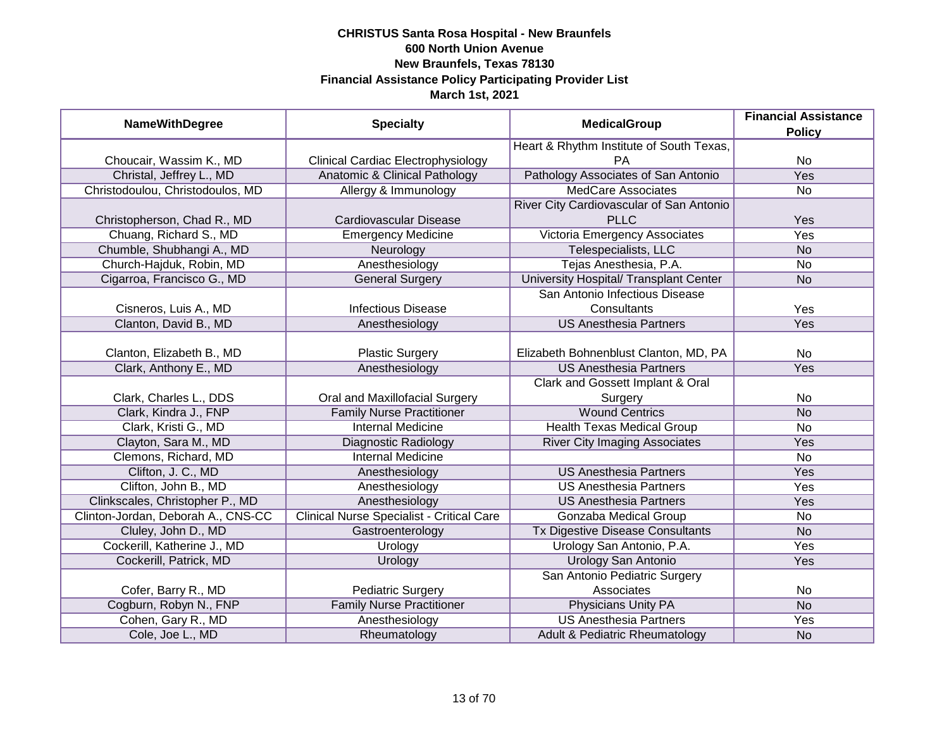| <b>NameWithDegree</b>              | <b>Specialty</b>                                 | <b>MedicalGroup</b>                      | <b>Financial Assistance</b><br><b>Policy</b> |
|------------------------------------|--------------------------------------------------|------------------------------------------|----------------------------------------------|
|                                    |                                                  | Heart & Rhythm Institute of South Texas, |                                              |
| Choucair, Wassim K., MD            | <b>Clinical Cardiac Electrophysiology</b>        | <b>PA</b>                                | <b>No</b>                                    |
| Christal, Jeffrey L., MD           | Anatomic & Clinical Pathology                    | Pathology Associates of San Antonio      | <b>Yes</b>                                   |
| Christodoulou, Christodoulos, MD   | Allergy & Immunology                             | <b>MedCare Associates</b>                | No                                           |
|                                    |                                                  | River City Cardiovascular of San Antonio |                                              |
| Christopherson, Chad R., MD        | Cardiovascular Disease                           | <b>PLLC</b>                              | Yes                                          |
| Chuang, Richard S., MD             | <b>Emergency Medicine</b>                        | Victoria Emergency Associates            | <b>Yes</b>                                   |
| Chumble, Shubhangi A., MD          | Neurology                                        | Telespecialists, LLC                     | <b>No</b>                                    |
| Church-Hajduk, Robin, MD           | Anesthesiology                                   | Tejas Anesthesia, P.A.                   | No                                           |
| Cigarroa, Francisco G., MD         | <b>General Surgery</b>                           | University Hospital/ Transplant Center   | <b>No</b>                                    |
|                                    |                                                  | San Antonio Infectious Disease           |                                              |
| Cisneros, Luis A., MD              | <b>Infectious Disease</b>                        | Consultants                              | Yes                                          |
| Clanton, David B., MD              | Anesthesiology                                   | <b>US Anesthesia Partners</b>            | Yes                                          |
|                                    |                                                  |                                          |                                              |
| Clanton, Elizabeth B., MD          | <b>Plastic Surgery</b>                           | Elizabeth Bohnenblust Clanton, MD, PA    | No                                           |
| Clark, Anthony E., MD              | Anesthesiology                                   | <b>US Anesthesia Partners</b>            | Yes                                          |
|                                    |                                                  | Clark and Gossett Implant & Oral         |                                              |
| Clark, Charles L., DDS             | Oral and Maxillofacial Surgery                   | Surgery                                  | No                                           |
| Clark, Kindra J., FNP              | <b>Family Nurse Practitioner</b>                 | <b>Wound Centrics</b>                    | <b>No</b>                                    |
| Clark, Kristi G., MD               | <b>Internal Medicine</b>                         | <b>Health Texas Medical Group</b>        | No                                           |
| Clayton, Sara M., MD               | <b>Diagnostic Radiology</b>                      | <b>River City Imaging Associates</b>     | Yes                                          |
| Clemons, Richard, MD               | <b>Internal Medicine</b>                         |                                          | No                                           |
| Clifton, J. C., MD                 | Anesthesiology                                   | <b>US Anesthesia Partners</b>            | Yes                                          |
| Clifton, John B., MD               | Anesthesiology                                   | <b>US Anesthesia Partners</b>            | Yes                                          |
| Clinkscales, Christopher P., MD    | Anesthesiology                                   | <b>US Anesthesia Partners</b>            | Yes                                          |
| Clinton-Jordan, Deborah A., CNS-CC | <b>Clinical Nurse Specialist - Critical Care</b> | Gonzaba Medical Group                    | <b>No</b>                                    |
| Cluley, John D., MD                | Gastroenterology                                 | Tx Digestive Disease Consultants         | <b>No</b>                                    |
| Cockerill, Katherine J., MD        | Urology                                          | Urology San Antonio, P.A.                | Yes                                          |
| Cockerill, Patrick, MD             | Urology                                          | <b>Urology San Antonio</b>               | Yes                                          |
|                                    |                                                  | San Antonio Pediatric Surgery            |                                              |
| Cofer, Barry R., MD                | <b>Pediatric Surgery</b>                         | Associates                               | No                                           |
| Cogburn, Robyn N., FNP             | <b>Family Nurse Practitioner</b>                 | <b>Physicians Unity PA</b>               | <b>No</b>                                    |
| Cohen, Gary R., MD                 | Anesthesiology                                   | <b>US Anesthesia Partners</b>            | Yes                                          |
| Cole, Joe L., MD                   | Rheumatology                                     | Adult & Pediatric Rheumatology           | <b>No</b>                                    |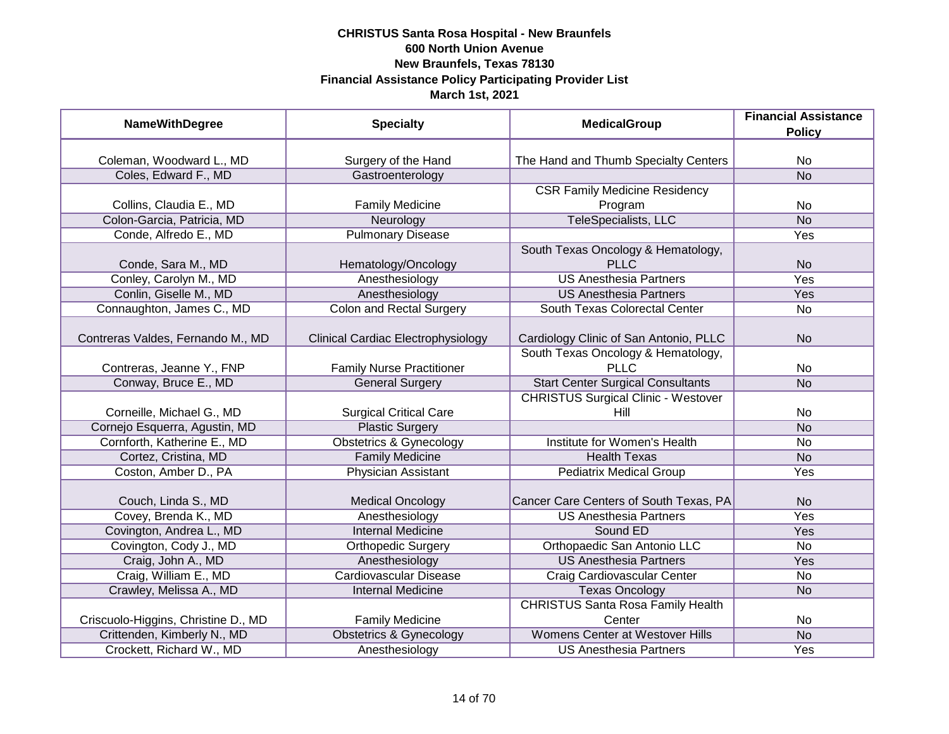| <b>NameWithDegree</b>               | <b>Specialty</b>                   | <b>MedicalGroup</b>                        | <b>Financial Assistance</b><br><b>Policy</b> |
|-------------------------------------|------------------------------------|--------------------------------------------|----------------------------------------------|
|                                     |                                    |                                            |                                              |
| Coleman, Woodward L., MD            | Surgery of the Hand                | The Hand and Thumb Specialty Centers       | <b>No</b>                                    |
| Coles, Edward F., MD                | Gastroenterology                   |                                            | <b>No</b>                                    |
|                                     |                                    | <b>CSR Family Medicine Residency</b>       |                                              |
| Collins, Claudia E., MD             | <b>Family Medicine</b>             | Program                                    | No                                           |
| Colon-Garcia, Patricia, MD          | Neurology                          | TeleSpecialists, LLC                       | <b>No</b>                                    |
| Conde, Alfredo E., MD               | <b>Pulmonary Disease</b>           |                                            | <b>Yes</b>                                   |
|                                     |                                    | South Texas Oncology & Hematology,         |                                              |
| Conde, Sara M., MD                  | Hematology/Oncology                | <b>PLLC</b>                                | <b>No</b>                                    |
| Conley, Carolyn M., MD              | Anesthesiology                     | <b>US Anesthesia Partners</b>              | Yes                                          |
| Conlin, Giselle M., MD              | Anesthesiology                     | <b>US Anesthesia Partners</b>              | Yes                                          |
| Connaughton, James C., MD           | <b>Colon and Rectal Surgery</b>    | South Texas Colorectal Center              | <b>No</b>                                    |
|                                     |                                    |                                            |                                              |
| Contreras Valdes, Fernando M., MD   | Clinical Cardiac Electrophysiology | Cardiology Clinic of San Antonio, PLLC     | <b>No</b>                                    |
|                                     |                                    | South Texas Oncology & Hematology,         |                                              |
| Contreras, Jeanne Y., FNP           | <b>Family Nurse Practitioner</b>   | <b>PLLC</b>                                | No                                           |
| Conway, Bruce E., MD                | <b>General Surgery</b>             | <b>Start Center Surgical Consultants</b>   | <b>No</b>                                    |
|                                     |                                    | <b>CHRISTUS Surgical Clinic - Westover</b> |                                              |
| Corneille, Michael G., MD           | <b>Surgical Critical Care</b>      | Hill                                       | No                                           |
| Cornejo Esquerra, Agustin, MD       | <b>Plastic Surgery</b>             |                                            | <b>No</b>                                    |
| Cornforth, Katherine E., MD         | <b>Obstetrics &amp; Gynecology</b> | Institute for Women's Health               | <b>No</b>                                    |
| Cortez, Cristina, MD                | <b>Family Medicine</b>             | <b>Health Texas</b>                        | <b>No</b>                                    |
| Coston, Amber D., PA                | Physician Assistant                | <b>Pediatrix Medical Group</b>             | Yes                                          |
| Couch, Linda S., MD                 | <b>Medical Oncology</b>            | Cancer Care Centers of South Texas, PA     | <b>No</b>                                    |
| Covey, Brenda K., MD                | Anesthesiology                     | <b>US Anesthesia Partners</b>              | Yes                                          |
| Covington, Andrea L., MD            | <b>Internal Medicine</b>           | Sound ED                                   | Yes                                          |
| Covington, Cody J., MD              | <b>Orthopedic Surgery</b>          | Orthopaedic San Antonio LLC                | <b>No</b>                                    |
| Craig, John A., MD                  | Anesthesiology                     | <b>US Anesthesia Partners</b>              | Yes                                          |
| Craig, William E., MD               | <b>Cardiovascular Disease</b>      | Craig Cardiovascular Center                | No                                           |
| Crawley, Melissa A., MD             | <b>Internal Medicine</b>           | <b>Texas Oncology</b>                      | <b>No</b>                                    |
|                                     |                                    | <b>CHRISTUS Santa Rosa Family Health</b>   |                                              |
| Criscuolo-Higgins, Christine D., MD | <b>Family Medicine</b>             | Center                                     | No                                           |
| Crittenden, Kimberly N., MD         | <b>Obstetrics &amp; Gynecology</b> | <b>Womens Center at Westover Hills</b>     | N <sub>o</sub>                               |
| Crockett, Richard W., MD            | Anesthesiology                     | <b>US Anesthesia Partners</b>              | Yes                                          |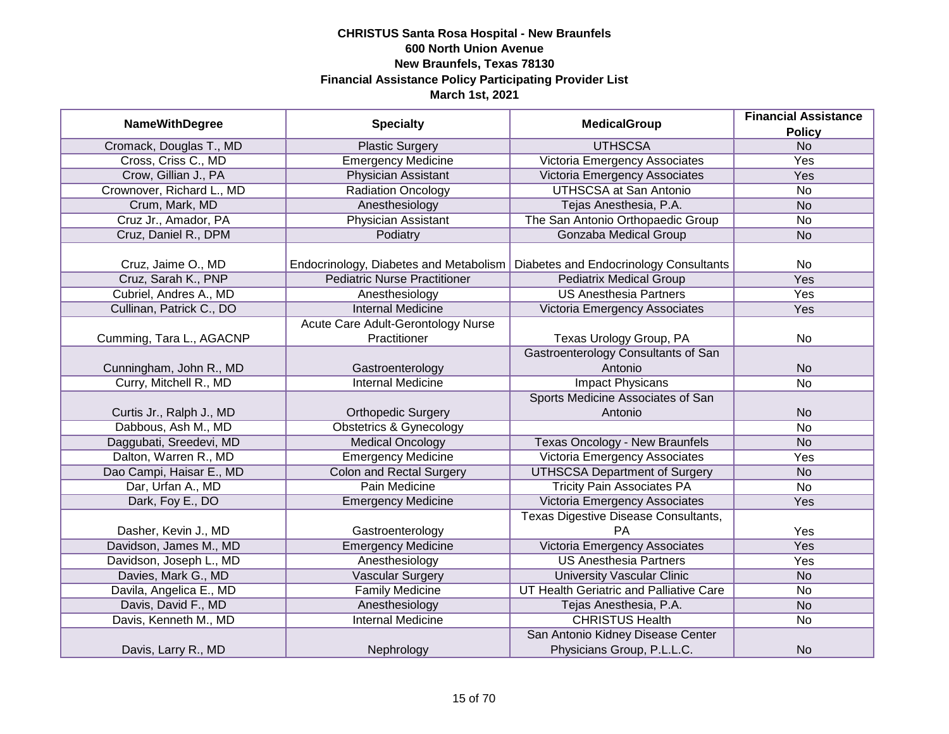| <b>NameWithDegree</b>     | <b>Specialty</b>                       | <b>MedicalGroup</b>                        | <b>Financial Assistance</b> |
|---------------------------|----------------------------------------|--------------------------------------------|-----------------------------|
|                           |                                        |                                            | <b>Policy</b>               |
| Cromack, Douglas T., MD   | <b>Plastic Surgery</b>                 | <b>UTHSCSA</b>                             | N <sub>o</sub>              |
| Cross, Criss C., MD       | <b>Emergency Medicine</b>              | Victoria Emergency Associates              | <b>Yes</b>                  |
| Crow, Gillian J., PA      | Physician Assistant                    | Victoria Emergency Associates              | Yes                         |
| Crownover, Richard L., MD | Radiation Oncology                     | <b>UTHSCSA at San Antonio</b>              | No                          |
| Crum, Mark, MD            | Anesthesiology                         | Tejas Anesthesia, P.A.                     | <b>No</b>                   |
| Cruz Jr., Amador, PA      | Physician Assistant                    | The San Antonio Orthopaedic Group          | No                          |
| Cruz, Daniel R., DPM      | Podiatry                               | <b>Gonzaba Medical Group</b>               | <b>No</b>                   |
|                           |                                        |                                            |                             |
| Cruz, Jaime O., MD        | Endocrinology, Diabetes and Metabolism | Diabetes and Endocrinology Consultants     | No                          |
| Cruz, Sarah K., PNP       | <b>Pediatric Nurse Practitioner</b>    | <b>Pediatrix Medical Group</b>             | <b>Yes</b>                  |
| Cubriel, Andres A., MD    | Anesthesiology                         | <b>US Anesthesia Partners</b>              | Yes                         |
| Cullinan, Patrick C., DO  | <b>Internal Medicine</b>               | Victoria Emergency Associates              | Yes                         |
|                           | Acute Care Adult-Gerontology Nurse     |                                            |                             |
| Cumming, Tara L., AGACNP  | Practitioner                           | Texas Urology Group, PA                    | No                          |
|                           |                                        | <b>Gastroenterology Consultants of San</b> |                             |
| Cunningham, John R., MD   | Gastroenterology                       | Antonio                                    | <b>No</b>                   |
| Curry, Mitchell R., MD    | <b>Internal Medicine</b>               | <b>Impact Physicans</b>                    | No                          |
|                           |                                        | Sports Medicine Associates of San          |                             |
| Curtis Jr., Ralph J., MD  | <b>Orthopedic Surgery</b>              | Antonio                                    | <b>No</b>                   |
| Dabbous, Ash M., MD       | <b>Obstetrics &amp; Gynecology</b>     |                                            | <b>No</b>                   |
| Daggubati, Sreedevi, MD   | <b>Medical Oncology</b>                | <b>Texas Oncology - New Braunfels</b>      | <b>No</b>                   |
| Dalton, Warren R., MD     | <b>Emergency Medicine</b>              | Victoria Emergency Associates              | Yes                         |
| Dao Campi, Haisar E., MD  | <b>Colon and Rectal Surgery</b>        | <b>UTHSCSA Department of Surgery</b>       | <b>No</b>                   |
| Dar, Urfan A., MD         | Pain Medicine                          | <b>Tricity Pain Associates PA</b>          | No                          |
| Dark, Foy E., DO          | <b>Emergency Medicine</b>              | Victoria Emergency Associates              | Yes                         |
|                           |                                        | Texas Digestive Disease Consultants,       |                             |
| Dasher, Kevin J., MD      | Gastroenterology                       | <b>PA</b>                                  | Yes                         |
| Davidson, James M., MD    | <b>Emergency Medicine</b>              | Victoria Emergency Associates              | Yes                         |
| Davidson, Joseph L., MD   | Anesthesiology                         | <b>US Anesthesia Partners</b>              | Yes                         |
| Davies, Mark G., MD       | <b>Vascular Surgery</b>                | <b>University Vascular Clinic</b>          | <b>No</b>                   |
| Davila, Angelica E., MD   | <b>Family Medicine</b>                 | UT Health Geriatric and Palliative Care    | No                          |
| Davis, David F., MD       | Anesthesiology                         | Tejas Anesthesia, P.A.                     | <b>No</b>                   |
| Davis, Kenneth M., MD     | <b>Internal Medicine</b>               | <b>CHRISTUS Health</b>                     | No                          |
|                           |                                        | San Antonio Kidney Disease Center          |                             |
| Davis, Larry R., MD       | Nephrology                             | Physicians Group, P.L.L.C.                 | <b>No</b>                   |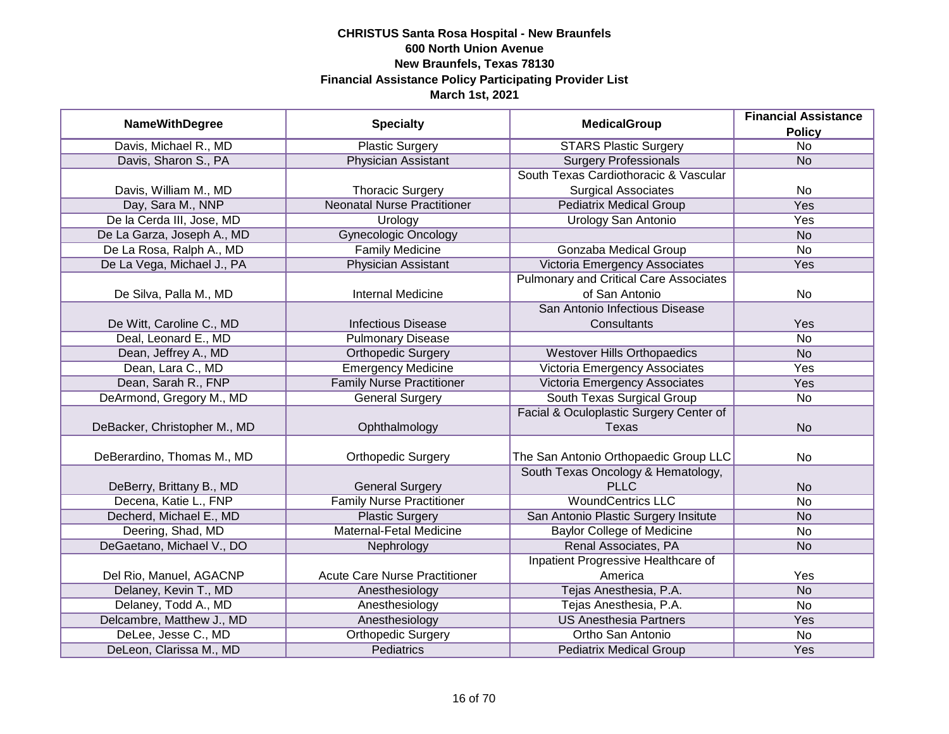|                              | <b>Specialty</b>                     | <b>MedicalGroup</b>                           | <b>Financial Assistance</b> |
|------------------------------|--------------------------------------|-----------------------------------------------|-----------------------------|
| <b>NameWithDegree</b>        |                                      |                                               | <b>Policy</b>               |
| Davis, Michael R., MD        | <b>Plastic Surgery</b>               | <b>STARS Plastic Surgery</b>                  | $\overline{No}$             |
| Davis, Sharon S., PA         | <b>Physician Assistant</b>           | <b>Surgery Professionals</b>                  | <b>No</b>                   |
|                              |                                      | South Texas Cardiothoracic & Vascular         |                             |
| Davis, William M., MD        | <b>Thoracic Surgery</b>              | <b>Surgical Associates</b>                    | No                          |
| Day, Sara M., NNP            | <b>Neonatal Nurse Practitioner</b>   | <b>Pediatrix Medical Group</b>                | <b>Yes</b>                  |
| De la Cerda III, Jose, MD    | Urology                              | Urology San Antonio                           | Yes                         |
| De La Garza, Joseph A., MD   | <b>Gynecologic Oncology</b>          |                                               | <b>No</b>                   |
| De La Rosa, Ralph A., MD     | <b>Family Medicine</b>               | Gonzaba Medical Group                         | $\overline{No}$             |
| De La Vega, Michael J., PA   | Physician Assistant                  | Victoria Emergency Associates                 | Yes                         |
|                              |                                      | <b>Pulmonary and Critical Care Associates</b> |                             |
| De Silva, Palla M., MD       | <b>Internal Medicine</b>             | of San Antonio                                | No                          |
|                              |                                      | San Antonio Infectious Disease                |                             |
| De Witt, Caroline C., MD     | <b>Infectious Disease</b>            | Consultants                                   | Yes                         |
| Deal, Leonard E., MD         | <b>Pulmonary Disease</b>             |                                               | <b>No</b>                   |
| Dean, Jeffrey A., MD         | <b>Orthopedic Surgery</b>            | <b>Westover Hills Orthopaedics</b>            | <b>No</b>                   |
| Dean, Lara C., MD            | <b>Emergency Medicine</b>            | Victoria Emergency Associates                 | Yes                         |
| Dean, Sarah R., FNP          | <b>Family Nurse Practitioner</b>     | Victoria Emergency Associates                 | Yes                         |
| DeArmond, Gregory M., MD     | <b>General Surgery</b>               | South Texas Surgical Group                    | No                          |
|                              |                                      | Facial & Oculoplastic Surgery Center of       |                             |
| DeBacker, Christopher M., MD | Ophthalmology                        | <b>Texas</b>                                  | <b>No</b>                   |
|                              |                                      |                                               |                             |
| DeBerardino, Thomas M., MD   | <b>Orthopedic Surgery</b>            | The San Antonio Orthopaedic Group LLC         | No                          |
|                              |                                      | South Texas Oncology & Hematology,            |                             |
| DeBerry, Brittany B., MD     | <b>General Surgery</b>               | <b>PLLC</b>                                   | <b>No</b>                   |
| Decena, Katie L., FNP        | <b>Family Nurse Practitioner</b>     | <b>WoundCentrics LLC</b>                      | <b>No</b>                   |
| Decherd, Michael E., MD      | <b>Plastic Surgery</b>               | San Antonio Plastic Surgery Insitute          | <b>No</b>                   |
| Deering, Shad, MD            | Maternal-Fetal Medicine              | <b>Baylor College of Medicine</b>             | No                          |
| DeGaetano, Michael V., DO    | Nephrology                           | Renal Associates, PA                          | <b>No</b>                   |
|                              |                                      | Inpatient Progressive Healthcare of           |                             |
| Del Rio, Manuel, AGACNP      | <b>Acute Care Nurse Practitioner</b> | America                                       | Yes                         |
| Delaney, Kevin T., MD        | Anesthesiology                       | Tejas Anesthesia, P.A.                        | N <sub>o</sub>              |
| Delaney, Todd A., MD         | Anesthesiology                       | Tejas Anesthesia, P.A.                        | No                          |
| Delcambre, Matthew J., MD    | Anesthesiology                       | <b>US Anesthesia Partners</b>                 | Yes                         |
| DeLee, Jesse C., MD          | <b>Orthopedic Surgery</b>            | Ortho San Antonio                             | No                          |
| DeLeon, Clarissa M., MD      | <b>Pediatrics</b>                    | <b>Pediatrix Medical Group</b>                | Yes                         |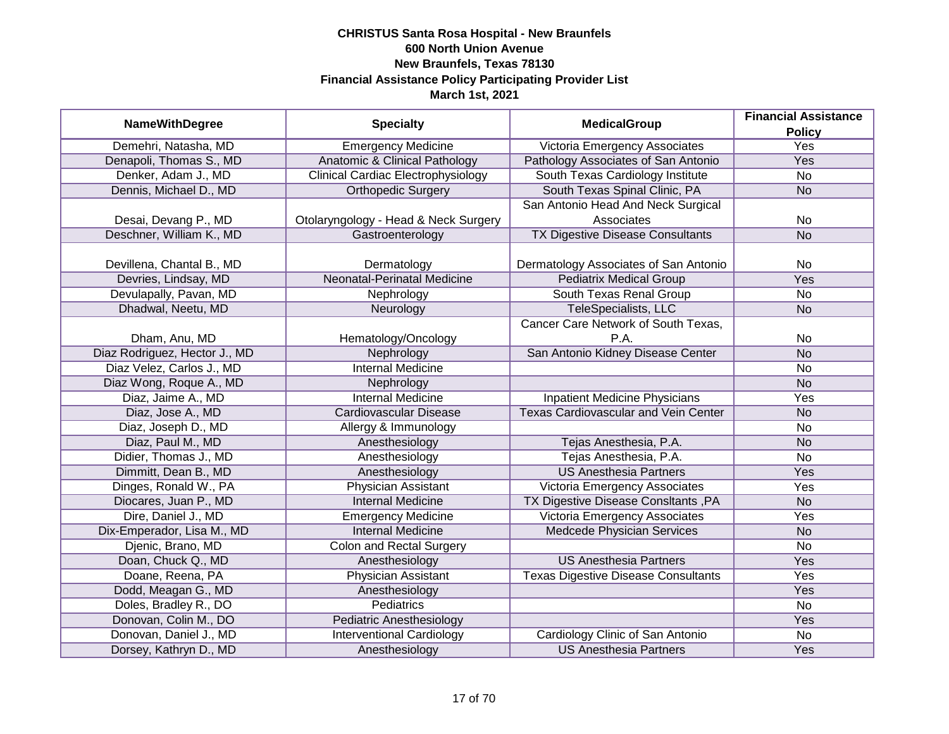|                               | <b>Specialty</b>                          | <b>MedicalGroup</b>                         | <b>Financial Assistance</b> |
|-------------------------------|-------------------------------------------|---------------------------------------------|-----------------------------|
| <b>NameWithDegree</b>         |                                           |                                             | <b>Policy</b>               |
| Demehri, Natasha, MD          | <b>Emergency Medicine</b>                 | Victoria Emergency Associates               | <b>Yes</b>                  |
| Denapoli, Thomas S., MD       | <b>Anatomic &amp; Clinical Pathology</b>  | Pathology Associates of San Antonio         | <b>Yes</b>                  |
| Denker, Adam J., MD           | <b>Clinical Cardiac Electrophysiology</b> | South Texas Cardiology Institute            | <b>No</b>                   |
| Dennis, Michael D., MD        | <b>Orthopedic Surgery</b>                 | South Texas Spinal Clinic, PA               | <b>No</b>                   |
|                               |                                           | San Antonio Head And Neck Surgical          |                             |
| Desai, Devang P., MD          | Otolaryngology - Head & Neck Surgery      | Associates                                  | No                          |
| Deschner, William K., MD      | Gastroenterology                          | <b>TX Digestive Disease Consultants</b>     | <b>No</b>                   |
|                               |                                           |                                             |                             |
| Devillena, Chantal B., MD     | Dermatology                               | Dermatology Associates of San Antonio       | <b>No</b>                   |
| Devries, Lindsay, MD          | <b>Neonatal-Perinatal Medicine</b>        | <b>Pediatrix Medical Group</b>              | Yes                         |
| Devulapally, Pavan, MD        | Nephrology                                | South Texas Renal Group                     | <b>No</b>                   |
| Dhadwal, Neetu, MD            | Neurology                                 | <b>TeleSpecialists, LLC</b>                 | <b>No</b>                   |
|                               |                                           | Cancer Care Network of South Texas,         |                             |
| Dham, Anu, MD                 | Hematology/Oncology                       | P.A.                                        | No                          |
| Diaz Rodriguez, Hector J., MD | Nephrology                                | San Antonio Kidney Disease Center           | <b>No</b>                   |
| Diaz Velez, Carlos J., MD     | <b>Internal Medicine</b>                  |                                             | No                          |
| Diaz Wong, Roque A., MD       | Nephrology                                |                                             | <b>No</b>                   |
| Diaz, Jaime A., MD            | <b>Internal Medicine</b>                  | <b>Inpatient Medicine Physicians</b>        | Yes                         |
| Diaz, Jose A., MD             | Cardiovascular Disease                    | <b>Texas Cardiovascular and Vein Center</b> | <b>No</b>                   |
| Diaz, Joseph D., MD           | Allergy & Immunology                      |                                             | No                          |
| Diaz, Paul M., MD             | Anesthesiology                            | Tejas Anesthesia, P.A.                      | <b>No</b>                   |
| Didier, Thomas J., MD         | Anesthesiology                            | Tejas Anesthesia, P.A.                      | No                          |
| Dimmitt, Dean B., MD          | Anesthesiology                            | <b>US Anesthesia Partners</b>               | Yes                         |
| Dinges, Ronald W., PA         | Physician Assistant                       | Victoria Emergency Associates               | Yes                         |
| Diocares, Juan P., MD         | <b>Internal Medicine</b>                  | TX Digestive Disease ConsItants, PA         | <b>No</b>                   |
| Dire, Daniel J., MD           | <b>Emergency Medicine</b>                 | Victoria Emergency Associates               | Yes                         |
| Dix-Emperador, Lisa M., MD    | <b>Internal Medicine</b>                  | Medcede Physician Services                  | <b>No</b>                   |
| Djenic, Brano, MD             | <b>Colon and Rectal Surgery</b>           |                                             | <b>No</b>                   |
| Doan, Chuck Q., MD            | Anesthesiology                            | <b>US Anesthesia Partners</b>               | Yes                         |
| Doane, Reena, PA              | <b>Physician Assistant</b>                | <b>Texas Digestive Disease Consultants</b>  | Yes                         |
| Dodd, Meagan G., MD           | Anesthesiology                            |                                             | Yes                         |
| Doles, Bradley R., DO         | <b>Pediatrics</b>                         |                                             | $\overline{No}$             |
| Donovan, Colin M., DO         | <b>Pediatric Anesthesiology</b>           |                                             | Yes                         |
| Donovan, Daniel J., MD        | <b>Interventional Cardiology</b>          | Cardiology Clinic of San Antonio            | <b>No</b>                   |
| Dorsey, Kathryn D., MD        | Anesthesiology                            | <b>US Anesthesia Partners</b>               | Yes                         |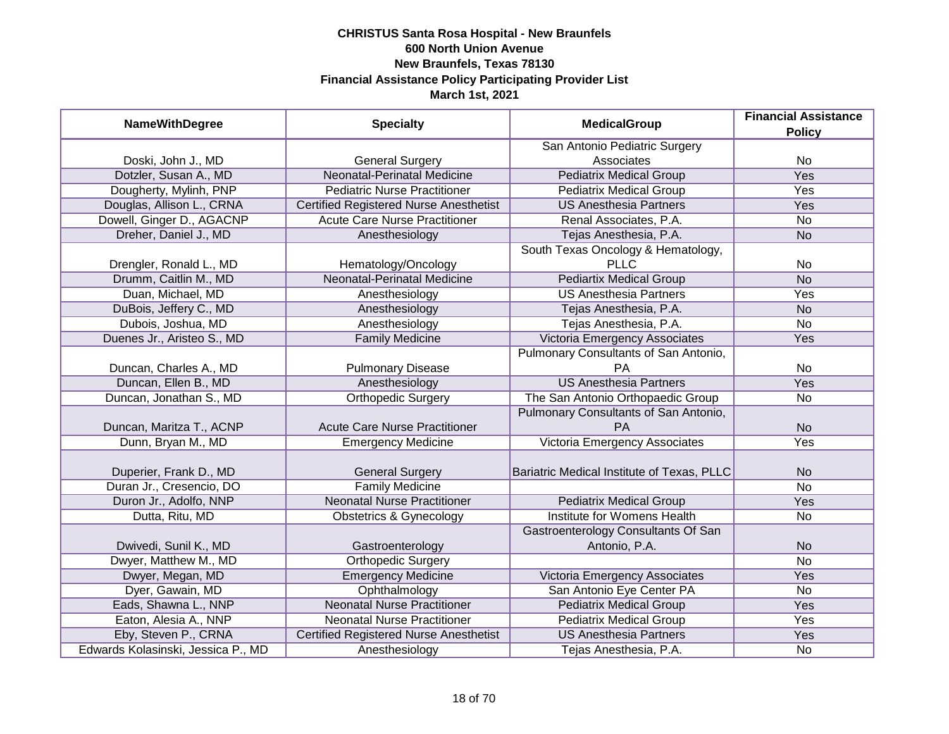| <b>NameWithDegree</b>              | <b>Specialty</b>                              | <b>MedicalGroup</b>                                  | <b>Financial Assistance</b><br><b>Policy</b> |
|------------------------------------|-----------------------------------------------|------------------------------------------------------|----------------------------------------------|
|                                    |                                               | San Antonio Pediatric Surgery                        |                                              |
| Doski, John J., MD                 | <b>General Surgery</b>                        | Associates                                           | No                                           |
| Dotzler, Susan A., MD              | <b>Neonatal-Perinatal Medicine</b>            | <b>Pediatrix Medical Group</b>                       | <b>Yes</b>                                   |
| Dougherty, Mylinh, PNP             | <b>Pediatric Nurse Practitioner</b>           | <b>Pediatrix Medical Group</b>                       | <b>Yes</b>                                   |
| Douglas, Allison L., CRNA          | <b>Certified Registered Nurse Anesthetist</b> | <b>US Anesthesia Partners</b>                        | Yes                                          |
| Dowell, Ginger D., AGACNP          | <b>Acute Care Nurse Practitioner</b>          | Renal Associates, P.A.                               | No                                           |
| Dreher, Daniel J., MD              | Anesthesiology                                | Tejas Anesthesia, P.A.                               | <b>No</b>                                    |
|                                    |                                               | South Texas Oncology & Hematology,                   |                                              |
| Drengler, Ronald L., MD            | Hematology/Oncology                           | <b>PLLC</b>                                          | No                                           |
| Drumm, Caitlin M., MD              | Neonatal-Perinatal Medicine                   | <b>Pediartix Medical Group</b>                       | <b>No</b>                                    |
| Duan, Michael, MD                  | Anesthesiology                                | <b>US Anesthesia Partners</b>                        | Yes                                          |
| DuBois, Jeffery C., MD             | Anesthesiology                                | Tejas Anesthesia, P.A.                               | <b>No</b>                                    |
| Dubois, Joshua, MD                 | Anesthesiology                                | Tejas Anesthesia, P.A.                               | <b>No</b>                                    |
| Duenes Jr., Aristeo S., MD         | <b>Family Medicine</b>                        | Victoria Emergency Associates                        | Yes                                          |
|                                    |                                               | Pulmonary Consultants of San Antonio,                |                                              |
| Duncan, Charles A., MD             | <b>Pulmonary Disease</b>                      | <b>PA</b>                                            | No                                           |
| Duncan, Ellen B., MD               | Anesthesiology                                | <b>US Anesthesia Partners</b>                        | Yes                                          |
| Duncan, Jonathan S., MD            | Orthopedic Surgery                            | The San Antonio Orthopaedic Group                    | No                                           |
|                                    |                                               | Pulmonary Consultants of San Antonio,                |                                              |
| Duncan, Maritza T., ACNP           | <b>Acute Care Nurse Practitioner</b>          | <b>PA</b>                                            | <b>No</b>                                    |
| Dunn, Bryan M., MD                 | <b>Emergency Medicine</b>                     | Victoria Emergency Associates                        | Yes                                          |
| Duperier, Frank D., MD             | <b>General Surgery</b>                        | Bariatric Medical Institute of Texas, PLLC           | <b>No</b>                                    |
| Duran Jr., Cresencio, DO           | <b>Family Medicine</b>                        |                                                      | $\overline{No}$                              |
| Duron Jr., Adolfo, NNP             | <b>Neonatal Nurse Practitioner</b>            | <b>Pediatrix Medical Group</b>                       | Yes                                          |
| Dutta, Ritu, MD                    | <b>Obstetrics &amp; Gynecology</b>            | Institute for Womens Health                          | No                                           |
| Dwivedi, Sunil K., MD              | Gastroenterology                              | Gastroenterology Consultants Of San<br>Antonio, P.A. | <b>No</b>                                    |
| Dwyer, Matthew M., MD              | <b>Orthopedic Surgery</b>                     |                                                      | <b>No</b>                                    |
| Dwyer, Megan, MD                   | <b>Emergency Medicine</b>                     | Victoria Emergency Associates                        | Yes                                          |
| Dyer, Gawain, MD                   | Ophthalmology                                 | San Antonio Eye Center PA                            | No                                           |
| Eads, Shawna L., NNP               | <b>Neonatal Nurse Practitioner</b>            | <b>Pediatrix Medical Group</b>                       | Yes                                          |
| Eaton, Alesia A., NNP              | <b>Neonatal Nurse Practitioner</b>            | <b>Pediatrix Medical Group</b>                       | Yes                                          |
| Eby, Steven P., CRNA               | <b>Certified Registered Nurse Anesthetist</b> | <b>US Anesthesia Partners</b>                        | Yes                                          |
| Edwards Kolasinski, Jessica P., MD | Anesthesiology                                | Tejas Anesthesia, P.A.                               | No                                           |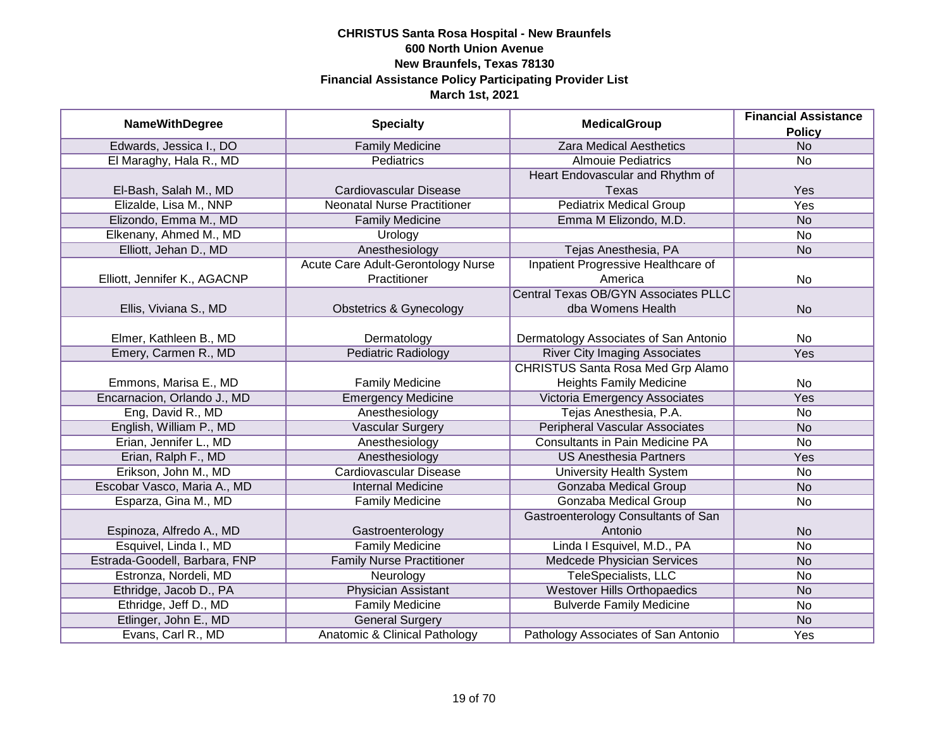| <b>NameWithDegree</b>         | <b>Specialty</b>                   | <b>MedicalGroup</b>                         | <b>Financial Assistance</b> |
|-------------------------------|------------------------------------|---------------------------------------------|-----------------------------|
|                               |                                    |                                             | <b>Policy</b>               |
| Edwards, Jessica I., DO       | <b>Family Medicine</b>             | <b>Zara Medical Aesthetics</b>              | $\overline{N}$              |
| El Maraghy, Hala R., MD       | Pediatrics                         | <b>Almouie Pediatrics</b>                   | <b>No</b>                   |
|                               |                                    | Heart Endovascular and Rhythm of            |                             |
| El-Bash, Salah M., MD         | <b>Cardiovascular Disease</b>      | <b>Texas</b>                                | Yes                         |
| Elizalde, Lisa M., NNP        | <b>Neonatal Nurse Practitioner</b> | <b>Pediatrix Medical Group</b>              | Yes                         |
| Elizondo, Emma M., MD         | <b>Family Medicine</b>             | Emma M Elizondo, M.D.                       | <b>No</b>                   |
| Elkenany, Ahmed M., MD        | Urology                            |                                             | $\overline{No}$             |
| Elliott, Jehan D., MD         | Anesthesiology                     | Tejas Anesthesia, PA                        | <b>No</b>                   |
|                               | Acute Care Adult-Gerontology Nurse | Inpatient Progressive Healthcare of         |                             |
| Elliott, Jennifer K., AGACNP  | Practitioner                       | America                                     | No                          |
|                               |                                    | <b>Central Texas OB/GYN Associates PLLC</b> |                             |
| Ellis, Viviana S., MD         | <b>Obstetrics &amp; Gynecology</b> | dba Womens Health                           | <b>No</b>                   |
|                               |                                    |                                             |                             |
| Elmer, Kathleen B., MD        | Dermatology                        | Dermatology Associates of San Antonio       | No                          |
| Emery, Carmen R., MD          | <b>Pediatric Radiology</b>         | <b>River City Imaging Associates</b>        | <b>Yes</b>                  |
|                               |                                    | <b>CHRISTUS Santa Rosa Med Grp Alamo</b>    |                             |
| Emmons, Marisa E., MD         | <b>Family Medicine</b>             | <b>Heights Family Medicine</b>              | No                          |
| Encarnacion, Orlando J., MD   | <b>Emergency Medicine</b>          | Victoria Emergency Associates               | Yes                         |
| Eng, David R., MD             | Anesthesiology                     | Tejas Anesthesia, P.A.                      | <b>No</b>                   |
| English, William P., MD       | <b>Vascular Surgery</b>            | <b>Peripheral Vascular Associates</b>       | <b>No</b>                   |
| Erian, Jennifer L., MD        | Anesthesiology                     | <b>Consultants in Pain Medicine PA</b>      | <b>No</b>                   |
| Erian, Ralph F., MD           | Anesthesiology                     | <b>US Anesthesia Partners</b>               | Yes                         |
| Erikson, John M., MD          | <b>Cardiovascular Disease</b>      | <b>University Health System</b>             | <b>No</b>                   |
| Escobar Vasco, Maria A., MD   | <b>Internal Medicine</b>           | Gonzaba Medical Group                       | <b>No</b>                   |
| Esparza, Gina M., MD          | <b>Family Medicine</b>             | Gonzaba Medical Group                       | <b>No</b>                   |
|                               |                                    | Gastroenterology Consultants of San         |                             |
| Espinoza, Alfredo A., MD      | Gastroenterology                   | Antonio                                     | <b>No</b>                   |
| Esquivel, Linda I., MD        | <b>Family Medicine</b>             | Linda I Esquivel, M.D., PA                  | <b>No</b>                   |
| Estrada-Goodell, Barbara, FNP | <b>Family Nurse Practitioner</b>   | Medcede Physician Services                  | <b>No</b>                   |
| Estronza, Nordeli, MD         | Neurology                          | TeleSpecialists, LLC                        | No                          |
| Ethridge, Jacob D., PA        | <b>Physician Assistant</b>         | <b>Westover Hills Orthopaedics</b>          | <b>No</b>                   |
| Ethridge, Jeff D., MD         | <b>Family Medicine</b>             | <b>Bulverde Family Medicine</b>             | <b>No</b>                   |
| Etlinger, John E., MD         | <b>General Surgery</b>             |                                             | <b>No</b>                   |
| Evans, Carl R., MD            | Anatomic & Clinical Pathology      | Pathology Associates of San Antonio         | <b>Yes</b>                  |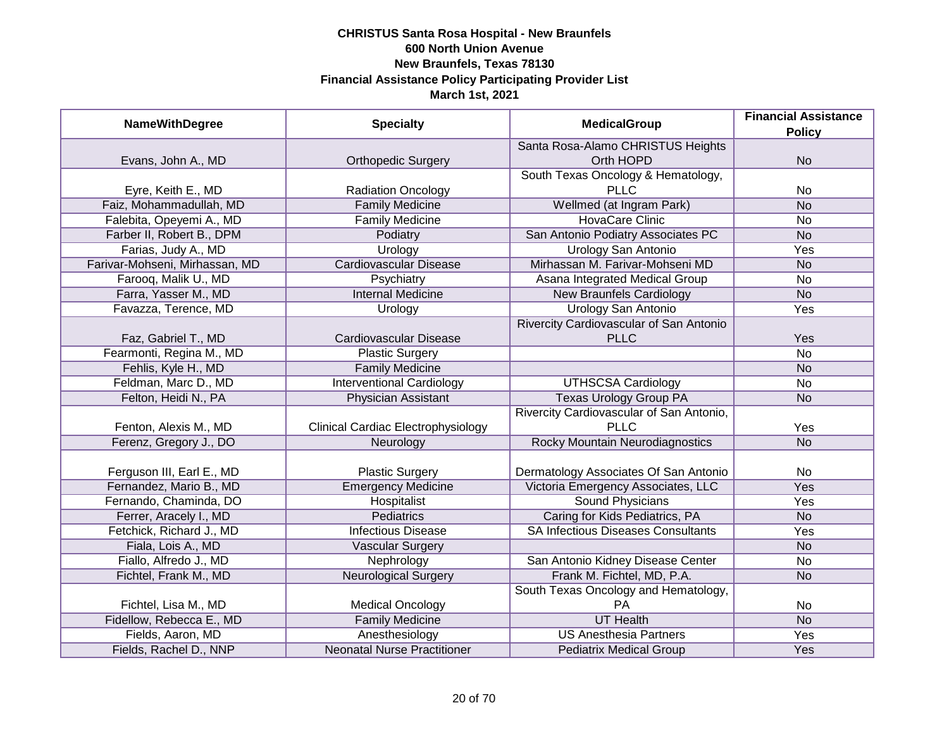| <b>NameWithDegree</b>          | <b>Specialty</b>                          | <b>MedicalGroup</b>                       | <b>Financial Assistance</b> |
|--------------------------------|-------------------------------------------|-------------------------------------------|-----------------------------|
|                                |                                           |                                           | <b>Policy</b>               |
|                                |                                           | Santa Rosa-Alamo CHRISTUS Heights         |                             |
| Evans, John A., MD             | <b>Orthopedic Surgery</b>                 | Orth HOPD                                 | <b>No</b>                   |
|                                |                                           | South Texas Oncology & Hematology,        |                             |
| Eyre, Keith E., MD             | <b>Radiation Oncology</b>                 | <b>PLLC</b>                               | No                          |
| Faiz, Mohammadullah, MD        | <b>Family Medicine</b>                    | Wellmed (at Ingram Park)                  | <b>No</b>                   |
| Falebita, Opeyemi A., MD       | <b>Family Medicine</b>                    | <b>HovaCare Clinic</b>                    | No                          |
| Farber II, Robert B., DPM      | Podiatry                                  | San Antonio Podiatry Associates PC        | <b>No</b>                   |
| Farias, Judy A., MD            | Urology                                   | <b>Urology San Antonio</b>                | Yes                         |
| Farivar-Mohseni, Mirhassan, MD | <b>Cardiovascular Disease</b>             | Mirhassan M. Farivar-Mohseni MD           | <b>No</b>                   |
| Farooq, Malik U., MD           | Psychiatry                                | Asana Integrated Medical Group            | <b>No</b>                   |
| Farra, Yasser M., MD           | <b>Internal Medicine</b>                  | <b>New Braunfels Cardiology</b>           | <b>No</b>                   |
| Favazza, Terence, MD           | Urology                                   | <b>Urology San Antonio</b>                | Yes                         |
|                                |                                           | Rivercity Cardiovascular of San Antonio   |                             |
| Faz, Gabriel T., MD            | Cardiovascular Disease                    | <b>PLLC</b>                               | Yes                         |
| Fearmonti, Regina M., MD       | <b>Plastic Surgery</b>                    |                                           | <b>No</b>                   |
| Fehlis, Kyle H., MD            | <b>Family Medicine</b>                    |                                           | <b>No</b>                   |
| Feldman, Marc D., MD           | <b>Interventional Cardiology</b>          | <b>UTHSCSA Cardiology</b>                 | No                          |
| Felton, Heidi N., PA           | <b>Physician Assistant</b>                | <b>Texas Urology Group PA</b>             | <b>No</b>                   |
|                                |                                           | Rivercity Cardiovascular of San Antonio,  |                             |
| Fenton, Alexis M., MD          | <b>Clinical Cardiac Electrophysiology</b> | <b>PLLC</b>                               | Yes                         |
| Ferenz, Gregory J., DO         | Neurology                                 | <b>Rocky Mountain Neurodiagnostics</b>    | <b>No</b>                   |
|                                |                                           |                                           |                             |
| Ferguson III, Earl E., MD      | <b>Plastic Surgery</b>                    | Dermatology Associates Of San Antonio     | No                          |
| Fernandez, Mario B., MD        | <b>Emergency Medicine</b>                 | Victoria Emergency Associates, LLC        | Yes                         |
| Fernando, Chaminda, DO         | Hospitalist                               | <b>Sound Physicians</b>                   | Yes                         |
| Ferrer, Aracely I., MD         | Pediatrics                                | Caring for Kids Pediatrics, PA            | <b>No</b>                   |
| Fetchick, Richard J., MD       | <b>Infectious Disease</b>                 | <b>SA Infectious Diseases Consultants</b> | Yes                         |
| Fiala, Lois A., MD             | <b>Vascular Surgery</b>                   |                                           | <b>No</b>                   |
| Fiallo, Alfredo J., MD         | Nephrology                                | San Antonio Kidney Disease Center         | No                          |
| Fichtel, Frank M., MD          | <b>Neurological Surgery</b>               | Frank M. Fichtel, MD, P.A.                | <b>No</b>                   |
|                                |                                           | South Texas Oncology and Hematology,      |                             |
| Fichtel, Lisa M., MD           | <b>Medical Oncology</b>                   | PA                                        | No                          |
| Fidellow, Rebecca E., MD       | <b>Family Medicine</b>                    | <b>UT Health</b>                          | N <sub>o</sub>              |
| Fields, Aaron, MD              | Anesthesiology                            | <b>US Anesthesia Partners</b>             | <b>Yes</b>                  |
| Fields, Rachel D., NNP         | <b>Neonatal Nurse Practitioner</b>        | <b>Pediatrix Medical Group</b>            | Yes                         |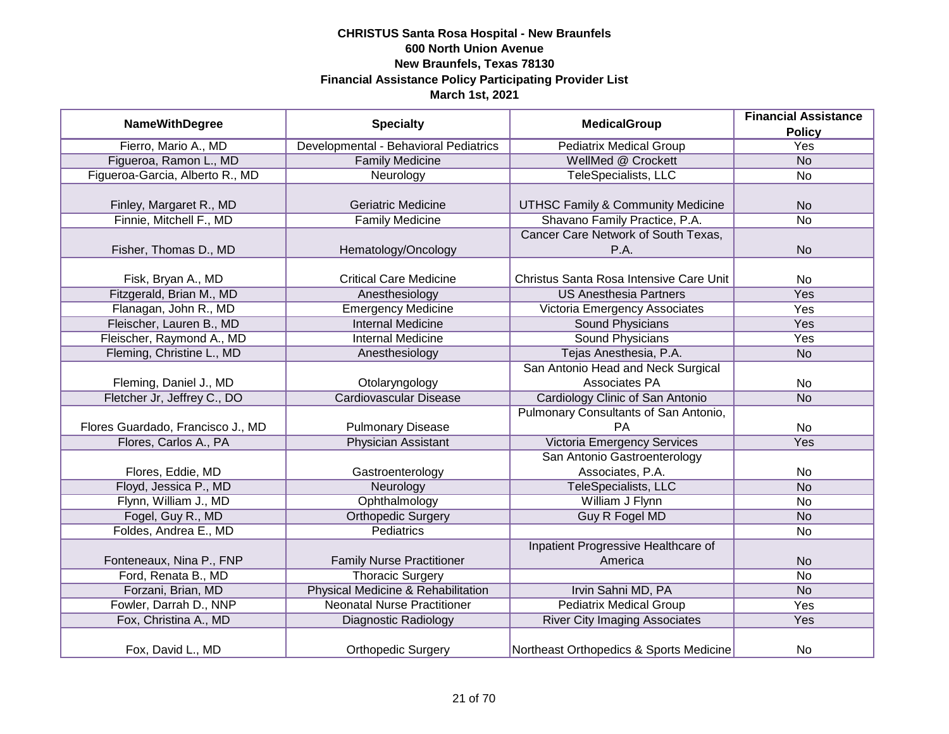|                                   |                                       | <b>MedicalGroup</b>                          | <b>Financial Assistance</b> |
|-----------------------------------|---------------------------------------|----------------------------------------------|-----------------------------|
| <b>NameWithDegree</b>             | <b>Specialty</b>                      |                                              | <b>Policy</b>               |
| Fierro, Mario A., MD              | Developmental - Behavioral Pediatrics | <b>Pediatrix Medical Group</b>               | Yes                         |
| Figueroa, Ramon L., MD            | <b>Family Medicine</b>                | WellMed @ Crockett                           | N <sub>o</sub>              |
| Figueroa-Garcia, Alberto R., MD   | Neurology                             | TeleSpecialists, LLC                         | <b>No</b>                   |
|                                   |                                       |                                              |                             |
| Finley, Margaret R., MD           | <b>Geriatric Medicine</b>             | <b>UTHSC Family &amp; Community Medicine</b> | <b>No</b>                   |
| Finnie, Mitchell F., MD           | <b>Family Medicine</b>                | Shavano Family Practice, P.A.                | No                          |
|                                   |                                       | Cancer Care Network of South Texas,          |                             |
| Fisher, Thomas D., MD             | Hematology/Oncology                   | P.A.                                         | <b>No</b>                   |
|                                   |                                       |                                              |                             |
| Fisk, Bryan A., MD                | <b>Critical Care Medicine</b>         | Christus Santa Rosa Intensive Care Unit      | <b>No</b>                   |
| Fitzgerald, Brian M., MD          | Anesthesiology                        | <b>US Anesthesia Partners</b>                | Yes                         |
| Flanagan, John R., MD             | <b>Emergency Medicine</b>             | Victoria Emergency Associates                | Yes                         |
| Fleischer, Lauren B., MD          | <b>Internal Medicine</b>              | <b>Sound Physicians</b>                      | <b>Yes</b>                  |
| Fleischer, Raymond A., MD         | <b>Internal Medicine</b>              | <b>Sound Physicians</b>                      | Yes                         |
| Fleming, Christine L., MD         | Anesthesiology                        | Tejas Anesthesia, P.A.                       | <b>No</b>                   |
|                                   |                                       | San Antonio Head and Neck Surgical           |                             |
| Fleming, Daniel J., MD            | Otolaryngology                        | Associates PA                                | No                          |
| Fletcher Jr, Jeffrey C., DO       | <b>Cardiovascular Disease</b>         | Cardiology Clinic of San Antonio             | <b>No</b>                   |
|                                   |                                       | Pulmonary Consultants of San Antonio,        |                             |
| Flores Guardado, Francisco J., MD | <b>Pulmonary Disease</b>              | PA                                           | <b>No</b>                   |
| Flores, Carlos A., PA             | <b>Physician Assistant</b>            | <b>Victoria Emergency Services</b>           | Yes                         |
|                                   |                                       | San Antonio Gastroenterology                 |                             |
| Flores, Eddie, MD                 | Gastroenterology                      | Associates, P.A.                             | No                          |
| Floyd, Jessica P., MD             | Neurology                             | TeleSpecialists, LLC                         | <b>No</b>                   |
| Flynn, William J., MD             | Ophthalmology                         | William J Flynn                              | No                          |
| Fogel, Guy R., MD                 | <b>Orthopedic Surgery</b>             | <b>Guy R Fogel MD</b>                        | <b>No</b>                   |
| Foldes, Andrea E., MD             | Pediatrics                            |                                              | No                          |
|                                   |                                       | Inpatient Progressive Healthcare of          |                             |
| Fonteneaux, Nina P., FNP          | <b>Family Nurse Practitioner</b>      | America                                      | <b>No</b>                   |
| Ford, Renata B., MD               | <b>Thoracic Surgery</b>               |                                              | No                          |
| Forzani, Brian, MD                | Physical Medicine & Rehabilitation    | Irvin Sahni MD, PA                           | <b>No</b>                   |
| Fowler, Darrah D., NNP            | <b>Neonatal Nurse Practitioner</b>    | <b>Pediatrix Medical Group</b>               | Yes                         |
| Fox, Christina A., MD             | <b>Diagnostic Radiology</b>           | <b>River City Imaging Associates</b>         | Yes                         |
| Fox, David L., MD                 | <b>Orthopedic Surgery</b>             | Northeast Orthopedics & Sports Medicine      | No                          |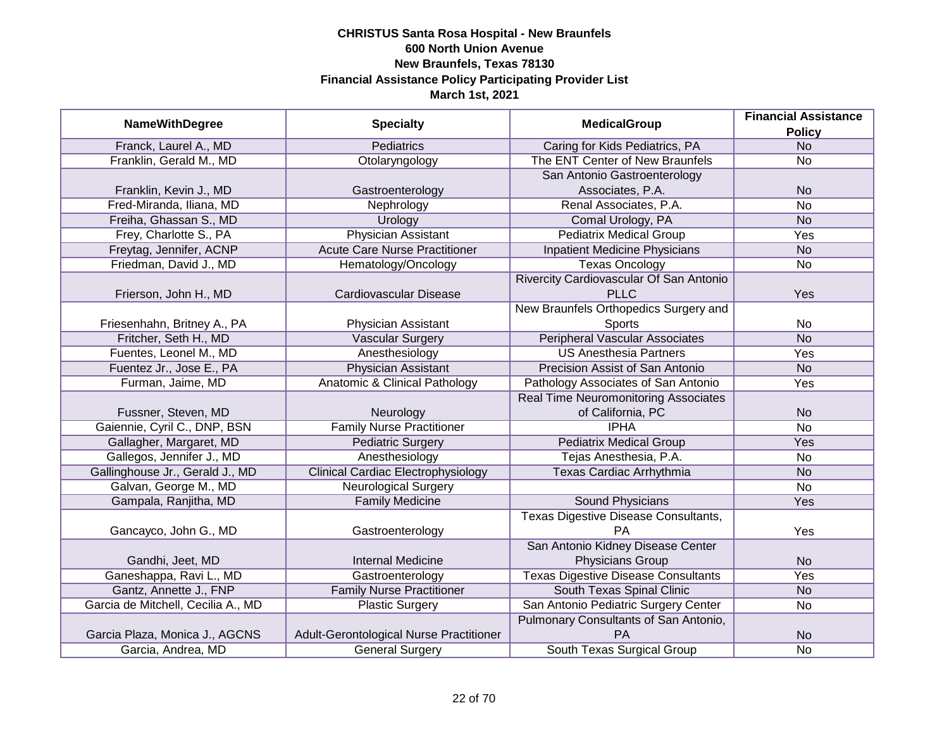|                                    |                                           | <b>MedicalGroup</b>                         | <b>Financial Assistance</b> |
|------------------------------------|-------------------------------------------|---------------------------------------------|-----------------------------|
| <b>NameWithDegree</b>              | <b>Specialty</b>                          |                                             | <b>Policy</b>               |
| Franck, Laurel A., MD              | <b>Pediatrics</b>                         | Caring for Kids Pediatrics, PA              | <b>No</b>                   |
| Franklin, Gerald M., MD            | Otolaryngology                            | The ENT Center of New Braunfels             | No                          |
|                                    |                                           | San Antonio Gastroenterology                |                             |
| Franklin, Kevin J., MD             | Gastroenterology                          | Associates, P.A.                            | <b>No</b>                   |
| Fred-Miranda, Iliana, MD           | Nephrology                                | Renal Associates, P.A.                      | <b>No</b>                   |
| Freiha, Ghassan S., MD             | Urology                                   | Comal Urology, PA                           | <b>No</b>                   |
| Frey, Charlotte S., PA             | <b>Physician Assistant</b>                | <b>Pediatrix Medical Group</b>              | <b>Yes</b>                  |
| Freytag, Jennifer, ACNP            | <b>Acute Care Nurse Practitioner</b>      | <b>Inpatient Medicine Physicians</b>        | <b>No</b>                   |
| Friedman, David J., MD             | Hematology/Oncology                       | <b>Texas Oncology</b>                       | <b>No</b>                   |
|                                    |                                           | Rivercity Cardiovascular Of San Antonio     |                             |
| Frierson, John H., MD              | Cardiovascular Disease                    | <b>PLLC</b>                                 | Yes                         |
|                                    |                                           | New Braunfels Orthopedics Surgery and       |                             |
| Friesenhahn, Britney A., PA        | Physician Assistant                       | Sports                                      | No                          |
| Fritcher, Seth H., MD              | <b>Vascular Surgery</b>                   | <b>Peripheral Vascular Associates</b>       | <b>No</b>                   |
| Fuentes, Leonel M., MD             | Anesthesiology                            | <b>US Anesthesia Partners</b>               | Yes                         |
| Fuentez Jr., Jose E., PA           | Physician Assistant                       | Precision Assist of San Antonio             | <b>No</b>                   |
| Furman, Jaime, MD                  | Anatomic & Clinical Pathology             | Pathology Associates of San Antonio         | Yes                         |
|                                    |                                           | <b>Real Time Neuromonitoring Associates</b> |                             |
| Fussner, Steven, MD                | Neurology                                 | of California, PC                           | <b>No</b>                   |
| Gaiennie, Cyril C., DNP, BSN       | <b>Family Nurse Practitioner</b>          | <b>IPHA</b>                                 | <b>No</b>                   |
| Gallagher, Margaret, MD            | <b>Pediatric Surgery</b>                  | <b>Pediatrix Medical Group</b>              | Yes                         |
| Gallegos, Jennifer J., MD          | Anesthesiology                            | Tejas Anesthesia, P.A.                      | No                          |
| Gallinghouse Jr., Gerald J., MD    | <b>Clinical Cardiac Electrophysiology</b> | Texas Cardiac Arrhythmia                    | <b>No</b>                   |
| Galvan, George M., MD              | <b>Neurological Surgery</b>               |                                             | No                          |
| Gampala, Ranjitha, MD              | <b>Family Medicine</b>                    | <b>Sound Physicians</b>                     | Yes                         |
|                                    |                                           | Texas Digestive Disease Consultants,        |                             |
| Gancayco, John G., MD              | Gastroenterology                          | <b>PA</b>                                   | Yes                         |
|                                    |                                           | San Antonio Kidney Disease Center           |                             |
| Gandhi, Jeet, MD                   | <b>Internal Medicine</b>                  | Physicians Group                            | <b>No</b>                   |
| Ganeshappa, Ravi L., MD            | Gastroenterology                          | <b>Texas Digestive Disease Consultants</b>  | Yes                         |
| Gantz, Annette J., FNP             | <b>Family Nurse Practitioner</b>          | South Texas Spinal Clinic                   | <b>No</b>                   |
| Garcia de Mitchell, Cecilia A., MD | <b>Plastic Surgery</b>                    | San Antonio Pediatric Surgery Center        | No                          |
|                                    |                                           | Pulmonary Consultants of San Antonio,       |                             |
| Garcia Plaza, Monica J., AGCNS     | Adult-Gerontological Nurse Practitioner   | PA                                          | <b>No</b>                   |
| Garcia, Andrea, MD                 | <b>General Surgery</b>                    | South Texas Surgical Group                  | No                          |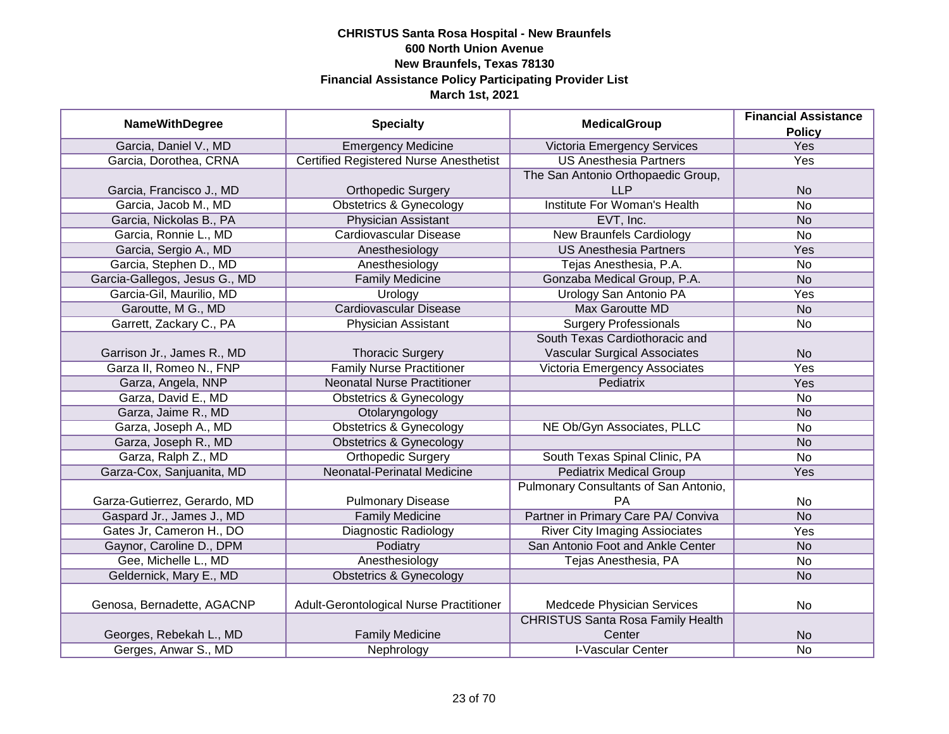|                               |                                               |                                          | <b>Financial Assistance</b> |
|-------------------------------|-----------------------------------------------|------------------------------------------|-----------------------------|
| <b>NameWithDegree</b>         | <b>Specialty</b>                              | <b>MedicalGroup</b>                      | <b>Policy</b>               |
| Garcia, Daniel V., MD         | <b>Emergency Medicine</b>                     | Victoria Emergency Services              | <b>Yes</b>                  |
| Garcia, Dorothea, CRNA        | <b>Certified Registered Nurse Anesthetist</b> | <b>US Anesthesia Partners</b>            | Yes                         |
|                               |                                               | The San Antonio Orthopaedic Group,       |                             |
| Garcia, Francisco J., MD      | <b>Orthopedic Surgery</b>                     | <b>LLP</b>                               | <b>No</b>                   |
| Garcia, Jacob M., MD          | Obstetrics & Gynecology                       | <b>Institute For Woman's Health</b>      | <b>No</b>                   |
| Garcia, Nickolas B., PA       | Physician Assistant                           | EVT, Inc.                                | <b>No</b>                   |
| Garcia, Ronnie L., MD         | Cardiovascular Disease                        | <b>New Braunfels Cardiology</b>          | <b>No</b>                   |
| Garcia, Sergio A., MD         | Anesthesiology                                | <b>US Anesthesia Partners</b>            | Yes                         |
| Garcia, Stephen D., MD        | Anesthesiology                                | Tejas Anesthesia, P.A.                   | No                          |
| Garcia-Gallegos, Jesus G., MD | <b>Family Medicine</b>                        | Gonzaba Medical Group, P.A.              | <b>No</b>                   |
| Garcia-Gil, Maurilio, MD      | Urology                                       | Urology San Antonio PA                   | Yes                         |
| Garoutte, M G., MD            | <b>Cardiovascular Disease</b>                 | <b>Max Garoutte MD</b>                   | <b>No</b>                   |
| Garrett, Zackary C., PA       | <b>Physician Assistant</b>                    | <b>Surgery Professionals</b>             | <b>No</b>                   |
|                               |                                               | South Texas Cardiothoracic and           |                             |
| Garrison Jr., James R., MD    | <b>Thoracic Surgery</b>                       | <b>Vascular Surgical Associates</b>      | <b>No</b>                   |
| Garza II, Romeo N., FNP       | <b>Family Nurse Practitioner</b>              | Victoria Emergency Associates            | Yes                         |
| Garza, Angela, NNP            | <b>Neonatal Nurse Practitioner</b>            | Pediatrix                                | Yes                         |
| Garza, David E., MD           | <b>Obstetrics &amp; Gynecology</b>            |                                          | No                          |
| Garza, Jaime R., MD           | Otolaryngology                                |                                          | <b>No</b>                   |
| Garza, Joseph A., MD          | <b>Obstetrics &amp; Gynecology</b>            | NE Ob/Gyn Associates, PLLC               | No                          |
| Garza, Joseph R., MD          | <b>Obstetrics &amp; Gynecology</b>            |                                          | <b>No</b>                   |
| Garza, Ralph Z., MD           | <b>Orthopedic Surgery</b>                     | South Texas Spinal Clinic, PA            | No                          |
| Garza-Cox, Sanjuanita, MD     | Neonatal-Perinatal Medicine                   | <b>Pediatrix Medical Group</b>           | Yes                         |
|                               |                                               | Pulmonary Consultants of San Antonio,    |                             |
| Garza-Gutierrez, Gerardo, MD  | <b>Pulmonary Disease</b>                      | PA                                       | No                          |
| Gaspard Jr., James J., MD     | <b>Family Medicine</b>                        | Partner in Primary Care PA/ Conviva      | <b>No</b>                   |
| Gates Jr, Cameron H., DO      | <b>Diagnostic Radiology</b>                   | <b>River City Imaging Assiociates</b>    | Yes                         |
| Gaynor, Caroline D., DPM      | Podiatry                                      | San Antonio Foot and Ankle Center        | <b>No</b>                   |
| Gee, Michelle L., MD          | Anesthesiology                                | Tejas Anesthesia, PA                     | No                          |
| Geldernick, Mary E., MD       | <b>Obstetrics &amp; Gynecology</b>            |                                          | <b>No</b>                   |
|                               |                                               |                                          |                             |
| Genosa, Bernadette, AGACNP    | Adult-Gerontological Nurse Practitioner       | Medcede Physician Services               | <b>No</b>                   |
|                               |                                               | <b>CHRISTUS Santa Rosa Family Health</b> |                             |
| Georges, Rebekah L., MD       | <b>Family Medicine</b>                        | Center                                   | <b>No</b>                   |
| Gerges, Anwar S., MD          | Nephrology                                    | <b>I-Vascular Center</b>                 | $\overline{No}$             |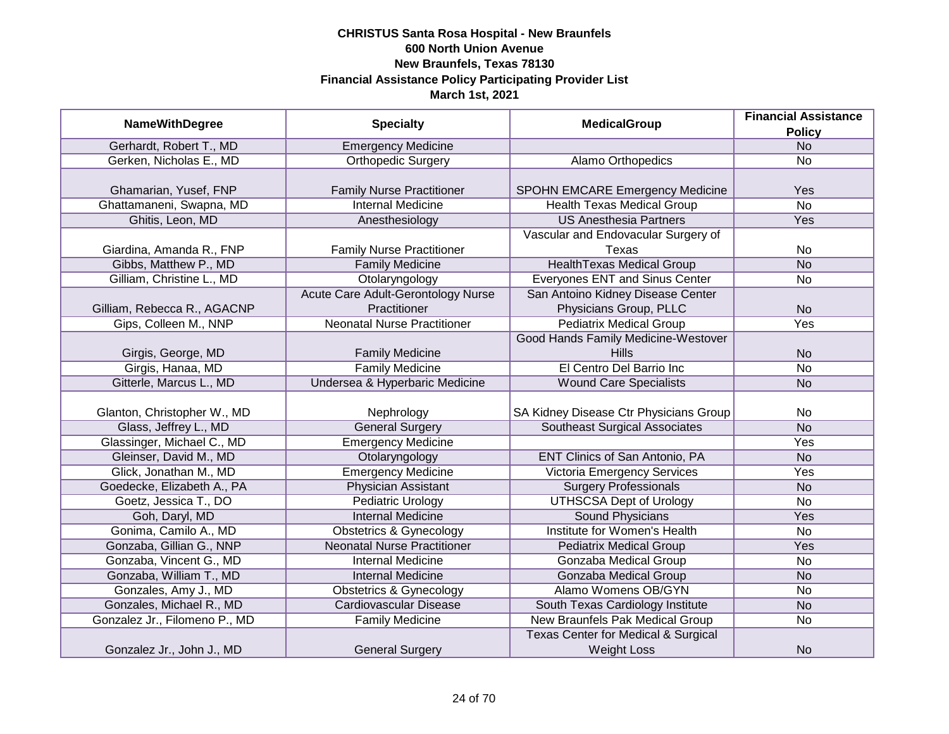|                               |                                           | <b>MedicalGroup</b>                            | <b>Financial Assistance</b> |
|-------------------------------|-------------------------------------------|------------------------------------------------|-----------------------------|
| <b>NameWithDegree</b>         | <b>Specialty</b>                          |                                                | <b>Policy</b>               |
| Gerhardt, Robert T., MD       | <b>Emergency Medicine</b>                 |                                                | N <sub>o</sub>              |
| Gerken, Nicholas E., MD       | <b>Orthopedic Surgery</b>                 | Alamo Orthopedics                              | No                          |
|                               |                                           |                                                |                             |
| Ghamarian, Yusef, FNP         | <b>Family Nurse Practitioner</b>          | <b>SPOHN EMCARE Emergency Medicine</b>         | Yes                         |
| Ghattamaneni, Swapna, MD      | <b>Internal Medicine</b>                  | <b>Health Texas Medical Group</b>              | $\overline{No}$             |
| Ghitis, Leon, MD              | Anesthesiology                            | <b>US Anesthesia Partners</b>                  | Yes                         |
|                               |                                           | Vascular and Endovacular Surgery of            |                             |
| Giardina, Amanda R., FNP      | <b>Family Nurse Practitioner</b>          | Texas                                          | No                          |
| Gibbs, Matthew P., MD         | <b>Family Medicine</b>                    | <b>HealthTexas Medical Group</b>               | <b>No</b>                   |
| Gilliam, Christine L., MD     | Otolaryngology                            | Everyones ENT and Sinus Center                 | No                          |
|                               | <b>Acute Care Adult-Gerontology Nurse</b> | San Antoino Kidney Disease Center              |                             |
| Gilliam, Rebecca R., AGACNP   | Practitioner                              | Physicians Group, PLLC                         | <b>No</b>                   |
| Gips, Colleen M., NNP         | <b>Neonatal Nurse Practitioner</b>        | <b>Pediatrix Medical Group</b>                 | Yes                         |
|                               |                                           | Good Hands Family Medicine-Westover            |                             |
| Girgis, George, MD            | <b>Family Medicine</b>                    | Hills                                          | <b>No</b>                   |
| Girgis, Hanaa, MD             | <b>Family Medicine</b>                    | El Centro Del Barrio Inc                       | No                          |
| Gitterle, Marcus L., MD       | Undersea & Hyperbaric Medicine            | <b>Wound Care Specialists</b>                  | <b>No</b>                   |
|                               |                                           |                                                |                             |
| Glanton, Christopher W., MD   | Nephrology                                | SA Kidney Disease Ctr Physicians Group         | No                          |
| Glass, Jeffrey L., MD         | <b>General Surgery</b>                    | <b>Southeast Surgical Associates</b>           | <b>No</b>                   |
| Glassinger, Michael C., MD    | <b>Emergency Medicine</b>                 |                                                | Yes                         |
| Gleinser, David M., MD        | Otolaryngology                            | <b>ENT Clinics of San Antonio, PA</b>          | <b>No</b>                   |
| Glick, Jonathan M., MD        | <b>Emergency Medicine</b>                 | <b>Victoria Emergency Services</b>             | Yes                         |
| Goedecke, Elizabeth A., PA    | <b>Physician Assistant</b>                | <b>Surgery Professionals</b>                   | <b>No</b>                   |
| Goetz, Jessica T., DO         | <b>Pediatric Urology</b>                  | <b>UTHSCSA Dept of Urology</b>                 | <b>No</b>                   |
| Goh, Daryl, MD                | <b>Internal Medicine</b>                  | <b>Sound Physicians</b>                        | Yes                         |
| Gonima, Camilo A., MD         | <b>Obstetrics &amp; Gynecology</b>        | Institute for Women's Health                   | No                          |
| Gonzaba, Gillian G., NNP      | <b>Neonatal Nurse Practitioner</b>        | <b>Pediatrix Medical Group</b>                 | Yes                         |
| Gonzaba, Vincent G., MD       | <b>Internal Medicine</b>                  | Gonzaba Medical Group                          | No                          |
| Gonzaba, William T., MD       | <b>Internal Medicine</b>                  | Gonzaba Medical Group                          | <b>No</b>                   |
| Gonzales, Amy J., MD          | <b>Obstetrics &amp; Gynecology</b>        | Alamo Womens OB/GYN                            | No                          |
| Gonzales, Michael R., MD      | <b>Cardiovascular Disease</b>             | South Texas Cardiology Institute               | <b>No</b>                   |
| Gonzalez Jr., Filomeno P., MD | <b>Family Medicine</b>                    | New Braunfels Pak Medical Group                | No                          |
|                               |                                           | <b>Texas Center for Medical &amp; Surgical</b> |                             |
| Gonzalez Jr., John J., MD     | <b>General Surgery</b>                    | <b>Weight Loss</b>                             | <b>No</b>                   |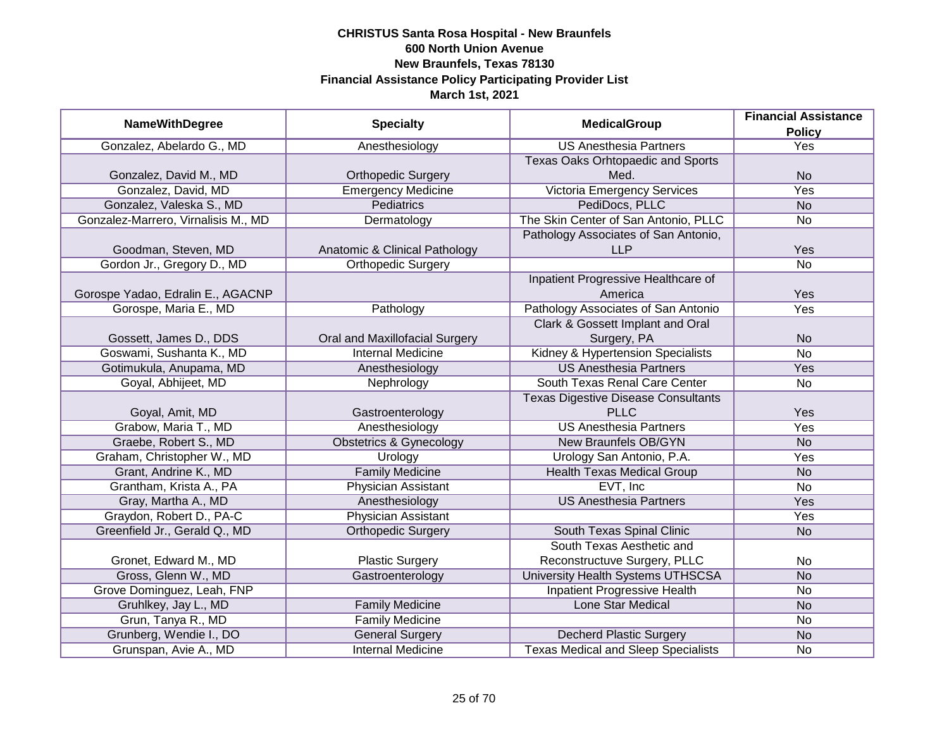|                                     |                                    | <b>MedicalGroup</b>                        | <b>Financial Assistance</b> |
|-------------------------------------|------------------------------------|--------------------------------------------|-----------------------------|
| <b>NameWithDegree</b>               | <b>Specialty</b>                   |                                            | <b>Policy</b>               |
| Gonzalez, Abelardo G., MD           | Anesthesiology                     | <b>US Anesthesia Partners</b>              | <b>Yes</b>                  |
|                                     |                                    | Texas Oaks Orhtopaedic and Sports          |                             |
| Gonzalez, David M., MD              | <b>Orthopedic Surgery</b>          | Med.                                       | <b>No</b>                   |
| Gonzalez, David, MD                 | <b>Emergency Medicine</b>          | Victoria Emergency Services                | <b>Yes</b>                  |
| Gonzalez, Valeska S., MD            | <b>Pediatrics</b>                  | PediDocs, PLLC                             | <b>No</b>                   |
| Gonzalez-Marrero, Virnalisis M., MD | Dermatology                        | The Skin Center of San Antonio, PLLC       | No                          |
|                                     |                                    | Pathology Associates of San Antonio,       |                             |
| Goodman, Steven, MD                 | Anatomic & Clinical Pathology      | <b>LLP</b>                                 | Yes                         |
| Gordon Jr., Gregory D., MD          | <b>Orthopedic Surgery</b>          |                                            | <b>No</b>                   |
|                                     |                                    | Inpatient Progressive Healthcare of        |                             |
| Gorospe Yadao, Edralin E., AGACNP   |                                    | America                                    | Yes                         |
| Gorospe, Maria E., MD               | Pathology                          | Pathology Associates of San Antonio        | Yes                         |
|                                     |                                    | Clark & Gossett Implant and Oral           |                             |
| Gossett, James D., DDS              | Oral and Maxillofacial Surgery     | Surgery, PA                                | <b>No</b>                   |
| Goswami, Sushanta K., MD            | <b>Internal Medicine</b>           | Kidney & Hypertension Specialists          | <b>No</b>                   |
| Gotimukula, Anupama, MD             | Anesthesiology                     | <b>US Anesthesia Partners</b>              | Yes                         |
| Goyal, Abhijeet, MD                 | Nephrology                         | South Texas Renal Care Center              | No                          |
|                                     |                                    | <b>Texas Digestive Disease Consultants</b> |                             |
| Goyal, Amit, MD                     | Gastroenterology                   | <b>PLLC</b>                                | Yes                         |
| Grabow, Maria T., MD                | Anesthesiology                     | <b>US Anesthesia Partners</b>              | Yes                         |
| Graebe, Robert S., MD               | <b>Obstetrics &amp; Gynecology</b> | New Braunfels OB/GYN                       | <b>No</b>                   |
| Graham, Christopher W., MD          | Urology                            | Urology San Antonio, P.A.                  | Yes                         |
| Grant, Andrine K., MD               | <b>Family Medicine</b>             | <b>Health Texas Medical Group</b>          | <b>No</b>                   |
| Grantham, Krista A., PA             | <b>Physician Assistant</b>         | EVT, Inc                                   | No                          |
| Gray, Martha A., MD                 | Anesthesiology                     | <b>US Anesthesia Partners</b>              | Yes                         |
| Graydon, Robert D., PA-C            | <b>Physician Assistant</b>         |                                            | Yes                         |
| Greenfield Jr., Gerald Q., MD       | <b>Orthopedic Surgery</b>          | South Texas Spinal Clinic                  | <b>No</b>                   |
|                                     |                                    | South Texas Aesthetic and                  |                             |
| Gronet, Edward M., MD               | <b>Plastic Surgery</b>             | Reconstructuve Surgery, PLLC               | No                          |
| Gross, Glenn W., MD                 | Gastroenterology                   | University Health Systems UTHSCSA          | <b>No</b>                   |
| Grove Dominguez, Leah, FNP          |                                    | <b>Inpatient Progressive Health</b>        | No                          |
| Gruhlkey, Jay L., MD                | <b>Family Medicine</b>             | <b>Lone Star Medical</b>                   | <b>No</b>                   |
| Grun, Tanya R., MD                  | <b>Family Medicine</b>             |                                            | No                          |
| Grunberg, Wendie I., DO             | <b>General Surgery</b>             | <b>Decherd Plastic Surgery</b>             | <b>No</b>                   |
| Grunspan, Avie A., MD               | <b>Internal Medicine</b>           | <b>Texas Medical and Sleep Specialists</b> | No                          |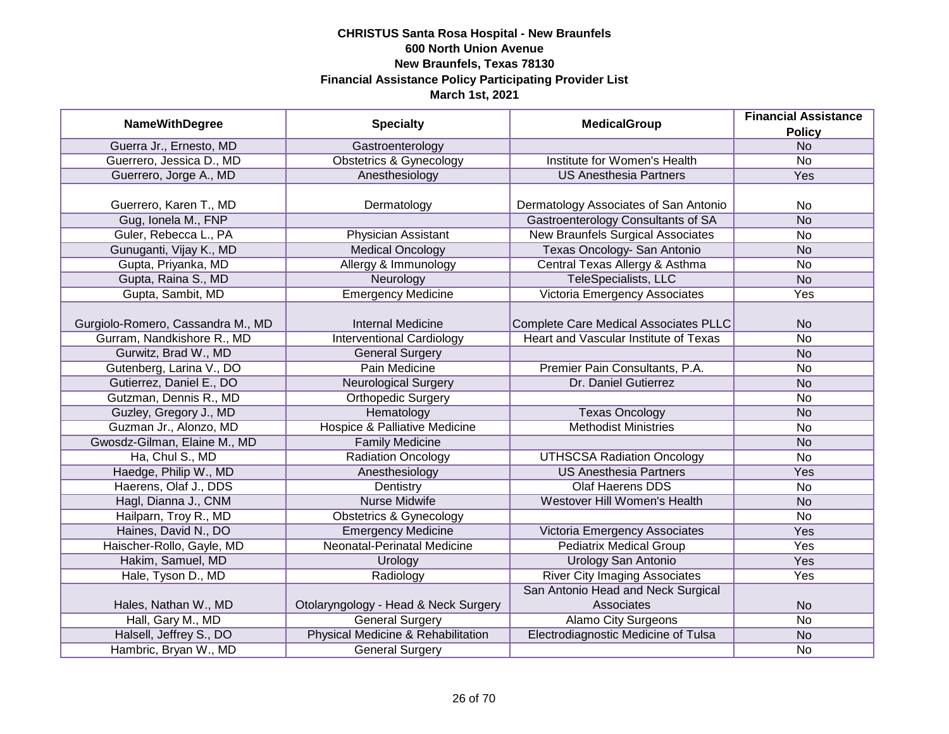|                                   |                                          | <b>MedicalGroup</b>                   | <b>Financial Assistance</b> |
|-----------------------------------|------------------------------------------|---------------------------------------|-----------------------------|
| <b>NameWithDegree</b>             | <b>Specialty</b>                         |                                       | <b>Policy</b>               |
| Guerra Jr., Ernesto, MD           | Gastroenterology                         |                                       | <b>No</b>                   |
| Guerrero, Jessica D., MD          | <b>Obstetrics &amp; Gynecology</b>       | Institute for Women's Health          | $\overline{No}$             |
| Guerrero, Jorge A., MD            | Anesthesiology                           | <b>US Anesthesia Partners</b>         | <b>Yes</b>                  |
|                                   |                                          |                                       |                             |
| Guerrero, Karen T., MD            | Dermatology                              | Dermatology Associates of San Antonio | No                          |
| Gug, Ionela M., FNP               |                                          | Gastroenterology Consultants of SA    | <b>No</b>                   |
| Guler, Rebecca L., PA             | Physician Assistant                      | New Braunfels Surgical Associates     | <b>No</b>                   |
| Gunuganti, Vijay K., MD           | <b>Medical Oncology</b>                  | Texas Oncology- San Antonio           | <b>No</b>                   |
| Gupta, Priyanka, MD               | Allergy & Immunology                     | Central Texas Allergy & Asthma        | No                          |
| Gupta, Raina S., MD               | Neurology                                | TeleSpecialists, LLC                  | <b>No</b>                   |
| Gupta, Sambit, MD                 | <b>Emergency Medicine</b>                | Victoria Emergency Associates         | Yes                         |
|                                   |                                          |                                       |                             |
| Gurgiolo-Romero, Cassandra M., MD | <b>Internal Medicine</b>                 | Complete Care Medical Associates PLLC | N <sub>o</sub>              |
| Gurram, Nandkishore R., MD        | <b>Interventional Cardiology</b>         | Heart and Vascular Institute of Texas | <b>No</b>                   |
| Gurwitz, Brad W., MD              | <b>General Surgery</b>                   |                                       | <b>No</b>                   |
| Gutenberg, Larina V., DO          | Pain Medicine                            | Premier Pain Consultants, P.A.        | No                          |
| Gutierrez, Daniel E., DO          | <b>Neurological Surgery</b>              | Dr. Daniel Gutierrez                  | <b>No</b>                   |
| Gutzman, Dennis R., MD            | <b>Orthopedic Surgery</b>                |                                       | <b>No</b>                   |
| Guzley, Gregory J., MD            | Hematology                               | <b>Texas Oncology</b>                 | <b>No</b>                   |
| Guzman Jr., Alonzo, MD            | <b>Hospice &amp; Palliative Medicine</b> | <b>Methodist Ministries</b>           | <b>No</b>                   |
| Gwosdz-Gilman, Elaine M., MD      | <b>Family Medicine</b>                   |                                       | <b>No</b>                   |
| Ha, Chul S., MD                   | <b>Radiation Oncology</b>                | <b>UTHSCSA Radiation Oncology</b>     | <b>No</b>                   |
| Haedge, Philip W., MD             | Anesthesiology                           | <b>US Anesthesia Partners</b>         | Yes                         |
| Haerens, Olaf J., DDS             | Dentistry                                | <b>Olaf Haerens DDS</b>               | No                          |
| Hagl, Dianna J., CNM              | <b>Nurse Midwife</b>                     | Westover Hill Women's Health          | <b>No</b>                   |
| Hailparn, Troy R., MD             | <b>Obstetrics &amp; Gynecology</b>       |                                       | <b>No</b>                   |
| Haines, David N., DO              | <b>Emergency Medicine</b>                | Victoria Emergency Associates         | Yes                         |
| Haischer-Rollo, Gayle, MD         | Neonatal-Perinatal Medicine              | <b>Pediatrix Medical Group</b>        | Yes                         |
| Hakim, Samuel, MD                 | Urology                                  | <b>Urology San Antonio</b>            | Yes                         |
| Hale, Tyson D., MD                | Radiology                                | <b>River City Imaging Associates</b>  | Yes                         |
|                                   |                                          | San Antonio Head and Neck Surgical    |                             |
| Hales, Nathan W., MD              | Otolaryngology - Head & Neck Surgery     | Associates                            | <b>No</b>                   |
| Hall, Gary M., MD                 | <b>General Surgery</b>                   | <b>Alamo City Surgeons</b>            | $\overline{No}$             |
| Halsell, Jeffrey S., DO           | Physical Medicine & Rehabilitation       | Electrodiagnostic Medicine of Tulsa   | <b>No</b>                   |
| Hambric, Bryan W., MD             | <b>General Surgery</b>                   |                                       | <b>No</b>                   |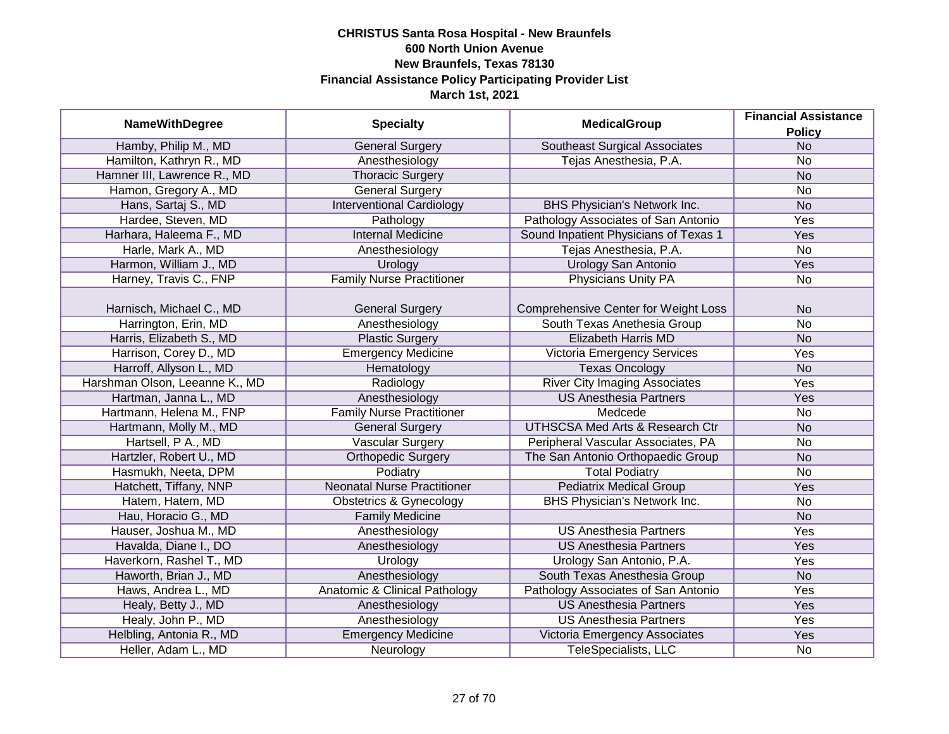|                                |                                    | <b>MedicalGroup</b>                         | <b>Financial Assistance</b> |
|--------------------------------|------------------------------------|---------------------------------------------|-----------------------------|
| <b>NameWithDegree</b>          | <b>Specialty</b>                   |                                             | <b>Policy</b>               |
| Hamby, Philip M., MD           | <b>General Surgery</b>             | <b>Southeast Surgical Associates</b>        | N <sub>o</sub>              |
| Hamilton, Kathryn R., MD       | Anesthesiology                     | Tejas Anesthesia, P.A.                      | No                          |
| Hamner III, Lawrence R., MD    | <b>Thoracic Surgery</b>            |                                             | N <sub>o</sub>              |
| Hamon, Gregory A., MD          | <b>General Surgery</b>             |                                             | No                          |
| Hans, Sartaj S., MD            | <b>Interventional Cardiology</b>   | BHS Physician's Network Inc.                | <b>No</b>                   |
| Hardee, Steven, MD             | Pathology                          | Pathology Associates of San Antonio         | <b>Yes</b>                  |
| Harhara, Haleema F., MD        | <b>Internal Medicine</b>           | Sound Inpatient Physicians of Texas 1       | Yes                         |
| Harle, Mark A., MD             | Anesthesiology                     | Tejas Anesthesia, P.A.                      | <b>No</b>                   |
| Harmon, William J., MD         | Urology                            | Urology San Antonio                         | Yes                         |
| Harney, Travis C., FNP         | <b>Family Nurse Practitioner</b>   | Physicians Unity PA                         | No                          |
|                                |                                    |                                             |                             |
| Harnisch, Michael C., MD       | <b>General Surgery</b>             | <b>Comprehensive Center for Weight Loss</b> | <b>No</b>                   |
| Harrington, Erin, MD           | Anesthesiology                     | South Texas Anethesia Group                 | <b>No</b>                   |
| Harris, Elizabeth S., MD       | <b>Plastic Surgery</b>             | <b>Elizabeth Harris MD</b>                  | <b>No</b>                   |
| Harrison, Corey D., MD         | <b>Emergency Medicine</b>          | <b>Victoria Emergency Services</b>          | Yes                         |
| Harroff, Allyson L., MD        | Hematology                         | <b>Texas Oncology</b>                       | <b>No</b>                   |
| Harshman Olson, Leeanne K., MD | Radiology                          | <b>River City Imaging Associates</b>        | Yes                         |
| Hartman, Janna L., MD          | Anesthesiology                     | <b>US Anesthesia Partners</b>               | Yes                         |
| Hartmann, Helena M., FNP       | <b>Family Nurse Practitioner</b>   | Medcede                                     | No                          |
| Hartmann, Molly M., MD         | <b>General Surgery</b>             | <b>UTHSCSA Med Arts &amp; Research Ctr</b>  | <b>No</b>                   |
| Hartsell, P A., MD             | <b>Vascular Surgery</b>            | Peripheral Vascular Associates, PA          | No                          |
| Hartzler, Robert U., MD        | <b>Orthopedic Surgery</b>          | The San Antonio Orthopaedic Group           | <b>No</b>                   |
| Hasmukh, Neeta, DPM            | Podiatry                           | <b>Total Podiatry</b>                       | <b>No</b>                   |
| Hatchett, Tiffany, NNP         | <b>Neonatal Nurse Practitioner</b> | <b>Pediatrix Medical Group</b>              | Yes                         |
| Hatem, Hatem, MD               | <b>Obstetrics &amp; Gynecology</b> | <b>BHS Physician's Network Inc.</b>         | <b>No</b>                   |
| Hau, Horacio G., MD            | <b>Family Medicine</b>             |                                             | <b>No</b>                   |
| Hauser, Joshua M., MD          | Anesthesiology                     | <b>US Anesthesia Partners</b>               | Yes                         |
| Havalda, Diane I., DO          | Anesthesiology                     | <b>US Anesthesia Partners</b>               | Yes                         |
| Haverkorn, Rashel T., MD       | Urology                            | Urology San Antonio, P.A.                   | Yes                         |
| Haworth, Brian J., MD          | Anesthesiology                     | South Texas Anesthesia Group                | <b>No</b>                   |
| Haws, Andrea L., MD            | Anatomic & Clinical Pathology      | Pathology Associates of San Antonio         | Yes                         |
| Healy, Betty J., MD            | Anesthesiology                     | <b>US Anesthesia Partners</b>               | Yes                         |
| Healy, John P., MD             | Anesthesiology                     | <b>US Anesthesia Partners</b>               | Yes                         |
| Helbling, Antonia R., MD       | <b>Emergency Medicine</b>          | Victoria Emergency Associates               | Yes                         |
| Heller, Adam L., MD            | Neurology                          | <b>TeleSpecialists, LLC</b>                 | No                          |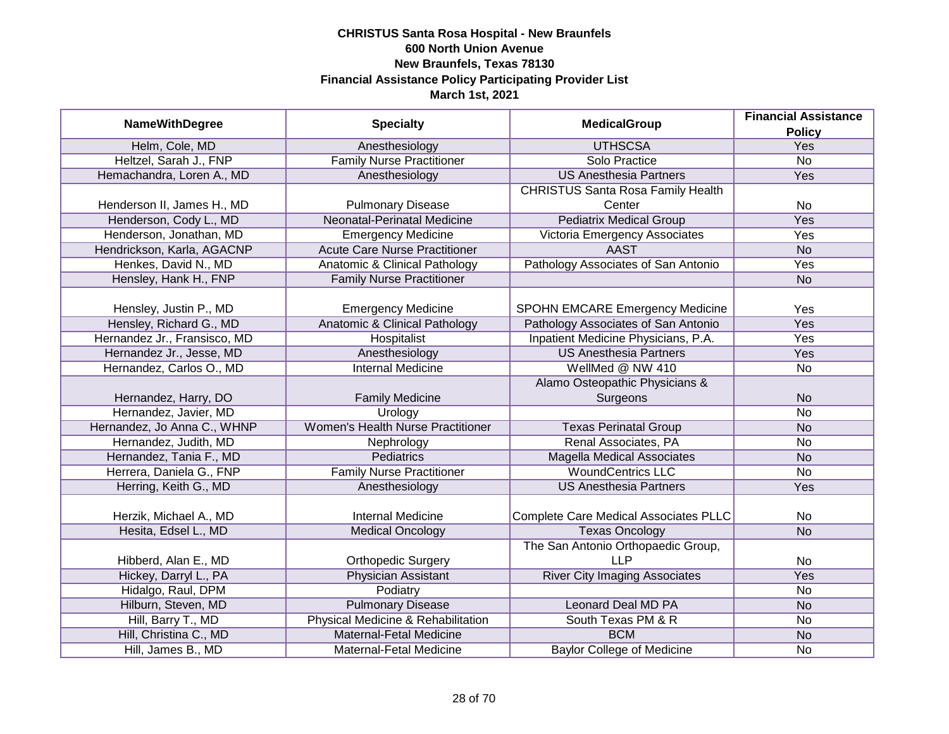|                              |                                          | <b>Financial Assistance</b>                  |                 |
|------------------------------|------------------------------------------|----------------------------------------------|-----------------|
| <b>NameWithDegree</b>        | <b>Specialty</b>                         | <b>MedicalGroup</b>                          | <b>Policy</b>   |
| Helm, Cole, MD               | Anesthesiology                           | <b>UTHSCSA</b>                               | Yes             |
| Heltzel, Sarah J., FNP       | <b>Family Nurse Practitioner</b>         | Solo Practice                                | $\overline{No}$ |
| Hemachandra, Loren A., MD    | Anesthesiology                           | <b>US Anesthesia Partners</b>                | <b>Yes</b>      |
|                              |                                          | <b>CHRISTUS Santa Rosa Family Health</b>     |                 |
| Henderson II, James H., MD   | <b>Pulmonary Disease</b>                 | Center                                       | <b>No</b>       |
| Henderson, Cody L., MD       | Neonatal-Perinatal Medicine              | <b>Pediatrix Medical Group</b>               | <b>Yes</b>      |
| Henderson, Jonathan, MD      | <b>Emergency Medicine</b>                | Victoria Emergency Associates                | <b>Yes</b>      |
| Hendrickson, Karla, AGACNP   | <b>Acute Care Nurse Practitioner</b>     | <b>AAST</b>                                  | <b>No</b>       |
| Henkes, David N., MD         | Anatomic & Clinical Pathology            | Pathology Associates of San Antonio          | Yes             |
| Hensley, Hank H., FNP        | <b>Family Nurse Practitioner</b>         |                                              | <b>No</b>       |
|                              |                                          |                                              |                 |
| Hensley, Justin P., MD       | <b>Emergency Medicine</b>                | <b>SPOHN EMCARE Emergency Medicine</b>       | Yes             |
| Hensley, Richard G., MD      | <b>Anatomic &amp; Clinical Pathology</b> | Pathology Associates of San Antonio          | Yes             |
| Hernandez Jr., Fransisco, MD | <b>Hospitalist</b>                       | Inpatient Medicine Physicians, P.A.          | Yes             |
| Hernandez Jr., Jesse, MD     | Anesthesiology                           | <b>US Anesthesia Partners</b>                | Yes             |
| Hernandez, Carlos O., MD     | <b>Internal Medicine</b>                 | WellMed @ NW 410                             | No              |
|                              |                                          | Alamo Osteopathic Physicians &               |                 |
| Hernandez, Harry, DO         | <b>Family Medicine</b>                   | Surgeons                                     | <b>No</b>       |
| Hernandez, Javier, MD        | Urology                                  |                                              | <b>No</b>       |
| Hernandez, Jo Anna C., WHNP  | <b>Women's Health Nurse Practitioner</b> | <b>Texas Perinatal Group</b>                 | <b>No</b>       |
| Hernandez, Judith, MD        | Nephrology                               | Renal Associates, PA                         | <b>No</b>       |
| Hernandez, Tania F., MD      | <b>Pediatrics</b>                        | <b>Magella Medical Associates</b>            | <b>No</b>       |
| Herrera, Daniela G., FNP     | <b>Family Nurse Practitioner</b>         | <b>WoundCentrics LLC</b>                     | <b>No</b>       |
| Herring, Keith G., MD        | Anesthesiology                           | <b>US Anesthesia Partners</b>                | Yes             |
|                              |                                          |                                              |                 |
| Herzik, Michael A., MD       | <b>Internal Medicine</b>                 | <b>Complete Care Medical Associates PLLC</b> | No              |
| Hesita, Edsel L., MD         | <b>Medical Oncology</b>                  | <b>Texas Oncology</b>                        | <b>No</b>       |
|                              |                                          | The San Antonio Orthopaedic Group,           |                 |
| Hibberd, Alan E., MD         | <b>Orthopedic Surgery</b>                | <b>LLP</b>                                   | No              |
| Hickey, Darryl L., PA        | <b>Physician Assistant</b>               | <b>River City Imaging Associates</b>         | Yes             |
| Hidalgo, Raul, DPM           | Podiatry                                 |                                              | No              |
| Hilburn, Steven, MD          | <b>Pulmonary Disease</b>                 | <b>Leonard Deal MD PA</b>                    | <b>No</b>       |
| Hill, Barry T., MD           | Physical Medicine & Rehabilitation       | South Texas PM & R                           | $\overline{No}$ |
| Hill, Christina C., MD       | <b>Maternal-Fetal Medicine</b>           | <b>BCM</b>                                   | <b>No</b>       |
| Hill, James B., MD           | Maternal-Fetal Medicine                  | <b>Baylor College of Medicine</b>            | No              |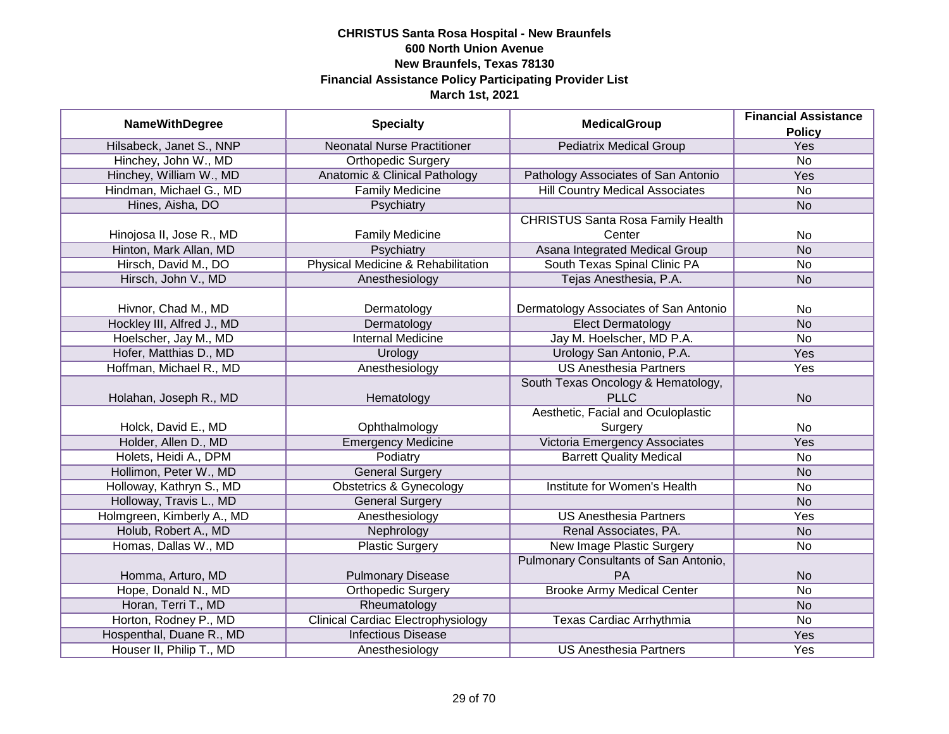|                            |                                           |                                          | <b>Financial Assistance</b> |
|----------------------------|-------------------------------------------|------------------------------------------|-----------------------------|
| <b>NameWithDegree</b>      | <b>Specialty</b>                          | <b>MedicalGroup</b>                      | <b>Policy</b>               |
| Hilsabeck, Janet S., NNP   | <b>Neonatal Nurse Practitioner</b>        | <b>Pediatrix Medical Group</b>           | Yes                         |
| Hinchey, John W., MD       | <b>Orthopedic Surgery</b>                 |                                          | $\overline{No}$             |
| Hinchey, William W., MD    | <b>Anatomic &amp; Clinical Pathology</b>  | Pathology Associates of San Antonio      | <b>Yes</b>                  |
| Hindman, Michael G., MD    | <b>Family Medicine</b>                    | <b>Hill Country Medical Associates</b>   | $\overline{No}$             |
| Hines, Aisha, DO           | Psychiatry                                |                                          | <b>No</b>                   |
|                            |                                           | <b>CHRISTUS Santa Rosa Family Health</b> |                             |
| Hinojosa II, Jose R., MD   | <b>Family Medicine</b>                    | Center                                   | <b>No</b>                   |
| Hinton, Mark Allan, MD     | Psychiatry                                | Asana Integrated Medical Group           | <b>No</b>                   |
| Hirsch, David M., DO       | Physical Medicine & Rehabilitation        | South Texas Spinal Clinic PA             | <b>No</b>                   |
| Hirsch, John V., MD        | Anesthesiology                            | Tejas Anesthesia, P.A.                   | <b>No</b>                   |
|                            |                                           |                                          |                             |
| Hivnor, Chad M., MD        | Dermatology                               | Dermatology Associates of San Antonio    | No                          |
| Hockley III, Alfred J., MD | Dermatology                               | <b>Elect Dermatology</b>                 | <b>No</b>                   |
| Hoelscher, Jay M., MD      | <b>Internal Medicine</b>                  | Jay M. Hoelscher, MD P.A.                | No                          |
| Hofer, Matthias D., MD     | Urology                                   | Urology San Antonio, P.A.                | Yes                         |
| Hoffman, Michael R., MD    | Anesthesiology                            | <b>US Anesthesia Partners</b>            | Yes                         |
|                            |                                           | South Texas Oncology & Hematology,       |                             |
| Holahan, Joseph R., MD     | Hematology                                | <b>PLLC</b>                              | <b>No</b>                   |
|                            |                                           | Aesthetic, Facial and Oculoplastic       |                             |
| Holck, David E., MD        | Ophthalmology                             | Surgery                                  | No                          |
| Holder, Allen D., MD       | <b>Emergency Medicine</b>                 | Victoria Emergency Associates            | Yes                         |
| Holets, Heidi A., DPM      | Podiatry                                  | <b>Barrett Quality Medical</b>           | No                          |
| Hollimon, Peter W., MD     | <b>General Surgery</b>                    |                                          | <b>No</b>                   |
| Holloway, Kathryn S., MD   | <b>Obstetrics &amp; Gynecology</b>        | <b>Institute for Women's Health</b>      | <b>No</b>                   |
| Holloway, Travis L., MD    | <b>General Surgery</b>                    |                                          | <b>No</b>                   |
| Holmgreen, Kimberly A., MD | Anesthesiology                            | <b>US Anesthesia Partners</b>            | Yes                         |
| Holub, Robert A., MD       | Nephrology                                | Renal Associates, PA.                    | <b>No</b>                   |
| Homas, Dallas W., MD       | <b>Plastic Surgery</b>                    | <b>New Image Plastic Surgery</b>         | No                          |
|                            |                                           | Pulmonary Consultants of San Antonio,    |                             |
| Homma, Arturo, MD          | <b>Pulmonary Disease</b>                  | PA                                       | <b>No</b>                   |
| Hope, Donald N., MD        | <b>Orthopedic Surgery</b>                 | <b>Brooke Army Medical Center</b>        | $\overline{No}$             |
| Horan, Terri T., MD        | Rheumatology                              |                                          | <b>No</b>                   |
| Horton, Rodney P., MD      | <b>Clinical Cardiac Electrophysiology</b> | Texas Cardiac Arrhythmia                 | No                          |
| Hospenthal, Duane R., MD   | <b>Infectious Disease</b>                 |                                          | <b>Yes</b>                  |
| Houser II, Philip T., MD   | Anesthesiology                            | <b>US Anesthesia Partners</b>            | Yes                         |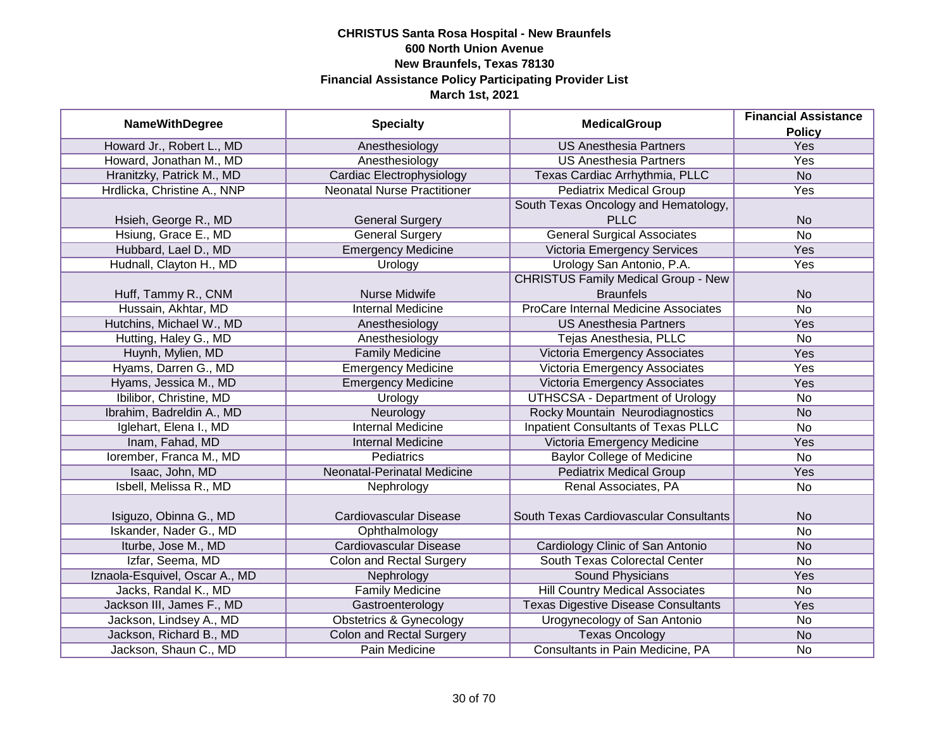| <b>NameWithDegree</b>          | <b>Specialty</b>                   | <b>MedicalGroup</b>                        | <b>Financial Assistance</b> |
|--------------------------------|------------------------------------|--------------------------------------------|-----------------------------|
|                                |                                    |                                            | <b>Policy</b>               |
| Howard Jr., Robert L., MD      | Anesthesiology                     | <b>US Anesthesia Partners</b>              | Yes                         |
| Howard, Jonathan M., MD        | Anesthesiology                     | <b>US Anesthesia Partners</b>              | Yes                         |
| Hranitzky, Patrick M., MD      | <b>Cardiac Electrophysiology</b>   | Texas Cardiac Arrhythmia, PLLC             | N <sub>o</sub>              |
| Hrdlicka, Christine A., NNP    | <b>Neonatal Nurse Practitioner</b> | <b>Pediatrix Medical Group</b>             | Yes                         |
|                                |                                    | South Texas Oncology and Hematology,       |                             |
| Hsieh, George R., MD           | <b>General Surgery</b>             | <b>PLLC</b>                                | <b>No</b>                   |
| Hsiung, Grace E., MD           | <b>General Surgery</b>             | <b>General Surgical Associates</b>         | $\overline{No}$             |
| Hubbard, Lael D., MD           | <b>Emergency Medicine</b>          | <b>Victoria Emergency Services</b>         | <b>Yes</b>                  |
| Hudnall, Clayton H., MD        | Urology                            | Urology San Antonio, P.A.                  | Yes                         |
|                                |                                    | <b>CHRISTUS Family Medical Group - New</b> |                             |
| Huff, Tammy R., CNM            | Nurse Midwife                      | <b>Braunfels</b>                           | <b>No</b>                   |
| Hussain, Akhtar, MD            | <b>Internal Medicine</b>           | ProCare Internal Medicine Associates       | <b>No</b>                   |
| Hutchins, Michael W., MD       | Anesthesiology                     | <b>US Anesthesia Partners</b>              | Yes                         |
| Hutting, Haley G., MD          | Anesthesiology                     | Tejas Anesthesia, PLLC                     | No                          |
| Huynh, Mylien, MD              | <b>Family Medicine</b>             | Victoria Emergency Associates              | Yes                         |
| Hyams, Darren G., MD           | <b>Emergency Medicine</b>          | Victoria Emergency Associates              | Yes                         |
| Hyams, Jessica M., MD          | <b>Emergency Medicine</b>          | Victoria Emergency Associates              | Yes                         |
| Ibilibor, Christine, MD        | Urology                            | <b>UTHSCSA - Department of Urology</b>     | No                          |
| Ibrahim, Badreldin A., MD      | Neurology                          | Rocky Mountain Neurodiagnostics            | <b>No</b>                   |
| Iglehart, Elena I., MD         | <b>Internal Medicine</b>           | <b>Inpatient Consultants of Texas PLLC</b> | <b>No</b>                   |
| Inam, Fahad, MD                | <b>Internal Medicine</b>           | Victoria Emergency Medicine                | Yes                         |
| Iorember, Franca M., MD        | <b>Pediatrics</b>                  | <b>Baylor College of Medicine</b>          | No                          |
| Isaac, John, MD                | Neonatal-Perinatal Medicine        | <b>Pediatrix Medical Group</b>             | Yes                         |
| Isbell, Melissa R., MD         | Nephrology                         | Renal Associates, PA                       | <b>No</b>                   |
|                                |                                    |                                            |                             |
| Isiguzo, Obinna G., MD         | Cardiovascular Disease             | South Texas Cardiovascular Consultants     | <b>No</b>                   |
| Iskander, Nader G., MD         | Ophthalmology                      |                                            | No                          |
| Iturbe, Jose M., MD            | <b>Cardiovascular Disease</b>      | Cardiology Clinic of San Antonio           | <b>No</b>                   |
| Izfar, Seema, MD               | <b>Colon and Rectal Surgery</b>    | South Texas Colorectal Center              | No                          |
| Iznaola-Esquivel, Oscar A., MD | Nephrology                         | Sound Physicians                           | Yes                         |
| Jacks, Randal K., MD           | <b>Family Medicine</b>             | <b>Hill Country Medical Associates</b>     | No                          |
| Jackson III, James F., MD      | Gastroenterology                   | <b>Texas Digestive Disease Consultants</b> | Yes                         |
| Jackson, Lindsey A., MD        | <b>Obstetrics &amp; Gynecology</b> | Urogynecology of San Antonio               | No                          |
| Jackson, Richard B., MD        | <b>Colon and Rectal Surgery</b>    | <b>Texas Oncology</b>                      | <b>No</b>                   |
| Jackson, Shaun C., MD          | Pain Medicine                      | Consultants in Pain Medicine, PA           | No                          |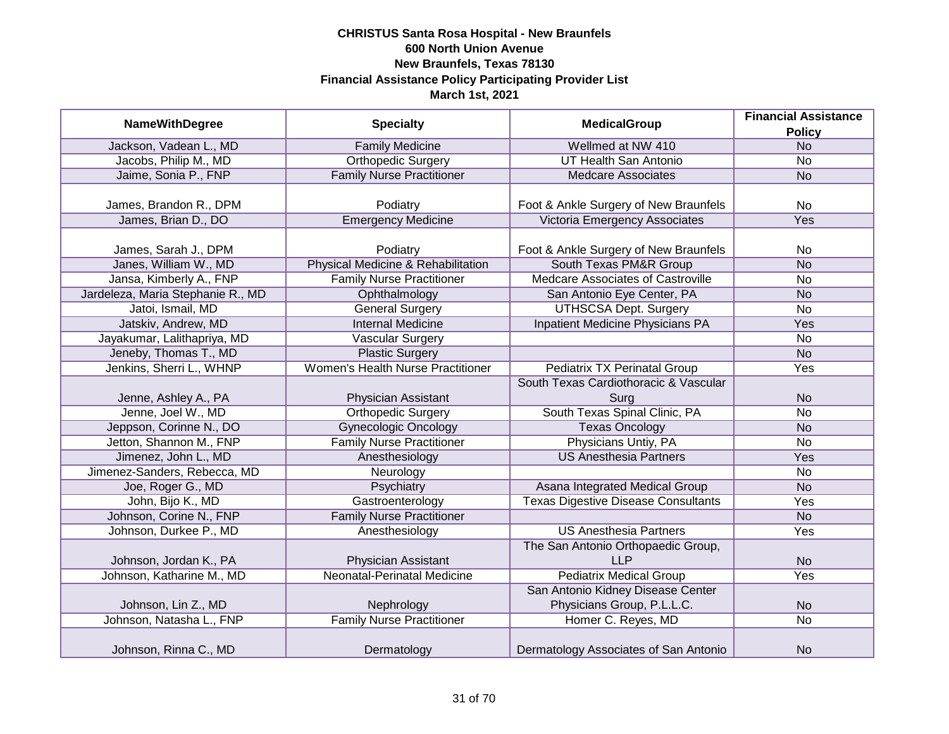| <b>NameWithDegree</b>             | <b>Specialty</b>                   | <b>MedicalGroup</b>                        | <b>Financial Assistance</b> |
|-----------------------------------|------------------------------------|--------------------------------------------|-----------------------------|
|                                   |                                    |                                            | <b>Policy</b>               |
| Jackson, Vadean L., MD            | <b>Family Medicine</b>             | Wellmed at NW 410                          | <b>No</b>                   |
| Jacobs, Philip M., MD             | <b>Orthopedic Surgery</b>          | <b>UT Health San Antonio</b>               | $\overline{No}$             |
| Jaime, Sonia P., FNP              | <b>Family Nurse Practitioner</b>   | <b>Medcare Associates</b>                  | <b>No</b>                   |
|                                   |                                    |                                            |                             |
| James, Brandon R., DPM            | Podiatry                           | Foot & Ankle Surgery of New Braunfels      | No                          |
| James, Brian D., DO               | <b>Emergency Medicine</b>          | Victoria Emergency Associates              | Yes                         |
|                                   |                                    |                                            |                             |
| James, Sarah J., DPM              | Podiatry                           | Foot & Ankle Surgery of New Braunfels      | <b>No</b>                   |
| Janes, William W., MD             | Physical Medicine & Rehabilitation | South Texas PM&R Group                     | <b>No</b>                   |
| Jansa, Kimberly A., FNP           | <b>Family Nurse Practitioner</b>   | Medcare Associates of Castroville          | No                          |
| Jardeleza, Maria Stephanie R., MD | Ophthalmology                      | San Antonio Eye Center, PA                 | <b>No</b>                   |
| Jatoi, Ismail, MD                 | <b>General Surgery</b>             | <b>UTHSCSA Dept. Surgery</b>               | <b>No</b>                   |
| Jatskiv, Andrew, MD               | <b>Internal Medicine</b>           | Inpatient Medicine Physicians PA           | Yes                         |
| Jayakumar, Lalithapriya, MD       | <b>Vascular Surgery</b>            |                                            | <b>No</b>                   |
| Jeneby, Thomas T., MD             | <b>Plastic Surgery</b>             |                                            | <b>No</b>                   |
| Jenkins, Sherri L., WHNP          | Women's Health Nurse Practitioner  | <b>Pediatrix TX Perinatal Group</b>        | Yes                         |
|                                   |                                    | South Texas Cardiothoracic & Vascular      |                             |
| Jenne, Ashley A., PA              | Physician Assistant                | Surg                                       | <b>No</b>                   |
| Jenne, Joel W., MD                | <b>Orthopedic Surgery</b>          | South Texas Spinal Clinic, PA              | <b>No</b>                   |
| Jeppson, Corinne N., DO           | <b>Gynecologic Oncology</b>        | <b>Texas Oncology</b>                      | <b>No</b>                   |
| Jetton, Shannon M., FNP           | <b>Family Nurse Practitioner</b>   | Physicians Untiy, PA                       | No                          |
| Jimenez, John L., MD              | Anesthesiology                     | <b>US Anesthesia Partners</b>              | Yes                         |
| Jimenez-Sanders, Rebecca, MD      | Neurology                          |                                            | No                          |
| Joe, Roger G., MD                 | Psychiatry                         | Asana Integrated Medical Group             | <b>No</b>                   |
| John, Bijo K., MD                 | Gastroenterology                   | <b>Texas Digestive Disease Consultants</b> | Yes                         |
| Johnson, Corine N., FNP           | <b>Family Nurse Practitioner</b>   |                                            | <b>No</b>                   |
| Johnson, Durkee P., MD            | Anesthesiology                     | <b>US Anesthesia Partners</b>              | Yes                         |
|                                   |                                    | The San Antonio Orthopaedic Group,         |                             |
| Johnson, Jordan K., PA            | Physician Assistant                | <b>LLP</b>                                 | <b>No</b>                   |
| Johnson, Katharine M., MD         | Neonatal-Perinatal Medicine        | <b>Pediatrix Medical Group</b>             | Yes                         |
|                                   |                                    | San Antonio Kidney Disease Center          |                             |
| Johnson, Lin Z., MD               | Nephrology                         | Physicians Group, P.L.L.C.                 | <b>No</b>                   |
| Johnson, Natasha L., FNP          | <b>Family Nurse Practitioner</b>   | Homer C. Reyes, MD                         | $\overline{No}$             |
|                                   |                                    |                                            |                             |
| Johnson, Rinna C., MD             | Dermatology                        | Dermatology Associates of San Antonio      | <b>No</b>                   |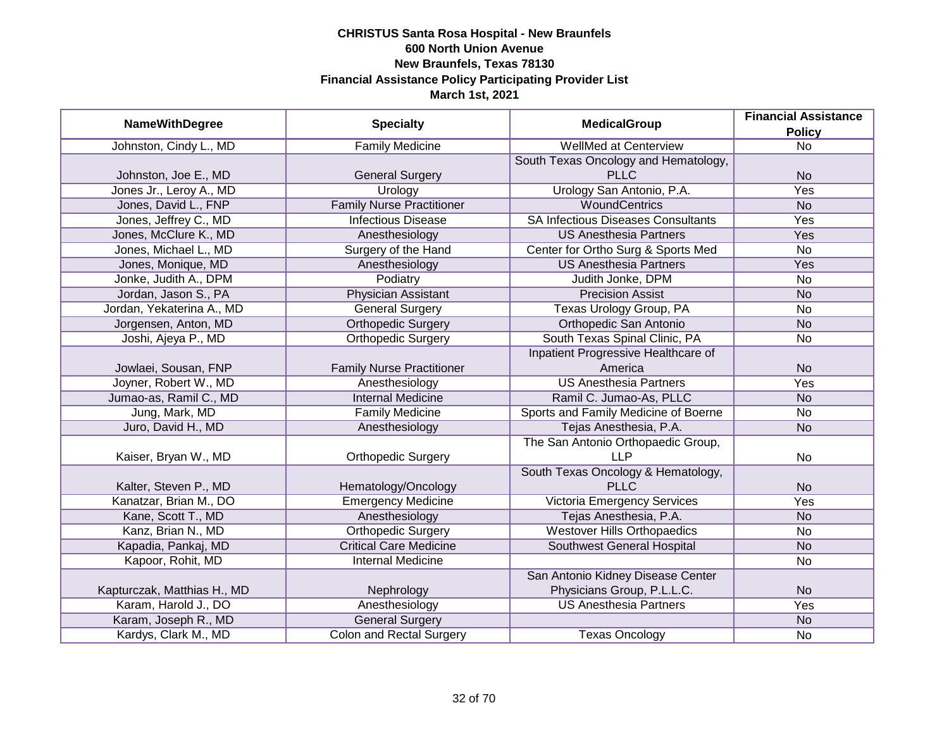| <b>NameWithDegree</b>       | <b>Specialty</b>                 | <b>MedicalGroup</b>                       | <b>Financial Assistance</b><br><b>Policy</b> |
|-----------------------------|----------------------------------|-------------------------------------------|----------------------------------------------|
| Johnston, Cindy L., MD      | <b>Family Medicine</b>           | <b>WellMed at Centerview</b>              | $\overline{No}$                              |
|                             |                                  | South Texas Oncology and Hematology,      |                                              |
| Johnston, Joe E., MD        | <b>General Surgery</b>           | <b>PLLC</b>                               | <b>No</b>                                    |
| Jones Jr., Leroy A., MD     | Urology                          | Urology San Antonio, P.A.                 | <b>Yes</b>                                   |
| Jones, David L., FNP        | <b>Family Nurse Practitioner</b> | <b>WoundCentrics</b>                      | <b>No</b>                                    |
| Jones, Jeffrey C., MD       | <b>Infectious Disease</b>        | <b>SA Infectious Diseases Consultants</b> | Yes                                          |
| Jones, McClure K., MD       | Anesthesiology                   | <b>US Anesthesia Partners</b>             | Yes                                          |
| Jones, Michael L., MD       | Surgery of the Hand              | Center for Ortho Surg & Sports Med        | <b>No</b>                                    |
| Jones, Monique, MD          | Anesthesiology                   | <b>US Anesthesia Partners</b>             | Yes                                          |
| Jonke, Judith A., DPM       | Podiatry                         | Judith Jonke, DPM                         | <b>No</b>                                    |
| Jordan, Jason S., PA        | <b>Physician Assistant</b>       | <b>Precision Assist</b>                   | <b>No</b>                                    |
| Jordan, Yekaterina A., MD   | <b>General Surgery</b>           | Texas Urology Group, PA                   | <b>No</b>                                    |
| Jorgensen, Anton, MD        | <b>Orthopedic Surgery</b>        | Orthopedic San Antonio                    | <b>No</b>                                    |
| Joshi, Ajeya P., MD         | <b>Orthopedic Surgery</b>        | South Texas Spinal Clinic, PA             | No                                           |
|                             |                                  | Inpatient Progressive Healthcare of       |                                              |
| Jowlaei, Sousan, FNP        | <b>Family Nurse Practitioner</b> | America                                   | <b>No</b>                                    |
| Joyner, Robert W., MD       | Anesthesiology                   | <b>US Anesthesia Partners</b>             | Yes                                          |
| Jumao-as, Ramil C., MD      | <b>Internal Medicine</b>         | Ramil C. Jumao-As, PLLC                   | <b>No</b>                                    |
| Jung, Mark, MD              | <b>Family Medicine</b>           | Sports and Family Medicine of Boerne      | <b>No</b>                                    |
| Juro, David H., MD          | Anesthesiology                   | Tejas Anesthesia, P.A.                    | <b>No</b>                                    |
|                             |                                  | The San Antonio Orthopaedic Group,        |                                              |
| Kaiser, Bryan W., MD        | <b>Orthopedic Surgery</b>        | <b>LLP</b>                                | <b>No</b>                                    |
|                             |                                  | South Texas Oncology & Hematology,        |                                              |
| Kalter, Steven P., MD       | Hematology/Oncology              | <b>PLLC</b>                               | <b>No</b>                                    |
| Kanatzar, Brian M., DO      | <b>Emergency Medicine</b>        | Victoria Emergency Services               | Yes                                          |
| Kane, Scott T., MD          | Anesthesiology                   | Tejas Anesthesia, P.A.                    | <b>No</b>                                    |
| Kanz, Brian N., MD          | <b>Orthopedic Surgery</b>        | <b>Westover Hills Orthopaedics</b>        | <b>No</b>                                    |
| Kapadia, Pankaj, MD         | <b>Critical Care Medicine</b>    | <b>Southwest General Hospital</b>         | <b>No</b>                                    |
| Kapoor, Rohit, MD           | <b>Internal Medicine</b>         |                                           | No                                           |
|                             |                                  | San Antonio Kidney Disease Center         |                                              |
| Kapturczak, Matthias H., MD | Nephrology                       | Physicians Group, P.L.L.C.                | <b>No</b>                                    |
| Karam, Harold J., DO        | Anesthesiology                   | <b>US Anesthesia Partners</b>             | Yes                                          |
| Karam, Joseph R., MD        | <b>General Surgery</b>           |                                           | <b>No</b>                                    |
| Kardys, Clark M., MD        | <b>Colon and Rectal Surgery</b>  | <b>Texas Oncology</b>                     | No                                           |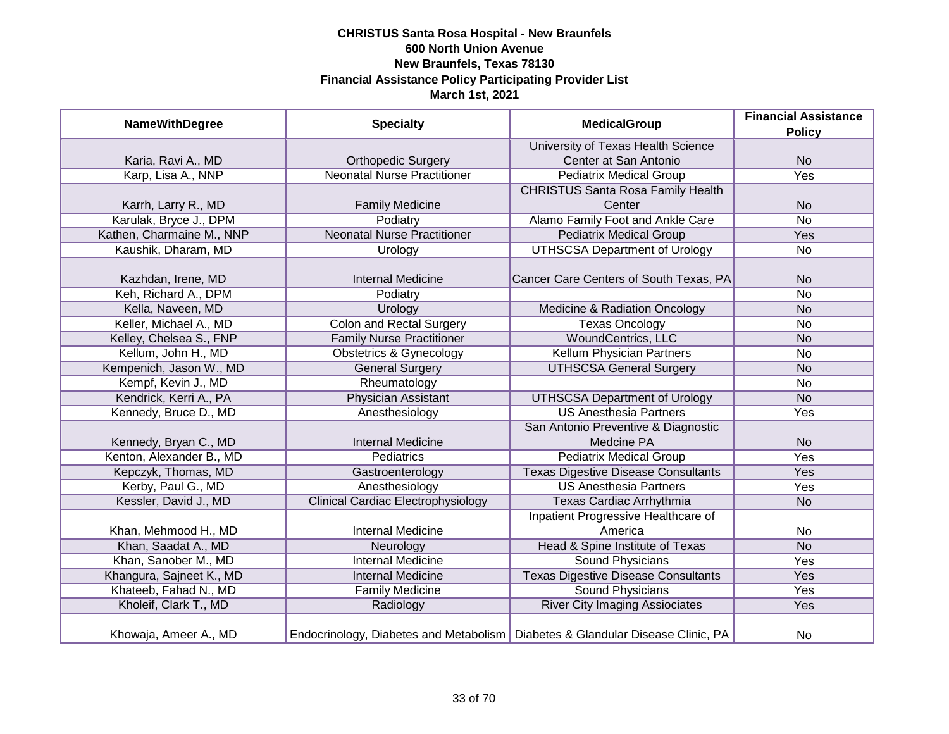| <b>NameWithDegree</b>     | <b>Specialty</b>                          | <b>MedicalGroup</b>                                                              | <b>Financial Assistance</b> |
|---------------------------|-------------------------------------------|----------------------------------------------------------------------------------|-----------------------------|
|                           |                                           |                                                                                  | <b>Policy</b>               |
|                           |                                           | University of Texas Health Science                                               |                             |
| Karia, Ravi A., MD        | <b>Orthopedic Surgery</b>                 | Center at San Antonio                                                            | <b>No</b>                   |
| Karp, Lisa A., NNP        | <b>Neonatal Nurse Practitioner</b>        | <b>Pediatrix Medical Group</b>                                                   | Yes                         |
|                           |                                           | <b>CHRISTUS Santa Rosa Family Health</b>                                         |                             |
| Karrh, Larry R., MD       | <b>Family Medicine</b>                    | Center                                                                           | <b>No</b>                   |
| Karulak, Bryce J., DPM    | Podiatry                                  | Alamo Family Foot and Ankle Care                                                 | <b>No</b>                   |
| Kathen, Charmaine M., NNP | <b>Neonatal Nurse Practitioner</b>        | <b>Pediatrix Medical Group</b>                                                   | Yes                         |
| Kaushik, Dharam, MD       | Urology                                   | <b>UTHSCSA Department of Urology</b>                                             | <b>No</b>                   |
|                           |                                           |                                                                                  |                             |
| Kazhdan, Irene, MD        | <b>Internal Medicine</b>                  | Cancer Care Centers of South Texas, PA                                           | <b>No</b>                   |
| Keh, Richard A., DPM      | Podiatry                                  |                                                                                  | <b>No</b>                   |
| Kella, Naveen, MD         | Urology                                   | Medicine & Radiation Oncology                                                    | <b>No</b>                   |
| Keller, Michael A., MD    | <b>Colon and Rectal Surgery</b>           | <b>Texas Oncology</b>                                                            | <b>No</b>                   |
| Kelley, Chelsea S., FNP   | <b>Family Nurse Practitioner</b>          | <b>WoundCentrics, LLC</b>                                                        | <b>No</b>                   |
| Kellum, John H., MD       | <b>Obstetrics &amp; Gynecology</b>        | Kellum Physician Partners                                                        | <b>No</b>                   |
| Kempenich, Jason W., MD   | <b>General Surgery</b>                    | <b>UTHSCSA General Surgery</b>                                                   | <b>No</b>                   |
| Kempf, Kevin J., MD       | Rheumatology                              |                                                                                  | <b>No</b>                   |
| Kendrick, Kerri A., PA    | <b>Physician Assistant</b>                | <b>UTHSCSA Department of Urology</b>                                             | <b>No</b>                   |
| Kennedy, Bruce D., MD     | Anesthesiology                            | <b>US Anesthesia Partners</b>                                                    | Yes                         |
|                           |                                           | San Antonio Preventive & Diagnostic                                              |                             |
| Kennedy, Bryan C., MD     | <b>Internal Medicine</b>                  | Medcine PA                                                                       | <b>No</b>                   |
| Kenton, Alexander B., MD  | Pediatrics                                | <b>Pediatrix Medical Group</b>                                                   | Yes                         |
| Kepczyk, Thomas, MD       | Gastroenterology                          | <b>Texas Digestive Disease Consultants</b>                                       | Yes                         |
| Kerby, Paul G., MD        | Anesthesiology                            | <b>US Anesthesia Partners</b>                                                    | Yes                         |
| Kessler, David J., MD     | <b>Clinical Cardiac Electrophysiology</b> | Texas Cardiac Arrhythmia                                                         | <b>No</b>                   |
|                           |                                           | Inpatient Progressive Healthcare of                                              |                             |
| Khan, Mehmood H., MD      | <b>Internal Medicine</b>                  | America                                                                          | <b>No</b>                   |
| Khan, Saadat A., MD       | Neurology                                 | Head & Spine Institute of Texas                                                  | <b>No</b>                   |
| Khan, Sanober M., MD      | <b>Internal Medicine</b>                  | Sound Physicians                                                                 | Yes                         |
| Khangura, Sajneet K., MD  | <b>Internal Medicine</b>                  | <b>Texas Digestive Disease Consultants</b>                                       | Yes                         |
| Khateeb, Fahad N., MD     | <b>Family Medicine</b>                    | <b>Sound Physicians</b>                                                          | Yes                         |
| Kholeif, Clark T., MD     | Radiology                                 | <b>River City Imaging Assiociates</b>                                            | Yes                         |
| Khowaja, Ameer A., MD     |                                           | Endocrinology, Diabetes and Metabolism   Diabetes & Glandular Disease Clinic, PA | No                          |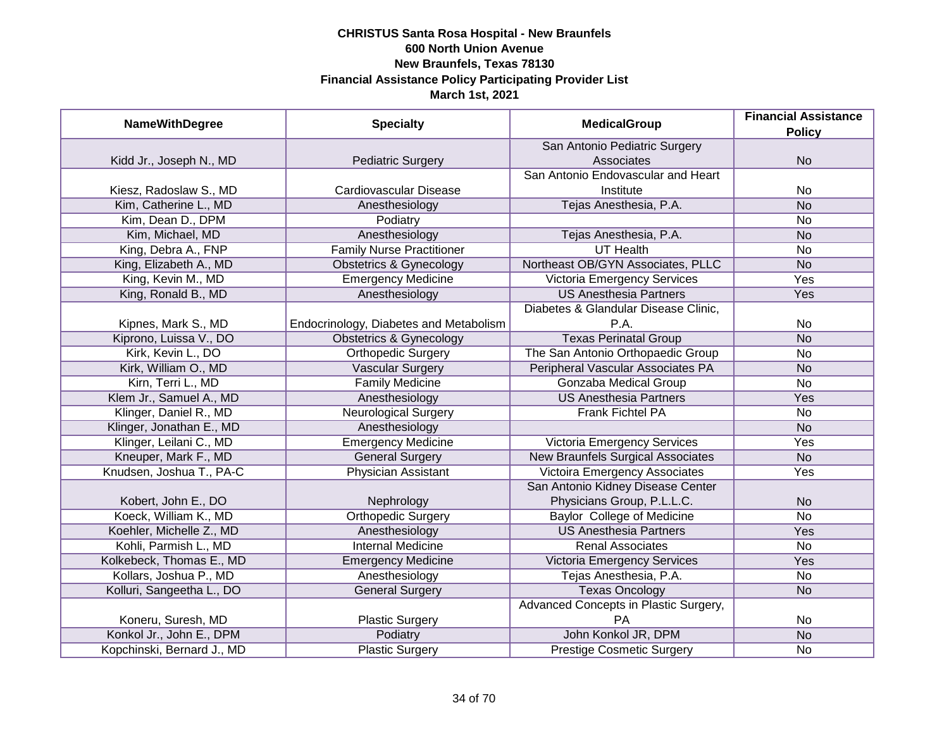| <b>NameWithDegree</b>      | <b>Specialty</b>                       | <b>MedicalGroup</b>                      | <b>Financial Assistance</b> |
|----------------------------|----------------------------------------|------------------------------------------|-----------------------------|
|                            |                                        |                                          | <b>Policy</b>               |
|                            |                                        | San Antonio Pediatric Surgery            |                             |
| Kidd Jr., Joseph N., MD    | <b>Pediatric Surgery</b>               | Associates                               | <b>No</b>                   |
|                            |                                        | San Antonio Endovascular and Heart       |                             |
| Kiesz, Radoslaw S., MD     | Cardiovascular Disease                 | Institute                                | No                          |
| Kim, Catherine L., MD      | Anesthesiology                         | Tejas Anesthesia, P.A.                   | <b>No</b>                   |
| Kim, Dean D., DPM          | Podiatry                               |                                          | <b>No</b>                   |
| Kim, Michael, MD           | Anesthesiology                         | Tejas Anesthesia, P.A.                   | <b>No</b>                   |
| King, Debra A., FNP        | <b>Family Nurse Practitioner</b>       | <b>UT Health</b>                         | No                          |
| King, Elizabeth A., MD     | <b>Obstetrics &amp; Gynecology</b>     | Northeast OB/GYN Associates, PLLC        | <b>No</b>                   |
| King, Kevin M., MD         | <b>Emergency Medicine</b>              | Victoria Emergency Services              | Yes                         |
| King, Ronald B., MD        | Anesthesiology                         | <b>US Anesthesia Partners</b>            | Yes                         |
|                            |                                        | Diabetes & Glandular Disease Clinic,     |                             |
| Kipnes, Mark S., MD        | Endocrinology, Diabetes and Metabolism | P.A.                                     | <b>No</b>                   |
| Kiprono, Luissa V., DO     | <b>Obstetrics &amp; Gynecology</b>     | <b>Texas Perinatal Group</b>             | <b>No</b>                   |
| Kirk, Kevin L., DO         | <b>Orthopedic Surgery</b>              | The San Antonio Orthopaedic Group        | No                          |
| Kirk, William O., MD       | <b>Vascular Surgery</b>                | Peripheral Vascular Associates PA        | <b>No</b>                   |
| Kirn, Terri L., MD         | <b>Family Medicine</b>                 | Gonzaba Medical Group                    | No                          |
| Klem Jr., Samuel A., MD    | Anesthesiology                         | <b>US Anesthesia Partners</b>            | Yes                         |
| Klinger, Daniel R., MD     | <b>Neurological Surgery</b>            | <b>Frank Fichtel PA</b>                  | No                          |
| Klinger, Jonathan E., MD   | Anesthesiology                         |                                          | <b>No</b>                   |
| Klinger, Leilani C., MD    | <b>Emergency Medicine</b>              | <b>Victoria Emergency Services</b>       | Yes                         |
| Kneuper, Mark F., MD       | <b>General Surgery</b>                 | <b>New Braunfels Surgical Associates</b> | <b>No</b>                   |
| Knudsen, Joshua T., PA-C   | Physician Assistant                    | <b>Victoira Emergency Associates</b>     | Yes                         |
|                            |                                        | San Antonio Kidney Disease Center        |                             |
| Kobert, John E., DO        | Nephrology                             | Physicians Group, P.L.L.C.               | <b>No</b>                   |
| Koeck, William K., MD      | <b>Orthopedic Surgery</b>              | <b>Baylor College of Medicine</b>        | <b>No</b>                   |
| Koehler, Michelle Z., MD   | Anesthesiology                         | <b>US Anesthesia Partners</b>            | Yes                         |
| Kohli, Parmish L., MD      | <b>Internal Medicine</b>               | <b>Renal Associates</b>                  | No                          |
| Kolkebeck, Thomas E., MD   | <b>Emergency Medicine</b>              | Victoria Emergency Services              | Yes                         |
| Kollars, Joshua P., MD     | Anesthesiology                         | Tejas Anesthesia, P.A.                   | No                          |
| Kolluri, Sangeetha L., DO  | <b>General Surgery</b>                 | <b>Texas Oncology</b>                    | <b>No</b>                   |
|                            |                                        | Advanced Concepts in Plastic Surgery,    |                             |
| Koneru, Suresh, MD         | <b>Plastic Surgery</b>                 | <b>PA</b>                                | No                          |
| Konkol Jr., John E., DPM   | Podiatry                               | John Konkol JR, DPM                      | N <sub>o</sub>              |
| Kopchinski, Bernard J., MD | <b>Plastic Surgery</b>                 | <b>Prestige Cosmetic Surgery</b>         | No                          |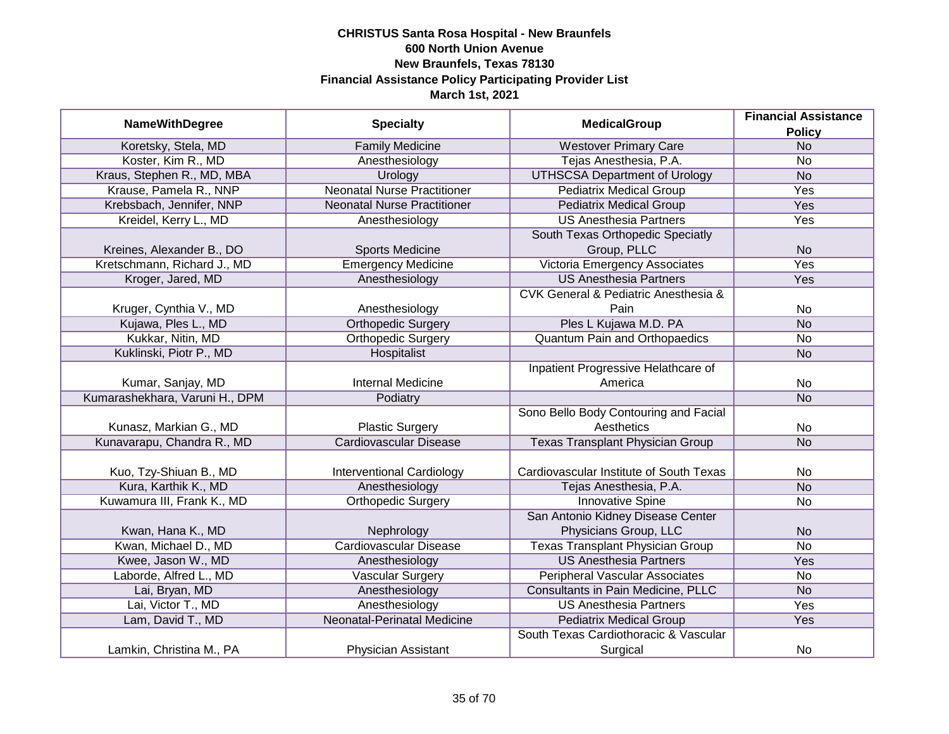| <b>NameWithDegree</b>          | <b>Specialty</b>                   | <b>MedicalGroup</b>                                 | <b>Financial Assistance</b> |
|--------------------------------|------------------------------------|-----------------------------------------------------|-----------------------------|
|                                |                                    |                                                     | <b>Policy</b>               |
| Koretsky, Stela, MD            | <b>Family Medicine</b>             | <b>Westover Primary Care</b>                        | N <sub>o</sub>              |
| Koster, Kim R., MD             | Anesthesiology                     | Tejas Anesthesia, P.A.                              | No                          |
| Kraus, Stephen R., MD, MBA     | Urology                            | <b>UTHSCSA Department of Urology</b>                | N <sub>o</sub>              |
| Krause, Pamela R., NNP         | <b>Neonatal Nurse Practitioner</b> | <b>Pediatrix Medical Group</b>                      | <b>Yes</b>                  |
| Krebsbach, Jennifer, NNP       | <b>Neonatal Nurse Practitioner</b> | <b>Pediatrix Medical Group</b>                      | <b>Yes</b>                  |
| Kreidel, Kerry L., MD          | Anesthesiology                     | <b>US Anesthesia Partners</b>                       | Yes                         |
|                                |                                    | South Texas Orthopedic Speciatly                    |                             |
| Kreines, Alexander B., DO      | <b>Sports Medicine</b>             | Group, PLLC                                         | <b>No</b>                   |
| Kretschmann, Richard J., MD    | <b>Emergency Medicine</b>          | Victoria Emergency Associates                       | Yes                         |
| Kroger, Jared, MD              | Anesthesiology                     | <b>US Anesthesia Partners</b>                       | Yes                         |
|                                |                                    | <b>CVK General &amp; Pediatric Anesthesia &amp;</b> |                             |
| Kruger, Cynthia V., MD         | Anesthesiology                     | Pain                                                | <b>No</b>                   |
| Kujawa, Ples L., MD            | <b>Orthopedic Surgery</b>          | Ples L Kujawa M.D. PA                               | <b>No</b>                   |
| Kukkar, Nitin, MD              | <b>Orthopedic Surgery</b>          | <b>Quantum Pain and Orthopaedics</b>                | No                          |
| Kuklinski, Piotr P., MD        | Hospitalist                        |                                                     | <b>No</b>                   |
|                                |                                    | Inpatient Progressive Helathcare of                 |                             |
| Kumar, Sanjay, MD              | <b>Internal Medicine</b>           | America                                             | No                          |
| Kumarashekhara, Varuni H., DPM | Podiatry                           |                                                     | <b>No</b>                   |
|                                |                                    | Sono Bello Body Contouring and Facial               |                             |
| Kunasz, Markian G., MD         | <b>Plastic Surgery</b>             | Aesthetics                                          | No                          |
| Kunavarapu, Chandra R., MD     | <b>Cardiovascular Disease</b>      | <b>Texas Transplant Physician Group</b>             | <b>No</b>                   |
|                                |                                    |                                                     |                             |
| Kuo, Tzy-Shiuan B., MD         | <b>Interventional Cardiology</b>   | Cardiovascular Institute of South Texas             | No                          |
| Kura, Karthik K., MD           | Anesthesiology                     | Tejas Anesthesia, P.A.                              | <b>No</b>                   |
| Kuwamura III, Frank K., MD     | <b>Orthopedic Surgery</b>          | <b>Innovative Spine</b>                             | <b>No</b>                   |
|                                |                                    | San Antonio Kidney Disease Center                   |                             |
| Kwan, Hana K., MD              | Nephrology                         | Physicians Group, LLC                               | <b>No</b>                   |
| Kwan, Michael D., MD           | <b>Cardiovascular Disease</b>      | <b>Texas Transplant Physician Group</b>             | $\overline{No}$             |
| Kwee, Jason W., MD             | Anesthesiology                     | <b>US Anesthesia Partners</b>                       | Yes                         |
| Laborde, Alfred L., MD         | <b>Vascular Surgery</b>            | <b>Peripheral Vascular Associates</b>               | No                          |
| Lai, Bryan, MD                 | Anesthesiology                     | Consultants in Pain Medicine, PLLC                  | N <sub>o</sub>              |
| Lai, Victor T., MD             | Anesthesiology                     | <b>US Anesthesia Partners</b>                       | Yes                         |
| Lam, David T., MD              | Neonatal-Perinatal Medicine        | <b>Pediatrix Medical Group</b>                      | Yes                         |
|                                |                                    | South Texas Cardiothoracic & Vascular               |                             |
| Lamkin, Christina M., PA       | <b>Physician Assistant</b>         | Surgical                                            | No                          |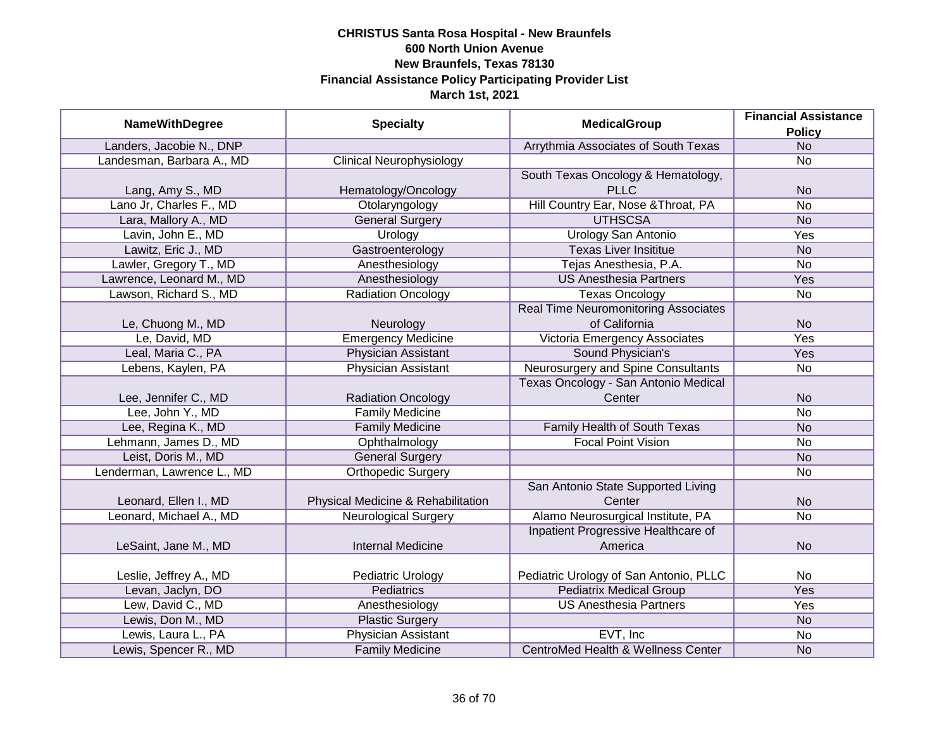|                            |                                    |                                               | <b>Financial Assistance</b> |
|----------------------------|------------------------------------|-----------------------------------------------|-----------------------------|
| <b>NameWithDegree</b>      | <b>Specialty</b>                   | <b>MedicalGroup</b>                           | <b>Policy</b>               |
| Landers, Jacobie N., DNP   |                                    | Arrythmia Associates of South Texas           | <b>No</b>                   |
| Landesman, Barbara A., MD  | <b>Clinical Neurophysiology</b>    |                                               | No                          |
|                            |                                    | South Texas Oncology & Hematology,            |                             |
| Lang, Amy S., MD           | Hematology/Oncology                | <b>PLLC</b>                                   | <b>No</b>                   |
| Lano Jr, Charles F., MD    | Otolaryngology                     | Hill Country Ear, Nose & Throat, PA           | <b>No</b>                   |
| Lara, Mallory A., MD       | <b>General Surgery</b>             | <b>UTHSCSA</b>                                | <b>No</b>                   |
| Lavin, John E., MD         | Urology                            | <b>Urology San Antonio</b>                    | <b>Yes</b>                  |
| Lawitz, Eric J., MD        | Gastroenterology                   | <b>Texas Liver Insititue</b>                  | <b>No</b>                   |
| Lawler, Gregory T., MD     | Anesthesiology                     | Tejas Anesthesia, P.A.                        | No                          |
| Lawrence, Leonard M., MD   | Anesthesiology                     | <b>US Anesthesia Partners</b>                 | Yes                         |
| Lawson, Richard S., MD     | <b>Radiation Oncology</b>          | <b>Texas Oncology</b>                         | <b>No</b>                   |
|                            |                                    | <b>Real Time Neuromonitoring Associates</b>   |                             |
| Le, Chuong M., MD          | Neurology                          | of California                                 | <b>No</b>                   |
| Le, David, MD              | <b>Emergency Medicine</b>          | Victoria Emergency Associates                 | Yes                         |
| Leal, Maria C., PA         | <b>Physician Assistant</b>         | Sound Physician's                             | Yes                         |
| Lebens, Kaylen, PA         | <b>Physician Assistant</b>         | Neurosurgery and Spine Consultants            | No                          |
|                            |                                    | Texas Oncology - San Antonio Medical          |                             |
| Lee, Jennifer C., MD       | <b>Radiation Oncology</b>          | Center                                        | <b>No</b>                   |
| Lee, John Y., MD           | <b>Family Medicine</b>             |                                               | No                          |
| Lee, Regina K., MD         | <b>Family Medicine</b>             | Family Health of South Texas                  | <b>No</b>                   |
| Lehmann, James D., MD      | Ophthalmology                      | <b>Focal Point Vision</b>                     | <b>No</b>                   |
| Leist, Doris M., MD        | <b>General Surgery</b>             |                                               | <b>No</b>                   |
| Lenderman, Lawrence L., MD | <b>Orthopedic Surgery</b>          |                                               | <b>No</b>                   |
|                            |                                    | San Antonio State Supported Living            |                             |
| Leonard, Ellen I., MD      | Physical Medicine & Rehabilitation | Center                                        | <b>No</b>                   |
| Leonard, Michael A., MD    | <b>Neurological Surgery</b>        | Alamo Neurosurgical Institute, PA             | No                          |
|                            |                                    | Inpatient Progressive Healthcare of           |                             |
| LeSaint, Jane M., MD       | <b>Internal Medicine</b>           | America                                       | <b>No</b>                   |
|                            |                                    |                                               |                             |
| Leslie, Jeffrey A., MD     | Pediatric Urology                  | Pediatric Urology of San Antonio, PLLC        | No                          |
| Levan, Jaclyn, DO          | <b>Pediatrics</b>                  | <b>Pediatrix Medical Group</b>                | Yes                         |
| Lew, David C., MD          | Anesthesiology                     | <b>US Anesthesia Partners</b>                 | Yes                         |
| Lewis, Don M., MD          | <b>Plastic Surgery</b>             |                                               | <b>No</b>                   |
| Lewis, Laura L., PA        | <b>Physician Assistant</b>         | EVT, Inc                                      | No                          |
| Lewis, Spencer R., MD      | <b>Family Medicine</b>             | <b>CentroMed Health &amp; Wellness Center</b> | <b>No</b>                   |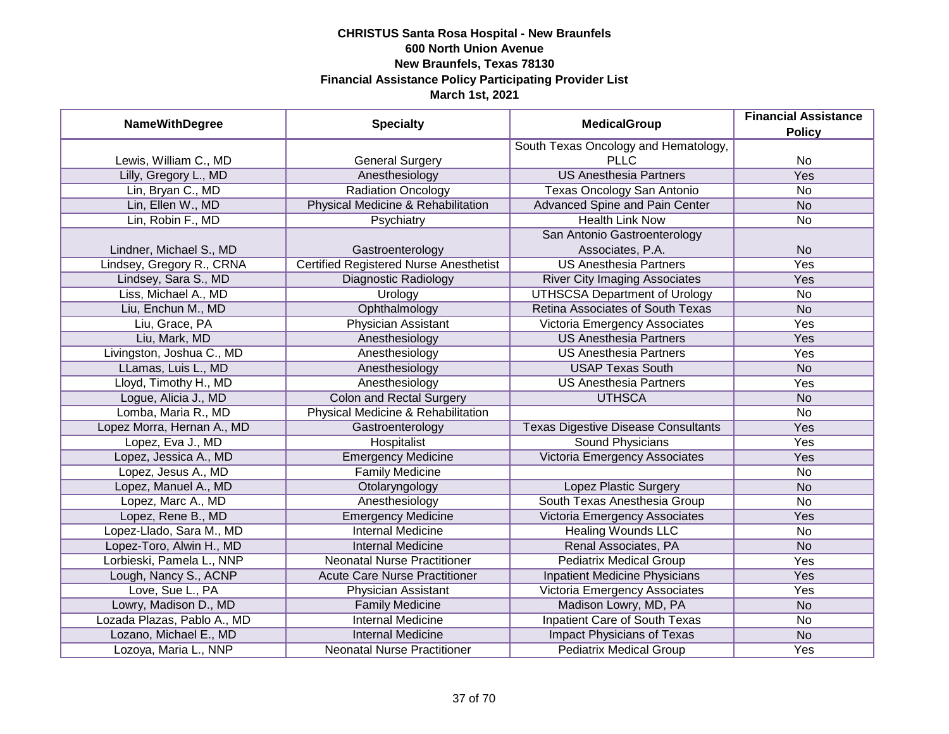| <b>NameWithDegree</b>       | <b>Specialty</b>                              | <b>MedicalGroup</b>                        | <b>Financial Assistance</b><br><b>Policy</b> |
|-----------------------------|-----------------------------------------------|--------------------------------------------|----------------------------------------------|
|                             |                                               | South Texas Oncology and Hematology,       |                                              |
| Lewis, William C., MD       | <b>General Surgery</b>                        | <b>PLLC</b>                                | No                                           |
| Lilly, Gregory L., MD       | Anesthesiology                                | <b>US Anesthesia Partners</b>              | <b>Yes</b>                                   |
| Lin, Bryan C., MD           | <b>Radiation Oncology</b>                     | Texas Oncology San Antonio                 | <b>No</b>                                    |
| Lin, Ellen W., MD           | Physical Medicine & Rehabilitation            | <b>Advanced Spine and Pain Center</b>      | <b>No</b>                                    |
| Lin, Robin F., MD           | Psychiatry                                    | <b>Health Link Now</b>                     | No                                           |
|                             |                                               | San Antonio Gastroenterology               |                                              |
| Lindner, Michael S., MD     | Gastroenterology                              | Associates, P.A.                           | <b>No</b>                                    |
| Lindsey, Gregory R., CRNA   | <b>Certified Registered Nurse Anesthetist</b> | <b>US Anesthesia Partners</b>              | Yes                                          |
| Lindsey, Sara S., MD        | Diagnostic Radiology                          | <b>River City Imaging Associates</b>       | Yes                                          |
| Liss, Michael A., MD        | Urology                                       | <b>UTHSCSA Department of Urology</b>       | No                                           |
| Liu, Enchun M., MD          | Ophthalmology                                 | Retina Associates of South Texas           | <b>No</b>                                    |
| Liu, Grace, PA              | Physician Assistant                           | Victoria Emergency Associates              | Yes                                          |
| Liu, Mark, MD               | Anesthesiology                                | <b>US Anesthesia Partners</b>              | Yes                                          |
| Livingston, Joshua C., MD   | Anesthesiology                                | <b>US Anesthesia Partners</b>              | Yes                                          |
| LLamas, Luis L., MD         | Anesthesiology                                | <b>USAP Texas South</b>                    | <b>No</b>                                    |
| Lloyd, Timothy H., MD       | Anesthesiology                                | <b>US Anesthesia Partners</b>              | Yes                                          |
| Logue, Alicia J., MD        | <b>Colon and Rectal Surgery</b>               | <b>UTHSCA</b>                              | <b>No</b>                                    |
| Lomba, Maria R., MD         | Physical Medicine & Rehabilitation            |                                            | No                                           |
| Lopez Morra, Hernan A., MD  | Gastroenterology                              | <b>Texas Digestive Disease Consultants</b> | Yes                                          |
| Lopez, Eva J., MD           | Hospitalist                                   | <b>Sound Physicians</b>                    | Yes                                          |
| Lopez, Jessica A., MD       | <b>Emergency Medicine</b>                     | Victoria Emergency Associates              | Yes                                          |
| Lopez, Jesus A., MD         | <b>Family Medicine</b>                        |                                            | <b>No</b>                                    |
| Lopez, Manuel A., MD        | Otolaryngology                                | Lopez Plastic Surgery                      | <b>No</b>                                    |
| Lopez, Marc A., MD          | Anesthesiology                                | South Texas Anesthesia Group               | <b>No</b>                                    |
| Lopez, Rene B., MD          | <b>Emergency Medicine</b>                     | Victoria Emergency Associates              | Yes                                          |
| Lopez-Llado, Sara M., MD    | <b>Internal Medicine</b>                      | <b>Healing Wounds LLC</b>                  | <b>No</b>                                    |
| Lopez-Toro, Alwin H., MD    | <b>Internal Medicine</b>                      | Renal Associates, PA                       | <b>No</b>                                    |
| Lorbieski, Pamela L., NNP   | <b>Neonatal Nurse Practitioner</b>            | <b>Pediatrix Medical Group</b>             | Yes                                          |
| Lough, Nancy S., ACNP       | <b>Acute Care Nurse Practitioner</b>          | <b>Inpatient Medicine Physicians</b>       | Yes                                          |
| Love, Sue L., PA            | Physician Assistant                           | Victoria Emergency Associates              | Yes                                          |
| Lowry, Madison D., MD       | <b>Family Medicine</b>                        | Madison Lowry, MD, PA                      | <b>No</b>                                    |
| Lozada Plazas, Pablo A., MD | <b>Internal Medicine</b>                      | <b>Inpatient Care of South Texas</b>       | No                                           |
| Lozano, Michael E., MD      | <b>Internal Medicine</b>                      | <b>Impact Physicians of Texas</b>          | N <sub>o</sub>                               |
| Lozoya, Maria L., NNP       | <b>Neonatal Nurse Practitioner</b>            | <b>Pediatrix Medical Group</b>             | Yes                                          |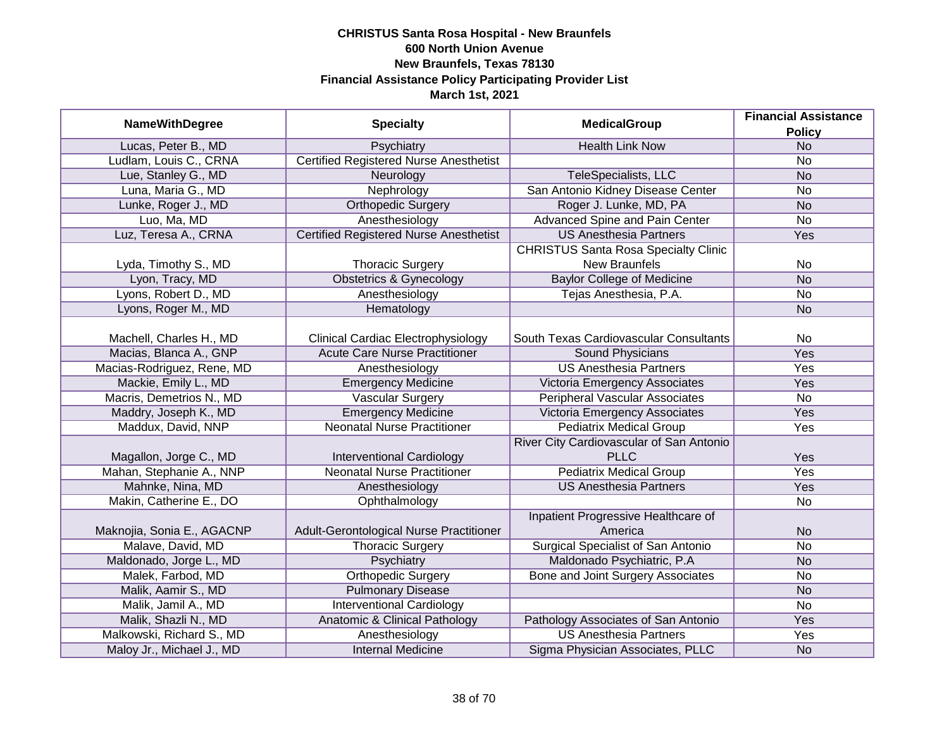| <b>NameWithDegree</b>      | <b>Specialty</b>                              | <b>MedicalGroup</b>                                     | <b>Financial Assistance</b><br><b>Policy</b> |
|----------------------------|-----------------------------------------------|---------------------------------------------------------|----------------------------------------------|
| Lucas, Peter B., MD        | Psychiatry                                    | <b>Health Link Now</b>                                  | <b>No</b>                                    |
| Ludlam, Louis C., CRNA     | <b>Certified Registered Nurse Anesthetist</b> |                                                         | <b>No</b>                                    |
| Lue, Stanley G., MD        | Neurology                                     | TeleSpecialists, LLC                                    | <b>No</b>                                    |
| Luna, Maria G., MD         | Nephrology                                    | San Antonio Kidney Disease Center                       | <b>No</b>                                    |
| Lunke, Roger J., MD        | <b>Orthopedic Surgery</b>                     | Roger J. Lunke, MD, PA                                  | N <sub>o</sub>                               |
| Luo, Ma, MD                | Anesthesiology                                | Advanced Spine and Pain Center                          | <b>No</b>                                    |
| Luz, Teresa A., CRNA       | <b>Certified Registered Nurse Anesthetist</b> | <b>US Anesthesia Partners</b>                           | Yes                                          |
|                            |                                               | <b>CHRISTUS Santa Rosa Specialty Clinic</b>             |                                              |
| Lyda, Timothy S., MD       | <b>Thoracic Surgery</b>                       | New Braunfels                                           | <b>No</b>                                    |
| Lyon, Tracy, MD            | <b>Obstetrics &amp; Gynecology</b>            | <b>Baylor College of Medicine</b>                       | <b>No</b>                                    |
| Lyons, Robert D., MD       | Anesthesiology                                | Tejas Anesthesia, P.A.                                  | <b>No</b>                                    |
| Lyons, Roger M., MD        | Hematology                                    |                                                         | <b>No</b>                                    |
| Machell, Charles H., MD    | <b>Clinical Cardiac Electrophysiology</b>     | South Texas Cardiovascular Consultants                  | <b>No</b>                                    |
| Macias, Blanca A., GNP     | <b>Acute Care Nurse Practitioner</b>          | Sound Physicians                                        | Yes                                          |
| Macias-Rodriguez, Rene, MD | Anesthesiology                                | <b>US Anesthesia Partners</b>                           | Yes                                          |
| Mackie, Emily L., MD       | <b>Emergency Medicine</b>                     | Victoria Emergency Associates                           | Yes                                          |
| Macris, Demetrios N., MD   | <b>Vascular Surgery</b>                       | <b>Peripheral Vascular Associates</b>                   | <b>No</b>                                    |
| Maddry, Joseph K., MD      | <b>Emergency Medicine</b>                     | Victoria Emergency Associates                           | Yes                                          |
| Maddux, David, NNP         | <b>Neonatal Nurse Practitioner</b>            | <b>Pediatrix Medical Group</b>                          | Yes                                          |
| Magallon, Jorge C., MD     | <b>Interventional Cardiology</b>              | River City Cardiovascular of San Antonio<br><b>PLLC</b> | Yes                                          |
| Mahan, Stephanie A., NNP   | <b>Neonatal Nurse Practitioner</b>            | <b>Pediatrix Medical Group</b>                          | Yes                                          |
| Mahnke, Nina, MD           | Anesthesiology                                | <b>US Anesthesia Partners</b>                           | Yes                                          |
| Makin, Catherine E., DO    | Ophthalmology                                 |                                                         | <b>No</b>                                    |
| Maknojia, Sonia E., AGACNP | Adult-Gerontological Nurse Practitioner       | Inpatient Progressive Healthcare of<br>America          | <b>No</b>                                    |
| Malave, David, MD          | <b>Thoracic Surgery</b>                       | <b>Surgical Specialist of San Antonio</b>               | <b>No</b>                                    |
| Maldonado, Jorge L., MD    | Psychiatry                                    | Maldonado Psychiatric, P.A                              | <b>No</b>                                    |
| Malek, Farbod, MD          | <b>Orthopedic Surgery</b>                     | Bone and Joint Surgery Associates                       | <b>No</b>                                    |
| Malik, Aamir S., MD        | <b>Pulmonary Disease</b>                      |                                                         | <b>No</b>                                    |
| Malik, Jamil A., MD        | <b>Interventional Cardiology</b>              |                                                         | <b>No</b>                                    |
| Malik, Shazli N., MD       | Anatomic & Clinical Pathology                 | Pathology Associates of San Antonio                     | Yes                                          |
| Malkowski, Richard S., MD  | Anesthesiology                                | <b>US Anesthesia Partners</b>                           | Yes                                          |
| Maloy Jr., Michael J., MD  | <b>Internal Medicine</b>                      | Sigma Physician Associates, PLLC                        | <b>No</b>                                    |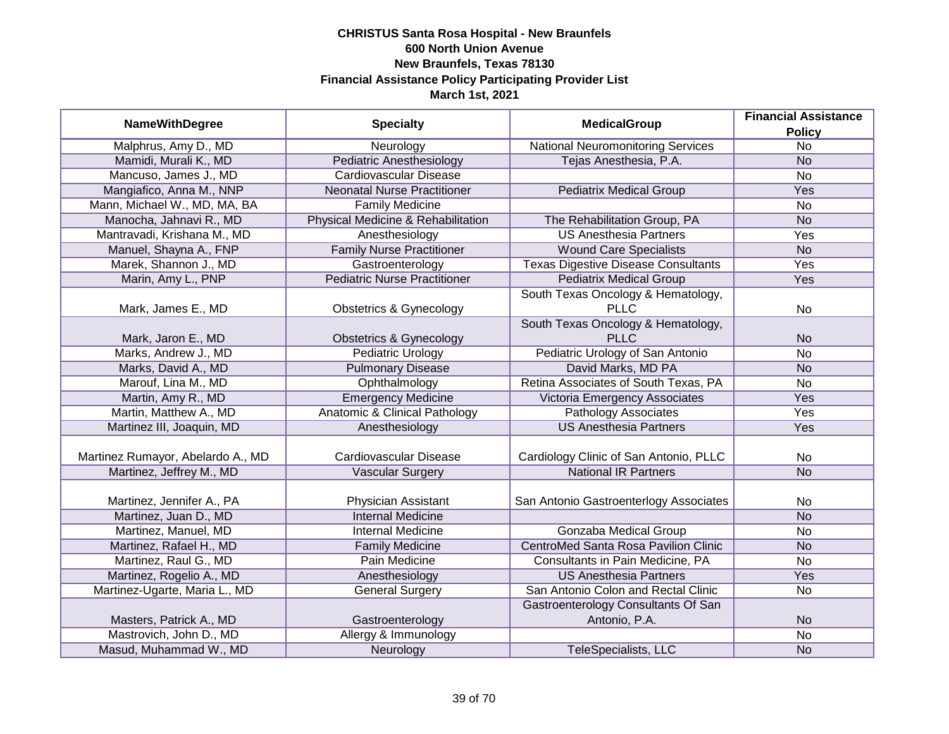| <b>NameWithDegree</b>             | <b>Specialty</b>                         | <b>MedicalGroup</b>                         | <b>Financial Assistance</b> |
|-----------------------------------|------------------------------------------|---------------------------------------------|-----------------------------|
|                                   |                                          |                                             | <b>Policy</b>               |
| Malphrus, Amy D., MD              | Neurology                                | <b>National Neuromonitoring Services</b>    | $\overline{No}$             |
| Mamidi, Murali K., MD             | <b>Pediatric Anesthesiology</b>          | Tejas Anesthesia, P.A.                      | N <sub>o</sub>              |
| Mancuso, James J., MD             | <b>Cardiovascular Disease</b>            |                                             | <b>No</b>                   |
| Mangiafico, Anna M., NNP          | <b>Neonatal Nurse Practitioner</b>       | <b>Pediatrix Medical Group</b>              | <b>Yes</b>                  |
| Mann, Michael W., MD, MA, BA      | <b>Family Medicine</b>                   |                                             | <b>No</b>                   |
| Manocha, Jahnavi R., MD           | Physical Medicine & Rehabilitation       | The Rehabilitation Group, PA                | <b>No</b>                   |
| Mantravadi, Krishana M., MD       | Anesthesiology                           | <b>US Anesthesia Partners</b>               | Yes                         |
| Manuel, Shayna A., FNP            | <b>Family Nurse Practitioner</b>         | <b>Wound Care Specialists</b>               | <b>No</b>                   |
| Marek, Shannon J., MD             | Gastroenterology                         | <b>Texas Digestive Disease Consultants</b>  | Yes                         |
| Marin, Amy L., PNP                | <b>Pediatric Nurse Practitioner</b>      | <b>Pediatrix Medical Group</b>              | Yes                         |
|                                   |                                          | South Texas Oncology & Hematology,          |                             |
| Mark, James E., MD                | <b>Obstetrics &amp; Gynecology</b>       | <b>PLLC</b>                                 | <b>No</b>                   |
|                                   |                                          | South Texas Oncology & Hematology,          |                             |
| Mark, Jaron E., MD                | Obstetrics & Gynecology                  | <b>PLLC</b>                                 | <b>No</b>                   |
| Marks, Andrew J., MD              | <b>Pediatric Urology</b>                 | Pediatric Urology of San Antonio            | <b>No</b>                   |
| Marks, David A., MD               | <b>Pulmonary Disease</b>                 | David Marks, MD PA                          | <b>No</b>                   |
| Marouf, Lina M., MD               | Ophthalmology                            | Retina Associates of South Texas, PA        | <b>No</b>                   |
| Martin, Amy R., MD                | <b>Emergency Medicine</b>                | Victoria Emergency Associates               | Yes                         |
| Martin, Matthew A., MD            | <b>Anatomic &amp; Clinical Pathology</b> | <b>Pathology Associates</b>                 | Yes                         |
| Martinez III, Joaquin, MD         | Anesthesiology                           | <b>US Anesthesia Partners</b>               | Yes                         |
|                                   |                                          |                                             |                             |
| Martinez Rumayor, Abelardo A., MD | Cardiovascular Disease                   | Cardiology Clinic of San Antonio, PLLC      | <b>No</b>                   |
| Martinez, Jeffrey M., MD          | <b>Vascular Surgery</b>                  | <b>National IR Partners</b>                 | <b>No</b>                   |
|                                   |                                          |                                             |                             |
| Martinez, Jennifer A., PA         | Physician Assistant                      | San Antonio Gastroenterlogy Associates      | No                          |
| Martinez, Juan D., MD             | <b>Internal Medicine</b>                 |                                             | <b>No</b>                   |
| Martinez, Manuel, MD              | Internal Medicine                        | <b>Gonzaba Medical Group</b>                | <b>No</b>                   |
| Martinez, Rafael H., MD           | <b>Family Medicine</b>                   | <b>CentroMed Santa Rosa Pavilion Clinic</b> | <b>No</b>                   |
| Martinez, Raul G., MD             | Pain Medicine                            | Consultants in Pain Medicine, PA            | <b>No</b>                   |
| Martinez, Rogelio A., MD          | Anesthesiology                           | <b>US Anesthesia Partners</b>               | Yes                         |
| Martinez-Ugarte, Maria L., MD     | <b>General Surgery</b>                   | San Antonio Colon and Rectal Clinic         | <b>No</b>                   |
|                                   |                                          | Gastroenterology Consultants Of San         |                             |
| Masters, Patrick A., MD           | Gastroenterology                         | Antonio, P.A.                               | <b>No</b>                   |
| Mastrovich, John D., MD           | Allergy & Immunology                     |                                             | <b>No</b>                   |
| Masud, Muhammad W., MD            | Neurology                                | TeleSpecialists, LLC                        | <b>No</b>                   |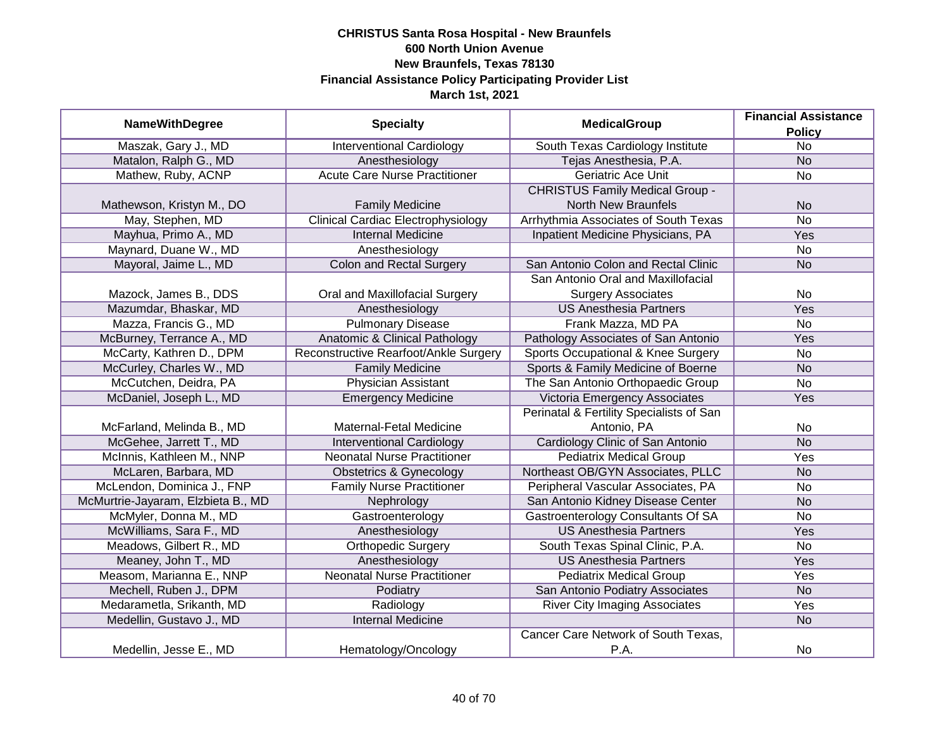|                                    |                                           | <b>MedicalGroup</b>                      | <b>Financial Assistance</b> |
|------------------------------------|-------------------------------------------|------------------------------------------|-----------------------------|
| <b>NameWithDegree</b>              | <b>Specialty</b>                          |                                          | <b>Policy</b>               |
| Maszak, Gary J., MD                | <b>Interventional Cardiology</b>          | South Texas Cardiology Institute         | $\overline{No}$             |
| Matalon, Ralph G., MD              | Anesthesiology                            | Tejas Anesthesia, P.A.                   | N <sub>o</sub>              |
| Mathew, Ruby, ACNP                 | <b>Acute Care Nurse Practitioner</b>      | <b>Geriatric Ace Unit</b>                | $\overline{No}$             |
|                                    |                                           | <b>CHRISTUS Family Medical Group -</b>   |                             |
| Mathewson, Kristyn M., DO          | <b>Family Medicine</b>                    | <b>North New Braunfels</b>               | <b>No</b>                   |
| May, Stephen, MD                   | <b>Clinical Cardiac Electrophysiology</b> | Arrhythmia Associates of South Texas     | <b>No</b>                   |
| Mayhua, Primo A., MD               | <b>Internal Medicine</b>                  | Inpatient Medicine Physicians, PA        | Yes                         |
| Maynard, Duane W., MD              | Anesthesiology                            |                                          | <b>No</b>                   |
| Mayoral, Jaime L., MD              | Colon and Rectal Surgery                  | San Antonio Colon and Rectal Clinic      | <b>No</b>                   |
|                                    |                                           | San Antonio Oral and Maxillofacial       |                             |
| Mazock, James B., DDS              | Oral and Maxillofacial Surgery            | <b>Surgery Associates</b>                | No                          |
| Mazumdar, Bhaskar, MD              | Anesthesiology                            | <b>US Anesthesia Partners</b>            | Yes                         |
| Mazza, Francis G., MD              | <b>Pulmonary Disease</b>                  | Frank Mazza, MD PA                       | <b>No</b>                   |
| McBurney, Terrance A., MD          | <b>Anatomic &amp; Clinical Pathology</b>  | Pathology Associates of San Antonio      | Yes                         |
| McCarty, Kathren D., DPM           | Reconstructive Rearfoot/Ankle Surgery     | Sports Occupational & Knee Surgery       | No                          |
| McCurley, Charles W., MD           | <b>Family Medicine</b>                    | Sports & Family Medicine of Boerne       | <b>No</b>                   |
| McCutchen, Deidra, PA              | <b>Physician Assistant</b>                | The San Antonio Orthopaedic Group        | <b>No</b>                   |
| McDaniel, Joseph L., MD            | <b>Emergency Medicine</b>                 | Victoria Emergency Associates            | Yes                         |
|                                    |                                           | Perinatal & Fertility Specialists of San |                             |
| McFarland, Melinda B., MD          | Maternal-Fetal Medicine                   | Antonio, PA                              | No                          |
| McGehee, Jarrett T., MD            | <b>Interventional Cardiology</b>          | Cardiology Clinic of San Antonio         | <b>No</b>                   |
| McInnis, Kathleen M., NNP          | <b>Neonatal Nurse Practitioner</b>        | <b>Pediatrix Medical Group</b>           | Yes                         |
| McLaren, Barbara, MD               | Obstetrics & Gynecology                   | Northeast OB/GYN Associates, PLLC        | <b>No</b>                   |
| McLendon, Dominica J., FNP         | <b>Family Nurse Practitioner</b>          | Peripheral Vascular Associates, PA       | No                          |
| McMurtrie-Jayaram, Elzbieta B., MD | Nephrology                                | San Antonio Kidney Disease Center        | <b>No</b>                   |
| McMyler, Donna M., MD              | Gastroenterology                          | Gastroenterology Consultants Of SA       | No                          |
| McWilliams, Sara F., MD            | Anesthesiology                            | <b>US Anesthesia Partners</b>            | Yes                         |
| Meadows, Gilbert R., MD            | <b>Orthopedic Surgery</b>                 | South Texas Spinal Clinic, P.A.          | No                          |
| Meaney, John T., MD                | Anesthesiology                            | <b>US Anesthesia Partners</b>            | Yes                         |
| Measom, Marianna E., NNP           | <b>Neonatal Nurse Practitioner</b>        | <b>Pediatrix Medical Group</b>           | Yes                         |
| Mechell, Ruben J., DPM             | Podiatry                                  | San Antonio Podiatry Associates          | <b>No</b>                   |
| Medarametla, Srikanth, MD          | Radiology                                 | <b>River City Imaging Associates</b>     | Yes                         |
| Medellin, Gustavo J., MD           | <b>Internal Medicine</b>                  |                                          | N <sub>o</sub>              |
|                                    |                                           | Cancer Care Network of South Texas,      |                             |
| Medellin, Jesse E., MD             | Hematology/Oncology                       | P.A.                                     | No                          |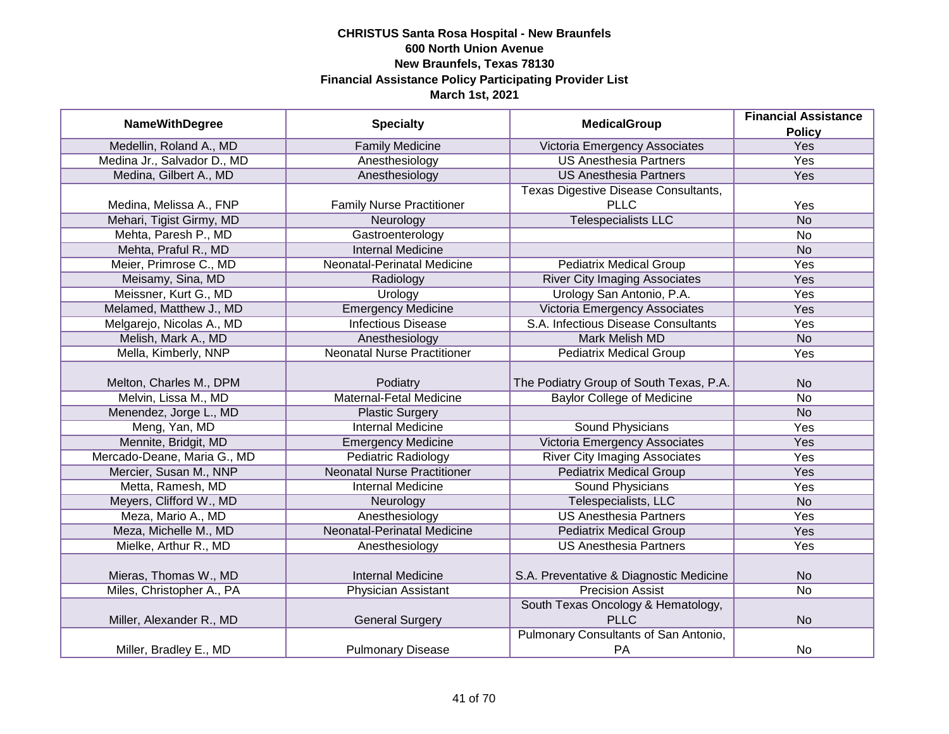|                             |                                    | <b>MedicalGroup</b>                     | <b>Financial Assistance</b> |
|-----------------------------|------------------------------------|-----------------------------------------|-----------------------------|
| <b>NameWithDegree</b>       | <b>Specialty</b>                   |                                         | <b>Policy</b>               |
| Medellin, Roland A., MD     | <b>Family Medicine</b>             | Victoria Emergency Associates           | <b>Yes</b>                  |
| Medina Jr., Salvador D., MD | Anesthesiology                     | <b>US Anesthesia Partners</b>           | <b>Yes</b>                  |
| Medina, Gilbert A., MD      | Anesthesiology                     | <b>US Anesthesia Partners</b>           | <b>Yes</b>                  |
|                             |                                    | Texas Digestive Disease Consultants,    |                             |
| Medina, Melissa A., FNP     | <b>Family Nurse Practitioner</b>   | <b>PLLC</b>                             | Yes                         |
| Mehari, Tigist Girmy, MD    | Neurology                          | <b>Telespecialists LLC</b>              | <b>No</b>                   |
| Mehta, Paresh P., MD        | Gastroenterology                   |                                         | <b>No</b>                   |
| Mehta, Praful R., MD        | <b>Internal Medicine</b>           |                                         | <b>No</b>                   |
| Meier, Primrose C., MD      | Neonatal-Perinatal Medicine        | <b>Pediatrix Medical Group</b>          | Yes                         |
| Meisamy, Sina, MD           | Radiology                          | <b>River City Imaging Associates</b>    | Yes                         |
| Meissner, Kurt G., MD       | Urology                            | Urology San Antonio, P.A.               | Yes                         |
| Melamed, Matthew J., MD     | <b>Emergency Medicine</b>          | Victoria Emergency Associates           | Yes                         |
| Melgarejo, Nicolas A., MD   | <b>Infectious Disease</b>          | S.A. Infectious Disease Consultants     | Yes                         |
| Melish, Mark A., MD         | Anesthesiology                     | <b>Mark Melish MD</b>                   | <b>No</b>                   |
| Mella, Kimberly, NNP        | <b>Neonatal Nurse Practitioner</b> | <b>Pediatrix Medical Group</b>          | Yes                         |
|                             |                                    |                                         |                             |
| Melton, Charles M., DPM     | Podiatry                           | The Podiatry Group of South Texas, P.A. | <b>No</b>                   |
| Melvin, Lissa M., MD        | <b>Maternal-Fetal Medicine</b>     | <b>Baylor College of Medicine</b>       | <b>No</b>                   |
| Menendez, Jorge L., MD      | <b>Plastic Surgery</b>             |                                         | <b>No</b>                   |
| Meng, Yan, MD               | <b>Internal Medicine</b>           | <b>Sound Physicians</b>                 | Yes                         |
| Mennite, Bridgit, MD        | <b>Emergency Medicine</b>          | Victoria Emergency Associates           | Yes                         |
| Mercado-Deane, Maria G., MD | <b>Pediatric Radiology</b>         | <b>River City Imaging Associates</b>    | Yes                         |
| Mercier, Susan M., NNP      | <b>Neonatal Nurse Practitioner</b> | <b>Pediatrix Medical Group</b>          | Yes                         |
| Metta, Ramesh, MD           | <b>Internal Medicine</b>           | <b>Sound Physicians</b>                 | Yes                         |
| Meyers, Clifford W., MD     | Neurology                          | Telespecialists, LLC                    | <b>No</b>                   |
| Meza, Mario A., MD          | Anesthesiology                     | <b>US Anesthesia Partners</b>           | Yes                         |
| Meza, Michelle M., MD       | <b>Neonatal-Perinatal Medicine</b> | <b>Pediatrix Medical Group</b>          | Yes                         |
| Mielke, Arthur R., MD       | Anesthesiology                     | <b>US Anesthesia Partners</b>           | Yes                         |
|                             |                                    |                                         |                             |
| Mieras, Thomas W., MD       | <b>Internal Medicine</b>           | S.A. Preventative & Diagnostic Medicine | <b>No</b>                   |
| Miles, Christopher A., PA   | <b>Physician Assistant</b>         | <b>Precision Assist</b>                 | $\overline{No}$             |
|                             |                                    | South Texas Oncology & Hematology,      |                             |
| Miller, Alexander R., MD    | <b>General Surgery</b>             | <b>PLLC</b>                             | <b>No</b>                   |
|                             |                                    | Pulmonary Consultants of San Antonio,   |                             |
| Miller, Bradley E., MD      | <b>Pulmonary Disease</b>           | PA                                      | No                          |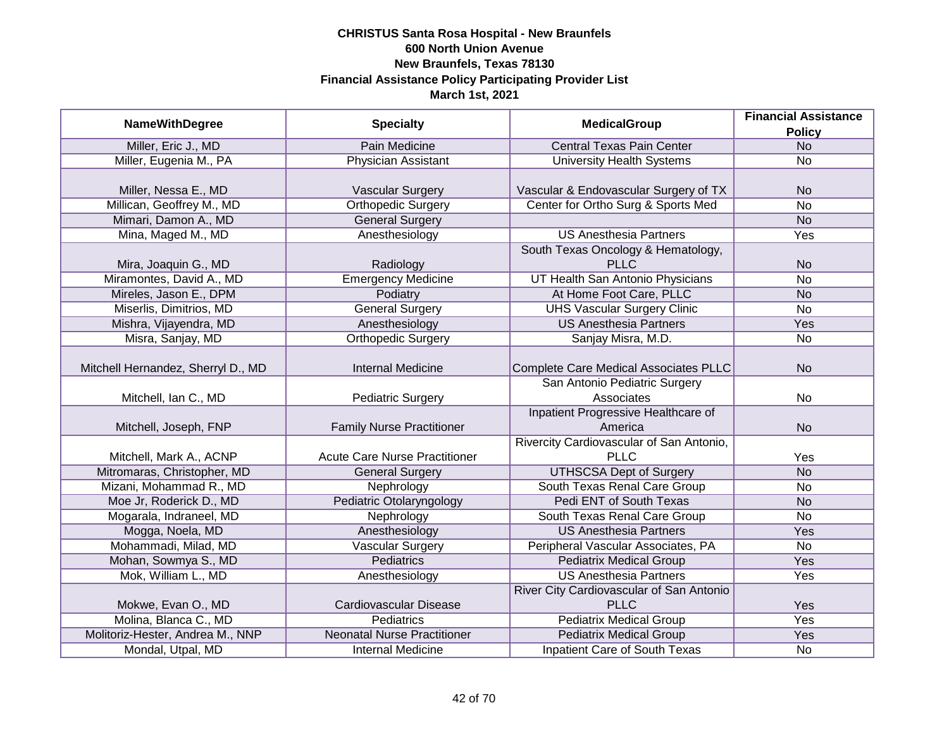|                                    |                                      |                                              | <b>Financial Assistance</b> |
|------------------------------------|--------------------------------------|----------------------------------------------|-----------------------------|
| <b>NameWithDegree</b>              | <b>Specialty</b>                     | <b>MedicalGroup</b>                          | <b>Policy</b>               |
| Miller, Eric J., MD                | <b>Pain Medicine</b>                 | <b>Central Texas Pain Center</b>             | N <sub>o</sub>              |
| Miller, Eugenia M., PA             | <b>Physician Assistant</b>           | <b>University Health Systems</b>             | <b>No</b>                   |
|                                    |                                      |                                              |                             |
| Miller, Nessa E., MD               | <b>Vascular Surgery</b>              | Vascular & Endovascular Surgery of TX        | <b>No</b>                   |
| Millican, Geoffrey M., MD          | <b>Orthopedic Surgery</b>            | Center for Ortho Surg & Sports Med           | $\overline{No}$             |
| Mimari, Damon A., MD               | <b>General Surgery</b>               |                                              | <b>No</b>                   |
| Mina, Maged M., MD                 | Anesthesiology                       | <b>US Anesthesia Partners</b>                | Yes                         |
|                                    |                                      | South Texas Oncology & Hematology,           |                             |
| Mira, Joaquin G., MD               | Radiology                            | <b>PLLC</b>                                  | <b>No</b>                   |
| Miramontes, David A., MD           | <b>Emergency Medicine</b>            | UT Health San Antonio Physicians             | <b>No</b>                   |
| Mireles, Jason E., DPM             | Podiatry                             | At Home Foot Care, PLLC                      | <b>No</b>                   |
| Miserlis, Dimitrios, MD            | <b>General Surgery</b>               | <b>UHS Vascular Surgery Clinic</b>           | <b>No</b>                   |
| Mishra, Vijayendra, MD             | Anesthesiology                       | <b>US Anesthesia Partners</b>                | Yes                         |
| Misra, Sanjay, MD                  | <b>Orthopedic Surgery</b>            | Sanjay Misra, M.D.                           | No                          |
|                                    |                                      |                                              |                             |
| Mitchell Hernandez, Sherryl D., MD | <b>Internal Medicine</b>             | <b>Complete Care Medical Associates PLLC</b> | <b>No</b>                   |
|                                    |                                      | San Antonio Pediatric Surgery                |                             |
| Mitchell, Ian C., MD               | <b>Pediatric Surgery</b>             | Associates                                   | No                          |
|                                    |                                      | Inpatient Progressive Healthcare of          |                             |
| Mitchell, Joseph, FNP              | <b>Family Nurse Practitioner</b>     | America                                      | <b>No</b>                   |
|                                    |                                      | Rivercity Cardiovascular of San Antonio,     |                             |
| Mitchell, Mark A., ACNP            | <b>Acute Care Nurse Practitioner</b> | <b>PLLC</b>                                  | Yes                         |
| Mitromaras, Christopher, MD        | <b>General Surgery</b>               | <b>UTHSCSA Dept of Surgery</b>               | <b>No</b>                   |
| Mizani, Mohammad R., MD            | Nephrology                           | South Texas Renal Care Group                 | <b>No</b>                   |
| Moe Jr, Roderick D., MD            | Pediatric Otolaryngology             | Pedi ENT of South Texas                      | <b>No</b>                   |
| Mogarala, Indraneel, MD            | Nephrology                           | South Texas Renal Care Group                 | No                          |
| Mogga, Noela, MD                   | Anesthesiology                       | <b>US Anesthesia Partners</b>                | Yes                         |
| Mohammadi, Milad, MD               | <b>Vascular Surgery</b>              | Peripheral Vascular Associates, PA           | No                          |
| Mohan, Sowmya S., MD               | Pediatrics                           | <b>Pediatrix Medical Group</b>               | Yes                         |
| Mok, William L., MD                | Anesthesiology                       | <b>US Anesthesia Partners</b>                | Yes                         |
|                                    |                                      | River City Cardiovascular of San Antonio     |                             |
| Mokwe, Evan O., MD                 | Cardiovascular Disease               | <b>PLLC</b>                                  | Yes                         |
| Molina, Blanca C., MD              | <b>Pediatrics</b>                    | <b>Pediatrix Medical Group</b>               | <b>Yes</b>                  |
| Molitoriz-Hester, Andrea M., NNP   | <b>Neonatal Nurse Practitioner</b>   | <b>Pediatrix Medical Group</b>               | Yes                         |
| Mondal, Utpal, MD                  | <b>Internal Medicine</b>             | <b>Inpatient Care of South Texas</b>         | No                          |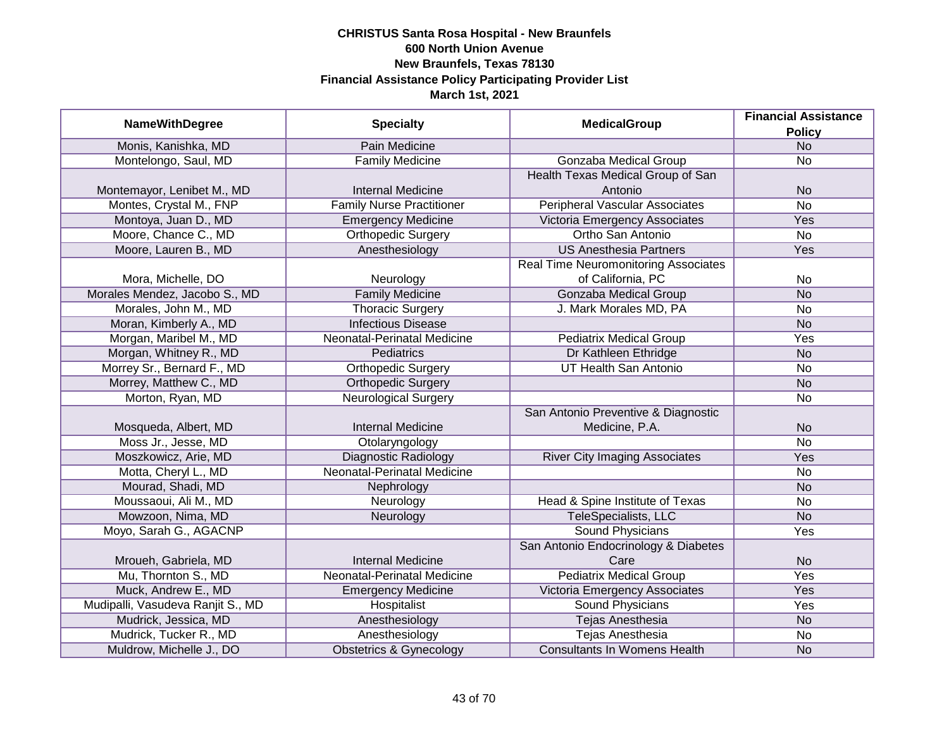| <b>NameWithDegree</b>             | <b>Specialty</b>                   | <b>MedicalGroup</b>                         | <b>Financial Assistance</b> |
|-----------------------------------|------------------------------------|---------------------------------------------|-----------------------------|
|                                   |                                    |                                             | <b>Policy</b>               |
| Monis, Kanishka, MD               | Pain Medicine                      |                                             | <b>No</b>                   |
| Montelongo, Saul, MD              | <b>Family Medicine</b>             | <b>Gonzaba Medical Group</b>                | $\overline{No}$             |
|                                   |                                    | Health Texas Medical Group of San           |                             |
| Montemayor, Lenibet M., MD        | <b>Internal Medicine</b>           | Antonio                                     | <b>No</b>                   |
| Montes, Crystal M., FNP           | <b>Family Nurse Practitioner</b>   | <b>Peripheral Vascular Associates</b>       | $\overline{No}$             |
| Montoya, Juan D., MD              | <b>Emergency Medicine</b>          | Victoria Emergency Associates               | Yes                         |
| Moore, Chance C., MD              | <b>Orthopedic Surgery</b>          | Ortho San Antonio                           | No                          |
| Moore, Lauren B., MD              | Anesthesiology                     | <b>US Anesthesia Partners</b>               | Yes                         |
|                                   |                                    | <b>Real Time Neuromonitoring Associates</b> |                             |
| Mora, Michelle, DO                | Neurology                          | of California, PC                           | No                          |
| Morales Mendez, Jacobo S., MD     | <b>Family Medicine</b>             | Gonzaba Medical Group                       | <b>No</b>                   |
| Morales, John M., MD              | <b>Thoracic Surgery</b>            | J. Mark Morales MD, PA                      | No                          |
| Moran, Kimberly A., MD            | <b>Infectious Disease</b>          |                                             | <b>No</b>                   |
| Morgan, Maribel M., MD            | Neonatal-Perinatal Medicine        | <b>Pediatrix Medical Group</b>              | Yes                         |
| Morgan, Whitney R., MD            | Pediatrics                         | Dr Kathleen Ethridge                        | <b>No</b>                   |
| Morrey Sr., Bernard F., MD        | <b>Orthopedic Surgery</b>          | <b>UT Health San Antonio</b>                | No                          |
| Morrey, Matthew C., MD            | <b>Orthopedic Surgery</b>          |                                             | <b>No</b>                   |
| Morton, Ryan, MD                  | <b>Neurological Surgery</b>        |                                             | No                          |
|                                   |                                    | San Antonio Preventive & Diagnostic         |                             |
| Mosqueda, Albert, MD              | <b>Internal Medicine</b>           | Medicine, P.A.                              | <b>No</b>                   |
| Moss Jr., Jesse, MD               | Otolaryngology                     |                                             | <b>No</b>                   |
| Moszkowicz, Arie, MD              | <b>Diagnostic Radiology</b>        | <b>River City Imaging Associates</b>        | Yes                         |
| Motta, Cheryl L., MD              | <b>Neonatal-Perinatal Medicine</b> |                                             | <b>No</b>                   |
| Mourad, Shadi, MD                 | Nephrology                         |                                             | <b>No</b>                   |
| Moussaoui, Ali M., MD             | Neurology                          | Head & Spine Institute of Texas             | No                          |
| Mowzoon, Nima, MD                 | Neurology                          | <b>TeleSpecialists, LLC</b>                 | <b>No</b>                   |
| Moyo, Sarah G., AGACNP            |                                    | <b>Sound Physicians</b>                     | Yes                         |
|                                   |                                    | San Antonio Endocrinology & Diabetes        |                             |
| Mroueh, Gabriela, MD              | <b>Internal Medicine</b>           | Care                                        | <b>No</b>                   |
| Mu, Thornton S., MD               | Neonatal-Perinatal Medicine        | <b>Pediatrix Medical Group</b>              | Yes                         |
| Muck, Andrew E., MD               | <b>Emergency Medicine</b>          | Victoria Emergency Associates               | Yes                         |
| Mudipalli, Vasudeva Ranjit S., MD | Hospitalist                        | <b>Sound Physicians</b>                     | Yes                         |
| Mudrick, Jessica, MD              | Anesthesiology                     | <b>Tejas Anesthesia</b>                     | <b>No</b>                   |
| Mudrick, Tucker R., MD            | Anesthesiology                     | <b>Tejas Anesthesia</b>                     | No                          |
| Muldrow, Michelle J., DO          | <b>Obstetrics &amp; Gynecology</b> | <b>Consultants In Womens Health</b>         | <b>No</b>                   |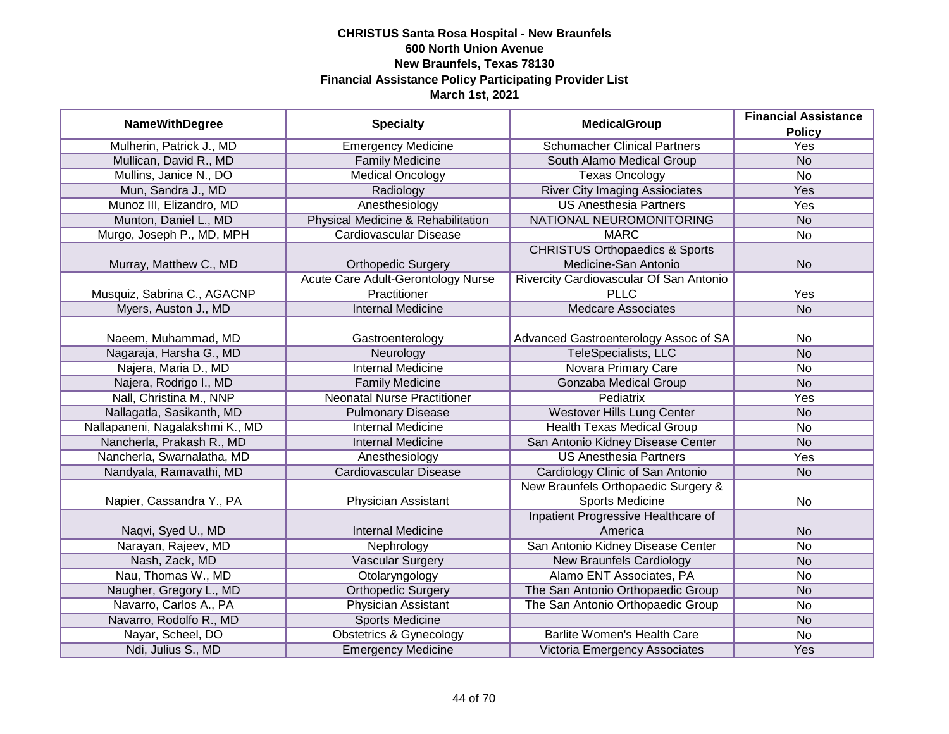|                                 |                                    | <b>MedicalGroup</b>                       | <b>Financial Assistance</b> |
|---------------------------------|------------------------------------|-------------------------------------------|-----------------------------|
| <b>NameWithDegree</b>           | <b>Specialty</b>                   |                                           | <b>Policy</b>               |
| Mulherin, Patrick J., MD        | <b>Emergency Medicine</b>          | <b>Schumacher Clinical Partners</b>       | <b>Yes</b>                  |
| Mullican, David R., MD          | <b>Family Medicine</b>             | South Alamo Medical Group                 | <b>No</b>                   |
| Mullins, Janice N., DO          | <b>Medical Oncology</b>            | <b>Texas Oncology</b>                     | $\overline{No}$             |
| Mun, Sandra J., MD              | Radiology                          | <b>River City Imaging Assiociates</b>     | Yes                         |
| Munoz III, Elizandro, MD        | Anesthesiology                     | <b>US Anesthesia Partners</b>             | <b>Yes</b>                  |
| Munton, Daniel L., MD           | Physical Medicine & Rehabilitation | NATIONAL NEUROMONITORING                  | <b>No</b>                   |
| Murgo, Joseph P., MD, MPH       | Cardiovascular Disease             | <b>MARC</b>                               | No                          |
|                                 |                                    | <b>CHRISTUS Orthopaedics &amp; Sports</b> |                             |
| Murray, Matthew C., MD          | <b>Orthopedic Surgery</b>          | Medicine-San Antonio                      | <b>No</b>                   |
|                                 | Acute Care Adult-Gerontology Nurse | Rivercity Cardiovascular Of San Antonio   |                             |
| Musquiz, Sabrina C., AGACNP     | Practitioner                       | <b>PLLC</b>                               | Yes                         |
| Myers, Auston J., MD            | <b>Internal Medicine</b>           | <b>Medcare Associates</b>                 | <b>No</b>                   |
|                                 |                                    |                                           |                             |
| Naeem, Muhammad, MD             | Gastroenterology                   | Advanced Gastroenterology Assoc of SA     | No                          |
| Nagaraja, Harsha G., MD         | Neurology                          | <b>TeleSpecialists, LLC</b>               | <b>No</b>                   |
| Najera, Maria D., MD            | <b>Internal Medicine</b>           | <b>Novara Primary Care</b>                | No                          |
| Najera, Rodrigo I., MD          | <b>Family Medicine</b>             | <b>Gonzaba Medical Group</b>              | <b>No</b>                   |
| Nall, Christina M., NNP         | <b>Neonatal Nurse Practitioner</b> | Pediatrix                                 | Yes                         |
| Nallagatla, Sasikanth, MD       | <b>Pulmonary Disease</b>           | Westover Hills Lung Center                | <b>No</b>                   |
| Nallapaneni, Nagalakshmi K., MD | <b>Internal Medicine</b>           | <b>Health Texas Medical Group</b>         | No                          |
| Nancherla, Prakash R., MD       | <b>Internal Medicine</b>           | San Antonio Kidney Disease Center         | <b>No</b>                   |
| Nancherla, Swarnalatha, MD      | Anesthesiology                     | <b>US Anesthesia Partners</b>             | Yes                         |
| Nandyala, Ramavathi, MD         | Cardiovascular Disease             | Cardiology Clinic of San Antonio          | <b>No</b>                   |
|                                 |                                    | New Braunfels Orthopaedic Surgery &       |                             |
| Napier, Cassandra Y., PA        | Physician Assistant                | Sports Medicine                           | No                          |
|                                 |                                    | Inpatient Progressive Healthcare of       |                             |
| Naqvi, Syed U., MD              | <b>Internal Medicine</b>           | America                                   | <b>No</b>                   |
| Narayan, Rajeev, MD             | Nephrology                         | San Antonio Kidney Disease Center         | <b>No</b>                   |
| Nash, Zack, MD                  | Vascular Surgery                   | <b>New Braunfels Cardiology</b>           | <b>No</b>                   |
| Nau, Thomas W., MD              | Otolaryngology                     | Alamo ENT Associates, PA                  | No                          |
| Naugher, Gregory L., MD         | <b>Orthopedic Surgery</b>          | The San Antonio Orthopaedic Group         | <b>No</b>                   |
| Navarro, Carlos A., PA          | <b>Physician Assistant</b>         | The San Antonio Orthopaedic Group         | No                          |
| Navarro, Rodolfo R., MD         | <b>Sports Medicine</b>             |                                           | <b>No</b>                   |
| Nayar, Scheel, DO               | <b>Obstetrics &amp; Gynecology</b> | <b>Barlite Women's Health Care</b>        | No                          |
| Ndi, Julius S., MD              | <b>Emergency Medicine</b>          | Victoria Emergency Associates             | Yes                         |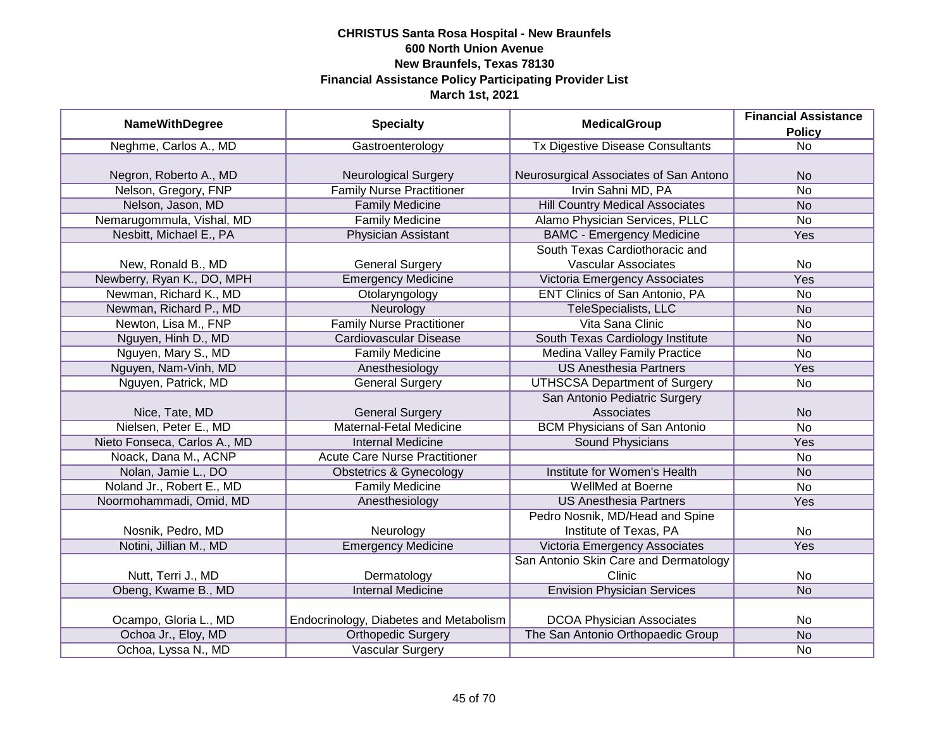| <b>NameWithDegree</b>        |                                        | <b>MedicalGroup</b>                     | <b>Financial Assistance</b> |
|------------------------------|----------------------------------------|-----------------------------------------|-----------------------------|
|                              | <b>Specialty</b>                       |                                         | <b>Policy</b>               |
| Neghme, Carlos A., MD        | Gastroenterology                       | <b>Tx Digestive Disease Consultants</b> | $\overline{No}$             |
|                              |                                        |                                         |                             |
| Negron, Roberto A., MD       | <b>Neurological Surgery</b>            | Neurosurgical Associates of San Antono  | <b>No</b>                   |
| Nelson, Gregory, FNP         | <b>Family Nurse Practitioner</b>       | Irvin Sahni MD, PA                      | $\overline{No}$             |
| Nelson, Jason, MD            | <b>Family Medicine</b>                 | <b>Hill Country Medical Associates</b>  | <b>No</b>                   |
| Nemarugommula, Vishal, MD    | <b>Family Medicine</b>                 | Alamo Physician Services, PLLC          | No                          |
| Nesbitt, Michael E., PA      | <b>Physician Assistant</b>             | <b>BAMC - Emergency Medicine</b>        | Yes                         |
|                              |                                        | South Texas Cardiothoracic and          |                             |
| New, Ronald B., MD           | <b>General Surgery</b>                 | <b>Vascular Associates</b>              | No                          |
| Newberry, Ryan K., DO, MPH   | <b>Emergency Medicine</b>              | Victoria Emergency Associates           | Yes                         |
| Newman, Richard K., MD       | Otolaryngology                         | ENT Clinics of San Antonio, PA          | No                          |
| Newman, Richard P., MD       | Neurology                              | TeleSpecialists, LLC                    | <b>No</b>                   |
| Newton, Lisa M., FNP         | <b>Family Nurse Practitioner</b>       | Vita Sana Clinic                        | <b>No</b>                   |
| Nguyen, Hinh D., MD          | <b>Cardiovascular Disease</b>          | South Texas Cardiology Institute        | <b>No</b>                   |
| Nguyen, Mary S., MD          | <b>Family Medicine</b>                 | <b>Medina Valley Family Practice</b>    | No                          |
| Nguyen, Nam-Vinh, MD         | Anesthesiology                         | <b>US Anesthesia Partners</b>           | Yes                         |
| Nguyen, Patrick, MD          | <b>General Surgery</b>                 | <b>UTHSCSA Department of Surgery</b>    | No                          |
|                              |                                        | San Antonio Pediatric Surgery           |                             |
| Nice, Tate, MD               | <b>General Surgery</b>                 | Associates                              | <b>No</b>                   |
| Nielsen, Peter E., MD        | Maternal-Fetal Medicine                | <b>BCM Physicians of San Antonio</b>    | No                          |
| Nieto Fonseca, Carlos A., MD | <b>Internal Medicine</b>               | Sound Physicians                        | Yes                         |
| Noack, Dana M., ACNP         | <b>Acute Care Nurse Practitioner</b>   |                                         | <b>No</b>                   |
| Nolan, Jamie L., DO          | <b>Obstetrics &amp; Gynecology</b>     | Institute for Women's Health            | <b>No</b>                   |
| Noland Jr., Robert E., MD    | <b>Family Medicine</b>                 | WellMed at Boerne                       | <b>No</b>                   |
| Noormohammadi, Omid, MD      | Anesthesiology                         | <b>US Anesthesia Partners</b>           | Yes                         |
|                              |                                        | Pedro Nosnik, MD/Head and Spine         |                             |
| Nosnik, Pedro, MD            | Neurology                              | Institute of Texas, PA                  | No                          |
| Notini, Jillian M., MD       | <b>Emergency Medicine</b>              | Victoria Emergency Associates           | Yes                         |
|                              |                                        | San Antonio Skin Care and Dermatology   |                             |
| Nutt, Terri J., MD           | Dermatology                            | Clinic                                  | No                          |
| Obeng, Kwame B., MD          | <b>Internal Medicine</b>               | <b>Envision Physician Services</b>      | N <sub>o</sub>              |
|                              |                                        |                                         |                             |
| Ocampo, Gloria L., MD        | Endocrinology, Diabetes and Metabolism | <b>DCOA Physician Associates</b>        | No                          |
| Ochoa Jr., Eloy, MD          | <b>Orthopedic Surgery</b>              | The San Antonio Orthopaedic Group       | N <sub>o</sub>              |
| Ochoa, Lyssa N., MD          | <b>Vascular Surgery</b>                |                                         | No                          |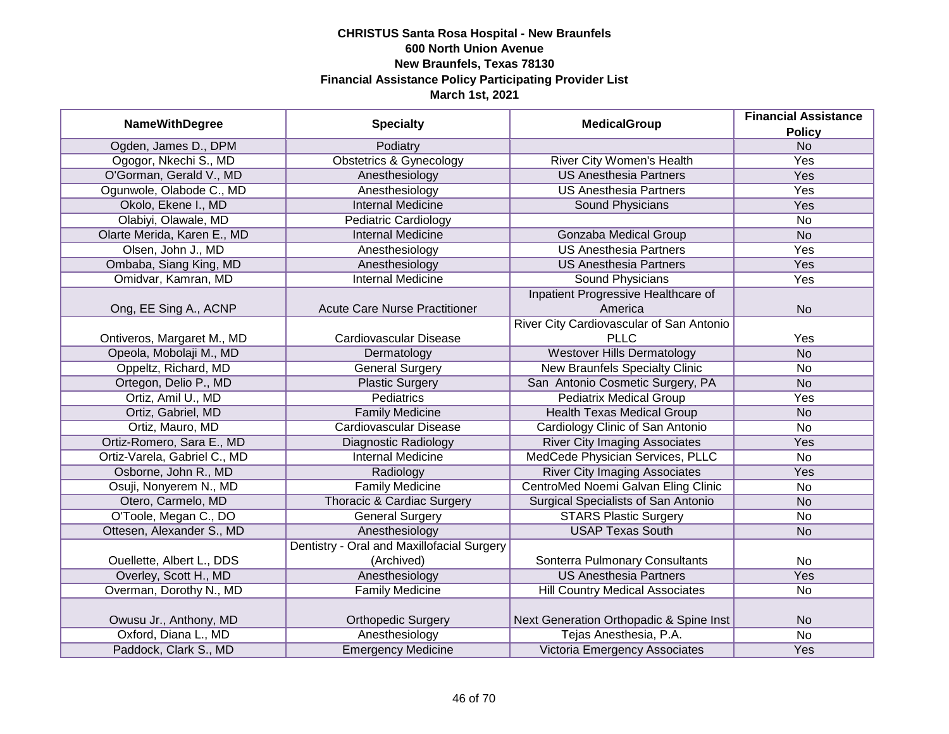|                              |                                            |                                            | <b>Financial Assistance</b> |
|------------------------------|--------------------------------------------|--------------------------------------------|-----------------------------|
| <b>NameWithDegree</b>        | <b>Specialty</b>                           | <b>MedicalGroup</b>                        | <b>Policy</b>               |
| Ogden, James D., DPM         | Podiatry                                   |                                            | N <sub>o</sub>              |
| Ogogor, Nkechi S., MD        | <b>Obstetrics &amp; Gynecology</b>         | River City Women's Health                  | <b>Yes</b>                  |
| O'Gorman, Gerald V., MD      | Anesthesiology                             | <b>US Anesthesia Partners</b>              | Yes                         |
| Ogunwole, Olabode C., MD     | Anesthesiology                             | <b>US Anesthesia Partners</b>              | <b>Yes</b>                  |
| Okolo, Ekene I., MD          | <b>Internal Medicine</b>                   | Sound Physicians                           | <b>Yes</b>                  |
| Olabiyi, Olawale, MD         | Pediatric Cardiology                       |                                            | No                          |
| Olarte Merida, Karen E., MD  | <b>Internal Medicine</b>                   | <b>Gonzaba Medical Group</b>               | <b>No</b>                   |
| Olsen, John J., MD           | Anesthesiology                             | <b>US Anesthesia Partners</b>              | <b>Yes</b>                  |
| Ombaba, Siang King, MD       | Anesthesiology                             | <b>US Anesthesia Partners</b>              | <b>Yes</b>                  |
| Omidvar, Kamran, MD          | <b>Internal Medicine</b>                   | Sound Physicians                           | Yes                         |
|                              |                                            | Inpatient Progressive Healthcare of        |                             |
| Ong, EE Sing A., ACNP        | <b>Acute Care Nurse Practitioner</b>       | America                                    | <b>No</b>                   |
|                              |                                            | River City Cardiovascular of San Antonio   |                             |
| Ontiveros, Margaret M., MD   | Cardiovascular Disease                     | <b>PLLC</b>                                | Yes                         |
| Opeola, Mobolaji M., MD      | Dermatology                                | <b>Westover Hills Dermatology</b>          | <b>No</b>                   |
| Oppeltz, Richard, MD         | <b>General Surgery</b>                     | <b>New Braunfels Specialty Clinic</b>      | No                          |
| Ortegon, Delio P., MD        | <b>Plastic Surgery</b>                     | San Antonio Cosmetic Surgery, PA           | <b>No</b>                   |
| Ortiz, Amil U., MD           | <b>Pediatrics</b>                          | <b>Pediatrix Medical Group</b>             | Yes                         |
| Ortiz, Gabriel, MD           | <b>Family Medicine</b>                     | <b>Health Texas Medical Group</b>          | <b>No</b>                   |
| Ortiz, Mauro, MD             | Cardiovascular Disease                     | Cardiology Clinic of San Antonio           | <b>No</b>                   |
| Ortiz-Romero, Sara E., MD    | <b>Diagnostic Radiology</b>                | <b>River City Imaging Associates</b>       | Yes                         |
| Ortiz-Varela, Gabriel C., MD | <b>Internal Medicine</b>                   | MedCede Physician Services, PLLC           | No                          |
| Osborne, John R., MD         | Radiology                                  | <b>River City Imaging Associates</b>       | Yes                         |
| Osuji, Nonyerem N., MD       | <b>Family Medicine</b>                     | CentroMed Noemi Galvan Eling Clinic        | No                          |
| Otero, Carmelo, MD           | Thoracic & Cardiac Surgery                 | <b>Surgical Specialists of San Antonio</b> | <b>No</b>                   |
| O'Toole, Megan C., DO        | <b>General Surgery</b>                     | <b>STARS Plastic Surgery</b>               | No                          |
| Ottesen, Alexander S., MD    | Anesthesiology                             | <b>USAP Texas South</b>                    | <b>No</b>                   |
|                              | Dentistry - Oral and Maxillofacial Surgery |                                            |                             |
| Ouellette, Albert L., DDS    | (Archived)                                 | Sonterra Pulmonary Consultants             | No                          |
| Overley, Scott H., MD        | Anesthesiology                             | <b>US Anesthesia Partners</b>              | Yes                         |
| Overman, Dorothy N., MD      | <b>Family Medicine</b>                     | <b>Hill Country Medical Associates</b>     | No                          |
|                              |                                            |                                            |                             |
| Owusu Jr., Anthony, MD       | <b>Orthopedic Surgery</b>                  | Next Generation Orthopadic & Spine Inst    | <b>No</b>                   |
| Oxford, Diana L., MD         | Anesthesiology                             | Tejas Anesthesia, P.A.                     | $\overline{No}$             |
| Paddock, Clark S., MD        | <b>Emergency Medicine</b>                  | Victoria Emergency Associates              | Yes                         |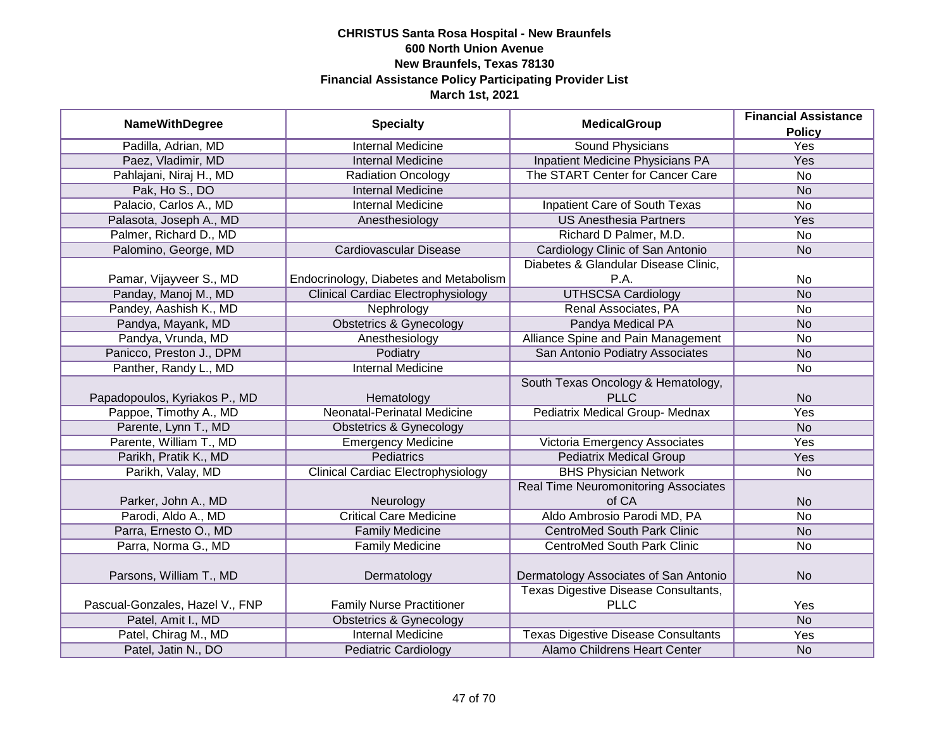| <b>NameWithDegree</b>           | <b>Specialty</b>                          | <b>MedicalGroup</b>                         | <b>Financial Assistance</b> |
|---------------------------------|-------------------------------------------|---------------------------------------------|-----------------------------|
|                                 |                                           |                                             | <b>Policy</b>               |
| Padilla, Adrian, MD             | <b>Internal Medicine</b>                  | <b>Sound Physicians</b>                     | <b>Yes</b>                  |
| Paez, Vladimir, MD              | <b>Internal Medicine</b>                  | <b>Inpatient Medicine Physicians PA</b>     | Yes                         |
| Pahlajani, Niraj H., MD         | <b>Radiation Oncology</b>                 | The START Center for Cancer Care            | $\overline{No}$             |
| Pak, Ho S., DO                  | <b>Internal Medicine</b>                  |                                             | <b>No</b>                   |
| Palacio, Carlos A., MD          | <b>Internal Medicine</b>                  | <b>Inpatient Care of South Texas</b>        | $\overline{No}$             |
| Palasota, Joseph A., MD         | Anesthesiology                            | <b>US Anesthesia Partners</b>               | Yes                         |
| Palmer, Richard D., MD          |                                           | Richard D Palmer, M.D.                      | No                          |
| Palomino, George, MD            | Cardiovascular Disease                    | Cardiology Clinic of San Antonio            | <b>No</b>                   |
|                                 |                                           | Diabetes & Glandular Disease Clinic,        |                             |
| Pamar, Vijayveer S., MD         | Endocrinology, Diabetes and Metabolism    | P.A.                                        | No                          |
| Panday, Manoj M., MD            | <b>Clinical Cardiac Electrophysiology</b> | <b>UTHSCSA Cardiology</b>                   | <b>No</b>                   |
| Pandey, Aashish K., MD          | Nephrology                                | Renal Associates, PA                        | No                          |
| Pandya, Mayank, MD              | <b>Obstetrics &amp; Gynecology</b>        | Pandya Medical PA                           | <b>No</b>                   |
| Pandya, Vrunda, MD              | Anesthesiology                            | Alliance Spine and Pain Management          | No                          |
| Panicco, Preston J., DPM        | Podiatry                                  | San Antonio Podiatry Associates             | <b>No</b>                   |
| Panther, Randy L., MD           | <b>Internal Medicine</b>                  |                                             | No                          |
|                                 |                                           | South Texas Oncology & Hematology,          |                             |
| Papadopoulos, Kyriakos P., MD   | Hematology                                | <b>PLLC</b>                                 | <b>No</b>                   |
| Pappoe, Timothy A., MD          | Neonatal-Perinatal Medicine               | Pediatrix Medical Group- Mednax             | Yes                         |
| Parente, Lynn T., MD            | <b>Obstetrics &amp; Gynecology</b>        |                                             | <b>No</b>                   |
| Parente, William T., MD         | <b>Emergency Medicine</b>                 | Victoria Emergency Associates               | Yes                         |
| Parikh, Pratik K., MD           | <b>Pediatrics</b>                         | <b>Pediatrix Medical Group</b>              | Yes                         |
| Parikh, Valay, MD               | <b>Clinical Cardiac Electrophysiology</b> | <b>BHS Physician Network</b>                | <b>No</b>                   |
|                                 |                                           | <b>Real Time Neuromonitoring Associates</b> |                             |
| Parker, John A., MD             | Neurology                                 | of CA                                       | <b>No</b>                   |
| Parodi, Aldo A., MD             | <b>Critical Care Medicine</b>             | Aldo Ambrosio Parodi MD, PA                 | <b>No</b>                   |
| Parra, Ernesto O., MD           | <b>Family Medicine</b>                    | <b>CentroMed South Park Clinic</b>          | <b>No</b>                   |
| Parra, Norma G., MD             | <b>Family Medicine</b>                    | <b>CentroMed South Park Clinic</b>          | <b>No</b>                   |
|                                 |                                           |                                             |                             |
| Parsons, William T., MD         | Dermatology                               | Dermatology Associates of San Antonio       | <b>No</b>                   |
|                                 |                                           | <b>Texas Digestive Disease Consultants,</b> |                             |
| Pascual-Gonzales, Hazel V., FNP | <b>Family Nurse Practitioner</b>          | <b>PLLC</b>                                 | Yes                         |
| Patel, Amit I., MD              | <b>Obstetrics &amp; Gynecology</b>        |                                             | <b>No</b>                   |
| Patel, Chirag M., MD            | <b>Internal Medicine</b>                  | <b>Texas Digestive Disease Consultants</b>  | Yes                         |
| Patel, Jatin N., DO             | <b>Pediatric Cardiology</b>               | Alamo Childrens Heart Center                | <b>No</b>                   |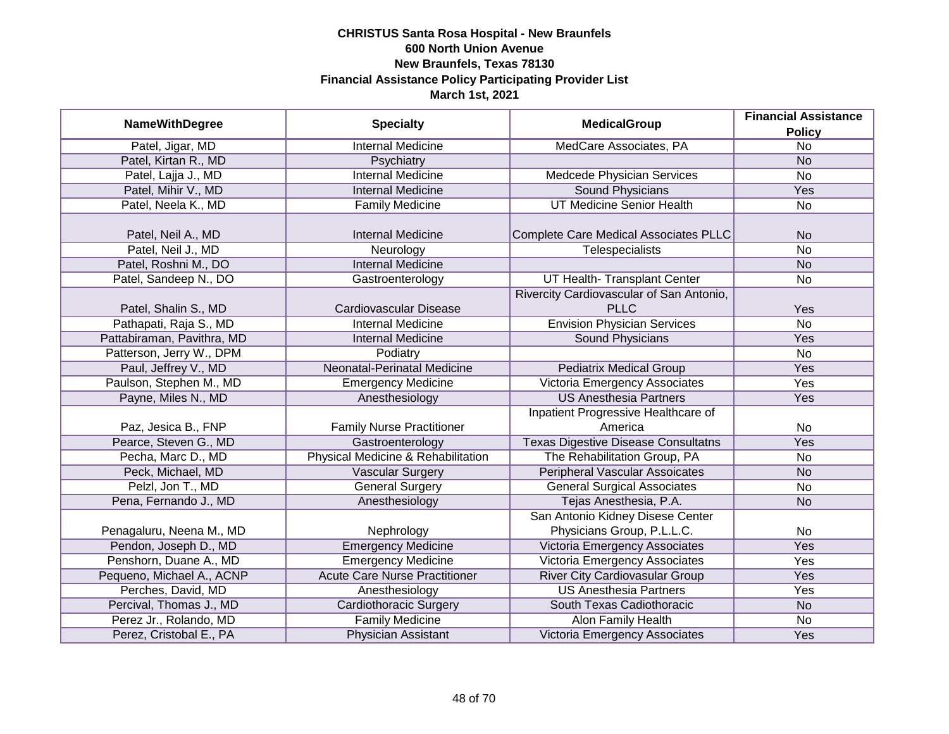| <b>NameWithDegree</b>      | <b>Specialty</b>                     | <b>MedicalGroup</b>                        | <b>Financial Assistance</b> |
|----------------------------|--------------------------------------|--------------------------------------------|-----------------------------|
|                            |                                      |                                            | <b>Policy</b>               |
| Patel, Jigar, MD           | <b>Internal Medicine</b>             | MedCare Associates, PA                     | $\overline{No}$             |
| Patel, Kirtan R., MD       | Psychiatry                           |                                            | <b>No</b>                   |
| Patel, Lajja J., MD        | <b>Internal Medicine</b>             | Medcede Physician Services                 | <b>No</b>                   |
| Patel, Mihir V., MD        | <b>Internal Medicine</b>             | <b>Sound Physicians</b>                    | Yes                         |
| Patel, Neela K., MD        | <b>Family Medicine</b>               | <b>UT Medicine Senior Health</b>           | No                          |
|                            |                                      |                                            |                             |
| Patel, Neil A., MD         | <b>Internal Medicine</b>             | Complete Care Medical Associates PLLC      | <b>No</b>                   |
| Patel, Neil J., MD         | Neurology                            | Telespecialists                            | <b>No</b>                   |
| Patel, Roshni M., DO       | <b>Internal Medicine</b>             |                                            | <b>No</b>                   |
| Patel, Sandeep N., DO      | Gastroenterology                     | UT Health- Transplant Center               | No                          |
|                            |                                      | Rivercity Cardiovascular of San Antonio,   |                             |
| Patel, Shalin S., MD       | Cardiovascular Disease               | <b>PLLC</b>                                | Yes                         |
| Pathapati, Raja S., MD     | <b>Internal Medicine</b>             | <b>Envision Physician Services</b>         | <b>No</b>                   |
| Pattabiraman, Pavithra, MD | <b>Internal Medicine</b>             | <b>Sound Physicians</b>                    | Yes                         |
| Patterson, Jerry W., DPM   | Podiatry                             |                                            | <b>No</b>                   |
| Paul, Jeffrey V., MD       | Neonatal-Perinatal Medicine          | <b>Pediatrix Medical Group</b>             | Yes                         |
| Paulson, Stephen M., MD    | <b>Emergency Medicine</b>            | <b>Victoria Emergency Associates</b>       | Yes                         |
| Payne, Miles N., MD        | Anesthesiology                       | <b>US Anesthesia Partners</b>              | Yes                         |
|                            |                                      | Inpatient Progressive Healthcare of        |                             |
| Paz, Jesica B., FNP        | <b>Family Nurse Practitioner</b>     | America                                    | No                          |
| Pearce, Steven G., MD      | Gastroenterology                     | <b>Texas Digestive Disease Consultatns</b> | Yes                         |
| Pecha, Marc D., MD         | Physical Medicine & Rehabilitation   | The Rehabilitation Group, PA               | No                          |
| Peck, Michael, MD          | <b>Vascular Surgery</b>              | <b>Peripheral Vascular Assoicates</b>      | <b>No</b>                   |
| Pelzl, Jon T., MD          | <b>General Surgery</b>               | <b>General Surgical Associates</b>         | No                          |
| Pena, Fernando J., MD      | Anesthesiology                       | Tejas Anesthesia, P.A.                     | <b>No</b>                   |
|                            |                                      | San Antonio Kidney Disese Center           |                             |
| Penagaluru, Neena M., MD   | Nephrology                           | Physicians Group, P.L.L.C.                 | No                          |
| Pendon, Joseph D., MD      | <b>Emergency Medicine</b>            | Victoria Emergency Associates              | Yes                         |
| Penshorn, Duane A., MD     | <b>Emergency Medicine</b>            | Victoria Emergency Associates              | Yes                         |
| Pequeno, Michael A., ACNP  | <b>Acute Care Nurse Practitioner</b> | <b>River City Cardiovasular Group</b>      | Yes                         |
| Perches, David, MD         | Anesthesiology                       | <b>US Anesthesia Partners</b>              | Yes                         |
| Percival, Thomas J., MD    | <b>Cardiothoracic Surgery</b>        | South Texas Cadiothoracic                  | <b>No</b>                   |
| Perez Jr., Rolando, MD     | <b>Family Medicine</b>               | <b>Alon Family Health</b>                  | No                          |
| Perez, Cristobal E., PA    | Physician Assistant                  | Victoria Emergency Associates              | Yes                         |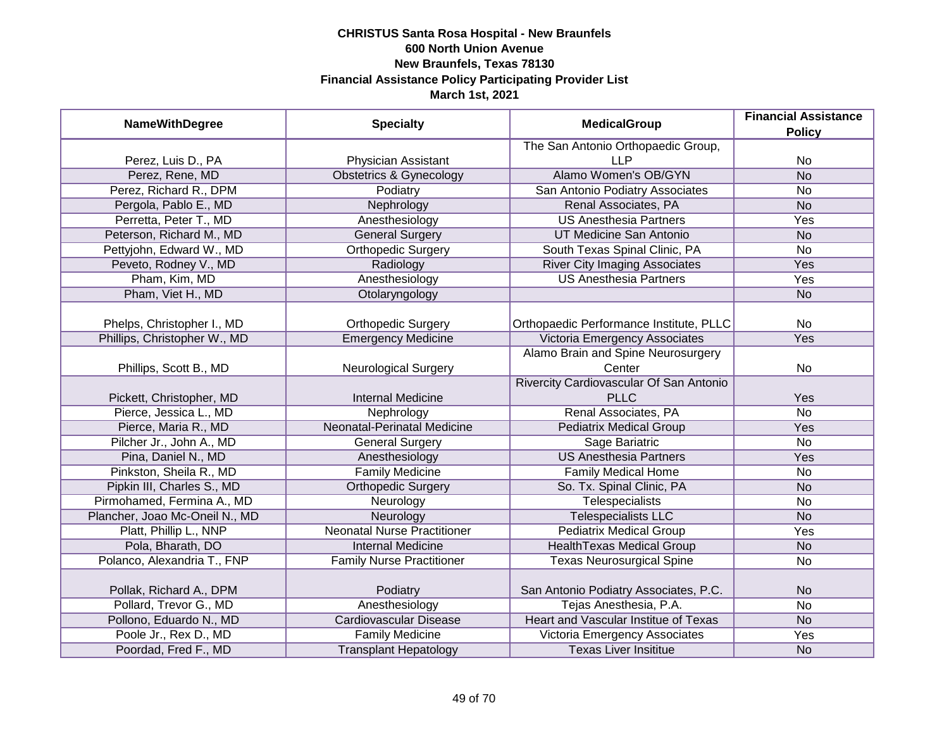| <b>NameWithDegree</b>          | <b>Specialty</b>                   | <b>MedicalGroup</b>                         | <b>Financial Assistance</b><br><b>Policy</b> |
|--------------------------------|------------------------------------|---------------------------------------------|----------------------------------------------|
|                                |                                    | The San Antonio Orthopaedic Group,          |                                              |
| Perez, Luis D., PA             | Physician Assistant                | <b>LLP</b>                                  | <b>No</b>                                    |
| Perez, Rene, MD                | <b>Obstetrics &amp; Gynecology</b> | Alamo Women's OB/GYN                        | $\overline{No}$                              |
| Perez, Richard R., DPM         | Podiatry                           | San Antonio Podiatry Associates             | <b>No</b>                                    |
| Pergola, Pablo E., MD          | Nephrology                         | Renal Associates, PA                        | <b>No</b>                                    |
| Perretta, Peter T., MD         | Anesthesiology                     | <b>US Anesthesia Partners</b>               | Yes                                          |
| Peterson, Richard M., MD       | <b>General Surgery</b>             | UT Medicine San Antonio                     | N <sub>o</sub>                               |
| Pettyjohn, Edward W., MD       | <b>Orthopedic Surgery</b>          | South Texas Spinal Clinic, PA               | <b>No</b>                                    |
| Peveto, Rodney V., MD          | Radiology                          | <b>River City Imaging Associates</b>        | Yes                                          |
| Pham, Kim, MD                  | Anesthesiology                     | <b>US Anesthesia Partners</b>               | Yes                                          |
| Pham, Viet H., MD              | Otolaryngology                     |                                             | <b>No</b>                                    |
| Phelps, Christopher I., MD     | <b>Orthopedic Surgery</b>          | Orthopaedic Performance Institute, PLLC     | <b>No</b>                                    |
| Phillips, Christopher W., MD   | <b>Emergency Medicine</b>          | Victoria Emergency Associates               | Yes                                          |
|                                |                                    | Alamo Brain and Spine Neurosurgery          |                                              |
| Phillips, Scott B., MD         | <b>Neurological Surgery</b>        | Center                                      | No                                           |
|                                |                                    | Rivercity Cardiovascular Of San Antonio     |                                              |
| Pickett, Christopher, MD       | <b>Internal Medicine</b>           | <b>PLLC</b>                                 | Yes                                          |
| Pierce, Jessica L., MD         | Nephrology                         | Renal Associates, PA                        | <b>No</b>                                    |
| Pierce, Maria R., MD           | <b>Neonatal-Perinatal Medicine</b> | <b>Pediatrix Medical Group</b>              | Yes                                          |
| Pilcher Jr., John A., MD       | <b>General Surgery</b>             | Sage Bariatric                              | <b>No</b>                                    |
| Pina, Daniel N., MD            | Anesthesiology                     | <b>US Anesthesia Partners</b>               | Yes                                          |
| Pinkston, Sheila R., MD        | <b>Family Medicine</b>             | <b>Family Medical Home</b>                  | <b>No</b>                                    |
| Pipkin III, Charles S., MD     | <b>Orthopedic Surgery</b>          | So. Tx. Spinal Clinic, PA                   | <b>No</b>                                    |
| Pirmohamed, Fermina A., MD     | Neurology                          | Telespecialists                             | <b>No</b>                                    |
| Plancher, Joao Mc-Oneil N., MD | Neurology                          | <b>Telespecialists LLC</b>                  | <b>No</b>                                    |
| Platt, Phillip L., NNP         | <b>Neonatal Nurse Practitioner</b> | <b>Pediatrix Medical Group</b>              | Yes                                          |
| Pola, Bharath, DO              | <b>Internal Medicine</b>           | <b>HealthTexas Medical Group</b>            | <b>No</b>                                    |
| Polanco, Alexandria T., FNP    | <b>Family Nurse Practitioner</b>   | <b>Texas Neurosurgical Spine</b>            | <b>No</b>                                    |
| Pollak, Richard A., DPM        | Podiatry                           | San Antonio Podiatry Associates, P.C.       | <b>No</b>                                    |
| Pollard, Trevor G., MD         | Anesthesiology                     | Tejas Anesthesia, P.A.                      | <b>No</b>                                    |
| Pollono, Eduardo N., MD        | <b>Cardiovascular Disease</b>      | <b>Heart and Vascular Institue of Texas</b> | N <sub>o</sub>                               |
| Poole Jr., Rex D., MD          | <b>Family Medicine</b>             | Victoria Emergency Associates               | Yes                                          |
| Poordad, Fred F., MD           | <b>Transplant Hepatology</b>       | <b>Texas Liver Insititue</b>                | <b>No</b>                                    |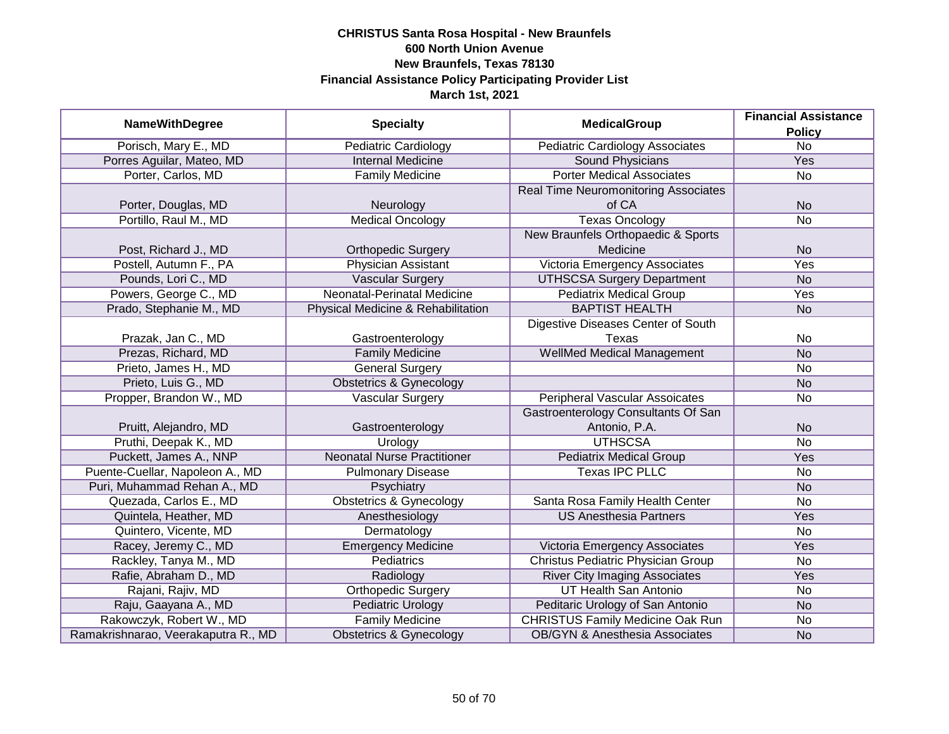| <b>NameWithDegree</b>               |                                    | <b>MedicalGroup</b>                         | <b>Financial Assistance</b> |
|-------------------------------------|------------------------------------|---------------------------------------------|-----------------------------|
|                                     | <b>Specialty</b>                   |                                             | <b>Policy</b>               |
| Porisch, Mary E., MD                | <b>Pediatric Cardiology</b>        | <b>Pediatric Cardiology Associates</b>      | $\overline{No}$             |
| Porres Aguilar, Mateo, MD           | <b>Internal Medicine</b>           | <b>Sound Physicians</b>                     | Yes                         |
| Porter, Carlos, MD                  | <b>Family Medicine</b>             | <b>Porter Medical Associates</b>            | No                          |
|                                     |                                    | <b>Real Time Neuromonitoring Associates</b> |                             |
| Porter, Douglas, MD                 | Neurology                          | of CA                                       | <b>No</b>                   |
| Portillo, Raul M., MD               | <b>Medical Oncology</b>            | <b>Texas Oncology</b>                       | <b>No</b>                   |
|                                     |                                    | New Braunfels Orthopaedic & Sports          |                             |
| Post, Richard J., MD                | <b>Orthopedic Surgery</b>          | Medicine                                    | <b>No</b>                   |
| Postell, Autumn F., PA              | <b>Physician Assistant</b>         | Victoria Emergency Associates               | Yes                         |
| Pounds, Lori C., MD                 | <b>Vascular Surgery</b>            | <b>UTHSCSA Surgery Department</b>           | <b>No</b>                   |
| Powers, George C., MD               | Neonatal-Perinatal Medicine        | <b>Pediatrix Medical Group</b>              | Yes                         |
| Prado, Stephanie M., MD             | Physical Medicine & Rehabilitation | <b>BAPTIST HEALTH</b>                       | <b>No</b>                   |
|                                     |                                    | Digestive Diseases Center of South          |                             |
| Prazak, Jan C., MD                  | Gastroenterology                   | Texas                                       | No                          |
| Prezas, Richard, MD                 | <b>Family Medicine</b>             | <b>WellMed Medical Management</b>           | <b>No</b>                   |
| Prieto, James H., MD                | <b>General Surgery</b>             |                                             | No                          |
| Prieto, Luis G., MD                 | <b>Obstetrics &amp; Gynecology</b> |                                             | <b>No</b>                   |
| Propper, Brandon W., MD             | Vascular Surgery                   | <b>Peripheral Vascular Assoicates</b>       | No                          |
|                                     |                                    | Gastroenterology Consultants Of San         |                             |
| Pruitt, Alejandro, MD               | Gastroenterology                   | Antonio, P.A.                               | <b>No</b>                   |
| Pruthi, Deepak K., MD               | Urology                            | <b>UTHSCSA</b>                              | <b>No</b>                   |
| Puckett, James A., NNP              | <b>Neonatal Nurse Practitioner</b> | <b>Pediatrix Medical Group</b>              | Yes                         |
| Puente-Cuellar, Napoleon A., MD     | <b>Pulmonary Disease</b>           | <b>Texas IPC PLLC</b>                       | No                          |
| Puri, Muhammad Rehan A., MD         | Psychiatry                         |                                             | <b>No</b>                   |
| Quezada, Carlos E., MD              | <b>Obstetrics &amp; Gynecology</b> | Santa Rosa Family Health Center             | <b>No</b>                   |
| Quintela, Heather, MD               | Anesthesiology                     | <b>US Anesthesia Partners</b>               | Yes                         |
| Quintero, Vicente, MD               | Dermatology                        |                                             | <b>No</b>                   |
| Racey, Jeremy C., MD                | <b>Emergency Medicine</b>          | Victoria Emergency Associates               | Yes                         |
| Rackley, Tanya M., MD               | Pediatrics                         | Christus Pediatric Physician Group          | No                          |
| Rafie, Abraham D., MD               | Radiology                          | <b>River City Imaging Associates</b>        | Yes                         |
| Rajani, Rajiv, MD                   | <b>Orthopedic Surgery</b>          | <b>UT Health San Antonio</b>                | No                          |
| Raju, Gaayana A., MD                | <b>Pediatric Urology</b>           | Peditaric Urology of San Antonio            | <b>No</b>                   |
| Rakowczyk, Robert W., MD            | <b>Family Medicine</b>             | <b>CHRISTUS Family Medicine Oak Run</b>     | No                          |
| Ramakrishnarao, Veerakaputra R., MD | <b>Obstetrics &amp; Gynecology</b> | <b>OB/GYN &amp; Anesthesia Associates</b>   | <b>No</b>                   |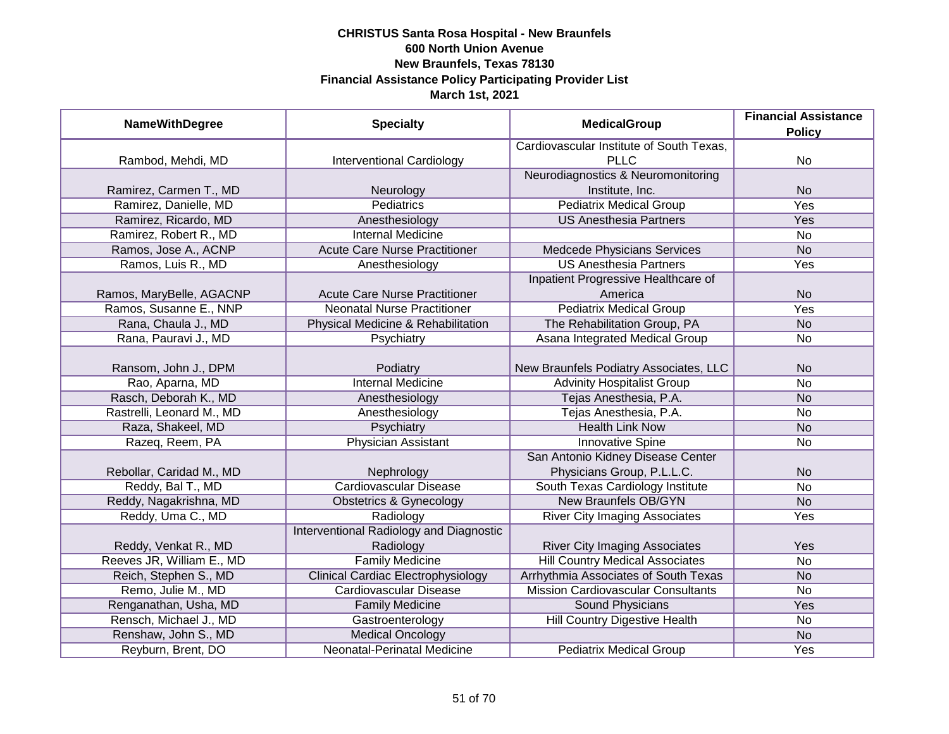| <b>NameWithDegree</b>     | <b>Specialty</b>                          | <b>MedicalGroup</b>                       | <b>Financial Assistance</b><br><b>Policy</b> |
|---------------------------|-------------------------------------------|-------------------------------------------|----------------------------------------------|
|                           |                                           | Cardiovascular Institute of South Texas,  |                                              |
| Rambod, Mehdi, MD         | <b>Interventional Cardiology</b>          | <b>PLLC</b>                               | <b>No</b>                                    |
|                           |                                           | Neurodiagnostics & Neuromonitoring        |                                              |
| Ramirez, Carmen T., MD    | Neurology                                 | Institute, Inc.                           | <b>No</b>                                    |
| Ramirez, Danielle, MD     | <b>Pediatrics</b>                         | <b>Pediatrix Medical Group</b>            | <b>Yes</b>                                   |
| Ramirez, Ricardo, MD      | Anesthesiology                            | <b>US Anesthesia Partners</b>             | Yes                                          |
| Ramirez, Robert R., MD    | <b>Internal Medicine</b>                  |                                           | <b>No</b>                                    |
| Ramos, Jose A., ACNP      | <b>Acute Care Nurse Practitioner</b>      | Medcede Physicians Services               | <b>No</b>                                    |
| Ramos, Luis R., MD        | Anesthesiology                            | <b>US Anesthesia Partners</b>             | Yes                                          |
|                           |                                           | Inpatient Progressive Healthcare of       |                                              |
| Ramos, MaryBelle, AGACNP  | <b>Acute Care Nurse Practitioner</b>      | America                                   | <b>No</b>                                    |
| Ramos, Susanne E., NNP    | <b>Neonatal Nurse Practitioner</b>        | <b>Pediatrix Medical Group</b>            | Yes                                          |
| Rana, Chaula J., MD       | Physical Medicine & Rehabilitation        | The Rehabilitation Group, PA              | <b>No</b>                                    |
| Rana, Pauravi J., MD      | Psychiatry                                | Asana Integrated Medical Group            | No                                           |
|                           |                                           |                                           |                                              |
| Ransom, John J., DPM      | Podiatry                                  | New Braunfels Podiatry Associates, LLC    | <b>No</b>                                    |
| Rao, Aparna, MD           | <b>Internal Medicine</b>                  | <b>Advinity Hospitalist Group</b>         | <b>No</b>                                    |
| Rasch, Deborah K., MD     | Anesthesiology                            | Tejas Anesthesia, P.A.                    | <b>No</b>                                    |
| Rastrelli, Leonard M., MD | Anesthesiology                            | Tejas Anesthesia, P.A.                    | <b>No</b>                                    |
| Raza, Shakeel, MD         | Psychiatry                                | <b>Health Link Now</b>                    | <b>No</b>                                    |
| Razeq, Reem, PA           | Physician Assistant                       | <b>Innovative Spine</b>                   | No                                           |
|                           |                                           | San Antonio Kidney Disease Center         |                                              |
| Rebollar, Caridad M., MD  | Nephrology                                | Physicians Group, P.L.L.C.                | <b>No</b>                                    |
| Reddy, Bal T., MD         | <b>Cardiovascular Disease</b>             | South Texas Cardiology Institute          | <b>No</b>                                    |
| Reddy, Nagakrishna, MD    | <b>Obstetrics &amp; Gynecology</b>        | <b>New Braunfels OB/GYN</b>               | <b>No</b>                                    |
| Reddy, Uma C., MD         | Radiology                                 | <b>River City Imaging Associates</b>      | Yes                                          |
|                           | Interventional Radiology and Diagnostic   |                                           |                                              |
| Reddy, Venkat R., MD      | Radiology                                 | <b>River City Imaging Associates</b>      | Yes                                          |
| Reeves JR, William E., MD | <b>Family Medicine</b>                    | <b>Hill Country Medical Associates</b>    | <b>No</b>                                    |
| Reich, Stephen S., MD     | <b>Clinical Cardiac Electrophysiology</b> | Arrhythmia Associates of South Texas      | <b>No</b>                                    |
| Remo, Julie M., MD        | Cardiovascular Disease                    | <b>Mission Cardiovascular Consultants</b> | <b>No</b>                                    |
| Renganathan, Usha, MD     | <b>Family Medicine</b>                    | <b>Sound Physicians</b>                   | <b>Yes</b>                                   |
| Rensch, Michael J., MD    | Gastroenterology                          | <b>Hill Country Digestive Health</b>      | <b>No</b>                                    |
| Renshaw, John S., MD      | <b>Medical Oncology</b>                   |                                           | <b>No</b>                                    |
| Reyburn, Brent, DO        | <b>Neonatal-Perinatal Medicine</b>        | <b>Pediatrix Medical Group</b>            | Yes                                          |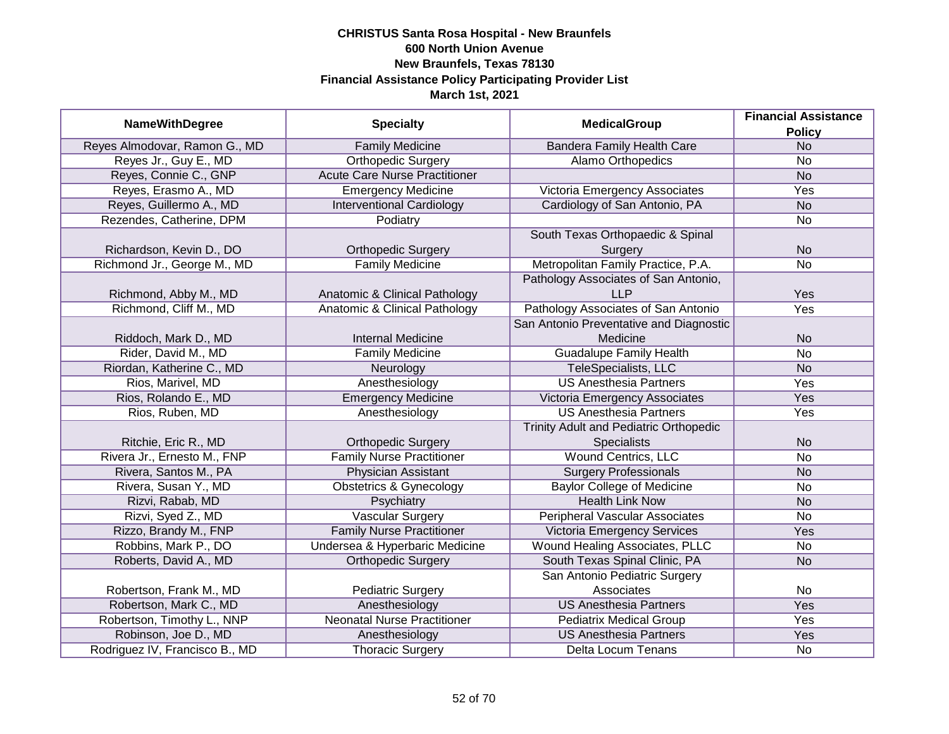|                                |                                      |                                         | <b>Financial Assistance</b> |
|--------------------------------|--------------------------------------|-----------------------------------------|-----------------------------|
| <b>NameWithDegree</b>          | <b>Specialty</b>                     | <b>MedicalGroup</b>                     | <b>Policy</b>               |
| Reyes Almodovar, Ramon G., MD  | <b>Family Medicine</b>               | <b>Bandera Family Health Care</b>       | N <sub>o</sub>              |
| Reyes Jr., Guy E., MD          | <b>Orthopedic Surgery</b>            | <b>Alamo Orthopedics</b>                | $\overline{No}$             |
| Reyes, Connie C., GNP          | <b>Acute Care Nurse Practitioner</b> |                                         | <b>No</b>                   |
| Reyes, Erasmo A., MD           | <b>Emergency Medicine</b>            | Victoria Emergency Associates           | <b>Yes</b>                  |
| Reyes, Guillermo A., MD        | <b>Interventional Cardiology</b>     | Cardiology of San Antonio, PA           | N <sub>o</sub>              |
| Rezendes, Catherine, DPM       | Podiatry                             |                                         | No                          |
|                                |                                      | South Texas Orthopaedic & Spinal        |                             |
| Richardson, Kevin D., DO       | <b>Orthopedic Surgery</b>            | Surgery                                 | <b>No</b>                   |
| Richmond Jr., George M., MD    | <b>Family Medicine</b>               | Metropolitan Family Practice, P.A.      | <b>No</b>                   |
|                                |                                      | Pathology Associates of San Antonio,    |                             |
| Richmond, Abby M., MD          | Anatomic & Clinical Pathology        | <b>LLP</b>                              | Yes                         |
| Richmond, Cliff M., MD         | Anatomic & Clinical Pathology        | Pathology Associates of San Antonio     | Yes                         |
|                                |                                      | San Antonio Preventative and Diagnostic |                             |
| Riddoch, Mark D., MD           | <b>Internal Medicine</b>             | Medicine                                | <b>No</b>                   |
| Rider, David M., MD            | <b>Family Medicine</b>               | <b>Guadalupe Family Health</b>          | <b>No</b>                   |
| Riordan, Katherine C., MD      | Neurology                            | <b>TeleSpecialists, LLC</b>             | <b>No</b>                   |
| Rios, Marivel, MD              | Anesthesiology                       | <b>US Anesthesia Partners</b>           | Yes                         |
| Rios, Rolando E., MD           | <b>Emergency Medicine</b>            | Victoria Emergency Associates           | Yes                         |
| Rios, Ruben, MD                | Anesthesiology                       | <b>US Anesthesia Partners</b>           | Yes                         |
|                                |                                      | Trinity Adult and Pediatric Orthopedic  |                             |
| Ritchie, Eric R., MD           | <b>Orthopedic Surgery</b>            | <b>Specialists</b>                      | <b>No</b>                   |
| Rivera Jr., Ernesto M., FNP    | <b>Family Nurse Practitioner</b>     | <b>Wound Centrics, LLC</b>              | No                          |
| Rivera, Santos M., PA          | <b>Physician Assistant</b>           | <b>Surgery Professionals</b>            | <b>No</b>                   |
| Rivera, Susan Y., MD           | <b>Obstetrics &amp; Gynecology</b>   | <b>Baylor College of Medicine</b>       | No                          |
| Rizvi, Rabab, MD               | Psychiatry                           | <b>Health Link Now</b>                  | <b>No</b>                   |
| Rizvi, Syed Z., MD             | <b>Vascular Surgery</b>              | <b>Peripheral Vascular Associates</b>   | <b>No</b>                   |
| Rizzo, Brandy M., FNP          | <b>Family Nurse Practitioner</b>     | <b>Victoria Emergency Services</b>      | Yes                         |
| Robbins, Mark P., DO           | Undersea & Hyperbaric Medicine       | Wound Healing Associates, PLLC          | <b>No</b>                   |
| Roberts, David A., MD          | <b>Orthopedic Surgery</b>            | South Texas Spinal Clinic, PA           | <b>No</b>                   |
|                                |                                      | San Antonio Pediatric Surgery           |                             |
| Robertson, Frank M., MD        | <b>Pediatric Surgery</b>             | Associates                              | <b>No</b>                   |
| Robertson, Mark C., MD         | Anesthesiology                       | <b>US Anesthesia Partners</b>           | Yes                         |
| Robertson, Timothy L., NNP     | <b>Neonatal Nurse Practitioner</b>   | <b>Pediatrix Medical Group</b>          | Yes                         |
| Robinson, Joe D., MD           | Anesthesiology                       | <b>US Anesthesia Partners</b>           | Yes                         |
| Rodriguez IV, Francisco B., MD | <b>Thoracic Surgery</b>              | Delta Locum Tenans                      | No                          |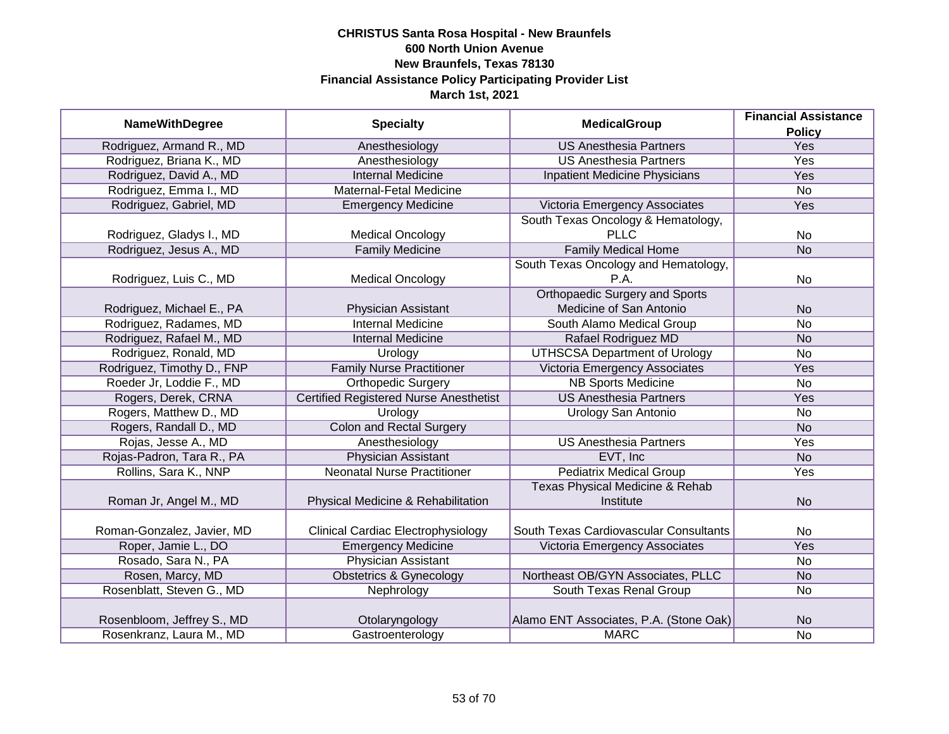|                            |                                               |                                            | <b>Financial Assistance</b> |
|----------------------------|-----------------------------------------------|--------------------------------------------|-----------------------------|
| <b>NameWithDegree</b>      | <b>Specialty</b>                              | <b>MedicalGroup</b>                        | <b>Policy</b>               |
| Rodriguez, Armand R., MD   | Anesthesiology                                | <b>US Anesthesia Partners</b>              | Yes                         |
| Rodriguez, Briana K., MD   | Anesthesiology                                | <b>US Anesthesia Partners</b>              | <b>Yes</b>                  |
| Rodriguez, David A., MD    | <b>Internal Medicine</b>                      | <b>Inpatient Medicine Physicians</b>       | Yes                         |
| Rodriguez, Emma I., MD     | Maternal-Fetal Medicine                       |                                            | <b>No</b>                   |
| Rodriguez, Gabriel, MD     | <b>Emergency Medicine</b>                     | Victoria Emergency Associates              | Yes                         |
|                            |                                               | South Texas Oncology & Hematology,         |                             |
| Rodriguez, Gladys I., MD   | <b>Medical Oncology</b>                       | <b>PLLC</b>                                | No                          |
| Rodriguez, Jesus A., MD    | <b>Family Medicine</b>                        | <b>Family Medical Home</b>                 | <b>No</b>                   |
|                            |                                               | South Texas Oncology and Hematology,       |                             |
| Rodriguez, Luis C., MD     | <b>Medical Oncology</b>                       | P.A.                                       | <b>No</b>                   |
|                            |                                               | <b>Orthopaedic Surgery and Sports</b>      |                             |
| Rodriguez, Michael E., PA  | Physician Assistant                           | Medicine of San Antonio                    | <b>No</b>                   |
| Rodriguez, Radames, MD     | <b>Internal Medicine</b>                      | South Alamo Medical Group                  | <b>No</b>                   |
| Rodriguez, Rafael M., MD   | <b>Internal Medicine</b>                      | Rafael Rodriguez MD                        | <b>No</b>                   |
| Rodriguez, Ronald, MD      | Urology                                       | <b>UTHSCSA Department of Urology</b>       | <b>No</b>                   |
| Rodriguez, Timothy D., FNP | <b>Family Nurse Practitioner</b>              | <b>Victoria Emergency Associates</b>       | Yes                         |
| Roeder Jr, Loddie F., MD   | <b>Orthopedic Surgery</b>                     | <b>NB Sports Medicine</b>                  | <b>No</b>                   |
| Rogers, Derek, CRNA        | <b>Certified Registered Nurse Anesthetist</b> | <b>US Anesthesia Partners</b>              | Yes                         |
| Rogers, Matthew D., MD     | Urology                                       | <b>Urology San Antonio</b>                 | <b>No</b>                   |
| Rogers, Randall D., MD     | <b>Colon and Rectal Surgery</b>               |                                            | <b>No</b>                   |
| Rojas, Jesse A., MD        | Anesthesiology                                | <b>US Anesthesia Partners</b>              | Yes                         |
| Rojas-Padron, Tara R., PA  | <b>Physician Assistant</b>                    | EVT, Inc                                   | <b>No</b>                   |
| Rollins, Sara K., NNP      | <b>Neonatal Nurse Practitioner</b>            | <b>Pediatrix Medical Group</b>             | Yes                         |
|                            |                                               | <b>Texas Physical Medicine &amp; Rehab</b> |                             |
| Roman Jr, Angel M., MD     | Physical Medicine & Rehabilitation            | Institute                                  | <b>No</b>                   |
|                            |                                               |                                            |                             |
| Roman-Gonzalez, Javier, MD | <b>Clinical Cardiac Electrophysiology</b>     | South Texas Cardiovascular Consultants     | <b>No</b>                   |
| Roper, Jamie L., DO        | <b>Emergency Medicine</b>                     | Victoria Emergency Associates              | Yes                         |
| Rosado, Sara N., PA        | Physician Assistant                           |                                            | <b>No</b>                   |
| Rosen, Marcy, MD           | <b>Obstetrics &amp; Gynecology</b>            | Northeast OB/GYN Associates, PLLC          | <b>No</b>                   |
| Rosenblatt, Steven G., MD  | Nephrology                                    | South Texas Renal Group                    | <b>No</b>                   |
|                            |                                               |                                            |                             |
| Rosenbloom, Jeffrey S., MD | Otolaryngology                                | Alamo ENT Associates, P.A. (Stone Oak)     | <b>No</b>                   |
| Rosenkranz, Laura M., MD   | Gastroenterology                              | <b>MARC</b>                                | <b>No</b>                   |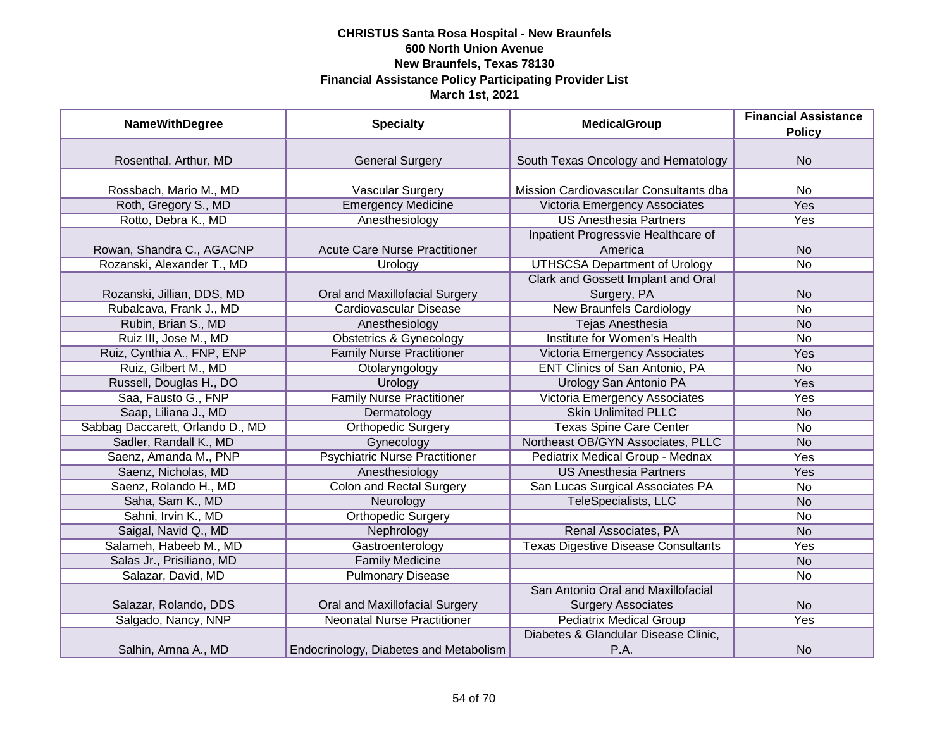| <b>NameWithDegree</b>            | <b>Specialty</b>                       | <b>MedicalGroup</b>                        | <b>Financial Assistance</b><br><b>Policy</b> |
|----------------------------------|----------------------------------------|--------------------------------------------|----------------------------------------------|
|                                  |                                        |                                            |                                              |
| Rosenthal, Arthur, MD            | <b>General Surgery</b>                 | South Texas Oncology and Hematology        | <b>No</b>                                    |
| Rossbach, Mario M., MD           | Vascular Surgery                       | Mission Cardiovascular Consultants dba     | No                                           |
| Roth, Gregory S., MD             | <b>Emergency Medicine</b>              | Victoria Emergency Associates              | <b>Yes</b>                                   |
| Rotto, Debra K., MD              | Anesthesiology                         | <b>US Anesthesia Partners</b>              | Yes                                          |
|                                  |                                        | Inpatient Progressvie Healthcare of        |                                              |
| Rowan, Shandra C., AGACNP        | <b>Acute Care Nurse Practitioner</b>   | America                                    | <b>No</b>                                    |
| Rozanski, Alexander T., MD       | Urology                                | <b>UTHSCSA Department of Urology</b>       | No                                           |
|                                  |                                        | Clark and Gossett Implant and Oral         |                                              |
| Rozanski, Jillian, DDS, MD       | Oral and Maxillofacial Surgery         | Surgery, PA                                | <b>No</b>                                    |
| Rubalcava, Frank J., MD          | Cardiovascular Disease                 | <b>New Braunfels Cardiology</b>            | <b>No</b>                                    |
| Rubin, Brian S., MD              | Anesthesiology                         | <b>Tejas Anesthesia</b>                    | <b>No</b>                                    |
| Ruiz III, Jose M., MD            | <b>Obstetrics &amp; Gynecology</b>     | <b>Institute for Women's Health</b>        | No                                           |
| Ruiz, Cynthia A., FNP, ENP       | <b>Family Nurse Practitioner</b>       | Victoria Emergency Associates              | Yes                                          |
| Ruiz, Gilbert M., MD             | Otolaryngology                         | ENT Clinics of San Antonio, PA             | No                                           |
| Russell, Douglas H., DO          | Urology                                | Urology San Antonio PA                     | Yes                                          |
| Saa, Fausto G., FNP              | <b>Family Nurse Practitioner</b>       | Victoria Emergency Associates              | Yes                                          |
| Saap, Liliana J., MD             | Dermatology                            | <b>Skin Unlimited PLLC</b>                 | <b>No</b>                                    |
| Sabbag Daccarett, Orlando D., MD | <b>Orthopedic Surgery</b>              | <b>Texas Spine Care Center</b>             | No                                           |
| Sadler, Randall K., MD           | Gynecology                             | Northeast OB/GYN Associates, PLLC          | <b>No</b>                                    |
| Saenz, Amanda M., PNP            | <b>Psychiatric Nurse Practitioner</b>  | Pediatrix Medical Group - Mednax           | Yes                                          |
| Saenz, Nicholas, MD              | Anesthesiology                         | <b>US Anesthesia Partners</b>              | Yes                                          |
| Saenz, Rolando H., MD            | <b>Colon and Rectal Surgery</b>        | San Lucas Surgical Associates PA           | No                                           |
| Saha, Sam K., MD                 | Neurology                              | TeleSpecialists, LLC                       | <b>No</b>                                    |
| Sahni, Irvin K., MD              | <b>Orthopedic Surgery</b>              |                                            | No                                           |
| Saigal, Navid Q., MD             | Nephrology                             | Renal Associates, PA                       | <b>No</b>                                    |
| Salameh, Habeeb M., MD           | Gastroenterology                       | <b>Texas Digestive Disease Consultants</b> | Yes                                          |
| Salas Jr., Prisiliano, MD        | <b>Family Medicine</b>                 |                                            | <b>No</b>                                    |
| Salazar, David, MD               | <b>Pulmonary Disease</b>               |                                            | No                                           |
|                                  |                                        | San Antonio Oral and Maxillofacial         |                                              |
| Salazar, Rolando, DDS            | Oral and Maxillofacial Surgery         | <b>Surgery Associates</b>                  | <b>No</b>                                    |
| Salgado, Nancy, NNP              | <b>Neonatal Nurse Practitioner</b>     | <b>Pediatrix Medical Group</b>             | <b>Yes</b>                                   |
|                                  |                                        | Diabetes & Glandular Disease Clinic,       |                                              |
| Salhin, Amna A., MD              | Endocrinology, Diabetes and Metabolism | P.A.                                       | <b>No</b>                                    |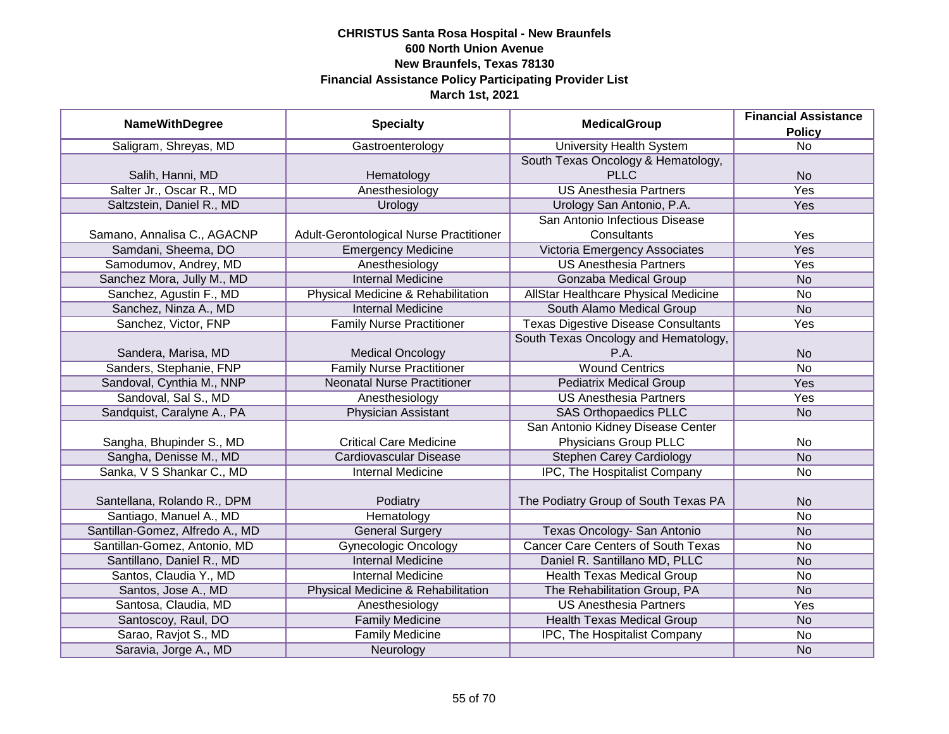|                                 |                                         | <b>MedicalGroup</b>                        | <b>Financial Assistance</b> |
|---------------------------------|-----------------------------------------|--------------------------------------------|-----------------------------|
| <b>NameWithDegree</b>           | <b>Specialty</b>                        |                                            | <b>Policy</b>               |
| Saligram, Shreyas, MD           | Gastroenterology                        | <b>University Health System</b>            | $\overline{No}$             |
|                                 |                                         | South Texas Oncology & Hematology,         |                             |
| Salih, Hanni, MD                | Hematology                              | <b>PLLC</b>                                | <b>No</b>                   |
| Salter Jr., Oscar R., MD        | Anesthesiology                          | <b>US Anesthesia Partners</b>              | <b>Yes</b>                  |
| Saltzstein, Daniel R., MD       | Urology                                 | Urology San Antonio, P.A.                  | <b>Yes</b>                  |
|                                 |                                         | San Antonio Infectious Disease             |                             |
| Samano, Annalisa C., AGACNP     | Adult-Gerontological Nurse Practitioner | Consultants                                | Yes                         |
| Samdani, Sheema, DO             | <b>Emergency Medicine</b>               | Victoria Emergency Associates              | <b>Yes</b>                  |
| Samodumov, Andrey, MD           | Anesthesiology                          | <b>US Anesthesia Partners</b>              | Yes                         |
| Sanchez Mora, Jully M., MD      | <b>Internal Medicine</b>                | Gonzaba Medical Group                      | <b>No</b>                   |
| Sanchez, Agustin F., MD         | Physical Medicine & Rehabilitation      | AllStar Healthcare Physical Medicine       | <b>No</b>                   |
| Sanchez, Ninza A., MD           | <b>Internal Medicine</b>                | South Alamo Medical Group                  | <b>No</b>                   |
| Sanchez, Victor, FNP            | <b>Family Nurse Practitioner</b>        | <b>Texas Digestive Disease Consultants</b> | Yes                         |
|                                 |                                         | South Texas Oncology and Hematology,       |                             |
| Sandera, Marisa, MD             | <b>Medical Oncology</b>                 | P.A.                                       | <b>No</b>                   |
| Sanders, Stephanie, FNP         | <b>Family Nurse Practitioner</b>        | <b>Wound Centrics</b>                      | <b>No</b>                   |
| Sandoval, Cynthia M., NNP       | <b>Neonatal Nurse Practitioner</b>      | <b>Pediatrix Medical Group</b>             | Yes                         |
| Sandoval, Sal S., MD            | Anesthesiology                          | <b>US Anesthesia Partners</b>              | Yes                         |
| Sandquist, Caralyne A., PA      | Physician Assistant                     | <b>SAS Orthopaedics PLLC</b>               | <b>No</b>                   |
|                                 |                                         | San Antonio Kidney Disease Center          |                             |
| Sangha, Bhupinder S., MD        | <b>Critical Care Medicine</b>           | Physicians Group PLLC                      | No                          |
| Sangha, Denisse M., MD          | <b>Cardiovascular Disease</b>           | <b>Stephen Carey Cardiology</b>            | <b>No</b>                   |
| Sanka, V S Shankar C., MD       | <b>Internal Medicine</b>                | IPC, The Hospitalist Company               | No                          |
|                                 |                                         |                                            |                             |
| Santellana, Rolando R., DPM     | Podiatry                                | The Podiatry Group of South Texas PA       | <b>No</b>                   |
| Santiago, Manuel A., MD         | Hematology                              |                                            | <b>No</b>                   |
| Santillan-Gomez, Alfredo A., MD | <b>General Surgery</b>                  | Texas Oncology- San Antonio                | <b>No</b>                   |
| Santillan-Gomez, Antonio, MD    | <b>Gynecologic Oncology</b>             | <b>Cancer Care Centers of South Texas</b>  | <b>No</b>                   |
| Santillano, Daniel R., MD       | <b>Internal Medicine</b>                | Daniel R. Santillano MD, PLLC              | <b>No</b>                   |
| Santos, Claudia Y., MD          | <b>Internal Medicine</b>                | <b>Health Texas Medical Group</b>          | <b>No</b>                   |
| Santos, Jose A., MD             | Physical Medicine & Rehabilitation      | The Rehabilitation Group, PA               | <b>No</b>                   |
| Santosa, Claudia, MD            | Anesthesiology                          | <b>US Anesthesia Partners</b>              | Yes                         |
| Santoscoy, Raul, DO             | <b>Family Medicine</b>                  | <b>Health Texas Medical Group</b>          | <b>No</b>                   |
| Sarao, Ravjot S., MD            | <b>Family Medicine</b>                  | IPC, The Hospitalist Company               | No                          |
| Saravia, Jorge A., MD           | Neurology                               |                                            | <b>No</b>                   |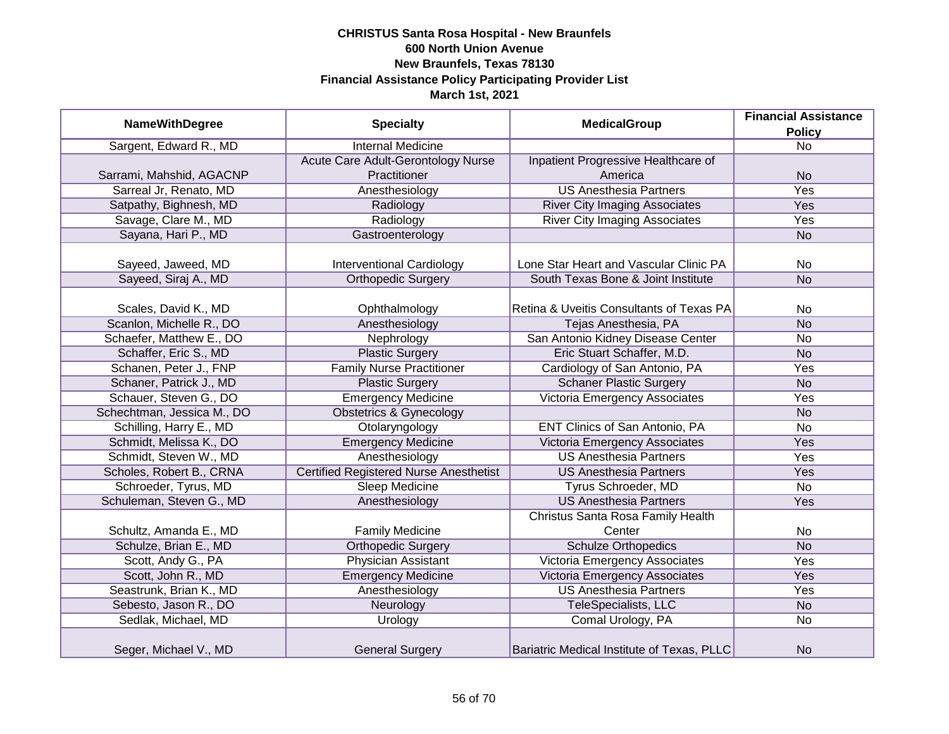|                            |                                               | <b>MedicalGroup</b>                        | <b>Financial Assistance</b> |
|----------------------------|-----------------------------------------------|--------------------------------------------|-----------------------------|
| <b>NameWithDegree</b>      | <b>Specialty</b>                              |                                            | <b>Policy</b>               |
| Sargent, Edward R., MD     | <b>Internal Medicine</b>                      |                                            | $\overline{No}$             |
|                            | Acute Care Adult-Gerontology Nurse            | Inpatient Progressive Healthcare of        |                             |
| Sarrami, Mahshid, AGACNP   | Practitioner                                  | America                                    | <b>No</b>                   |
| Sarreal Jr, Renato, MD     | Anesthesiology                                | <b>US Anesthesia Partners</b>              | <b>Yes</b>                  |
| Satpathy, Bighnesh, MD     | Radiology                                     | <b>River City Imaging Associates</b>       | Yes                         |
| Savage, Clare M., MD       | Radiology                                     | <b>River City Imaging Associates</b>       | Yes                         |
| Sayana, Hari P., MD        | Gastroenterology                              |                                            | <b>No</b>                   |
|                            |                                               |                                            |                             |
| Sayeed, Jaweed, MD         | <b>Interventional Cardiology</b>              | Lone Star Heart and Vascular Clinic PA     | No                          |
| Sayeed, Siraj A., MD       | <b>Orthopedic Surgery</b>                     | South Texas Bone & Joint Institute         | <b>No</b>                   |
|                            |                                               |                                            |                             |
| Scales, David K., MD       | Ophthalmology                                 | Retina & Uveitis Consultants of Texas PA   | <b>No</b>                   |
| Scanlon, Michelle R., DO   | Anesthesiology                                | Tejas Anesthesia, PA                       | <b>No</b>                   |
| Schaefer, Matthew E., DO   | Nephrology                                    | San Antonio Kidney Disease Center          | <b>No</b>                   |
| Schaffer, Eric S., MD      | <b>Plastic Surgery</b>                        | Eric Stuart Schaffer, M.D.                 | <b>No</b>                   |
| Schanen, Peter J., FNP     | <b>Family Nurse Practitioner</b>              | Cardiology of San Antonio, PA              | Yes                         |
| Schaner, Patrick J., MD    | <b>Plastic Surgery</b>                        | <b>Schaner Plastic Surgery</b>             | <b>No</b>                   |
| Schauer, Steven G., DO     | <b>Emergency Medicine</b>                     | Victoria Emergency Associates              | Yes                         |
| Schechtman, Jessica M., DO | <b>Obstetrics &amp; Gynecology</b>            |                                            | <b>No</b>                   |
| Schilling, Harry E., MD    | Otolaryngology                                | <b>ENT Clinics of San Antonio, PA</b>      | <b>No</b>                   |
| Schmidt, Melissa K., DO    | <b>Emergency Medicine</b>                     | Victoria Emergency Associates              | Yes                         |
| Schmidt, Steven W., MD     | Anesthesiology                                | <b>US Anesthesia Partners</b>              | Yes                         |
| Scholes, Robert B., CRNA   | <b>Certified Registered Nurse Anesthetist</b> | <b>US Anesthesia Partners</b>              | Yes                         |
| Schroeder, Tyrus, MD       | <b>Sleep Medicine</b>                         | Tyrus Schroeder, MD                        | <b>No</b>                   |
| Schuleman, Steven G., MD   | Anesthesiology                                | <b>US Anesthesia Partners</b>              | Yes                         |
|                            |                                               | Christus Santa Rosa Family Health          |                             |
| Schultz, Amanda E., MD     | <b>Family Medicine</b>                        | Center                                     | <b>No</b>                   |
| Schulze, Brian E., MD      | <b>Orthopedic Surgery</b>                     | <b>Schulze Orthopedics</b>                 | <b>No</b>                   |
| Scott, Andy G., PA         | Physician Assistant                           | Victoria Emergency Associates              | Yes                         |
| Scott, John R., MD         | <b>Emergency Medicine</b>                     | Victoria Emergency Associates              | Yes                         |
| Seastrunk, Brian K., MD    | Anesthesiology                                | <b>US Anesthesia Partners</b>              | <b>Yes</b>                  |
| Sebesto, Jason R., DO      | Neurology                                     | TeleSpecialists, LLC                       | <b>No</b>                   |
| Sedlak, Michael, MD        | Urology                                       | Comal Urology, PA                          | <b>No</b>                   |
| Seger, Michael V., MD      | <b>General Surgery</b>                        | Bariatric Medical Institute of Texas, PLLC | <b>No</b>                   |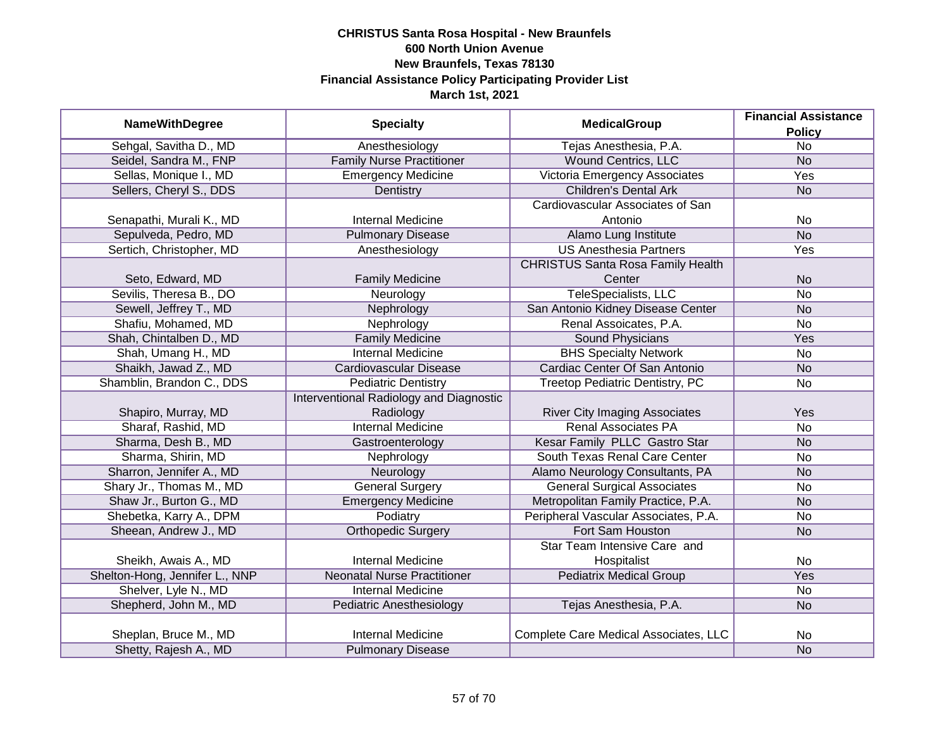|                                |                                         |                                          | <b>Financial Assistance</b> |
|--------------------------------|-----------------------------------------|------------------------------------------|-----------------------------|
| <b>NameWithDegree</b>          | <b>Specialty</b>                        | <b>MedicalGroup</b>                      | <b>Policy</b>               |
| Sehgal, Savitha D., MD         | Anesthesiology                          | Tejas Anesthesia, P.A.                   | $\overline{No}$             |
| Seidel, Sandra M., FNP         | <b>Family Nurse Practitioner</b>        | <b>Wound Centrics, LLC</b>               | <b>No</b>                   |
| Sellas, Monique I., MD         | <b>Emergency Medicine</b>               | Victoria Emergency Associates            | <b>Yes</b>                  |
| Sellers, Cheryl S., DDS        | Dentistry                               | <b>Children's Dental Ark</b>             | <b>No</b>                   |
|                                |                                         | Cardiovascular Associates of San         |                             |
| Senapathi, Murali K., MD       | <b>Internal Medicine</b>                | Antonio                                  | No                          |
| Sepulveda, Pedro, MD           | <b>Pulmonary Disease</b>                | Alamo Lung Institute                     | N <sub>o</sub>              |
| Sertich, Christopher, MD       | Anesthesiology                          | <b>US Anesthesia Partners</b>            | Yes                         |
|                                |                                         | <b>CHRISTUS Santa Rosa Family Health</b> |                             |
| Seto, Edward, MD               | <b>Family Medicine</b>                  | Center                                   | <b>No</b>                   |
| Sevilis, Theresa B., DO        | Neurology                               | <b>TeleSpecialists, LLC</b>              | <b>No</b>                   |
| Sewell, Jeffrey T., MD         | Nephrology                              | San Antonio Kidney Disease Center        | <b>No</b>                   |
| Shafiu, Mohamed, MD            | Nephrology                              | Renal Assoicates, P.A.                   | No                          |
| Shah, Chintalben D., MD        | <b>Family Medicine</b>                  | <b>Sound Physicians</b>                  | Yes                         |
| Shah, Umang H., MD             | <b>Internal Medicine</b>                | <b>BHS Specialty Network</b>             | No                          |
| Shaikh, Jawad Z., MD           | Cardiovascular Disease                  | Cardiac Center Of San Antonio            | <b>No</b>                   |
| Shamblin, Brandon C., DDS      | <b>Pediatric Dentistry</b>              | Treetop Pediatric Dentistry, PC          | No                          |
|                                | Interventional Radiology and Diagnostic |                                          |                             |
| Shapiro, Murray, MD            | Radiology                               | <b>River City Imaging Associates</b>     | Yes                         |
| Sharaf, Rashid, MD             | <b>Internal Medicine</b>                | <b>Renal Associates PA</b>               | <b>No</b>                   |
| Sharma, Desh B., MD            | Gastroenterology                        | Kesar Family PLLC Gastro Star            | <b>No</b>                   |
| Sharma, Shirin, MD             | Nephrology                              | South Texas Renal Care Center            | No                          |
| Sharron, Jennifer A., MD       | Neurology                               | Alamo Neurology Consultants, PA          | <b>No</b>                   |
| Shary Jr., Thomas M., MD       | <b>General Surgery</b>                  | <b>General Surgical Associates</b>       | No                          |
| Shaw Jr., Burton G., MD        | <b>Emergency Medicine</b>               | Metropolitan Family Practice, P.A.       | <b>No</b>                   |
| Shebetka, Karry A., DPM        | Podiatry                                | Peripheral Vascular Associates, P.A.     | No                          |
| Sheean, Andrew J., MD          | <b>Orthopedic Surgery</b>               | Fort Sam Houston                         | <b>No</b>                   |
|                                |                                         | Star Team Intensive Care and             |                             |
| Sheikh, Awais A., MD           | <b>Internal Medicine</b>                | Hospitalist                              | No                          |
| Shelton-Hong, Jennifer L., NNP | <b>Neonatal Nurse Practitioner</b>      | <b>Pediatrix Medical Group</b>           | Yes                         |
| Shelver, Lyle N., MD           | <b>Internal Medicine</b>                |                                          | No                          |
| Shepherd, John M., MD          | Pediatric Anesthesiology                | Tejas Anesthesia, P.A.                   | <b>No</b>                   |
|                                |                                         |                                          |                             |
| Sheplan, Bruce M., MD          | <b>Internal Medicine</b>                | Complete Care Medical Associates, LLC    | No                          |
| Shetty, Rajesh A., MD          | <b>Pulmonary Disease</b>                |                                          | <b>No</b>                   |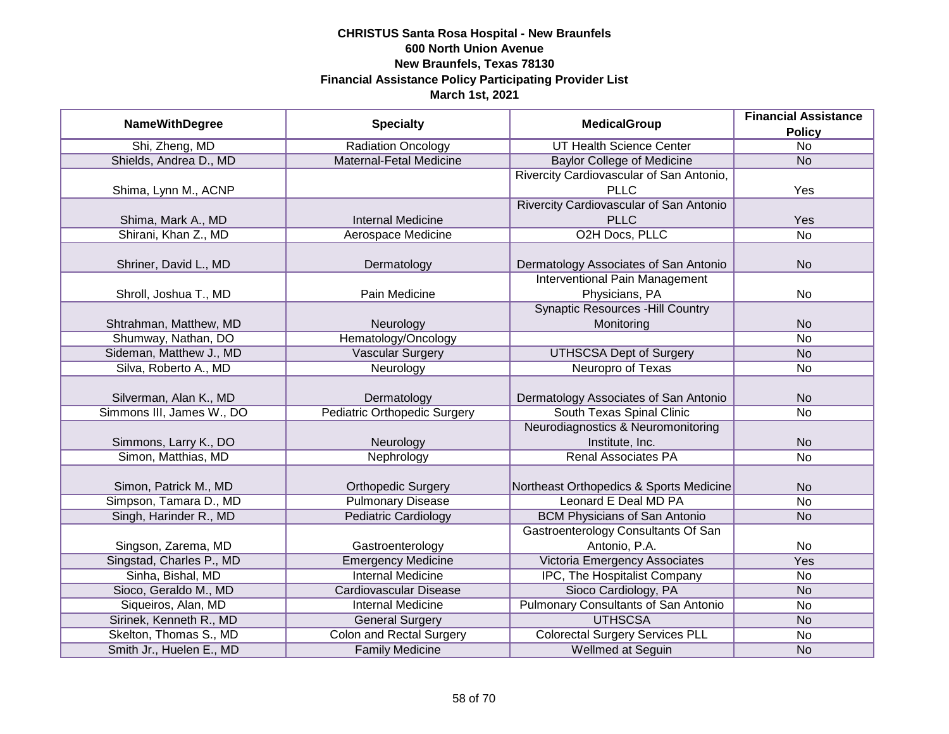|                           |                                     | <b>Financial Assistance</b>              |                 |
|---------------------------|-------------------------------------|------------------------------------------|-----------------|
| <b>NameWithDegree</b>     | <b>Specialty</b>                    | <b>MedicalGroup</b>                      | <b>Policy</b>   |
| Shi, Zheng, MD            | Radiation Oncology                  | <b>UT Health Science Center</b>          | $\overline{No}$ |
| Shields, Andrea D., MD    | Maternal-Fetal Medicine             | <b>Baylor College of Medicine</b>        | <b>No</b>       |
|                           |                                     | Rivercity Cardiovascular of San Antonio, |                 |
| Shima, Lynn M., ACNP      |                                     | <b>PLLC</b>                              | Yes             |
|                           |                                     | Rivercity Cardiovascular of San Antonio  |                 |
| Shima, Mark A., MD        | <b>Internal Medicine</b>            | <b>PLLC</b>                              | Yes             |
| Shirani, Khan Z., MD      | Aerospace Medicine                  | O2H Docs, PLLC                           | $\overline{No}$ |
|                           |                                     |                                          |                 |
| Shriner, David L., MD     | Dermatology                         | Dermatology Associates of San Antonio    | <b>No</b>       |
|                           |                                     | <b>Interventional Pain Management</b>    |                 |
| Shroll, Joshua T., MD     | Pain Medicine                       | Physicians, PA                           | No              |
|                           |                                     | <b>Synaptic Resources - Hill Country</b> |                 |
| Shtrahman, Matthew, MD    | Neurology                           | Monitoring                               | <b>No</b>       |
| Shumway, Nathan, DO       | Hematology/Oncology                 |                                          | No              |
| Sideman, Matthew J., MD   | Vascular Surgery                    | <b>UTHSCSA Dept of Surgery</b>           | <b>No</b>       |
| Silva, Roberto A., MD     | Neurology                           | Neuropro of Texas                        | No              |
|                           |                                     |                                          |                 |
| Silverman, Alan K., MD    | Dermatology                         | Dermatology Associates of San Antonio    | <b>No</b>       |
| Simmons III, James W., DO | <b>Pediatric Orthopedic Surgery</b> | South Texas Spinal Clinic                | <b>No</b>       |
|                           |                                     | Neurodiagnostics & Neuromonitoring       |                 |
| Simmons, Larry K., DO     | Neurology                           | Institute, Inc.                          | <b>No</b>       |
| Simon, Matthias, MD       | Nephrology                          | <b>Renal Associates PA</b>               | <b>No</b>       |
|                           |                                     |                                          |                 |
| Simon, Patrick M., MD     | <b>Orthopedic Surgery</b>           | Northeast Orthopedics & Sports Medicine  | <b>No</b>       |
| Simpson, Tamara D., MD    | <b>Pulmonary Disease</b>            | Leonard E Deal MD PA                     | <b>No</b>       |
| Singh, Harinder R., MD    | <b>Pediatric Cardiology</b>         | <b>BCM Physicians of San Antonio</b>     | <b>No</b>       |
|                           |                                     | Gastroenterology Consultants Of San      |                 |
| Singson, Zarema, MD       | Gastroenterology                    | Antonio, P.A.                            | No              |
| Singstad, Charles P., MD  | <b>Emergency Medicine</b>           | Victoria Emergency Associates            | Yes             |
| Sinha, Bishal, MD         | <b>Internal Medicine</b>            | <b>IPC, The Hospitalist Company</b>      | No              |
| Sioco, Geraldo M., MD     | <b>Cardiovascular Disease</b>       | Sioco Cardiology, PA                     | <b>No</b>       |
| Siqueiros, Alan, MD       | <b>Internal Medicine</b>            | Pulmonary Consultants of San Antonio     | No              |
| Sirinek, Kenneth R., MD   | <b>General Surgery</b>              | <b>UTHSCSA</b>                           | N <sub>o</sub>  |
| Skelton, Thomas S., MD    | <b>Colon and Rectal Surgery</b>     | <b>Colorectal Surgery Services PLL</b>   | No              |
| Smith Jr., Huelen E., MD  | <b>Family Medicine</b>              | Wellmed at Seguin                        | <b>No</b>       |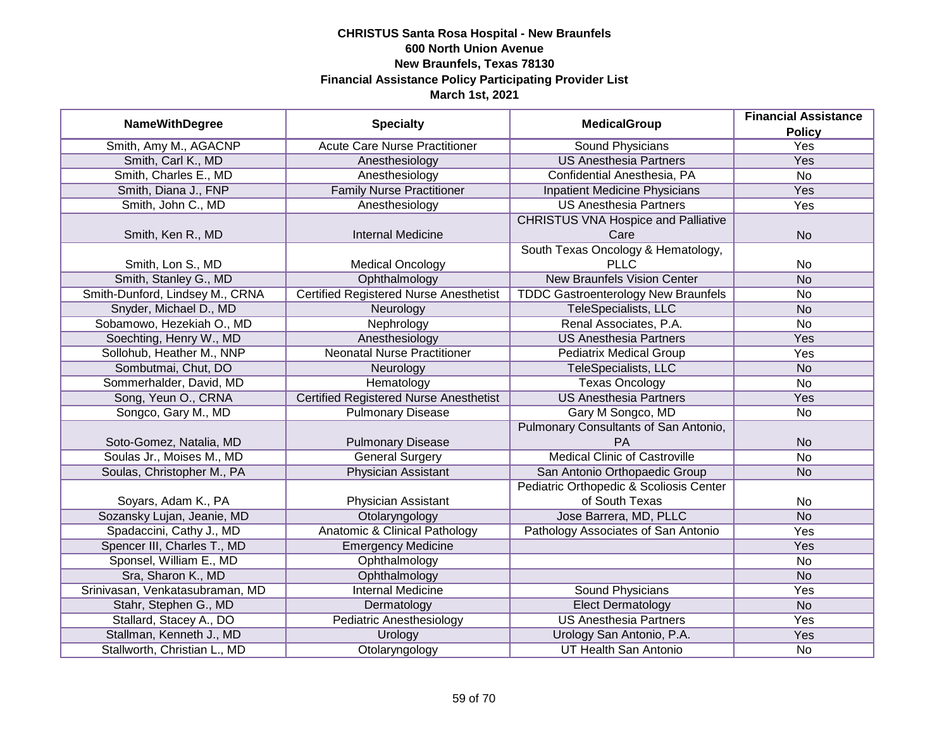|                                 |                                               |                                            | <b>Financial Assistance</b> |
|---------------------------------|-----------------------------------------------|--------------------------------------------|-----------------------------|
| <b>NameWithDegree</b>           | <b>Specialty</b>                              | <b>MedicalGroup</b>                        | <b>Policy</b>               |
| Smith, Amy M., AGACNP           | <b>Acute Care Nurse Practitioner</b>          | <b>Sound Physicians</b>                    | <b>Yes</b>                  |
| Smith, Carl K., MD              | Anesthesiology                                | <b>US Anesthesia Partners</b>              | <b>Yes</b>                  |
| Smith, Charles E., MD           | Anesthesiology                                | Confidential Anesthesia, PA                | $\overline{No}$             |
| Smith, Diana J., FNP            | <b>Family Nurse Practitioner</b>              | <b>Inpatient Medicine Physicians</b>       | Yes                         |
| Smith, John C., MD              | Anesthesiology                                | <b>US Anesthesia Partners</b>              | <b>Yes</b>                  |
|                                 |                                               | <b>CHRISTUS VNA Hospice and Palliative</b> |                             |
| Smith, Ken R., MD               | <b>Internal Medicine</b>                      | Care                                       | <b>No</b>                   |
|                                 |                                               | South Texas Oncology & Hematology,         |                             |
| Smith, Lon S., MD               | <b>Medical Oncology</b>                       | <b>PLLC</b>                                | No                          |
| Smith, Stanley G., MD           | Ophthalmology                                 | <b>New Braunfels Vision Center</b>         | <b>No</b>                   |
| Smith-Dunford, Lindsey M., CRNA | <b>Certified Registered Nurse Anesthetist</b> | <b>TDDC Gastroenterology New Braunfels</b> | No                          |
| Snyder, Michael D., MD          | Neurology                                     | TeleSpecialists, LLC                       | <b>No</b>                   |
| Sobamowo, Hezekiah O., MD       | Nephrology                                    | Renal Associates, P.A.                     | <b>No</b>                   |
| Soechting, Henry W., MD         | Anesthesiology                                | <b>US Anesthesia Partners</b>              | Yes                         |
| Sollohub, Heather M., NNP       | <b>Neonatal Nurse Practitioner</b>            | <b>Pediatrix Medical Group</b>             | Yes                         |
| Sombutmai, Chut, DO             | Neurology                                     | TeleSpecialists, LLC                       | <b>No</b>                   |
| Sommerhalder, David, MD         | Hematology                                    | <b>Texas Oncology</b>                      | No                          |
| Song, Yeun O., CRNA             | <b>Certified Registered Nurse Anesthetist</b> | <b>US Anesthesia Partners</b>              | Yes                         |
| Songco, Gary M., MD             | <b>Pulmonary Disease</b>                      | Gary M Songco, MD                          | No                          |
|                                 |                                               | Pulmonary Consultants of San Antonio,      |                             |
| Soto-Gomez, Natalia, MD         | <b>Pulmonary Disease</b>                      | PA                                         | <b>No</b>                   |
| Soulas Jr., Moises M., MD       | <b>General Surgery</b>                        | <b>Medical Clinic of Castroville</b>       | <b>No</b>                   |
| Soulas, Christopher M., PA      | Physician Assistant                           | San Antonio Orthopaedic Group              | <b>No</b>                   |
|                                 |                                               | Pediatric Orthopedic & Scoliosis Center    |                             |
| Soyars, Adam K., PA             | Physician Assistant                           | of South Texas                             | No                          |
| Sozansky Lujan, Jeanie, MD      | Otolaryngology                                | Jose Barrera, MD, PLLC                     | <b>No</b>                   |
| Spadaccini, Cathy J., MD        | <b>Anatomic &amp; Clinical Pathology</b>      | Pathology Associates of San Antonio        | Yes                         |
| Spencer III, Charles T., MD     | <b>Emergency Medicine</b>                     |                                            | Yes                         |
| Sponsel, William E., MD         | Ophthalmology                                 |                                            | No                          |
| Sra, Sharon K., MD              | Ophthalmology                                 |                                            | <b>No</b>                   |
| Srinivasan, Venkatasubraman, MD | <b>Internal Medicine</b>                      | <b>Sound Physicians</b>                    | Yes                         |
| Stahr, Stephen G., MD           | Dermatology                                   | <b>Elect Dermatology</b>                   | <b>No</b>                   |
| Stallard, Stacey A., DO         | <b>Pediatric Anesthesiology</b>               | <b>US Anesthesia Partners</b>              | <b>Yes</b>                  |
| Stallman, Kenneth J., MD        | Urology                                       | Urology San Antonio, P.A.                  | <b>Yes</b>                  |
| Stallworth, Christian L., MD    | Otolaryngology                                | <b>UT Health San Antonio</b>               | No                          |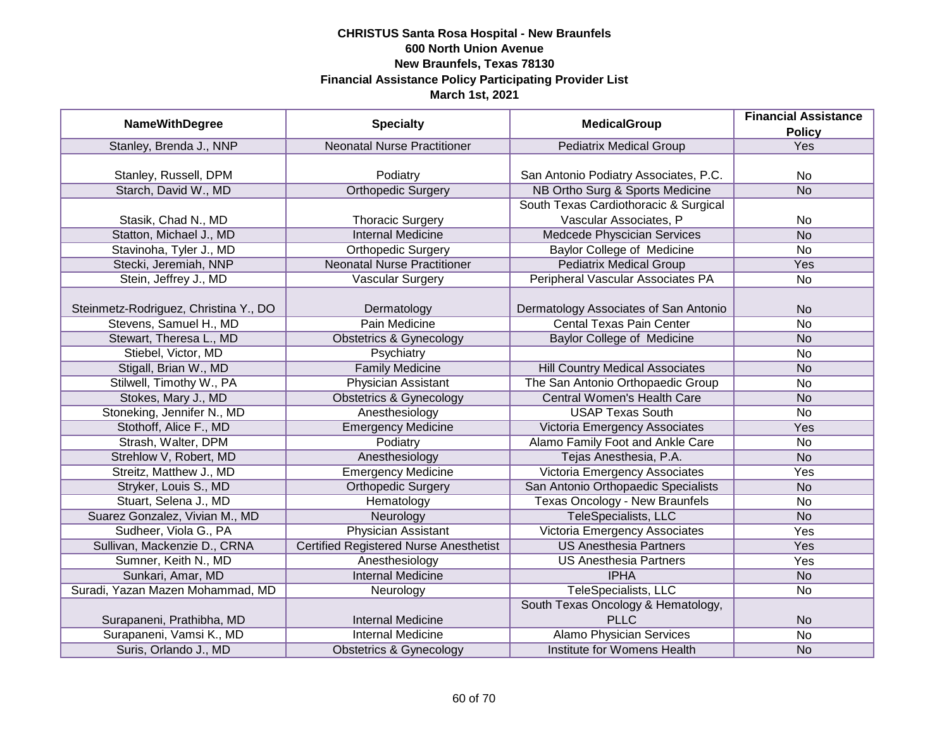|                                       |                                               | <b>MedicalGroup</b>                    | <b>Financial Assistance</b> |
|---------------------------------------|-----------------------------------------------|----------------------------------------|-----------------------------|
| <b>NameWithDegree</b>                 | <b>Specialty</b>                              |                                        | <b>Policy</b>               |
| Stanley, Brenda J., NNP               | <b>Neonatal Nurse Practitioner</b>            | <b>Pediatrix Medical Group</b>         | Yes                         |
|                                       |                                               |                                        |                             |
| Stanley, Russell, DPM                 | Podiatry                                      | San Antonio Podiatry Associates, P.C.  | No                          |
| Starch, David W., MD                  | <b>Orthopedic Surgery</b>                     | NB Ortho Surg & Sports Medicine        | <b>No</b>                   |
|                                       |                                               | South Texas Cardiothoracic & Surgical  |                             |
| Stasik, Chad N., MD                   | <b>Thoracic Surgery</b>                       | Vascular Associates, P                 | No                          |
| Statton, Michael J., MD               | <b>Internal Medicine</b>                      | Medcede Physcician Services            | <b>No</b>                   |
| Stavinoha, Tyler J., MD               | <b>Orthopedic Surgery</b>                     | Baylor College of Medicine             | <b>No</b>                   |
| Stecki, Jeremiah, NNP                 | <b>Neonatal Nurse Practitioner</b>            | <b>Pediatrix Medical Group</b>         | Yes                         |
| Stein, Jeffrey J., MD                 | <b>Vascular Surgery</b>                       | Peripheral Vascular Associates PA      | No                          |
|                                       |                                               |                                        |                             |
| Steinmetz-Rodriguez, Christina Y., DO | Dermatology                                   | Dermatology Associates of San Antonio  | <b>No</b>                   |
| Stevens, Samuel H., MD                | Pain Medicine                                 | <b>Cental Texas Pain Center</b>        | No                          |
| Stewart, Theresa L., MD               | <b>Obstetrics &amp; Gynecology</b>            | <b>Baylor College of Medicine</b>      | <b>No</b>                   |
| Stiebel, Victor, MD                   | Psychiatry                                    |                                        | No                          |
| Stigall, Brian W., MD                 | <b>Family Medicine</b>                        | <b>Hill Country Medical Associates</b> | <b>No</b>                   |
| Stilwell, Timothy W., PA              | <b>Physician Assistant</b>                    | The San Antonio Orthopaedic Group      | <b>No</b>                   |
| Stokes, Mary J., MD                   | <b>Obstetrics &amp; Gynecology</b>            | <b>Central Women's Health Care</b>     | <b>No</b>                   |
| Stoneking, Jennifer N., MD            | Anesthesiology                                | <b>USAP Texas South</b>                | No                          |
| Stothoff, Alice F., MD                | <b>Emergency Medicine</b>                     | Victoria Emergency Associates          | Yes                         |
| Strash, Walter, DPM                   | Podiatry                                      | Alamo Family Foot and Ankle Care       | <b>No</b>                   |
| Strehlow V, Robert, MD                | Anesthesiology                                | Tejas Anesthesia, P.A.                 | <b>No</b>                   |
| Streitz, Matthew J., MD               | <b>Emergency Medicine</b>                     | Victoria Emergency Associates          | Yes                         |
| Stryker, Louis S., MD                 | <b>Orthopedic Surgery</b>                     | San Antonio Orthopaedic Specialists    | <b>No</b>                   |
| Stuart, Selena J., MD                 | Hematology                                    | <b>Texas Oncology - New Braunfels</b>  | No                          |
| Suarez Gonzalez, Vivian M., MD        | Neurology                                     | <b>TeleSpecialists, LLC</b>            | <b>No</b>                   |
| Sudheer, Viola G., PA                 | <b>Physician Assistant</b>                    | Victoria Emergency Associates          | Yes                         |
| Sullivan, Mackenzie D., CRNA          | <b>Certified Registered Nurse Anesthetist</b> | <b>US Anesthesia Partners</b>          | Yes                         |
| Sumner, Keith N., MD                  | Anesthesiology                                | <b>US Anesthesia Partners</b>          | Yes                         |
| Sunkari, Amar, MD                     | <b>Internal Medicine</b>                      | <b>IPHA</b>                            | <b>No</b>                   |
| Suradi, Yazan Mazen Mohammad, MD      | Neurology                                     | TeleSpecialists, LLC                   | No                          |
|                                       |                                               | South Texas Oncology & Hematology,     |                             |
| Surapaneni, Prathibha, MD             | <b>Internal Medicine</b>                      | <b>PLLC</b>                            | <b>No</b>                   |
| Surapaneni, Vamsi K., MD              | <b>Internal Medicine</b>                      | <b>Alamo Physician Services</b>        | $\overline{No}$             |
| Suris, Orlando J., MD                 | <b>Obstetrics &amp; Gynecology</b>            | Institute for Womens Health            | <b>No</b>                   |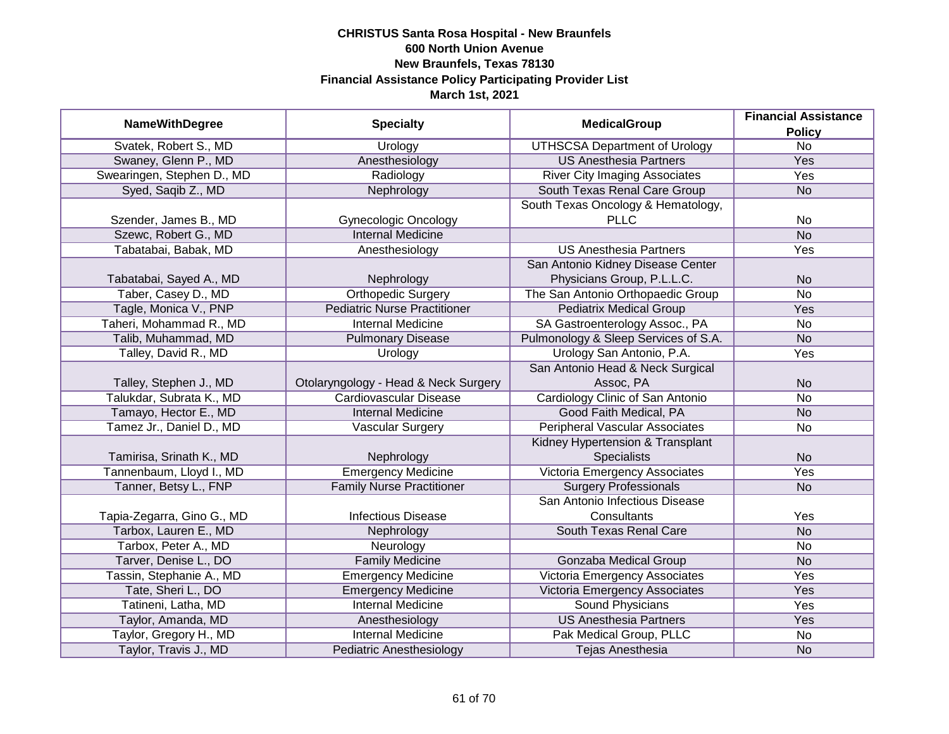| <b>NameWithDegree</b>      | <b>Specialty</b>                     | <b>MedicalGroup</b>                   | <b>Financial Assistance</b> |
|----------------------------|--------------------------------------|---------------------------------------|-----------------------------|
|                            |                                      |                                       | <b>Policy</b>               |
| Svatek, Robert S., MD      | Urology                              | <b>UTHSCSA Department of Urology</b>  | $\overline{No}$             |
| Swaney, Glenn P., MD       | Anesthesiology                       | <b>US Anesthesia Partners</b>         | Yes                         |
| Swearingen, Stephen D., MD | Radiology                            | <b>River City Imaging Associates</b>  | <b>Yes</b>                  |
| Syed, Saqib Z., MD         | Nephrology                           | South Texas Renal Care Group          | <b>No</b>                   |
|                            |                                      | South Texas Oncology & Hematology,    |                             |
| Szender, James B., MD      | <b>Gynecologic Oncology</b>          | <b>PLLC</b>                           | No                          |
| Szewc, Robert G., MD       | <b>Internal Medicine</b>             |                                       | N <sub>o</sub>              |
| Tabatabai, Babak, MD       | Anesthesiology                       | <b>US Anesthesia Partners</b>         | Yes                         |
|                            |                                      | San Antonio Kidney Disease Center     |                             |
| Tabatabai, Sayed A., MD    | Nephrology                           | Physicians Group, P.L.L.C.            | <b>No</b>                   |
| Taber, Casey D., MD        | <b>Orthopedic Surgery</b>            | The San Antonio Orthopaedic Group     | <b>No</b>                   |
| Tagle, Monica V., PNP      | <b>Pediatric Nurse Practitioner</b>  | <b>Pediatrix Medical Group</b>        | Yes                         |
| Taheri, Mohammad R., MD    | <b>Internal Medicine</b>             | SA Gastroenterology Assoc., PA        | No                          |
| Talib, Muhammad, MD        | <b>Pulmonary Disease</b>             | Pulmonology & Sleep Services of S.A.  | <b>No</b>                   |
| Talley, David R., MD       | Urology                              | Urology San Antonio, P.A.             | Yes                         |
|                            |                                      | San Antonio Head & Neck Surgical      |                             |
| Talley, Stephen J., MD     | Otolaryngology - Head & Neck Surgery | Assoc, PA                             | <b>No</b>                   |
| Talukdar, Subrata K., MD   | <b>Cardiovascular Disease</b>        | Cardiology Clinic of San Antonio      | <b>No</b>                   |
| Tamayo, Hector E., MD      | <b>Internal Medicine</b>             | Good Faith Medical, PA                | <b>No</b>                   |
| Tamez Jr., Daniel D., MD   | <b>Vascular Surgery</b>              | <b>Peripheral Vascular Associates</b> | No                          |
|                            |                                      | Kidney Hypertension & Transplant      |                             |
| Tamirisa, Srinath K., MD   | Nephrology                           | <b>Specialists</b>                    | <b>No</b>                   |
| Tannenbaum, Lloyd I., MD   | <b>Emergency Medicine</b>            | Victoria Emergency Associates         | Yes                         |
| Tanner, Betsy L., FNP      | <b>Family Nurse Practitioner</b>     | <b>Surgery Professionals</b>          | <b>No</b>                   |
|                            |                                      | San Antonio Infectious Disease        |                             |
| Tapia-Zegarra, Gino G., MD | <b>Infectious Disease</b>            | Consultants                           | Yes                         |
| Tarbox, Lauren E., MD      | Nephrology                           | South Texas Renal Care                | <b>No</b>                   |
| Tarbox, Peter A., MD       | Neurology                            |                                       | No                          |
| Tarver, Denise L., DO      | <b>Family Medicine</b>               | <b>Gonzaba Medical Group</b>          | <b>No</b>                   |
| Tassin, Stephanie A., MD   | <b>Emergency Medicine</b>            | <b>Victoria Emergency Associates</b>  | Yes                         |
| Tate, Sheri L., DO         | <b>Emergency Medicine</b>            | Victoria Emergency Associates         | Yes                         |
| Tatineni, Latha, MD        | <b>Internal Medicine</b>             | <b>Sound Physicians</b>               | Yes                         |
| Taylor, Amanda, MD         | Anesthesiology                       | <b>US Anesthesia Partners</b>         | <b>Yes</b>                  |
| Taylor, Gregory H., MD     | <b>Internal Medicine</b>             | Pak Medical Group, PLLC               | No                          |
| Taylor, Travis J., MD      | <b>Pediatric Anesthesiology</b>      | Tejas Anesthesia                      | <b>No</b>                   |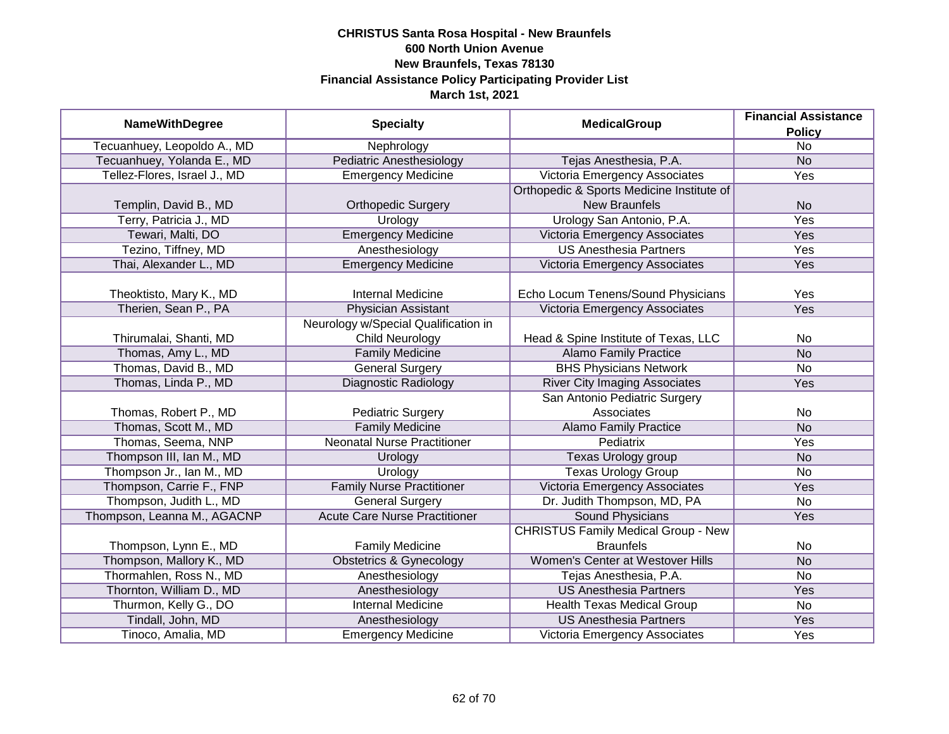|                              |                                      | <b>MedicalGroup</b>                        | <b>Financial Assistance</b> |
|------------------------------|--------------------------------------|--------------------------------------------|-----------------------------|
| <b>NameWithDegree</b>        | <b>Specialty</b>                     |                                            | <b>Policy</b>               |
| Tecuanhuey, Leopoldo A., MD  | Nephrology                           |                                            | $\overline{No}$             |
| Tecuanhuey, Yolanda E., MD   | <b>Pediatric Anesthesiology</b>      | Tejas Anesthesia, P.A.                     | <b>No</b>                   |
| Tellez-Flores, Israel J., MD | <b>Emergency Medicine</b>            | Victoria Emergency Associates              | Yes                         |
|                              |                                      | Orthopedic & Sports Medicine Institute of  |                             |
| Templin, David B., MD        | <b>Orthopedic Surgery</b>            | <b>New Braunfels</b>                       | <b>No</b>                   |
| Terry, Patricia J., MD       | Urology                              | Urology San Antonio, P.A.                  | Yes                         |
| Tewari, Malti, DO            | <b>Emergency Medicine</b>            | Victoria Emergency Associates              | Yes                         |
| Tezino, Tiffney, MD          | Anesthesiology                       | <b>US Anesthesia Partners</b>              | Yes                         |
| Thai, Alexander L., MD       | <b>Emergency Medicine</b>            | Victoria Emergency Associates              | Yes                         |
|                              |                                      |                                            |                             |
| Theoktisto, Mary K., MD      | <b>Internal Medicine</b>             | Echo Locum Tenens/Sound Physicians         | Yes                         |
| Therien, Sean P., PA         | <b>Physician Assistant</b>           | Victoria Emergency Associates              | Yes                         |
|                              | Neurology w/Special Qualification in |                                            |                             |
| Thirumalai, Shanti, MD       | <b>Child Neurology</b>               | Head & Spine Institute of Texas, LLC       | No                          |
| Thomas, Amy L., MD           | <b>Family Medicine</b>               | <b>Alamo Family Practice</b>               | <b>No</b>                   |
| Thomas, David B., MD         | <b>General Surgery</b>               | <b>BHS Physicians Network</b>              | <b>No</b>                   |
| Thomas, Linda P., MD         | <b>Diagnostic Radiology</b>          | <b>River City Imaging Associates</b>       | Yes                         |
|                              |                                      | San Antonio Pediatric Surgery              |                             |
| Thomas, Robert P., MD        | <b>Pediatric Surgery</b>             | Associates                                 | No                          |
| Thomas, Scott M., MD         | <b>Family Medicine</b>               | <b>Alamo Family Practice</b>               | <b>No</b>                   |
| Thomas, Seema, NNP           | <b>Neonatal Nurse Practitioner</b>   | <b>Pediatrix</b>                           | Yes                         |
| Thompson III, Ian M., MD     | Urology                              | Texas Urology group                        | <b>No</b>                   |
| Thompson Jr., Ian M., MD     | Urology                              | <b>Texas Urology Group</b>                 | No                          |
| Thompson, Carrie F., FNP     | <b>Family Nurse Practitioner</b>     | Victoria Emergency Associates              | Yes                         |
| Thompson, Judith L., MD      | General Surgery                      | Dr. Judith Thompson, MD, PA                | <b>No</b>                   |
| Thompson, Leanna M., AGACNP  | <b>Acute Care Nurse Practitioner</b> | <b>Sound Physicians</b>                    | Yes                         |
|                              |                                      | <b>CHRISTUS Family Medical Group - New</b> |                             |
| Thompson, Lynn E., MD        | <b>Family Medicine</b>               | <b>Braunfels</b>                           | No                          |
| Thompson, Mallory K., MD     | <b>Obstetrics &amp; Gynecology</b>   | Women's Center at Westover Hills           | <b>No</b>                   |
| Thormahlen, Ross N., MD      | Anesthesiology                       | Tejas Anesthesia, P.A.                     | No                          |
| Thornton, William D., MD     | Anesthesiology                       | <b>US Anesthesia Partners</b>              | <b>Yes</b>                  |
| Thurmon, Kelly G., DO        | <b>Internal Medicine</b>             | Health Texas Medical Group                 | No                          |
| Tindall, John, MD            | Anesthesiology                       | <b>US Anesthesia Partners</b>              | Yes                         |
| Tinoco, Amalia, MD           | <b>Emergency Medicine</b>            | Victoria Emergency Associates              | Yes                         |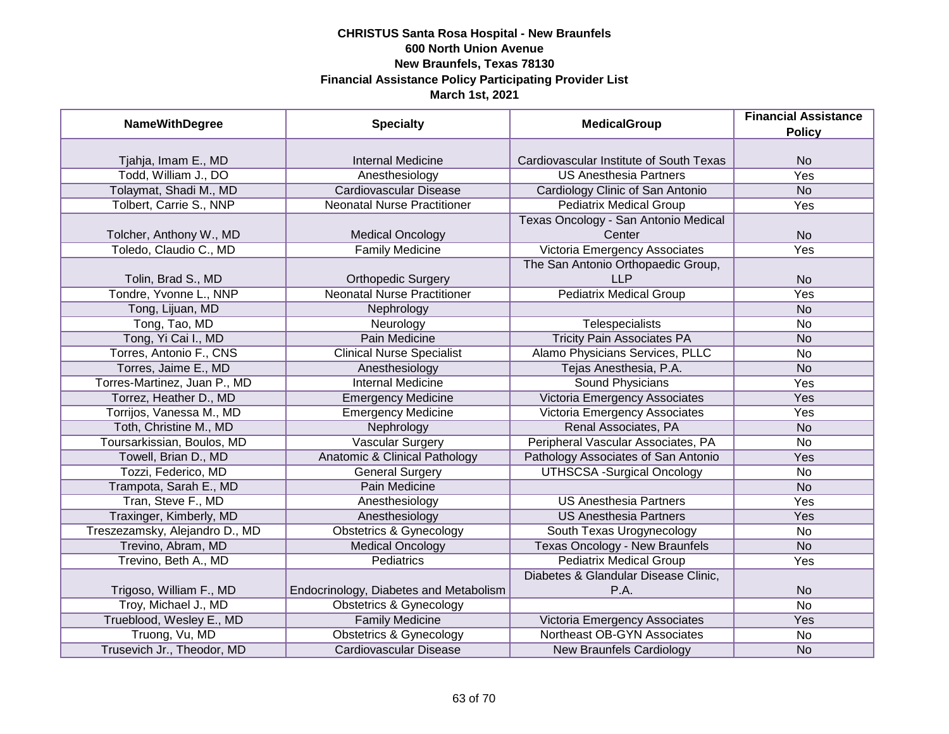| <b>NameWithDegree</b>          | <b>Specialty</b>                       | <b>MedicalGroup</b>                     | <b>Financial Assistance</b><br><b>Policy</b> |
|--------------------------------|----------------------------------------|-----------------------------------------|----------------------------------------------|
|                                |                                        |                                         |                                              |
| Tjahja, Imam E., MD            | <b>Internal Medicine</b>               | Cardiovascular Institute of South Texas | <b>No</b>                                    |
| Todd, William J., DO           | Anesthesiology                         | <b>US Anesthesia Partners</b>           | <b>Yes</b>                                   |
| Tolaymat, Shadi M., MD         | <b>Cardiovascular Disease</b>          | Cardiology Clinic of San Antonio        | N <sub>O</sub>                               |
| Tolbert, Carrie S., NNP        | <b>Neonatal Nurse Practitioner</b>     | <b>Pediatrix Medical Group</b>          | <b>Yes</b>                                   |
|                                |                                        | Texas Oncology - San Antonio Medical    |                                              |
| Tolcher, Anthony W., MD        | <b>Medical Oncology</b>                | Center                                  | <b>No</b>                                    |
| Toledo, Claudio C., MD         | <b>Family Medicine</b>                 | Victoria Emergency Associates           | Yes                                          |
|                                |                                        | The San Antonio Orthopaedic Group,      |                                              |
| Tolin, Brad S., MD             | <b>Orthopedic Surgery</b>              | <b>LLP</b>                              | <b>No</b>                                    |
| Tondre, Yvonne L., NNP         | <b>Neonatal Nurse Practitioner</b>     | <b>Pediatrix Medical Group</b>          | Yes                                          |
| Tong, Lijuan, MD               | Nephrology                             |                                         | <b>No</b>                                    |
| Tong, Tao, MD                  | Neurology                              | <b>Telespecialists</b>                  | No                                           |
| Tong, Yi Cai I., MD            | <b>Pain Medicine</b>                   | <b>Tricity Pain Associates PA</b>       | <b>No</b>                                    |
| Torres, Antonio F., CNS        | <b>Clinical Nurse Specialist</b>       | Alamo Physicians Services, PLLC         | No                                           |
| Torres, Jaime E., MD           | Anesthesiology                         | Tejas Anesthesia, P.A.                  | <b>No</b>                                    |
| Torres-Martinez, Juan P., MD   | <b>Internal Medicine</b>               | <b>Sound Physicians</b>                 | Yes                                          |
| Torrez, Heather D., MD         | <b>Emergency Medicine</b>              | Victoria Emergency Associates           | Yes                                          |
| Torrijos, Vanessa M., MD       | <b>Emergency Medicine</b>              | <b>Victoria Emergency Associates</b>    | Yes                                          |
| Toth, Christine M., MD         | Nephrology                             | Renal Associates, PA                    | <b>No</b>                                    |
| Toursarkissian, Boulos, MD     | <b>Vascular Surgery</b>                | Peripheral Vascular Associates, PA      | <b>No</b>                                    |
| Towell, Brian D., MD           | Anatomic & Clinical Pathology          | Pathology Associates of San Antonio     | Yes                                          |
| Tozzi, Federico, MD            | <b>General Surgery</b>                 | <b>UTHSCSA -Surgical Oncology</b>       | <b>No</b>                                    |
| Trampota, Sarah E., MD         | Pain Medicine                          |                                         | <b>No</b>                                    |
| Tran, Steve F., MD             | Anesthesiology                         | <b>US Anesthesia Partners</b>           | Yes                                          |
| Traxinger, Kimberly, MD        | Anesthesiology                         | <b>US Anesthesia Partners</b>           | Yes                                          |
| Treszezamsky, Alejandro D., MD | <b>Obstetrics &amp; Gynecology</b>     | South Texas Urogynecology               | No                                           |
| Trevino, Abram, MD             | <b>Medical Oncology</b>                | <b>Texas Oncology - New Braunfels</b>   | <b>No</b>                                    |
| Trevino, Beth A., MD           | <b>Pediatrics</b>                      | <b>Pediatrix Medical Group</b>          | Yes                                          |
|                                |                                        | Diabetes & Glandular Disease Clinic,    |                                              |
| Trigoso, William F., MD        | Endocrinology, Diabetes and Metabolism | P.A.                                    | <b>No</b>                                    |
| Troy, Michael J., MD           | <b>Obstetrics &amp; Gynecology</b>     |                                         | $\overline{No}$                              |
| Trueblood, Wesley E., MD       | <b>Family Medicine</b>                 | Victoria Emergency Associates           | Yes                                          |
| Truong, Vu, MD                 | <b>Obstetrics &amp; Gynecology</b>     | Northeast OB-GYN Associates             | No                                           |
| Trusevich Jr., Theodor, MD     | <b>Cardiovascular Disease</b>          | <b>New Braunfels Cardiology</b>         | <b>No</b>                                    |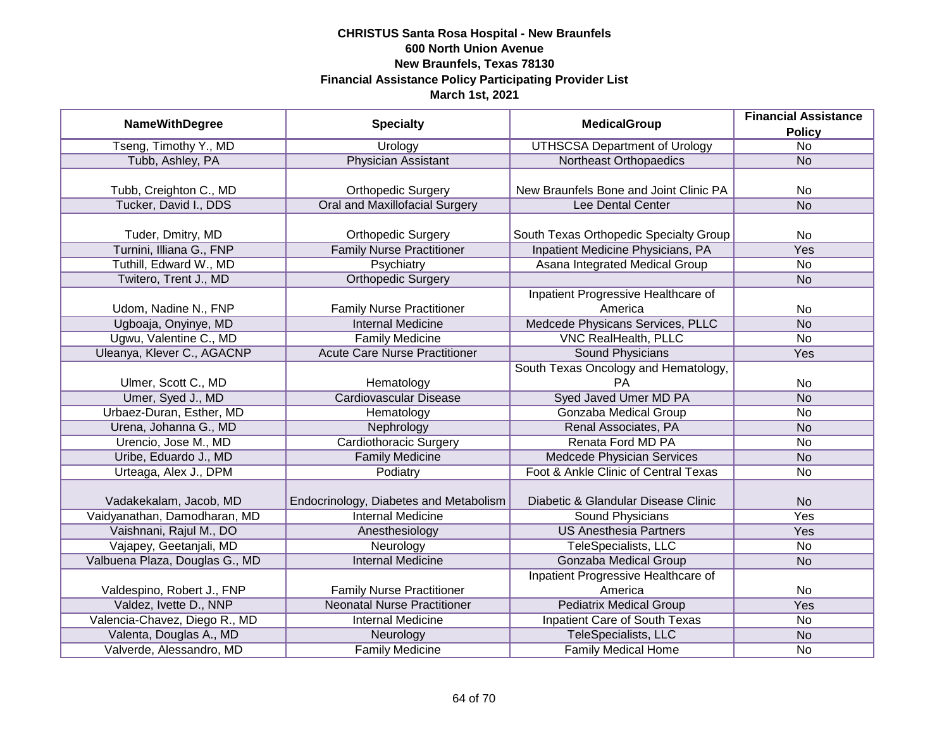|                                | <b>Financial Assistance</b>            |                                        |                 |
|--------------------------------|----------------------------------------|----------------------------------------|-----------------|
| <b>NameWithDegree</b>          | <b>Specialty</b>                       | <b>MedicalGroup</b>                    | <b>Policy</b>   |
| Tseng, Timothy Y., MD          | <b>Urology</b>                         | <b>UTHSCSA Department of Urology</b>   | $\overline{No}$ |
| Tubb, Ashley, PA               | <b>Physician Assistant</b>             | Northeast Orthopaedics                 | <b>No</b>       |
|                                |                                        |                                        |                 |
| Tubb, Creighton C., MD         | <b>Orthopedic Surgery</b>              | New Braunfels Bone and Joint Clinic PA | <b>No</b>       |
| Tucker, David I., DDS          | Oral and Maxillofacial Surgery         | Lee Dental Center                      | <b>No</b>       |
|                                |                                        |                                        |                 |
| Tuder, Dmitry, MD              | <b>Orthopedic Surgery</b>              | South Texas Orthopedic Specialty Group | <b>No</b>       |
| Turnini, Illiana G., FNP       | <b>Family Nurse Practitioner</b>       | Inpatient Medicine Physicians, PA      | Yes             |
| Tuthill, Edward W., MD         | Psychiatry                             | Asana Integrated Medical Group         | No              |
| Twitero, Trent J., MD          | <b>Orthopedic Surgery</b>              |                                        | <b>No</b>       |
|                                |                                        | Inpatient Progressive Healthcare of    |                 |
| Udom, Nadine N., FNP           | <b>Family Nurse Practitioner</b>       | America                                | <b>No</b>       |
| Ugboaja, Onyinye, MD           | <b>Internal Medicine</b>               | Medcede Physicans Services, PLLC       | <b>No</b>       |
| Ugwu, Valentine C., MD         | <b>Family Medicine</b>                 | <b>VNC RealHealth, PLLC</b>            | <b>No</b>       |
| Uleanya, Klever C., AGACNP     | <b>Acute Care Nurse Practitioner</b>   | <b>Sound Physicians</b>                | Yes             |
|                                |                                        | South Texas Oncology and Hematology,   |                 |
| Ulmer, Scott C., MD            | Hematology                             | PA.                                    | No              |
| Umer, Syed J., MD              | <b>Cardiovascular Disease</b>          | <b>Syed Javed Umer MD PA</b>           | <b>No</b>       |
| Urbaez-Duran, Esther, MD       | Hematology                             | Gonzaba Medical Group                  | No              |
| Urena, Johanna G., MD          | Nephrology                             | Renal Associates, PA                   | <b>No</b>       |
| Urencio, Jose M., MD           | <b>Cardiothoracic Surgery</b>          | Renata Ford MD PA                      | No              |
| Uribe, Eduardo J., MD          | <b>Family Medicine</b>                 | Medcede Physician Services             | <b>No</b>       |
| Urteaga, Alex J., DPM          | Podiatry                               | Foot & Ankle Clinic of Central Texas   | <b>No</b>       |
|                                |                                        |                                        |                 |
| Vadakekalam, Jacob, MD         | Endocrinology, Diabetes and Metabolism | Diabetic & Glandular Disease Clinic    | <b>No</b>       |
| Vaidyanathan, Damodharan, MD   | <b>Internal Medicine</b>               | <b>Sound Physicians</b>                | Yes             |
| Vaishnani, Rajul M., DO        | Anesthesiology                         | <b>US Anesthesia Partners</b>          | Yes             |
| Vajapey, Geetanjali, MD        | Neurology                              | TeleSpecialists, LLC                   | No              |
| Valbuena Plaza, Douglas G., MD | <b>Internal Medicine</b>               | Gonzaba Medical Group                  | <b>No</b>       |
|                                |                                        | Inpatient Progressive Healthcare of    |                 |
| Valdespino, Robert J., FNP     | <b>Family Nurse Practitioner</b>       | America                                | No              |
| Valdez, Ivette D., NNP         | <b>Neonatal Nurse Practitioner</b>     | <b>Pediatrix Medical Group</b>         | <b>Yes</b>      |
| Valencia-Chavez, Diego R., MD  | <b>Internal Medicine</b>               | <b>Inpatient Care of South Texas</b>   | No              |
| Valenta, Douglas A., MD        | Neurology                              | TeleSpecialists, LLC                   | N <sub>o</sub>  |
| Valverde, Alessandro, MD       | <b>Family Medicine</b>                 | Family Medical Home                    | No              |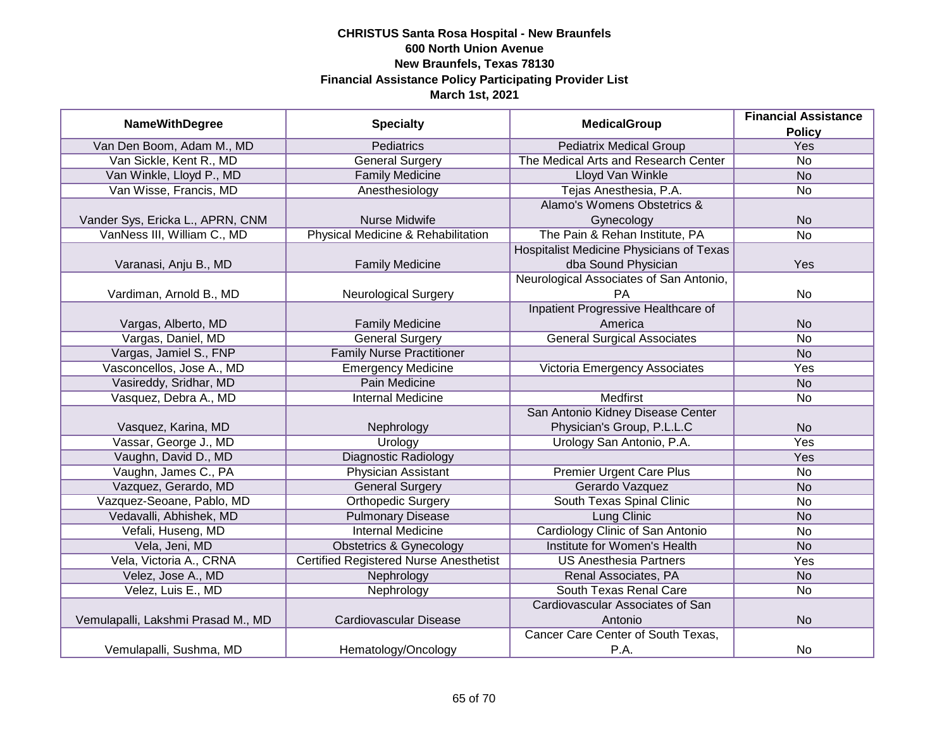|                                    | <b>MedicalGroup</b><br><b>NameWithDegree</b><br><b>Specialty</b> | <b>Financial Assistance</b>              |                 |
|------------------------------------|------------------------------------------------------------------|------------------------------------------|-----------------|
|                                    |                                                                  |                                          | <b>Policy</b>   |
| Van Den Boom, Adam M., MD          | <b>Pediatrics</b>                                                | <b>Pediatrix Medical Group</b>           | <b>Yes</b>      |
| Van Sickle, Kent R., MD            | <b>General Surgery</b>                                           | The Medical Arts and Research Center     | $\overline{No}$ |
| Van Winkle, Lloyd P., MD           | <b>Family Medicine</b>                                           | <b>Lloyd Van Winkle</b>                  | <b>No</b>       |
| Van Wisse, Francis, MD             | Anesthesiology                                                   | Tejas Anesthesia, P.A.                   | <b>No</b>       |
|                                    |                                                                  | Alamo's Womens Obstetrics &              |                 |
| Vander Sys, Ericka L., APRN, CNM   | <b>Nurse Midwife</b>                                             | Gynecology                               | <b>No</b>       |
| VanNess III, William C., MD        | Physical Medicine & Rehabilitation                               | The Pain & Rehan Institute, PA           | <b>No</b>       |
|                                    |                                                                  | Hospitalist Medicine Physicians of Texas |                 |
| Varanasi, Anju B., MD              | <b>Family Medicine</b>                                           | dba Sound Physician                      | Yes             |
|                                    |                                                                  | Neurological Associates of San Antonio,  |                 |
| Vardiman, Arnold B., MD            | <b>Neurological Surgery</b>                                      | PA                                       | <b>No</b>       |
|                                    |                                                                  | Inpatient Progressive Healthcare of      |                 |
| Vargas, Alberto, MD                | <b>Family Medicine</b>                                           | America                                  | <b>No</b>       |
| Vargas, Daniel, MD                 | <b>General Surgery</b>                                           | <b>General Surgical Associates</b>       | <b>No</b>       |
| Vargas, Jamiel S., FNP             | <b>Family Nurse Practitioner</b>                                 |                                          | <b>No</b>       |
| Vasconcellos, Jose A., MD          | <b>Emergency Medicine</b>                                        | Victoria Emergency Associates            | Yes             |
| Vasireddy, Sridhar, MD             | <b>Pain Medicine</b>                                             |                                          | <b>No</b>       |
| Vasquez, Debra A., MD              | <b>Internal Medicine</b>                                         | <b>Medfirst</b>                          | No              |
|                                    |                                                                  | San Antonio Kidney Disease Center        |                 |
| Vasquez, Karina, MD                | Nephrology                                                       | Physician's Group, P.L.L.C               | <b>No</b>       |
| Vassar, George J., MD              | Urology                                                          | Urology San Antonio, P.A.                | Yes             |
| Vaughn, David D., MD               | <b>Diagnostic Radiology</b>                                      |                                          | Yes             |
| Vaughn, James C., PA               | <b>Physician Assistant</b>                                       | <b>Premier Urgent Care Plus</b>          | <b>No</b>       |
| Vazquez, Gerardo, MD               | <b>General Surgery</b>                                           | Gerardo Vazquez                          | <b>No</b>       |
| Vazquez-Seoane, Pablo, MD          | <b>Orthopedic Surgery</b>                                        | South Texas Spinal Clinic                | <b>No</b>       |
| Vedavalli, Abhishek, MD            | <b>Pulmonary Disease</b>                                         | Lung Clinic                              | <b>No</b>       |
| Vefali, Huseng, MD                 | <b>Internal Medicine</b>                                         | Cardiology Clinic of San Antonio         | <b>No</b>       |
| Vela, Jeni, MD                     | Obstetrics & Gynecology                                          | Institute for Women's Health             | <b>No</b>       |
| Vela, Victoria A., CRNA            | <b>Certified Registered Nurse Anesthetist</b>                    | <b>US Anesthesia Partners</b>            | Yes             |
| Velez, Jose A., MD                 | Nephrology                                                       | Renal Associates, PA                     | <b>No</b>       |
| Velez, Luis E., MD                 | Nephrology                                                       | South Texas Renal Care                   | <b>No</b>       |
|                                    |                                                                  | Cardiovascular Associates of San         |                 |
| Vemulapalli, Lakshmi Prasad M., MD | Cardiovascular Disease                                           | Antonio                                  | <b>No</b>       |
|                                    |                                                                  | Cancer Care Center of South Texas,       |                 |
| Vemulapalli, Sushma, MD            | Hematology/Oncology                                              | P.A.                                     | <b>No</b>       |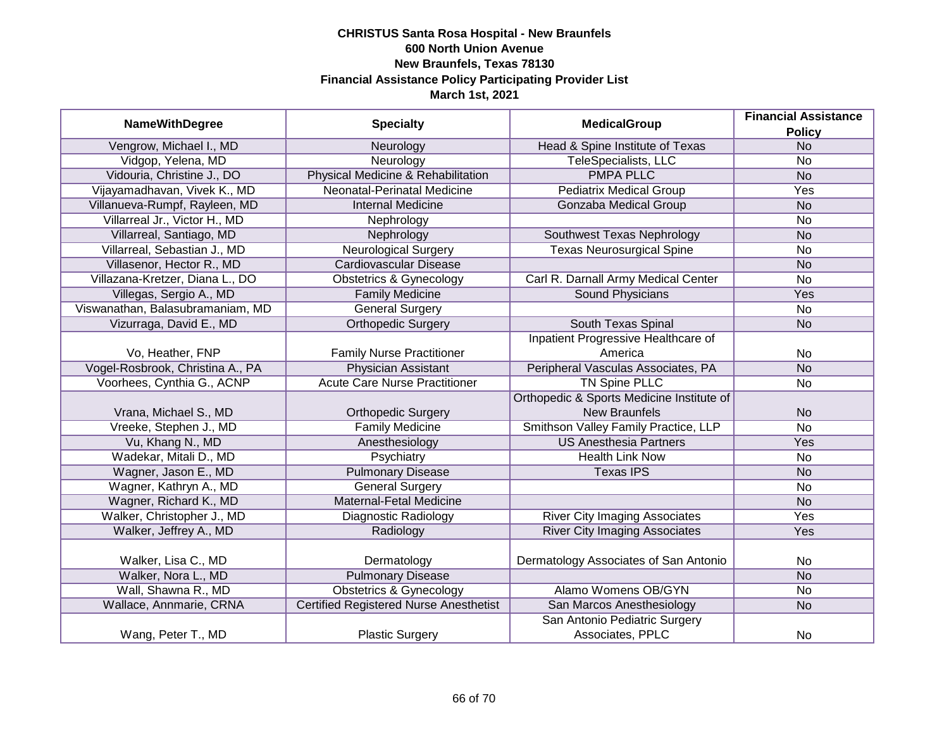|                                  | <b>Financial Assistance</b>                   |                                           |                |
|----------------------------------|-----------------------------------------------|-------------------------------------------|----------------|
| <b>NameWithDegree</b>            | <b>Specialty</b>                              | <b>MedicalGroup</b>                       | <b>Policy</b>  |
| Vengrow, Michael I., MD          | Neurology                                     | Head & Spine Institute of Texas           | <b>No</b>      |
| Vidgop, Yelena, MD               | Neurology                                     | <b>TeleSpecialists, LLC</b>               | <b>No</b>      |
| Vidouria, Christine J., DO       | Physical Medicine & Rehabilitation            | <b>PMPA PLLC</b>                          | <b>No</b>      |
| Vijayamadhavan, Vivek K., MD     | Neonatal-Perinatal Medicine                   | <b>Pediatrix Medical Group</b>            | Yes            |
| Villanueva-Rumpf, Rayleen, MD    | <b>Internal Medicine</b>                      | Gonzaba Medical Group                     | <b>No</b>      |
| Villarreal Jr., Victor H., MD    | Nephrology                                    |                                           | No             |
| Villarreal, Santiago, MD         | Nephrology                                    | Southwest Texas Nephrology                | N <sub>o</sub> |
| Villarreal, Sebastian J., MD     | <b>Neurological Surgery</b>                   | <b>Texas Neurosurgical Spine</b>          | No             |
| Villasenor, Hector R., MD        | Cardiovascular Disease                        |                                           | <b>No</b>      |
| Villazana-Kretzer, Diana L., DO  | <b>Obstetrics &amp; Gynecology</b>            | Carl R. Darnall Army Medical Center       | No             |
| Villegas, Sergio A., MD          | <b>Family Medicine</b>                        | Sound Physicians                          | Yes            |
| Viswanathan, Balasubramaniam, MD | <b>General Surgery</b>                        |                                           | No             |
| Vizurraga, David E., MD          | <b>Orthopedic Surgery</b>                     | South Texas Spinal                        | <b>No</b>      |
|                                  |                                               | Inpatient Progressive Healthcare of       |                |
| Vo, Heather, FNP                 | <b>Family Nurse Practitioner</b>              | America                                   | No             |
| Vogel-Rosbrook, Christina A., PA | <b>Physician Assistant</b>                    | Peripheral Vasculas Associates, PA        | <b>No</b>      |
| Voorhees, Cynthia G., ACNP       | <b>Acute Care Nurse Practitioner</b>          | <b>TN Spine PLLC</b>                      | No             |
|                                  |                                               | Orthopedic & Sports Medicine Institute of |                |
| Vrana, Michael S., MD            | <b>Orthopedic Surgery</b>                     | <b>New Braunfels</b>                      | <b>No</b>      |
| Vreeke, Stephen J., MD           | <b>Family Medicine</b>                        | Smithson Valley Family Practice, LLP      | <b>No</b>      |
| Vu, Khang N., MD                 | Anesthesiology                                | <b>US Anesthesia Partners</b>             | Yes            |
| Wadekar, Mitali D., MD           | Psychiatry                                    | <b>Health Link Now</b>                    | No             |
| Wagner, Jason E., MD             | <b>Pulmonary Disease</b>                      | <b>Texas IPS</b>                          | <b>No</b>      |
| Wagner, Kathryn A., MD           | <b>General Surgery</b>                        |                                           | No             |
| Wagner, Richard K., MD           | Maternal-Fetal Medicine                       |                                           | <b>No</b>      |
| Walker, Christopher J., MD       | Diagnostic Radiology                          | <b>River City Imaging Associates</b>      | Yes            |
| Walker, Jeffrey A., MD           | Radiology                                     | <b>River City Imaging Associates</b>      | Yes            |
|                                  |                                               |                                           |                |
| Walker, Lisa C., MD              | Dermatology                                   | Dermatology Associates of San Antonio     | No             |
| Walker, Nora L., MD              | <b>Pulmonary Disease</b>                      |                                           | <b>No</b>      |
| Wall, Shawna R., MD              | <b>Obstetrics &amp; Gynecology</b>            | Alamo Womens OB/GYN                       | No             |
| Wallace, Annmarie, CRNA          | <b>Certified Registered Nurse Anesthetist</b> | San Marcos Anesthesiology                 | <b>No</b>      |
|                                  |                                               | San Antonio Pediatric Surgery             |                |
| Wang, Peter T., MD               | <b>Plastic Surgery</b>                        | Associates, PPLC                          | No             |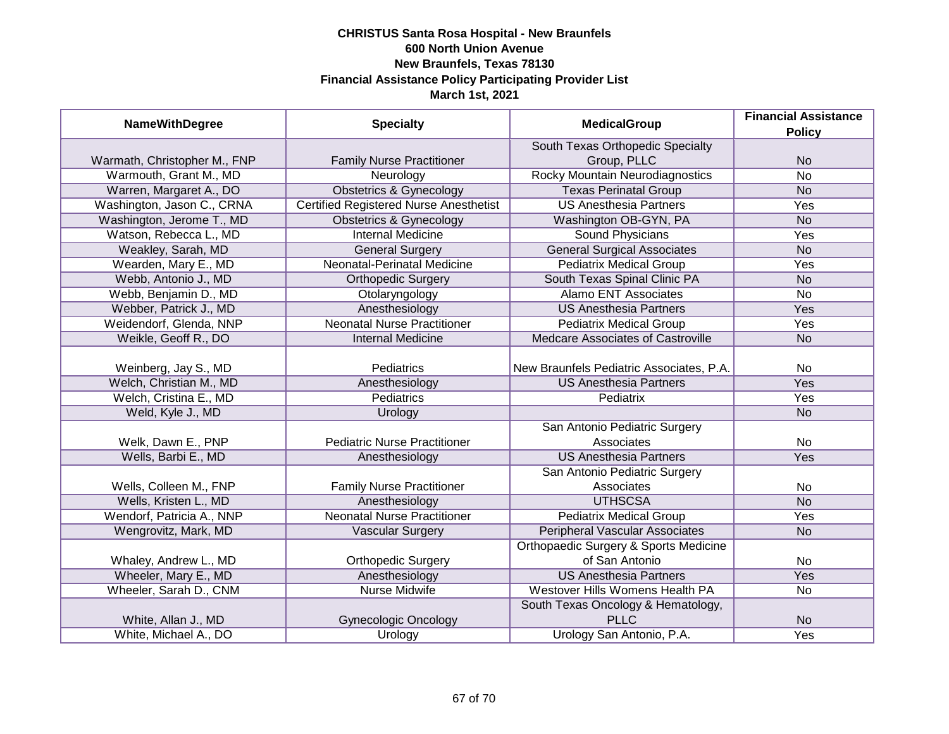| <b>NameWithDegree</b>        | <b>Specialty</b>                              | <b>MedicalGroup</b>                      | <b>Financial Assistance</b> |
|------------------------------|-----------------------------------------------|------------------------------------------|-----------------------------|
|                              |                                               |                                          | <b>Policy</b>               |
|                              |                                               | South Texas Orthopedic Specialty         |                             |
| Warmath, Christopher M., FNP | <b>Family Nurse Practitioner</b>              | Group, PLLC                              | <b>No</b>                   |
| Warmouth, Grant M., MD       | Neurology                                     | <b>Rocky Mountain Neurodiagnostics</b>   | $\overline{No}$             |
| Warren, Margaret A., DO      | <b>Obstetrics &amp; Gynecology</b>            | <b>Texas Perinatal Group</b>             | N <sub>o</sub>              |
| Washington, Jason C., CRNA   | <b>Certified Registered Nurse Anesthetist</b> | <b>US Anesthesia Partners</b>            | Yes                         |
| Washington, Jerome T., MD    | <b>Obstetrics &amp; Gynecology</b>            | Washington OB-GYN, PA                    | <b>No</b>                   |
| Watson, Rebecca L., MD       | <b>Internal Medicine</b>                      | Sound Physicians                         | <b>Yes</b>                  |
| Weakley, Sarah, MD           | <b>General Surgery</b>                        | <b>General Surgical Associates</b>       | <b>No</b>                   |
| Wearden, Mary E., MD         | Neonatal-Perinatal Medicine                   | <b>Pediatrix Medical Group</b>           | Yes                         |
| Webb, Antonio J., MD         | <b>Orthopedic Surgery</b>                     | South Texas Spinal Clinic PA             | <b>No</b>                   |
| Webb, Benjamin D., MD        | Otolaryngology                                | <b>Alamo ENT Associates</b>              | <b>No</b>                   |
| Webber, Patrick J., MD       | Anesthesiology                                | <b>US Anesthesia Partners</b>            | Yes                         |
| Weidendorf, Glenda, NNP      | <b>Neonatal Nurse Practitioner</b>            | <b>Pediatrix Medical Group</b>           | Yes                         |
| Weikle, Geoff R., DO         | <b>Internal Medicine</b>                      | Medcare Associates of Castroville        | <b>No</b>                   |
|                              |                                               |                                          |                             |
| Weinberg, Jay S., MD         | Pediatrics                                    | New Braunfels Pediatric Associates, P.A. | No                          |
| Welch, Christian M., MD      | Anesthesiology                                | <b>US Anesthesia Partners</b>            | Yes                         |
| Welch, Cristina E., MD       | Pediatrics                                    | Pediatrix                                | Yes                         |
| Weld, Kyle J., MD            | Urology                                       |                                          | <b>No</b>                   |
|                              |                                               | San Antonio Pediatric Surgery            |                             |
| Welk, Dawn E., PNP           | <b>Pediatric Nurse Practitioner</b>           | Associates                               | No                          |
| Wells, Barbi E., MD          | Anesthesiology                                | <b>US Anesthesia Partners</b>            | Yes                         |
|                              |                                               | San Antonio Pediatric Surgery            |                             |
| Wells, Colleen M., FNP       | <b>Family Nurse Practitioner</b>              | Associates                               | No                          |
| Wells, Kristen L., MD        | Anesthesiology                                | <b>UTHSCSA</b>                           | <b>No</b>                   |
| Wendorf, Patricia A., NNP    | <b>Neonatal Nurse Practitioner</b>            | Pediatrix Medical Group                  | Yes                         |
| Wengrovitz, Mark, MD         | <b>Vascular Surgery</b>                       | <b>Peripheral Vascular Associates</b>    | <b>No</b>                   |
|                              |                                               | Orthopaedic Surgery & Sports Medicine    |                             |
| Whaley, Andrew L., MD        | <b>Orthopedic Surgery</b>                     | of San Antonio                           | No                          |
| Wheeler, Mary E., MD         | Anesthesiology                                | <b>US Anesthesia Partners</b>            | Yes                         |
| Wheeler, Sarah D., CNM       | <b>Nurse Midwife</b>                          | Westover Hills Womens Health PA          | $\overline{No}$             |
|                              |                                               | South Texas Oncology & Hematology,       |                             |
| White, Allan J., MD          | <b>Gynecologic Oncology</b>                   | <b>PLLC</b>                              | <b>No</b>                   |
| White, Michael A., DO        | Urology                                       | Urology San Antonio, P.A.                | <b>Yes</b>                  |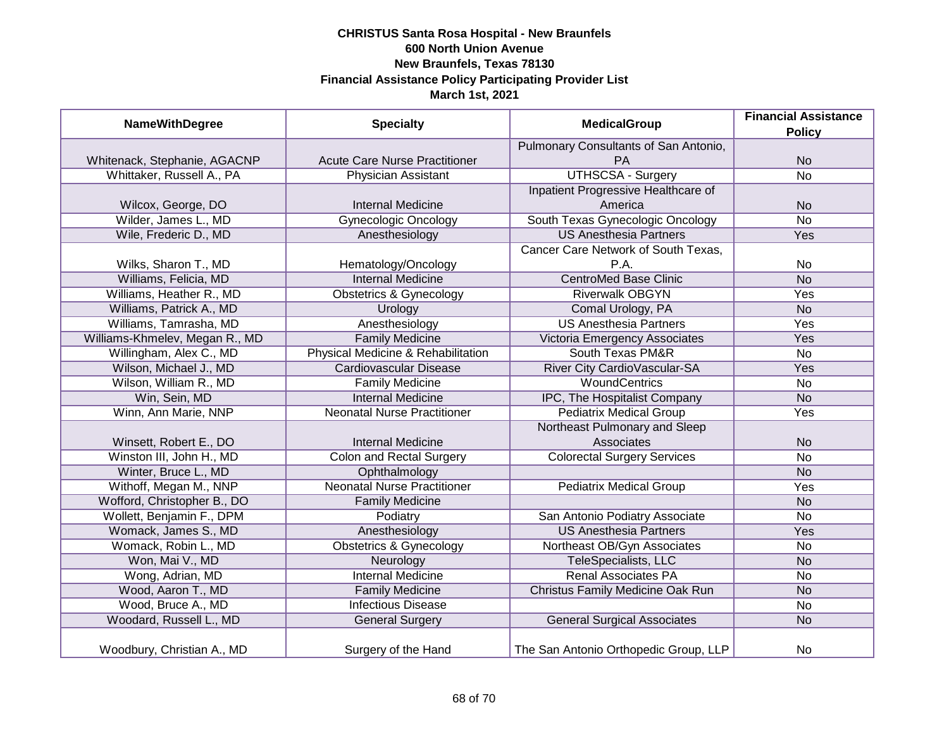| <b>NameWithDegree</b>          | <b>Specialty</b>                     | <b>MedicalGroup</b>                   | <b>Financial Assistance</b><br><b>Policy</b> |
|--------------------------------|--------------------------------------|---------------------------------------|----------------------------------------------|
|                                |                                      | Pulmonary Consultants of San Antonio, |                                              |
| Whitenack, Stephanie, AGACNP   | <b>Acute Care Nurse Practitioner</b> | PA                                    | <b>No</b>                                    |
| Whittaker, Russell A., PA      | <b>Physician Assistant</b>           | <b>UTHSCSA - Surgery</b>              | $\overline{No}$                              |
|                                |                                      | Inpatient Progressive Healthcare of   |                                              |
| Wilcox, George, DO             | <b>Internal Medicine</b>             | America                               | <b>No</b>                                    |
| Wilder, James L., MD           | <b>Gynecologic Oncology</b>          | South Texas Gynecologic Oncology      | <b>No</b>                                    |
| Wile, Frederic D., MD          | Anesthesiology                       | <b>US Anesthesia Partners</b>         | <b>Yes</b>                                   |
|                                |                                      | Cancer Care Network of South Texas,   |                                              |
| Wilks, Sharon T., MD           | Hematology/Oncology                  | P.A.                                  | <b>No</b>                                    |
| Williams, Felicia, MD          | <b>Internal Medicine</b>             | <b>CentroMed Base Clinic</b>          | <b>No</b>                                    |
| Williams, Heather R., MD       | <b>Obstetrics &amp; Gynecology</b>   | <b>Riverwalk OBGYN</b>                | Yes                                          |
| Williams, Patrick A., MD       | Urology                              | Comal Urology, PA                     | <b>No</b>                                    |
| Williams, Tamrasha, MD         | Anesthesiology                       | <b>US Anesthesia Partners</b>         | Yes                                          |
| Williams-Khmelev, Megan R., MD | <b>Family Medicine</b>               | Victoria Emergency Associates         | Yes                                          |
| Willingham, Alex C., MD        | Physical Medicine & Rehabilitation   | <b>South Texas PM&amp;R</b>           | <b>No</b>                                    |
| Wilson, Michael J., MD         | Cardiovascular Disease               | River City CardioVascular-SA          | Yes                                          |
| Wilson, William R., MD         | <b>Family Medicine</b>               | <b>WoundCentrics</b>                  | <b>No</b>                                    |
| Win, Sein, MD                  | <b>Internal Medicine</b>             | IPC, The Hospitalist Company          | <b>No</b>                                    |
| Winn, Ann Marie, NNP           | <b>Neonatal Nurse Practitioner</b>   | <b>Pediatrix Medical Group</b>        | Yes                                          |
|                                |                                      | Northeast Pulmonary and Sleep         |                                              |
| Winsett, Robert E., DO         | <b>Internal Medicine</b>             | Associates                            | <b>No</b>                                    |
| Winston III, John H., MD       | <b>Colon and Rectal Surgery</b>      | <b>Colorectal Surgery Services</b>    | <b>No</b>                                    |
| Winter, Bruce L., MD           | Ophthalmology                        |                                       | <b>No</b>                                    |
| Withoff, Megan M., NNP         | <b>Neonatal Nurse Practitioner</b>   | <b>Pediatrix Medical Group</b>        | Yes                                          |
| Wofford, Christopher B., DO    | <b>Family Medicine</b>               |                                       | <b>No</b>                                    |
| Wollett, Benjamin F., DPM      | Podiatry                             | San Antonio Podiatry Associate        | <b>No</b>                                    |
| Womack, James S., MD           | Anesthesiology                       | <b>US Anesthesia Partners</b>         | Yes                                          |
| Womack, Robin L., MD           | <b>Obstetrics &amp; Gynecology</b>   | Northeast OB/Gyn Associates           | <b>No</b>                                    |
| Won, Mai V., MD                | Neurology                            | TeleSpecialists, LLC                  | <b>No</b>                                    |
| Wong, Adrian, MD               | <b>Internal Medicine</b>             | <b>Renal Associates PA</b>            | <b>No</b>                                    |
| Wood, Aaron T., MD             | <b>Family Medicine</b>               | Christus Family Medicine Oak Run      | <b>No</b>                                    |
| Wood, Bruce A., MD             | <b>Infectious Disease</b>            |                                       | <b>No</b>                                    |
| Woodard, Russell L., MD        | <b>General Surgery</b>               | <b>General Surgical Associates</b>    | <b>No</b>                                    |
| Woodbury, Christian A., MD     | Surgery of the Hand                  | The San Antonio Orthopedic Group, LLP | <b>No</b>                                    |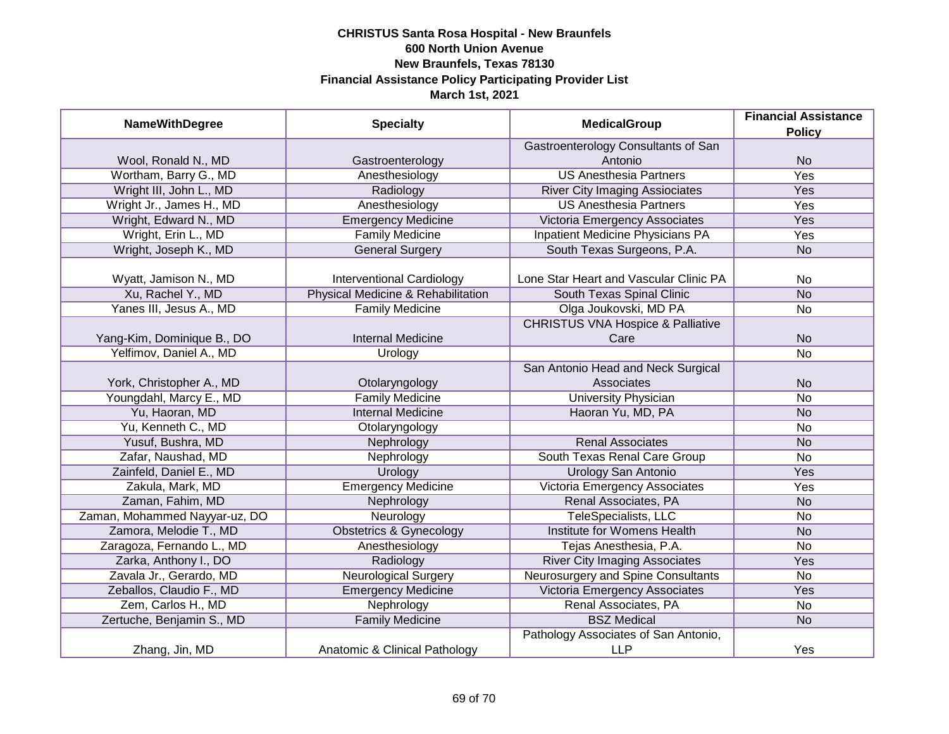| <b>NameWithDegree</b>         | <b>Specialty</b>                   | <b>MedicalGroup</b>                          | <b>Financial Assistance</b> |
|-------------------------------|------------------------------------|----------------------------------------------|-----------------------------|
|                               |                                    |                                              | <b>Policy</b>               |
|                               |                                    | Gastroenterology Consultants of San          |                             |
| Wool, Ronald N., MD           | Gastroenterology                   | Antonio                                      | <b>No</b>                   |
| Wortham, Barry G., MD         | Anesthesiology                     | <b>US Anesthesia Partners</b>                | <b>Yes</b>                  |
| Wright III, John L., MD       | Radiology                          | <b>River City Imaging Assiociates</b>        | Yes                         |
| Wright Jr., James H., MD      | Anesthesiology                     | <b>US Anesthesia Partners</b>                | <b>Yes</b>                  |
| Wright, Edward N., MD         | <b>Emergency Medicine</b>          | Victoria Emergency Associates                | <b>Yes</b>                  |
| Wright, Erin L., MD           | <b>Family Medicine</b>             | <b>Inpatient Medicine Physicians PA</b>      | <b>Yes</b>                  |
| Wright, Joseph K., MD         | <b>General Surgery</b>             | South Texas Surgeons, P.A.                   | <b>No</b>                   |
| Wyatt, Jamison N., MD         | <b>Interventional Cardiology</b>   | Lone Star Heart and Vascular Clinic PA       | <b>No</b>                   |
| Xu, Rachel Y., MD             | Physical Medicine & Rehabilitation | South Texas Spinal Clinic                    | <b>No</b>                   |
| Yanes III, Jesus A., MD       | <b>Family Medicine</b>             | Olga Joukovski, MD PA                        | No                          |
|                               |                                    | <b>CHRISTUS VNA Hospice &amp; Palliative</b> |                             |
| Yang-Kim, Dominique B., DO    | <b>Internal Medicine</b>           | Care                                         | <b>No</b>                   |
| Yelfimov, Daniel A., MD       | Urology                            |                                              | No                          |
|                               |                                    | San Antonio Head and Neck Surgical           |                             |
| York, Christopher A., MD      | Otolaryngology                     | Associates                                   | <b>No</b>                   |
| Youngdahl, Marcy E., MD       | <b>Family Medicine</b>             | <b>University Physician</b>                  | No                          |
| Yu, Haoran, MD                | <b>Internal Medicine</b>           | Haoran Yu, MD, PA                            | <b>No</b>                   |
| Yu, Kenneth C., MD            | Otolaryngology                     |                                              | No                          |
| Yusuf, Bushra, MD             | Nephrology                         | <b>Renal Associates</b>                      | <b>No</b>                   |
| Zafar, Naushad, MD            | Nephrology                         | South Texas Renal Care Group                 | No                          |
| Zainfeld, Daniel E., MD       | Urology                            | <b>Urology San Antonio</b>                   | Yes                         |
| Zakula, Mark, MD              | <b>Emergency Medicine</b>          | Victoria Emergency Associates                | Yes                         |
| Zaman, Fahim, MD              | Nephrology                         | Renal Associates, PA                         | <b>No</b>                   |
| Zaman, Mohammed Nayyar-uz, DO | Neurology                          | TeleSpecialists, LLC                         | No                          |
| Zamora, Melodie T., MD        | <b>Obstetrics &amp; Gynecology</b> | Institute for Womens Health                  | <b>No</b>                   |
| Zaragoza, Fernando L., MD     | Anesthesiology                     | Tejas Anesthesia, P.A.                       | No                          |
| Zarka, Anthony I., DO         | Radiology                          | <b>River City Imaging Associates</b>         | Yes                         |
| Zavala Jr., Gerardo, MD       | <b>Neurological Surgery</b>        | Neurosurgery and Spine Consultants           | No                          |
| Zeballos, Claudio F., MD      | <b>Emergency Medicine</b>          | Victoria Emergency Associates                | Yes                         |
| Zem, Carlos H., MD            | Nephrology                         | Renal Associates, PA                         | No                          |
| Zertuche, Benjamin S., MD     | <b>Family Medicine</b>             | <b>BSZ</b> Medical                           | <b>No</b>                   |
|                               |                                    | Pathology Associates of San Antonio,         |                             |
| Zhang, Jin, MD                | Anatomic & Clinical Pathology      | <b>LLP</b>                                   | Yes                         |